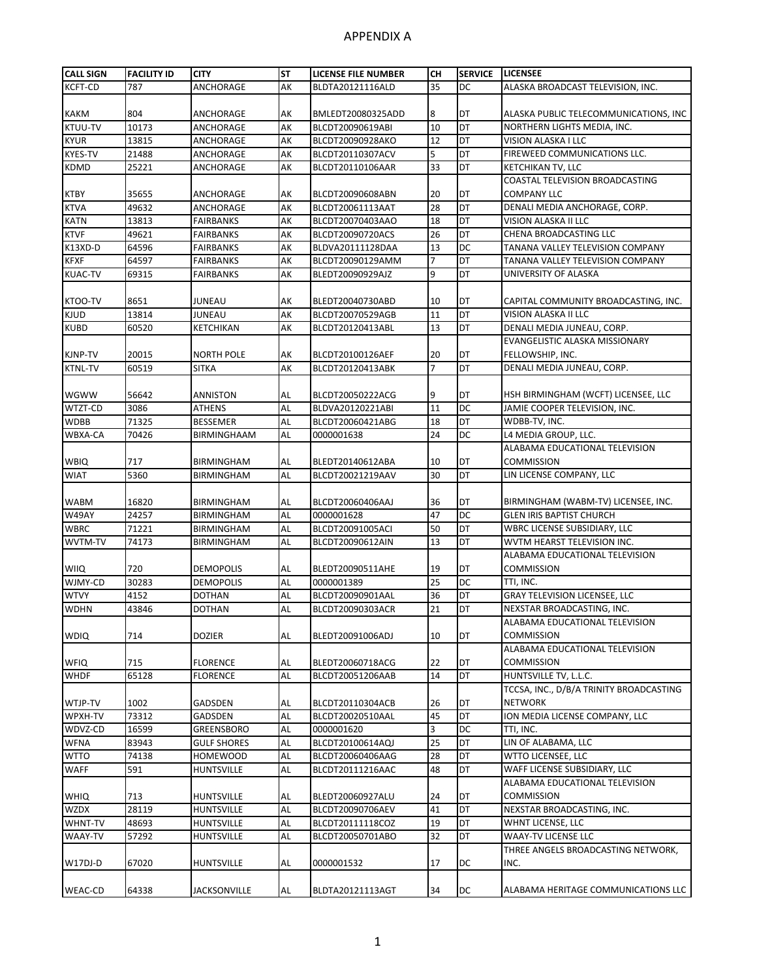| <b>CALL SIGN</b> | <b>FACILITY ID</b> | <b>CITY</b>        | <b>ST</b> | <b>LICENSE FILE NUMBER</b> | CН             | <b>SERVICE</b> | <b>LICENSEE</b>                         |
|------------------|--------------------|--------------------|-----------|----------------------------|----------------|----------------|-----------------------------------------|
| <b>KCFT-CD</b>   | 787                | ANCHORAGE          | AK        | BLDTA20121116ALD           | 35             | DC             | ALASKA BROADCAST TELEVISION, INC.       |
|                  |                    |                    |           |                            |                |                |                                         |
| <b>KAKM</b>      | 804                | ANCHORAGE          | АK        | BMLEDT20080325ADD          | 8              | DT             | ALASKA PUBLIC TELECOMMUNICATIONS, INC   |
| KTUU-TV          | 10173              | ANCHORAGE          | AK        | BLCDT20090619ABI           | 10             | DT             | NORTHERN LIGHTS MEDIA, INC.             |
| <b>KYUR</b>      | 13815              | ANCHORAGE          | AK        | BLCDT20090928AKO           | 12             | DT             | VISION ALASKA I LLC                     |
| KYES-TV          | 21488              | ANCHORAGE          | AK        | BLCDT20110307ACV           | 5              | DT             | FIREWEED COMMUNICATIONS LLC.            |
| KDMD             | 25221              | ANCHORAGE          | AK        | BLCDT20110106AAR           | 33             | DT             | KETCHIKAN TV, LLC                       |
|                  |                    |                    |           |                            |                |                | COASTAL TELEVISION BROADCASTING         |
| KTBY             | 35655              | ANCHORAGE          | AK        | BLCDT20090608ABN           | 20             | DT             | <b>COMPANY LLC</b>                      |
| <b>KTVA</b>      | 49632              | ANCHORAGE          | AK        | BLCDT20061113AAT           | 28             | DT             | DENALI MEDIA ANCHORAGE, CORP.           |
| <b>KATN</b>      | 13813              | FAIRBANKS          | AK        | BLCDT20070403AAO           | 18             | DT             | VISION ALASKA II LLC                    |
| <b>KTVF</b>      | 49621              | <b>FAIRBANKS</b>   | AK        | BLCDT20090720ACS           | 26             | DT             | CHENA BROADCASTING LLC                  |
| K13XD-D          | 64596              | <b>FAIRBANKS</b>   | AK        | BLDVA20111128DAA           | 13             | DC             | TANANA VALLEY TELEVISION COMPANY        |
| <b>KFXF</b>      | 64597              | <b>FAIRBANKS</b>   | AK        | BLCDT20090129AMM           | $\overline{7}$ | DT             | TANANA VALLEY TELEVISION COMPANY        |
| <b>KUAC-TV</b>   | 69315              | <b>FAIRBANKS</b>   | AK        | BLEDT20090929AJZ           | 9              | DT             | UNIVERSITY OF ALASKA                    |
|                  |                    |                    |           |                            |                |                |                                         |
| KTOO-TV          | 8651               | JUNEAU             | АK        | BLEDT20040730ABD           | 10             | DT             | CAPITAL COMMUNITY BROADCASTING, INC.    |
| <b>KJUD</b>      | 13814              | JUNEAU             | AK        | BLCDT20070529AGB           | 11             | DT             | VISION ALASKA II LLC                    |
| <b>KUBD</b>      | 60520              | KETCHIKAN          | AK        | BLCDT20120413ABL           | 13             | DT             | DENALI MEDIA JUNEAU, CORP.              |
|                  |                    |                    |           |                            |                |                | EVANGELISTIC ALASKA MISSIONARY          |
| KJNP-TV          | 20015              | NORTH POLE         | АK        | BLCDT20100126AEF           | 20             | DT             | FELLOWSHIP, INC.                        |
| <b>KTNL-TV</b>   | 60519              | <b>SITKA</b>       | AK        | BLCDT20120413ABK           | 7              | DT             | DENALI MEDIA JUNEAU, CORP.              |
|                  |                    |                    |           |                            |                |                |                                         |
| <b>WGWW</b>      | 56642              | ANNISTON           | AL        | BLCDT20050222ACG           | 9              | DT             | HSH BIRMINGHAM (WCFT) LICENSEE, LLC     |
| WTZT-CD          | 3086               | <b>ATHENS</b>      | AL        | BLDVA20120221ABI           | 11             | DC             | JAMIE COOPER TELEVISION, INC.           |
| <b>WDBB</b>      | 71325              | <b>BESSEMER</b>    | AL        | BLCDT20060421ABG           | 18             | DT             | WDBB-TV, INC.                           |
| WBXA-CA          | 70426              | BIRMINGHAAM        | AL        | 0000001638                 | 24             | DC             | L4 MEDIA GROUP, LLC.                    |
|                  |                    |                    |           |                            |                |                | ALABAMA EDUCATIONAL TELEVISION          |
| <b>WBIQ</b>      | 717                | BIRMINGHAM         | AL        | BLEDT20140612ABA           | 10             | DT             | <b>COMMISSION</b>                       |
| <b>WIAT</b>      | 5360               | BIRMINGHAM         | AL        | BLCDT20021219AAV           | 30             | DT             | LIN LICENSE COMPANY, LLC                |
|                  |                    |                    |           |                            |                |                |                                         |
| <b>WABM</b>      | 16820              | BIRMINGHAM         | AL        | BLCDT20060406AAJ           | 36             | DT             | BIRMINGHAM (WABM-TV) LICENSEE, INC.     |
| W49AY            | 24257              | <b>BIRMINGHAM</b>  | AL        | 0000001628                 | 47             | <b>DC</b>      | <b>GLEN IRIS BAPTIST CHURCH</b>         |
| <b>WBRC</b>      | 71221              | BIRMINGHAM         | AL        | BLCDT20091005ACI           | 50             | DT             | WBRC LICENSE SUBSIDIARY, LLC            |
| WVTM-TV          | 74173              | BIRMINGHAM         | AL        | BLCDT20090612AIN           | 13             | DT             | WVTM HEARST TELEVISION INC.             |
|                  |                    |                    |           |                            |                |                | ALABAMA EDUCATIONAL TELEVISION          |
| WIIQ             | 720                | DEMOPOLIS          | AL        | BLEDT20090511AHE           | 19             | DT             | <b>COMMISSION</b>                       |
| WJMY-CD          | 30283              | <b>DEMOPOLIS</b>   | AL        | 0000001389                 | 25             | DС             | TTI. INC.                               |
| <b>WTVY</b>      | 4152               | DOTHAN             | AL        | BLCDT20090901AAL           | 36             | DT             | <b>GRAY TELEVISION LICENSEE, LLC</b>    |
| <b>WDHN</b>      | 43846              | DOTHAN             | AL        | BLCDT20090303ACR           | 21             | DT             | NEXSTAR BROADCASTING, INC.              |
|                  |                    |                    |           |                            |                |                | ALABAMA EDUCATIONAL TELEVISION          |
| <b>WDIQ</b>      | 714                | dozier             | AL        | BLEDT20091006ADJ           | 10             | DT             | <b>COMMISSION</b>                       |
|                  |                    |                    |           |                            |                |                | ALABAMA EDUCATIONAL TELEVISION          |
| <b>WFIQ</b>      | 715                | FLORENCE           | AL        | BLEDT20060718ACG           | 22             | DT             | <b>COMMISSION</b>                       |
| <b>WHDF</b>      | 65128              | FLORENCE           | AL        | BLCDT20051206AAB           | 14             | <b>DT</b>      | HUNTSVILLE TV, L.L.C.                   |
|                  |                    |                    |           |                            |                |                | TCCSA, INC., D/B/A TRINITY BROADCASTING |
| WTJP-TV          | 1002               | GADSDEN            | AL        | BLCDT20110304ACB           | 26             | DT             | <b>NETWORK</b>                          |
| WPXH-TV          | 73312              | GADSDEN            | AL        | BLCDT20020510AAL           | 45             | DT             | ION MEDIA LICENSE COMPANY, LLC          |
| WDVZ-CD          | 16599              | GREENSBORO         | AL        | 0000001620                 | 3              | DC             | TTI, INC.                               |
| <b>WFNA</b>      | 83943              | <b>GULF SHORES</b> | AL        | BLCDT20100614AQJ           | 25             | DT             | LIN OF ALABAMA, LLC                     |
| WTTO             | 74138              | HOMEWOOD           | AL        | BLCDT20060406AAG           | 28             | DT             | <b>WTTO LICENSEE, LLC</b>               |
| WAFF             | 591                | HUNTSVILLE         | AL        | BLCDT20111216AAC           | 48             | DT             | WAFF LICENSE SUBSIDIARY, LLC            |
|                  |                    |                    |           |                            |                |                | ALABAMA EDUCATIONAL TELEVISION          |
| <b>WHIQ</b>      | 713                | HUNTSVILLE         | AL        | BLEDT20060927ALU           | 24             | DT             | <b>COMMISSION</b>                       |
| <b>WZDX</b>      | 28119              | HUNTSVILLE         | AL        | BLCDT20090706AEV           | 41             | <b>DT</b>      | NEXSTAR BROADCASTING, INC.              |
| WHNT-TV          | 48693              | HUNTSVILLE         | AL        | BLCDT20111118COZ           | 19             | DT             | WHNT LICENSE, LLC                       |
| WAAY-TV          | 57292              | HUNTSVILLE         | AL        | BLCDT20050701ABO           | 32             | DT             | <b>WAAY-TV LICENSE LLC</b>              |
|                  |                    |                    |           |                            |                |                | THREE ANGELS BROADCASTING NETWORK,      |
| W17DJ-D          | 67020              | HUNTSVILLE         | AL        | 0000001532                 | 17             | DC             | INC.                                    |
|                  |                    |                    |           |                            |                |                |                                         |
| WEAC-CD          | 64338              | JACKSONVILLE       | <b>AL</b> | BLDTA20121113AGT           | 34             | DC             | ALABAMA HERITAGE COMMUNICATIONS LLC     |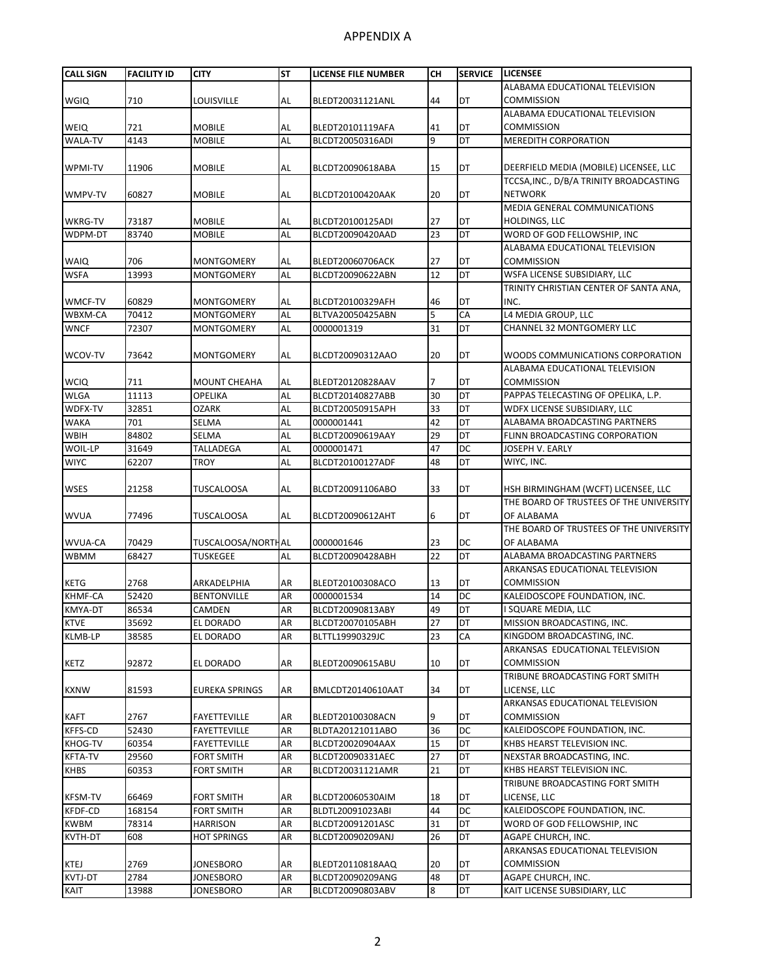| <b>CALL SIGN</b> | <b>FACILITY ID</b> | <b>CITY</b>         | <b>ST</b> | LICENSE FILE NUMBER | <b>CH</b> | <b>SERVICE</b> | <b>LICENSEE</b>                         |
|------------------|--------------------|---------------------|-----------|---------------------|-----------|----------------|-----------------------------------------|
|                  |                    |                     |           |                     |           |                | ALABAMA EDUCATIONAL TELEVISION          |
| <b>WGIQ</b>      | 710                | LOUISVILLE          | AL        | BLEDT20031121ANL    | 44        | DT             | <b>COMMISSION</b>                       |
|                  |                    |                     |           |                     |           |                | ALABAMA EDUCATIONAL TELEVISION          |
| <b>WEIQ</b>      | 721                | <b>MOBILE</b>       | AL        | BLEDT20101119AFA    | 41        | DT             | <b>COMMISSION</b>                       |
| <b>WALA-TV</b>   | 4143               | <b>MOBILE</b>       | AL        | BLCDT20050316ADI    | 9         | DT             | <b>MEREDITH CORPORATION</b>             |
|                  |                    |                     |           |                     |           |                |                                         |
| WPMI-TV          | 11906              | <b>MOBILE</b>       | <b>AL</b> | BLCDT20090618ABA    | 15        | DT             | DEERFIELD MEDIA (MOBILE) LICENSEE, LLC  |
|                  |                    |                     |           |                     |           |                | TCCSA, INC., D/B/A TRINITY BROADCASTING |
| WMPV-TV          | 60827              | <b>MOBILE</b>       | AL        | BLCDT20100420AAK    | 20        | DT             | <b>NETWORK</b>                          |
|                  |                    |                     |           |                     |           |                | MEDIA GENERAL COMMUNICATIONS            |
| <b>WKRG-TV</b>   | 73187              | <b>MOBILE</b>       | <b>AL</b> | BLCDT20100125ADI    | 27        | DT             | HOLDINGS, LLC                           |
| WDPM-DT          | 83740              | <b>MOBILE</b>       | <b>AL</b> | BLCDT20090420AAD    | 23        | DT             | WORD OF GOD FELLOWSHIP, INC             |
|                  |                    |                     |           |                     |           |                | ALABAMA EDUCATIONAL TELEVISION          |
| <b>WAIQ</b>      | 706                | <b>MONTGOMERY</b>   | AL        | BLEDT20060706ACK    | 27        | DT             | <b>COMMISSION</b>                       |
| <b>WSFA</b>      | 13993              | <b>MONTGOMERY</b>   | AL        | BLCDT20090622ABN    | 12        | DT             | WSFA LICENSE SUBSIDIARY, LLC            |
|                  |                    |                     |           |                     |           |                | TRINITY CHRISTIAN CENTER OF SANTA ANA,  |
| WMCF-TV          | 60829              | <b>MONTGOMERY</b>   | AL        | BLCDT20100329AFH    | 46        | DT             | INC.                                    |
| WBXM-CA          | 70412              | <b>MONTGOMERY</b>   | <b>AL</b> | BLTVA20050425ABN    | 5         | CA             | L4 MEDIA GROUP, LLC                     |
| <b>WNCF</b>      | 72307              | <b>MONTGOMERY</b>   | AL        | 0000001319          | 31        | DT             | <b>CHANNEL 32 MONTGOMERY LLC</b>        |
|                  |                    |                     |           |                     |           |                |                                         |
| WCOV-TV          | 73642              | MONTGOMERY          | AL        | BLCDT20090312AAO    | 20        | DT             | WOODS COMMUNICATIONS CORPORATION        |
|                  |                    |                     |           |                     |           |                | ALABAMA EDUCATIONAL TELEVISION          |
| <b>WCIQ</b>      | 711                | <b>MOUNT CHEAHA</b> | AL        | BLEDT20120828AAV    |           | DT             | <b>COMMISSION</b>                       |
| <b>WLGA</b>      | 11113              | <b>OPELIKA</b>      | AL        | BLCDT20140827ABB    | 30        | DT             | PAPPAS TELECASTING OF OPELIKA, L.P.     |
| WDFX-TV          | 32851              | <b>OZARK</b>        | AL        | BLCDT20050915APH    | 33        | DT             | WDFX LICENSE SUBSIDIARY, LLC            |
| <b>WAKA</b>      | 701                | SELMA               | AL        | 0000001441          | 42        | DT             | ALABAMA BROADCASTING PARTNERS           |
| WBIH             | 84802              | SELMA               | AL        | BLCDT20090619AAY    | 29        | DT             | FLINN BROADCASTING CORPORATION          |
| WOIL-LP          | 31649              | <b>TALLADEGA</b>    | AL        | 0000001471          | 47        | DC             | JOSEPH V. EARLY                         |
| <b>WIYC</b>      | 62207              | <b>TROY</b>         | AL        | BLCDT20100127ADF    | 48        | DT             | WIYC, INC.                              |
|                  |                    |                     |           |                     |           |                |                                         |
| WSES             | 21258              | <b>TUSCALOOSA</b>   | <b>AL</b> | BLCDT20091106ABO    | 33        | DT             | HSH BIRMINGHAM (WCFT) LICENSEE, LLC     |
|                  |                    |                     |           |                     |           |                | THE BOARD OF TRUSTEES OF THE UNIVERSITY |
| <b>WVUA</b>      | 77496              | <b>TUSCALOOSA</b>   | AL        | BLCDT20090612AHT    | 6         | DT             | OF ALABAMA                              |
|                  |                    |                     |           |                     |           |                | THE BOARD OF TRUSTEES OF THE UNIVERSITY |
| WVUA-CA          | 70429              | TUSCALOOSA/NORTHAL  |           | 0000001646          | 23        | DC             | OF ALABAMA                              |
| <b>WBMM</b>      | 68427              | <b>TUSKEGEE</b>     | AL        | BLCDT20090428ABH    | 22        | DT             | ALABAMA BROADCASTING PARTNERS           |
|                  |                    |                     |           |                     |           |                | ARKANSAS EDUCATIONAL TELEVISION         |
| <b>KETG</b>      | 2768               | ARKADELPHIA         | AR        | BLEDT20100308ACO    | 13        | DT             | <b>COMMISSION</b>                       |
| KHMF-CA          | 52420              | <b>BENTONVILLE</b>  | AR        | 0000001534          | 14        | DC             | KALEIDOSCOPE FOUNDATION, INC.           |
| KMYA-DT          | 86534              | CAMDEN              | AR        | BLCDT20090813ABY    | 49        | DT             | I SQUARE MEDIA, LLC                     |
| <b>KTVE</b>      | 35692              | EL DORADO           | AR        | BLCDT20070105ABH    | 27        | DT             | MISSION BROADCASTING, INC.              |
| <b>KLMB-LP</b>   | 38585              | EL DORADO           | AR        | BLTTL19990329JC     | 23        | CA             | KINGDOM BROADCASTING, INC.              |
|                  |                    |                     |           |                     |           |                | ARKANSAS EDUCATIONAL TELEVISION         |
| <b>KETZ</b>      | 92872              | EL DORADO           | AR        | BLEDT20090615ABU    | 10        | DT             | <b>COMMISSION</b>                       |
|                  |                    |                     |           |                     |           |                | TRIBUNE BROADCASTING FORT SMITH         |
| <b>KXNW</b>      | 81593              | EUREKA SPRINGS      | AR        | BMLCDT20140610AAT   | 34        | DT             | LICENSE, LLC                            |
|                  |                    |                     |           |                     |           |                | ARKANSAS EDUCATIONAL TELEVISION         |
| <b>KAFT</b>      | 2767               | FAYETTEVILLE        | AR        | BLEDT20100308ACN    | 9         | DT             | COMMISSION                              |
| <b>KFFS-CD</b>   | 52430              | FAYETTEVILLE        | AR        | BLDTA20121011ABO    | 36        | DC             | KALEIDOSCOPE FOUNDATION, INC.           |
| <b>KHOG-TV</b>   | 60354              | FAYETTEVILLE        | AR        | BLCDT20020904AAX    | 15        | DT             | KHBS HEARST TELEVISION INC.             |
| KFTA-TV          | 29560              | <b>FORT SMITH</b>   | AR        | BLCDT20090331AEC    | 27        | DT<br>DT       | NEXSTAR BROADCASTING, INC.              |
| <b>KHBS</b>      | 60353              | FORT SMITH          | AR        | BLCDT20031121AMR    | 21        |                | KHBS HEARST TELEVISION INC.             |
|                  |                    |                     |           |                     |           |                | TRIBUNE BROADCASTING FORT SMITH         |
| <b>KFSM-TV</b>   | 66469              | <b>FORT SMITH</b>   | AR        | BLCDT20060530AIM    | 18        | DT             | LICENSE, LLC                            |
| <b>KFDF-CD</b>   | 168154             | FORT SMITH          | AR        | BLDTL20091023ABI    | 44        | DC             | KALEIDOSCOPE FOUNDATION, INC.           |
| <b>KWBM</b>      | 78314              | <b>HARRISON</b>     | AR        | BLCDT20091201ASC    | 31        | DT             | WORD OF GOD FELLOWSHIP, INC             |
| KVTH-DT          | 608                | <b>HOT SPRINGS</b>  | AR        | BLCDT20090209ANJ    | 26        | DT             | AGAPE CHURCH, INC.                      |
|                  |                    |                     |           |                     |           |                | ARKANSAS EDUCATIONAL TELEVISION         |
| <b>KTEJ</b>      | 2769               | JONESBORO           | AR        | BLEDT20110818AAQ    | 20        | DT             | COMMISSION                              |
| KVTJ-DT          | 2784               | <b>JONESBORO</b>    | AR        | BLCDT20090209ANG    | 48        | DT             | AGAPE CHURCH, INC.                      |
| KAIT             | 13988              | <b>JONESBORO</b>    | AR        | BLCDT20090803ABV    | 8         | DT             | KAIT LICENSE SUBSIDIARY, LLC            |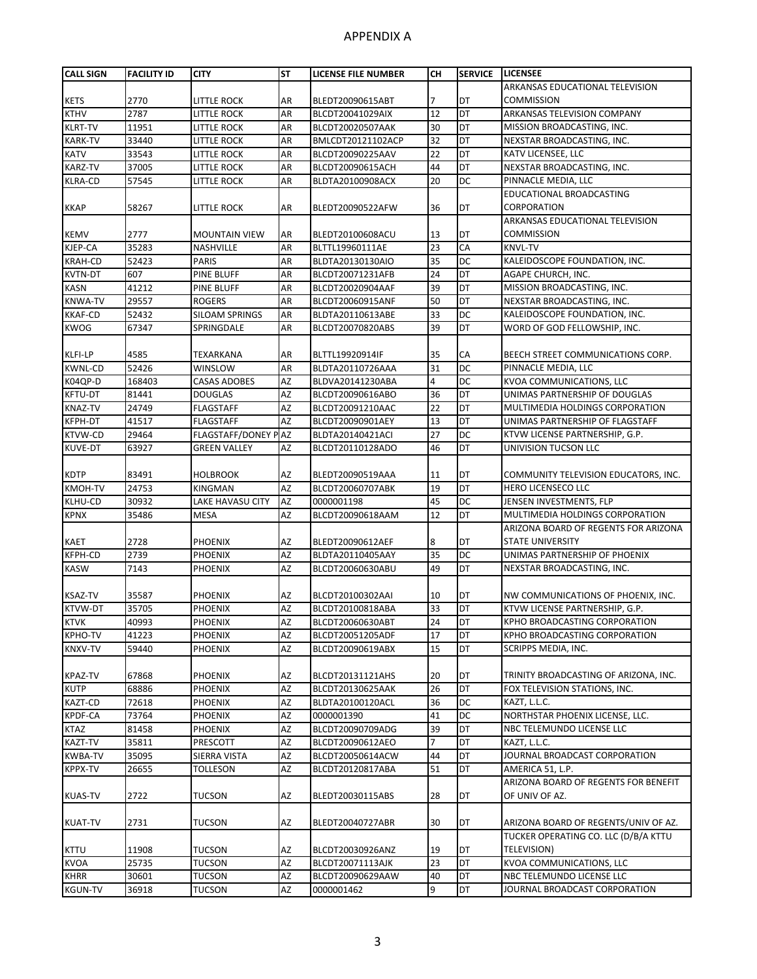| <b>CALL SIGN</b> | <b>FACILITY ID</b> | <b>CITY</b>           | <b>ST</b> | <b>LICENSE FILE NUMBER</b> | <b>CH</b> | <b>SERVICE</b> | <b>LICENSEE</b>                       |
|------------------|--------------------|-----------------------|-----------|----------------------------|-----------|----------------|---------------------------------------|
|                  |                    |                       |           |                            |           |                | ARKANSAS EDUCATIONAL TELEVISION       |
| <b>KETS</b>      | 2770               | <b>LITTLE ROCK</b>    | AR        | BLEDT20090615ABT           |           | DT             | <b>COMMISSION</b>                     |
| <b>KTHV</b>      | 2787               | <b>LITTLE ROCK</b>    | AR        | BLCDT20041029AIX           | 12        | <b>DT</b>      | <b>ARKANSAS TELEVISION COMPANY</b>    |
| <b>KLRT-TV</b>   | 11951              | <b>LITTLE ROCK</b>    | AR        | BLCDT20020507AAK           | 30        | DT             | MISSION BROADCASTING, INC.            |
| <b>KARK-TV</b>   | 33440              | <b>LITTLE ROCK</b>    | AR        | BMLCDT20121102ACP          | 32        | DT             | NEXSTAR BROADCASTING, INC.            |
| <b>KATV</b>      | 33543              | <b>LITTLE ROCK</b>    | AR        | BLCDT20090225AAV           | 22        | DT             | KATV LICENSEE, LLC                    |
| <b>KARZ-TV</b>   | 37005              | <b>LITTLE ROCK</b>    | AR        | BLCDT20090615ACH           | 44        | DT             | NEXSTAR BROADCASTING, INC.            |
| <b>KLRA-CD</b>   | 57545              | little Rock           | AR        | BLDTA20100908ACX           | 20        | DC             | PINNACLE MEDIA, LLC                   |
|                  |                    |                       |           |                            |           |                | <b>EDUCATIONAL BROADCASTING</b>       |
|                  |                    |                       |           |                            | 36        | DT             | <b>CORPORATION</b>                    |
| <b>KKAP</b>      | 58267              | little Rock           | AR        | BLEDT20090522AFW           |           |                |                                       |
|                  |                    |                       |           |                            |           |                | ARKANSAS EDUCATIONAL TELEVISION       |
| <b>KEMV</b>      | 2777               | <b>MOUNTAIN VIEW</b>  | AR        | BLEDT20100608ACU           | 13        | DT             | <b>COMMISSION</b>                     |
| KJEP-CA          | 35283              | NASHVILLE             | AR        | BLTTL19960111AE            | 23        | CA             | <b>KNVL-TV</b>                        |
| <b>KRAH-CD</b>   | 52423              | <b>PARIS</b>          | AR        | BLDTA20130130AIO           | 35        | <b>DC</b>      | KALEIDOSCOPE FOUNDATION, INC.         |
| <b>KVTN-DT</b>   | 607                | PINE BLUFF            | AR        | BLCDT20071231AFB           | 24        | DT             | AGAPE CHURCH, INC.                    |
| <b>KASN</b>      | 41212              | PINE BLUFF            | AR        | BLCDT20020904AAF           | 39        | DT             | MISSION BROADCASTING, INC.            |
| <b>KNWA-TV</b>   | 29557              | <b>ROGERS</b>         | AR        | BLCDT20060915ANF           | 50        | DT             | NEXSTAR BROADCASTING, INC.            |
| <b>KKAF-CD</b>   | 52432              | <b>SILOAM SPRINGS</b> | AR        | BLDTA20110613ABE           | 33        | <b>DC</b>      | KALEIDOSCOPE FOUNDATION, INC.         |
| <b>KWOG</b>      | 67347              | SPRINGDALE            | AR        | BLCDT20070820ABS           | 39        | <b>DT</b>      | WORD OF GOD FELLOWSHIP, INC.          |
|                  |                    |                       |           |                            |           |                |                                       |
| KLFI-LP          | 4585               | TEXARKANA             | AR        | BLTTL19920914IF            | 35        | CA             | BEECH STREET COMMUNICATIONS CORP.     |
| <b>KWNL-CD</b>   | 52426              | <b>WINSLOW</b>        | AR        | BLDTA20110726AAA           | 31        | DC             | PINNACLE MEDIA, LLC                   |
| K04QP-D          | 168403             | <b>CASAS ADOBES</b>   | AZ        | BLDVA20141230ABA           | 4         | DС             | <b>KVOA COMMUNICATIONS, LLC</b>       |
| <b>KFTU-DT</b>   | 81441              | <b>DOUGLAS</b>        | AZ        | BLCDT20090616ABO           | 36        | <b>DT</b>      | UNIMAS PARTNERSHIP OF DOUGLAS         |
| <b>KNAZ-TV</b>   | 24749              | <b>FLAGSTAFF</b>      | AZ        | BLCDT20091210AAC           | 22        | DT             | MULTIMEDIA HOLDINGS CORPORATION       |
| KFPH-DT          | 41517              | <b>FLAGSTAFF</b>      | AZ        | BLCDT20090901AEY           | 13        | DT             | UNIMAS PARTNERSHIP OF FLAGSTAFF       |
| <b>KTVW-CD</b>   | 29464              | FLAGSTAFF/DONEY PAZ   |           | BLDTA20140421ACI           | 27        | DC             | KTVW LICENSE PARTNERSHIP, G.P.        |
| <b>KUVE-DT</b>   | 63927              | <b>GREEN VALLEY</b>   | AZ        | BLCDT20110128ADO           | 46        | <b>DT</b>      | UNIVISION TUCSON LLC                  |
|                  |                    |                       |           |                            |           |                |                                       |
| <b>KDTP</b>      | 83491              | <b>HOLBROOK</b>       | AZ        | BLEDT20090519AAA           | 11        | DT             | COMMUNITY TELEVISION EDUCATORS, INC.  |
| <b>KMOH-TV</b>   | 24753              | <b>KINGMAN</b>        | AZ        | BLCDT20060707ABK           | 19        | DT             | <b>HERO LICENSECO LLC</b>             |
| KLHU-CD          | 30932              | LAKE HAVASU CITY      | AZ        | 0000001198                 | 45        | DC             | JENSEN INVESTMENTS, FLP               |
| <b>KPNX</b>      | 35486              | <b>MESA</b>           | <b>AZ</b> | BLCDT20090618AAM           | 12        | DT             | MULTIMEDIA HOLDINGS CORPORATION       |
|                  |                    |                       |           |                            |           |                | ARIZONA BOARD OF REGENTS FOR ARIZONA  |
| <b>KAET</b>      | 2728               | <b>PHOENIX</b>        | AZ        | BLEDT20090612AEF           | 8         | DT             | <b>STATE UNIVERSITY</b>               |
| KFPH-CD          | 2739               | <b>PHOENIX</b>        | AZ        | BLDTA20110405AAY           | 35        | <b>DC</b>      | UNIMAS PARTNERSHIP OF PHOENIX         |
| <b>KASW</b>      | 7143               | PHOENIX               | AZ        | BLCDT20060630ABU           | 49        | DT             | NEXSTAR BROADCASTING, INC.            |
|                  |                    |                       |           |                            |           |                |                                       |
| <b>KSAZ-TV</b>   | 35587              | <b>PHOENIX</b>        | AZ        | BLCDT20100302AAI           | 10        | DT             | NW COMMUNICATIONS OF PHOENIX, INC.    |
| <b>KTVW-DT</b>   | 35705              | <b>PHOENIX</b>        | AZ        | BLCDT20100818ABA           | 33        | DT             | KTVW LICENSE PARTNERSHIP, G.P.        |
| <b>KTVK</b>      | 40993              | <b>PHOENIX</b>        | <b>AZ</b> | BLCDT20060630ABT           | 24        | DT             | KPHO BROADCASTING CORPORATION         |
| <b>KPHO-TV</b>   | 41223              | PHOENIX               | AZ        | BLCDT20051205ADF           | 17        | DT             | KPHO BROADCASTING CORPORATION         |
| KNXV-TV          | 59440              | <b>PHOENIX</b>        | AZ        | BLCDT20090619ABX           | 15        | DT             | SCRIPPS MEDIA, INC.                   |
|                  |                    |                       |           |                            |           |                |                                       |
| <b>KPAZ-TV</b>   | 67868              | <b>PHOENIX</b>        | AZ        | BLCDT20131121AHS           | 20        | DT             | TRINITY BROADCASTING OF ARIZONA, INC. |
| <b>KUTP</b>      | 68886              | <b>PHOENIX</b>        | AZ        | BLCDT20130625AAK           | 26        | DT             | FOX TELEVISION STATIONS, INC.         |
| KAZT-CD          | 72618              | <b>PHOENIX</b>        | AZ        | BLDTA20100120ACL           | 36        | DC             | KAZT, L.L.C.                          |
| <b>KPDF-CA</b>   | 73764              | <b>PHOENIX</b>        | AZ        | 0000001390                 | 41        | DC             | NORTHSTAR PHOENIX LICENSE, LLC.       |
| <b>KTAZ</b>      | 81458              | <b>PHOENIX</b>        | AZ        | BLCDT20090709ADG           | 39        | DT             | NBC TELEMUNDO LICENSE LLC             |
| KAZT-TV          | 35811              | PRESCOTT              | AZ        | BLCDT20090612AEO           | 7         | DT             | KAZT, L.L.C.                          |
| <b>KWBA-TV</b>   | 35095              | SIERRA VISTA          | AZ        | BLCDT20050614ACW           | 44        | DT             | JOURNAL BROADCAST CORPORATION         |
| <b>KPPX-TV</b>   | 26655              | TOLLESON              | AZ        | BLCDT20120817ABA           | 51        | DT             | AMERICA 51, L.P.                      |
|                  |                    |                       |           |                            |           |                | ARIZONA BOARD OF REGENTS FOR BENEFIT  |
|                  |                    | <b>TUCSON</b>         | AZ        |                            | 28        |                | OF UNIV OF AZ.                        |
| <b>KUAS-TV</b>   | 2722               |                       |           | BLEDT20030115ABS           |           | DT             |                                       |
|                  |                    |                       |           |                            |           |                |                                       |
| <b>KUAT-TV</b>   | 2731               | TUCSON                | AZ        | BLEDT20040727ABR           | 30        | DT             | ARIZONA BOARD OF REGENTS/UNIV OF AZ.  |
|                  |                    |                       |           |                            |           |                | TUCKER OPERATING CO. LLC (D/B/A KTTU  |
| <b>KTTU</b>      | 11908              | <b>TUCSON</b>         | AZ        | BLCDT20030926ANZ           | 19        | DT             | TELEVISION)                           |
| <b>KVOA</b>      | 25735              | <b>TUCSON</b>         | AZ        | BLCDT20071113AJK           | 23        | DT             | <b>KVOA COMMUNICATIONS, LLC</b>       |
| <b>KHRR</b>      | 30601              | <b>TUCSON</b>         | AZ        | BLCDT20090629AAW           | 40        | DT             | NBC TELEMUNDO LICENSE LLC             |
| <b>KGUN-TV</b>   | 36918              | TUCSON                | AZ        | 0000001462                 | 9         | DT             | JOURNAL BROADCAST CORPORATION         |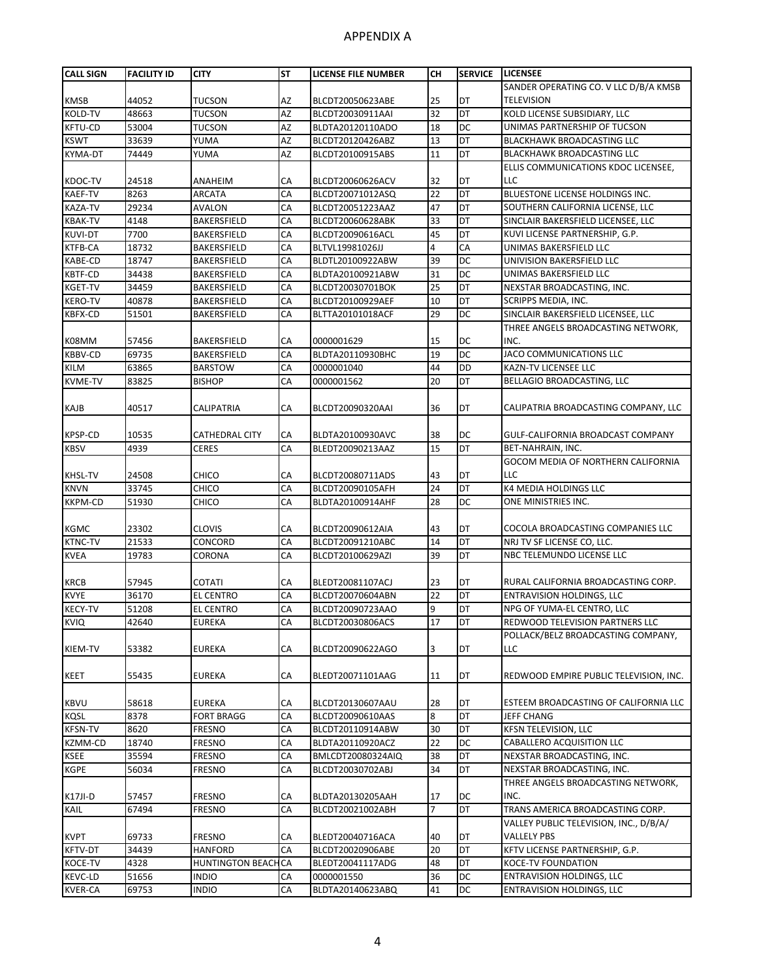| <b>CALL SIGN</b>   | <b>FACILITY ID</b> | <b>CITY</b>                             | <b>ST</b>       | LICENSE FILE NUMBER            | CН       | <b>SERVICE</b> | <b>LICENSEE</b>                                                  |
|--------------------|--------------------|-----------------------------------------|-----------------|--------------------------------|----------|----------------|------------------------------------------------------------------|
|                    |                    |                                         |                 |                                |          |                | SANDER OPERATING CO. V LLC D/B/A KMSB                            |
| <b>KMSB</b>        | 44052              | <b>TUCSON</b>                           | AZ              | BLCDT20050623ABE               | 25       | DT             | <b>TELEVISION</b>                                                |
| <b>KOLD-TV</b>     | 48663              | <b>TUCSON</b>                           | AZ              | BLCDT20030911AAI               | 32       | <b>DT</b>      | KOLD LICENSE SUBSIDIARY, LLC                                     |
| <b>KFTU-CD</b>     | 53004              | TUCSON                                  | AZ              | BLDTA20120110ADO               | 18       | DC             | UNIMAS PARTNERSHIP OF TUCSON                                     |
| <b>KSWT</b>        | 33639              | YUMA                                    | AZ              | BLCDT20120426ABZ               | 13       | DT             | BLACKHAWK BROADCASTING LLC                                       |
| <b>KYMA-DT</b>     | 74449              | YUMA                                    | AZ              | BLCDT20100915ABS               | 11       | DT             | <b>BLACKHAWK BROADCASTING LLC</b>                                |
|                    |                    |                                         |                 |                                |          |                | ELLIS COMMUNICATIONS KDOC LICENSEE,                              |
| KDOC-TV            | 24518              | ANAHEIM                                 | СA              | BLCDT20060626ACV               | 32       | DT             | LLC                                                              |
| <b>KAEF-TV</b>     | 8263               | <b>ARCATA</b>                           | CA              | BLCDT20071012ASQ               | 22       | DT             | BLUESTONE LICENSE HOLDINGS INC.                                  |
| <b>KAZA-TV</b>     | 29234              | AVALON                                  | CA              | BLCDT20051223AAZ               | 47       | <b>DT</b>      | SOUTHERN CALIFORNIA LICENSE, LLC                                 |
| <b>KBAK-TV</b>     | 4148               | BAKERSFIELD                             | CA              | BLCDT20060628ABK               | 33       | DT             | SINCLAIR BAKERSFIELD LICENSEE, LLC                               |
| <b>KUVI-DT</b>     | 7700               | BAKERSFIELD                             | CA              | BLCDT20090616ACL               | 45       | DT             | KUVI LICENSE PARTNERSHIP, G.P.                                   |
| <b>KTFB-CA</b>     | 18732              | BAKERSFIELD                             | CA              | BLTVL19981026JJ                | 4        | CA             | UNIMAS BAKERSFIELD LLC                                           |
| <b>KABE-CD</b>     | 18747              | BAKERSFIELD                             | CA              | BLDTL20100922ABW               | 39       | <b>DC</b>      | UNIVISION BAKERSFIELD LLC                                        |
| <b>KBTF-CD</b>     | 34438              | BAKERSFIELD                             | CA              | BLDTA20100921ABW               | 31       | DC             | UNIMAS BAKERSFIELD LLC                                           |
| <b>KGET-TV</b>     | 34459              | BAKERSFIELD                             | CA              | BLCDT20030701BOK               | 25       | <b>DT</b>      | NEXSTAR BROADCASTING, INC.                                       |
| <b>KERO-TV</b>     | 40878              | BAKERSFIELD                             | CA              | BLCDT20100929AEF               | 10       | DT             | SCRIPPS MEDIA, INC.                                              |
| <b>KBFX-CD</b>     | 51501              | BAKERSFIELD                             | CA              | BLTTA20101018ACF               | 29       | DC             | SINCLAIR BAKERSFIELD LICENSEE, LLC                               |
|                    |                    |                                         |                 |                                |          |                | THREE ANGELS BROADCASTING NETWORK,                               |
| K08MM              | 57456              | BAKERSFIELD                             | СA              | 0000001629                     | 15       | DC             | INC.                                                             |
| <b>KBBV-CD</b>     | 69735              | BAKERSFIELD                             | CA              | BLDTA20110930BHC               | 19       | DC             | JACO COMMUNICATIONS LLC                                          |
| <b>KILM</b>        | 63865              | <b>BARSTOW</b>                          | CA              | 0000001040                     | 44       | <b>DD</b>      | KAZN-TV LICENSEE LLC                                             |
| <b>KVME-TV</b>     | 83825              | <b>BISHOP</b>                           | CA              | 0000001562                     | 20       | DT             | BELLAGIO BROADCASTING, LLC                                       |
|                    |                    |                                         |                 |                                |          |                |                                                                  |
| KAJB               | 40517              | CALIPATRIA                              | СA              | BLCDT20090320AAI               | 36       | DT             | CALIPATRIA BROADCASTING COMPANY, LLC                             |
|                    |                    |                                         |                 |                                |          |                |                                                                  |
| <b>KPSP-CD</b>     | 10535              | CATHEDRAL CITY                          | СA              | BLDTA20100930AVC               | 38       | DC             | GULF-CALIFORNIA BROADCAST COMPANY                                |
| <b>KBSV</b>        | 4939               | CERES                                   | CA              | BLEDT20090213AAZ               | 15       | <b>DT</b>      | BET-NAHRAIN, INC.                                                |
|                    |                    |                                         |                 |                                |          |                | GOCOM MEDIA OF NORTHERN CALIFORNIA                               |
| <b>KHSL-TV</b>     | 24508              | CHICO                                   | СA              | BLCDT20080711ADS               | 43       | DT             | LLC                                                              |
| <b>KNVN</b>        | 33745              | CHICO                                   | CA              | BLCDT20090105AFH               | 24       | DT             | K4 MEDIA HOLDINGS LLC                                            |
| <b>KKPM-CD</b>     | 51930              | снісо                                   | CA              | BLDTA20100914AHF               | 28       | DC             | ONE MINISTRIES INC.                                              |
|                    |                    |                                         |                 |                                |          |                |                                                                  |
| <b>KGMC</b>        | 23302              | <b>CLOVIS</b>                           | СA              | BLCDT20090612AIA               | 43       | DT             | COCOLA BROADCASTING COMPANIES LLC                                |
| <b>KTNC-TV</b>     | 21533              | CONCORD                                 | CA              | BLCDT20091210ABC               | 14       | DT             | NRJ TV SF LICENSE CO, LLC.                                       |
| <b>KVEA</b>        | 19783              | CORONA                                  | CA              | BLCDT20100629AZI               | 39       | DT             | NBC TELEMUNDO LICENSE LLC                                        |
|                    |                    |                                         |                 |                                |          |                |                                                                  |
| <b>KRCB</b>        | 57945              | <b>COTATI</b>                           | СA              | BLEDT20081107ACJ               | 23       | DT             | RURAL CALIFORNIA BROADCASTING CORP.                              |
| <b>KVYE</b>        | 36170              | <b>EL CENTRO</b>                        | CA              | BLCDT20070604ABN               | 22       | DT             | ENTRAVISION HOLDINGS, LLC                                        |
| <b>KECY-TV</b>     | 51208              | <b>EL CENTRO</b>                        | CA              | BLCDT20090723AAO               | 9        | DT             | NPG OF YUMA-EL CENTRO, LLC                                       |
| <b>KVIQ</b>        | 42640              | EUREKA                                  | СA              | BLCDT20030806ACS               | 17       | DT             | REDWOOD TELEVISION PARTNERS LLC                                  |
|                    |                    |                                         |                 |                                |          |                | POLLACK/BELZ BROADCASTING COMPANY,                               |
| KIEM-TV            | 53382              | <b>EUREKA</b>                           | СA              | BLCDT20090622AGO               | 3        | DT             | LLC                                                              |
|                    |                    |                                         |                 |                                |          |                |                                                                  |
| <b>KEET</b>        | 55435              | EUREKA                                  | СA              | BLEDT20071101AAG               | 11       | DT             | REDWOOD EMPIRE PUBLIC TELEVISION, INC.                           |
|                    |                    |                                         |                 |                                |          |                |                                                                  |
| <b>KBVU</b>        | 58618              | <b>EUREKA</b>                           | СA              | BLCDT20130607AAU               | 28       | DT             | ESTEEM BROADCASTING OF CALIFORNIA LLC                            |
| <b>KQSL</b>        | 8378               | <b>FORT BRAGG</b>                       | CA              | BLCDT20090610AAS               | 8        | DT             | JEFF CHANG                                                       |
| <b>KFSN-TV</b>     | 8620               | <b>FRESNO</b>                           | CA              | BLCDT20110914ABW               | 30       | DT             | KFSN TELEVISION, LLC                                             |
| <b>KZMM-CD</b>     | 18740              | <b>FRESNO</b>                           | СA              | BLDTA20110920ACZ               | 22       | DC             | CABALLERO ACQUISITION LLC                                        |
| <b>KSEE</b>        | 35594              | <b>FRESNO</b>                           | CA              | BMLCDT20080324AIQ              | 38       | DT             | NEXSTAR BROADCASTING, INC.                                       |
| <b>KGPE</b>        | 56034              | FRESNO                                  | СA              | BLCDT20030702ABJ               | 34       | DT             | NEXSTAR BROADCASTING, INC.<br>THREE ANGELS BROADCASTING NETWORK, |
|                    |                    |                                         |                 |                                |          |                |                                                                  |
| K17JI-D<br>KAIL    | 57457<br>67494     | FRESNO                                  | СA<br>CA        | BLDTA20130205AAH               | 17<br>7  | DC<br>DT       | INC.<br>TRANS AMERICA BROADCASTING CORP.                         |
|                    |                    | <b>FRESNO</b>                           |                 | BLCDT20021002ABH               |          |                |                                                                  |
|                    |                    |                                         |                 |                                |          |                | VALLEY PUBLIC TELEVISION, INC., D/B/A/                           |
| <b>KVPT</b>        | 69733              | <b>FRESNO</b>                           | СA              | BLEDT20040716ACA               | 40<br>20 | DT<br>DT       | VALLELY PBS<br>KFTV LICENSE PARTNERSHIP, G.P.                    |
| KFTV-DT<br>KOCE-TV | 34439<br>4328      | <b>HANFORD</b>                          | CA              | BLCDT20020906ABE               |          | DT             | KOCE-TV FOUNDATION                                               |
| <b>KEVC-LD</b>     | 51656              | <b>HUNTINGTON BEACI</b><br><b>INDIO</b> | <b>CA</b><br>CA | BLEDT20041117ADG<br>0000001550 | 48<br>36 | <b>DC</b>      | <b>ENTRAVISION HOLDINGS, LLC</b>                                 |
| <b>KVER-CA</b>     | 69753              | <b>INDIO</b>                            | СA              | BLDTA20140623ABQ               | 41       | DC             | ENTRAVISION HOLDINGS, LLC                                        |
|                    |                    |                                         |                 |                                |          |                |                                                                  |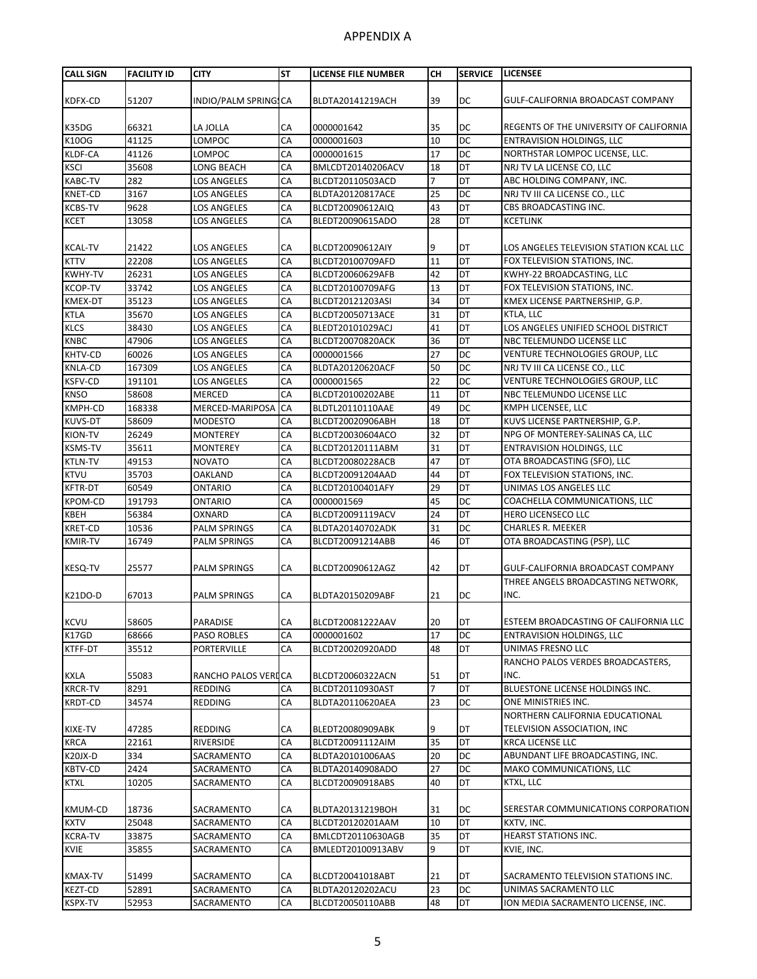| DC<br>INDIO/PALM SPRING CA<br>39<br>51207<br>BLDTA20141219ACH<br>KDFX-CD<br>GULF-CALIFORNIA BROADCAST COMPANY<br>K35DG<br>66321<br>CA<br>0000001642<br>35<br>DC<br>REGENTS OF THE UNIVERSITY OF CALIFORNIA<br>LA JOLLA<br>DC<br>K10OG<br>41125<br>CA<br>10<br>LOMPOC<br>0000001603<br><b>ENTRAVISION HOLDINGS, LLC</b><br>DC<br>KLDF-CA<br>41126<br>CA<br>17<br>NORTHSTAR LOMPOC LICENSE, LLC.<br>LOMPOC<br>0000001615<br>DT<br>CA<br>18<br>NRJ TV LA LICENSE CO, LLC<br><b>KSCI</b><br>35608<br>LONG BEACH<br>BMLCDT20140206ACV<br>DT<br><b>KABC-TV</b><br>282<br>CA<br>7<br>ABC HOLDING COMPANY, INC.<br>LOS ANGELES<br>BLCDT20110503ACD<br>DC<br>3167<br>25<br><b>KNET-CD</b><br>CA<br>NRJ TV III CA LICENSE CO., LLC<br>LOS ANGELES<br>BLDTA20120817ACE<br>DT<br><b>KCBS-TV</b><br>9628<br>43<br><b>LOS ANGELES</b><br>CA<br>BLCDT20090612AIQ<br>CBS BROADCASTING INC.<br>DT<br><b>KCET</b><br>13058<br>CA<br>28<br><b>KCETLINK</b><br>LOS ANGELES<br>BLEDT20090615ADO<br>DT<br>LOS ANGELES TELEVISION STATION KCAL LLC<br>21422<br>LOS ANGELES<br>CA<br>BLCDT20090612AIY<br>9<br><b>KCAL-TV</b><br>DT<br>22208<br><b>KTTV</b><br><b>LOS ANGELES</b><br>CA<br>11<br>FOX TELEVISION STATIONS, INC.<br>BLCDT20100709AFD<br>DT<br>26231<br>CA<br>42<br>KWHY-22 BROADCASTING, LLC<br><b>KWHY-TV</b><br><b>LOS ANGELES</b><br>BLCDT20060629AFB<br><b>KCOP-TV</b><br>13<br>DT<br>33742<br>CA<br>FOX TELEVISION STATIONS, INC.<br>LOS ANGELES<br>BLCDT20100709AFG<br>DT<br>CA<br>34<br>KMEX-DT<br>35123<br>LOS ANGELES<br>BLCDT20121203ASI<br>KMEX LICENSE PARTNERSHIP, G.P.<br>DT<br>35670<br>CA<br>31<br>KTLA, LLC<br><b>KTLA</b><br>LOS ANGELES<br>BLCDT20050713ACE<br>DT<br>38430<br>CA<br>LOS ANGELES UNIFIED SCHOOL DISTRICT<br><b>KLCS</b><br><b>LOS ANGELES</b><br>41<br>BLEDT20101029ACJ<br>DT<br><b>KNBC</b><br>47906<br>CA<br>36<br>NBC TELEMUNDO LICENSE LLC<br>LOS ANGELES<br>BLCDT20070820ACK<br>DC<br>KHTV-CD<br>CA<br>27<br>60026<br>0000001566<br>VENTURE TECHNOLOGIES GROUP, LLC<br>LOS ANGELES<br>DC<br><b>KNLA-CD</b><br>167309<br>CA<br>50<br>LOS ANGELES<br>BLDTA20120620ACF<br>NRJ TV III CA LICENSE CO., LLC<br>22<br>DC<br><b>KSFV-CD</b><br>191101<br>CA<br>VENTURE TECHNOLOGIES GROUP, LLC<br>LOS ANGELES<br>0000001565<br>DT<br><b>KNSO</b><br>58608<br>CA<br>BLCDT20100202ABE<br>11<br>NBC TELEMUNDO LICENSE LLC<br><b>MERCED</b><br><b>DC</b><br>KMPH-CD<br><b>CA</b><br>49<br><b>KMPH LICENSEE. LLC</b><br>168338<br>MERCED-MARIPOSA<br>BLDTL20110110AAE<br>DT<br><b>KUVS-DT</b><br>18<br>KUVS LICENSE PARTNERSHIP, G.P.<br>58609<br>CA<br><b>MODESTO</b><br>BLCDT20020906ABH<br>DT<br><b>KION-TV</b><br>26249<br>CA<br>32<br><b>MONTEREY</b><br>BLCDT20030604ACO<br>NPG OF MONTEREY-SALINAS CA, LLC<br>DT<br><b>KSMS-TV</b><br>35611<br>CA<br>31<br><b>MONTEREY</b><br>BLCDT20120111ABM<br><b>ENTRAVISION HOLDINGS, LLC</b><br>DT<br>CA<br>OTA BROADCASTING (SFO), LLC<br><b>KTLN-TV</b><br>49153<br><b>NOVATO</b><br>47<br>BLCDT20080228ACB<br>DT<br><b>KTVU</b><br>35703<br>44<br>FOX TELEVISION STATIONS, INC.<br><b>OAKLAND</b><br>CA<br>BLCDT20091204AAD<br>CA<br>29<br>DT<br>UNIMAS LOS ANGELES LLC<br><b>KFTR-DT</b><br>60549<br>ONTARIO<br>BLCDT20100401AFY<br>45<br>DC<br><b>KPOM-CD</b><br>191793<br>CA<br>ONTARIO<br>0000001569<br>COACHELLA COMMUNICATIONS, LLC<br>DT<br>24<br>56384<br>CA<br><b>KBEH</b><br>OXNARD<br>BLCDT20091119ACV<br><b>HERO LICENSECO LLC</b><br>DC<br>CA<br><b>KRET-CD</b><br>10536<br><b>PALM SPRINGS</b><br>31<br><b>CHARLES R. MEEKER</b><br>BLDTA20140702ADK<br>DT<br>16749<br>46<br>OTA BROADCASTING (PSP), LLC<br><b>KMIR-TV</b><br>CA<br><b>PALM SPRINGS</b><br>BLCDT20091214ABB<br>25577<br>PALM SPRINGS<br>CA<br>42<br>DT<br>GULF-CALIFORNIA BROADCAST COMPANY<br><b>KESQ-TV</b><br>BLCDT20090612AGZ<br>THREE ANGELS BROADCASTING NETWORK,<br>INC.<br>67013<br>DC<br>K21DO-D<br><b>PALM SPRINGS</b><br>СA<br>BLDTA20150209ABF<br>21<br><b>KCVU</b><br>58605<br>PARADISE<br>BLCDT20081222AAV<br>DT<br>ESTEEM BROADCASTING OF CALIFORNIA LLC<br><b>CA</b><br>20<br>K17GD<br>CA<br>17<br>DC<br>68666<br>PASO ROBLES<br>0000001602<br><b>ENTRAVISION HOLDINGS, LLC</b><br>KTFF-DT<br>DT<br>35512<br>PORTERVILLE<br>CA<br>BLCDT20020920ADD<br>48<br>UNIMAS FRESNO LLC<br>RANCHO PALOS VERDES BROADCASTERS,<br>55083<br>RANCHO PALOS VERICA<br>DT<br>INC.<br><b>KXLA</b><br>BLCDT20060322ACN<br>51<br>DT<br>8291<br>CA<br>7<br>BLUESTONE LICENSE HOLDINGS INC.<br><b>KRCR-TV</b><br><b>REDDING</b><br>BLCDT20110930AST<br>ONE MINISTRIES INC.<br><b>KRDT-CD</b><br>34574<br>REDDING<br>CA<br>23<br>DC<br>BLDTA20110620AEA<br>NORTHERN CALIFORNIA EDUCATIONAL<br>TELEVISION ASSOCIATION, INC<br>47285<br>DT<br>KIXE-TV<br><b>REDDING</b><br>СA<br>BLEDT20080909ABK<br>9<br>DT<br>22161<br>35<br><b>KRCA LICENSE LLC</b><br><b>KRCA</b><br>RIVERSIDE<br>CA<br>BLCDT20091112AIM<br>$K20JX-D$<br>334<br>DC<br>ABUNDANT LIFE BROADCASTING, INC.<br>SACRAMENTO<br>CA<br>BLDTA20101006AAS<br>20<br><b>KBTV-CD</b><br>2424<br>CA<br>DC<br>MAKO COMMUNICATIONS, LLC<br>SACRAMENTO<br>BLDTA20140908ADO<br>27<br>DT<br>CA<br>40<br>KTXL, LLC<br><b>KTXL</b><br>10205<br>SACRAMENTO<br>BLCDT20090918ABS<br><b>KMUM-CD</b><br>18736<br>SACRAMENTO<br>CA<br>DC<br>BLDTA20131219BOH<br>31<br>DT<br><b>KXTV</b><br>25048<br>CA<br>10<br>KXTV, INC.<br>SACRAMENTO<br>BLCDT20120201AAM<br><b>KCRA-TV</b><br>33875<br>35<br>DT<br>HEARST STATIONS INC.<br>SACRAMENTO<br>CA<br>BMLCDT20110630AGB<br>DT<br><b>KVIE</b><br>CA<br>9<br>KVIE, INC.<br>35855<br>SACRAMENTO<br>BMLEDT20100913ABV<br><b>KMAX-TV</b><br>51499<br>SACRAMENTO<br>CA<br>BLCDT20041018ABT<br>21<br>DT<br>SACRAMENTO TELEVISION STATIONS INC.<br>DC<br><b>KEZT-CD</b><br>52891<br>BLDTA20120202ACU<br>23<br>SACRAMENTO<br>CA<br>UNIMAS SACRAMENTO LLC<br><b>DT</b><br><b>KSPX-TV</b><br>CA<br>48<br>ION MEDIA SACRAMENTO LICENSE, INC.<br>52953<br>SACRAMENTO<br>BLCDT20050110ABB | <b>CALL SIGN</b> | <b>FACILITY ID</b> | <b>CITY</b> | <b>ST</b> | <b>LICENSE FILE NUMBER</b> | <b>CH</b> | <b>SERVICE</b> | <b>LICENSEE</b> |
|------------------------------------------------------------------------------------------------------------------------------------------------------------------------------------------------------------------------------------------------------------------------------------------------------------------------------------------------------------------------------------------------------------------------------------------------------------------------------------------------------------------------------------------------------------------------------------------------------------------------------------------------------------------------------------------------------------------------------------------------------------------------------------------------------------------------------------------------------------------------------------------------------------------------------------------------------------------------------------------------------------------------------------------------------------------------------------------------------------------------------------------------------------------------------------------------------------------------------------------------------------------------------------------------------------------------------------------------------------------------------------------------------------------------------------------------------------------------------------------------------------------------------------------------------------------------------------------------------------------------------------------------------------------------------------------------------------------------------------------------------------------------------------------------------------------------------------------------------------------------------------------------------------------------------------------------------------------------------------------------------------------------------------------------------------------------------------------------------------------------------------------------------------------------------------------------------------------------------------------------------------------------------------------------------------------------------------------------------------------------------------------------------------------------------------------------------------------------------------------------------------------------------------------------------------------------------------------------------------------------------------------------------------------------------------------------------------------------------------------------------------------------------------------------------------------------------------------------------------------------------------------------------------------------------------------------------------------------------------------------------------------------------------------------------------------------------------------------------------------------------------------------------------------------------------------------------------------------------------------------------------------------------------------------------------------------------------------------------------------------------------------------------------------------------------------------------------------------------------------------------------------------------------------------------------------------------------------------------------------------------------------------------------------------------------------------------------------------------------------------------------------------------------------------------------------------------------------------------------------------------------------------------------------------------------------------------------------------------------------------------------------------------------------------------------------------------------------------------------------------------------------------------------------------------------------------------------------------------------------------------------------------------------------------------------------------------------------------------------------------------------------------------------------------------------------------------------------------------------------------------------------------------------------------------------------------------------------------------------------------------------------------------------------------------------------------------------------------------------------------------------------------------------------------------------------------------------------------------------------------------------------------------------------------------------------------------------------------------------------------------------------------------------------------------------------------------------------------------------------------------------------------------------------------------------------------------------------------------------------------------------------------------------------------------------------------------------------------------------------------------------------------------------------------------------------------------------------------------------------------------------------------------------------------------------------------------------------------------------------------------------------------------------------------------------------------------------------------------------------------------------------------------------------------------------------------------------------------------------------------------------------------------|------------------|--------------------|-------------|-----------|----------------------------|-----------|----------------|-----------------|
| SERESTAR COMMUNICATIONS CORPORATION                                                                                                                                                                                                                                                                                                                                                                                                                                                                                                                                                                                                                                                                                                                                                                                                                                                                                                                                                                                                                                                                                                                                                                                                                                                                                                                                                                                                                                                                                                                                                                                                                                                                                                                                                                                                                                                                                                                                                                                                                                                                                                                                                                                                                                                                                                                                                                                                                                                                                                                                                                                                                                                                                                                                                                                                                                                                                                                                                                                                                                                                                                                                                                                                                                                                                                                                                                                                                                                                                                                                                                                                                                                                                                                                                                                                                                                                                                                                                                                                                                                                                                                                                                                                                                                                                                                                                                                                                                                                                                                                                                                                                                                                                                                                                                                                                                                                                                                                                                                                                                                                                                                                                                                                                                                                                                                                                                                                                                                                                                                                                                                                                                                                                                                                                                                                                                                                  |                  |                    |             |           |                            |           |                |                 |
|                                                                                                                                                                                                                                                                                                                                                                                                                                                                                                                                                                                                                                                                                                                                                                                                                                                                                                                                                                                                                                                                                                                                                                                                                                                                                                                                                                                                                                                                                                                                                                                                                                                                                                                                                                                                                                                                                                                                                                                                                                                                                                                                                                                                                                                                                                                                                                                                                                                                                                                                                                                                                                                                                                                                                                                                                                                                                                                                                                                                                                                                                                                                                                                                                                                                                                                                                                                                                                                                                                                                                                                                                                                                                                                                                                                                                                                                                                                                                                                                                                                                                                                                                                                                                                                                                                                                                                                                                                                                                                                                                                                                                                                                                                                                                                                                                                                                                                                                                                                                                                                                                                                                                                                                                                                                                                                                                                                                                                                                                                                                                                                                                                                                                                                                                                                                                                                                                                      |                  |                    |             |           |                            |           |                |                 |
|                                                                                                                                                                                                                                                                                                                                                                                                                                                                                                                                                                                                                                                                                                                                                                                                                                                                                                                                                                                                                                                                                                                                                                                                                                                                                                                                                                                                                                                                                                                                                                                                                                                                                                                                                                                                                                                                                                                                                                                                                                                                                                                                                                                                                                                                                                                                                                                                                                                                                                                                                                                                                                                                                                                                                                                                                                                                                                                                                                                                                                                                                                                                                                                                                                                                                                                                                                                                                                                                                                                                                                                                                                                                                                                                                                                                                                                                                                                                                                                                                                                                                                                                                                                                                                                                                                                                                                                                                                                                                                                                                                                                                                                                                                                                                                                                                                                                                                                                                                                                                                                                                                                                                                                                                                                                                                                                                                                                                                                                                                                                                                                                                                                                                                                                                                                                                                                                                                      |                  |                    |             |           |                            |           |                |                 |
|                                                                                                                                                                                                                                                                                                                                                                                                                                                                                                                                                                                                                                                                                                                                                                                                                                                                                                                                                                                                                                                                                                                                                                                                                                                                                                                                                                                                                                                                                                                                                                                                                                                                                                                                                                                                                                                                                                                                                                                                                                                                                                                                                                                                                                                                                                                                                                                                                                                                                                                                                                                                                                                                                                                                                                                                                                                                                                                                                                                                                                                                                                                                                                                                                                                                                                                                                                                                                                                                                                                                                                                                                                                                                                                                                                                                                                                                                                                                                                                                                                                                                                                                                                                                                                                                                                                                                                                                                                                                                                                                                                                                                                                                                                                                                                                                                                                                                                                                                                                                                                                                                                                                                                                                                                                                                                                                                                                                                                                                                                                                                                                                                                                                                                                                                                                                                                                                                                      |                  |                    |             |           |                            |           |                |                 |
|                                                                                                                                                                                                                                                                                                                                                                                                                                                                                                                                                                                                                                                                                                                                                                                                                                                                                                                                                                                                                                                                                                                                                                                                                                                                                                                                                                                                                                                                                                                                                                                                                                                                                                                                                                                                                                                                                                                                                                                                                                                                                                                                                                                                                                                                                                                                                                                                                                                                                                                                                                                                                                                                                                                                                                                                                                                                                                                                                                                                                                                                                                                                                                                                                                                                                                                                                                                                                                                                                                                                                                                                                                                                                                                                                                                                                                                                                                                                                                                                                                                                                                                                                                                                                                                                                                                                                                                                                                                                                                                                                                                                                                                                                                                                                                                                                                                                                                                                                                                                                                                                                                                                                                                                                                                                                                                                                                                                                                                                                                                                                                                                                                                                                                                                                                                                                                                                                                      |                  |                    |             |           |                            |           |                |                 |
|                                                                                                                                                                                                                                                                                                                                                                                                                                                                                                                                                                                                                                                                                                                                                                                                                                                                                                                                                                                                                                                                                                                                                                                                                                                                                                                                                                                                                                                                                                                                                                                                                                                                                                                                                                                                                                                                                                                                                                                                                                                                                                                                                                                                                                                                                                                                                                                                                                                                                                                                                                                                                                                                                                                                                                                                                                                                                                                                                                                                                                                                                                                                                                                                                                                                                                                                                                                                                                                                                                                                                                                                                                                                                                                                                                                                                                                                                                                                                                                                                                                                                                                                                                                                                                                                                                                                                                                                                                                                                                                                                                                                                                                                                                                                                                                                                                                                                                                                                                                                                                                                                                                                                                                                                                                                                                                                                                                                                                                                                                                                                                                                                                                                                                                                                                                                                                                                                                      |                  |                    |             |           |                            |           |                |                 |
|                                                                                                                                                                                                                                                                                                                                                                                                                                                                                                                                                                                                                                                                                                                                                                                                                                                                                                                                                                                                                                                                                                                                                                                                                                                                                                                                                                                                                                                                                                                                                                                                                                                                                                                                                                                                                                                                                                                                                                                                                                                                                                                                                                                                                                                                                                                                                                                                                                                                                                                                                                                                                                                                                                                                                                                                                                                                                                                                                                                                                                                                                                                                                                                                                                                                                                                                                                                                                                                                                                                                                                                                                                                                                                                                                                                                                                                                                                                                                                                                                                                                                                                                                                                                                                                                                                                                                                                                                                                                                                                                                                                                                                                                                                                                                                                                                                                                                                                                                                                                                                                                                                                                                                                                                                                                                                                                                                                                                                                                                                                                                                                                                                                                                                                                                                                                                                                                                                      |                  |                    |             |           |                            |           |                |                 |
|                                                                                                                                                                                                                                                                                                                                                                                                                                                                                                                                                                                                                                                                                                                                                                                                                                                                                                                                                                                                                                                                                                                                                                                                                                                                                                                                                                                                                                                                                                                                                                                                                                                                                                                                                                                                                                                                                                                                                                                                                                                                                                                                                                                                                                                                                                                                                                                                                                                                                                                                                                                                                                                                                                                                                                                                                                                                                                                                                                                                                                                                                                                                                                                                                                                                                                                                                                                                                                                                                                                                                                                                                                                                                                                                                                                                                                                                                                                                                                                                                                                                                                                                                                                                                                                                                                                                                                                                                                                                                                                                                                                                                                                                                                                                                                                                                                                                                                                                                                                                                                                                                                                                                                                                                                                                                                                                                                                                                                                                                                                                                                                                                                                                                                                                                                                                                                                                                                      |                  |                    |             |           |                            |           |                |                 |
|                                                                                                                                                                                                                                                                                                                                                                                                                                                                                                                                                                                                                                                                                                                                                                                                                                                                                                                                                                                                                                                                                                                                                                                                                                                                                                                                                                                                                                                                                                                                                                                                                                                                                                                                                                                                                                                                                                                                                                                                                                                                                                                                                                                                                                                                                                                                                                                                                                                                                                                                                                                                                                                                                                                                                                                                                                                                                                                                                                                                                                                                                                                                                                                                                                                                                                                                                                                                                                                                                                                                                                                                                                                                                                                                                                                                                                                                                                                                                                                                                                                                                                                                                                                                                                                                                                                                                                                                                                                                                                                                                                                                                                                                                                                                                                                                                                                                                                                                                                                                                                                                                                                                                                                                                                                                                                                                                                                                                                                                                                                                                                                                                                                                                                                                                                                                                                                                                                      |                  |                    |             |           |                            |           |                |                 |
|                                                                                                                                                                                                                                                                                                                                                                                                                                                                                                                                                                                                                                                                                                                                                                                                                                                                                                                                                                                                                                                                                                                                                                                                                                                                                                                                                                                                                                                                                                                                                                                                                                                                                                                                                                                                                                                                                                                                                                                                                                                                                                                                                                                                                                                                                                                                                                                                                                                                                                                                                                                                                                                                                                                                                                                                                                                                                                                                                                                                                                                                                                                                                                                                                                                                                                                                                                                                                                                                                                                                                                                                                                                                                                                                                                                                                                                                                                                                                                                                                                                                                                                                                                                                                                                                                                                                                                                                                                                                                                                                                                                                                                                                                                                                                                                                                                                                                                                                                                                                                                                                                                                                                                                                                                                                                                                                                                                                                                                                                                                                                                                                                                                                                                                                                                                                                                                                                                      |                  |                    |             |           |                            |           |                |                 |
|                                                                                                                                                                                                                                                                                                                                                                                                                                                                                                                                                                                                                                                                                                                                                                                                                                                                                                                                                                                                                                                                                                                                                                                                                                                                                                                                                                                                                                                                                                                                                                                                                                                                                                                                                                                                                                                                                                                                                                                                                                                                                                                                                                                                                                                                                                                                                                                                                                                                                                                                                                                                                                                                                                                                                                                                                                                                                                                                                                                                                                                                                                                                                                                                                                                                                                                                                                                                                                                                                                                                                                                                                                                                                                                                                                                                                                                                                                                                                                                                                                                                                                                                                                                                                                                                                                                                                                                                                                                                                                                                                                                                                                                                                                                                                                                                                                                                                                                                                                                                                                                                                                                                                                                                                                                                                                                                                                                                                                                                                                                                                                                                                                                                                                                                                                                                                                                                                                      |                  |                    |             |           |                            |           |                |                 |
|                                                                                                                                                                                                                                                                                                                                                                                                                                                                                                                                                                                                                                                                                                                                                                                                                                                                                                                                                                                                                                                                                                                                                                                                                                                                                                                                                                                                                                                                                                                                                                                                                                                                                                                                                                                                                                                                                                                                                                                                                                                                                                                                                                                                                                                                                                                                                                                                                                                                                                                                                                                                                                                                                                                                                                                                                                                                                                                                                                                                                                                                                                                                                                                                                                                                                                                                                                                                                                                                                                                                                                                                                                                                                                                                                                                                                                                                                                                                                                                                                                                                                                                                                                                                                                                                                                                                                                                                                                                                                                                                                                                                                                                                                                                                                                                                                                                                                                                                                                                                                                                                                                                                                                                                                                                                                                                                                                                                                                                                                                                                                                                                                                                                                                                                                                                                                                                                                                      |                  |                    |             |           |                            |           |                |                 |
|                                                                                                                                                                                                                                                                                                                                                                                                                                                                                                                                                                                                                                                                                                                                                                                                                                                                                                                                                                                                                                                                                                                                                                                                                                                                                                                                                                                                                                                                                                                                                                                                                                                                                                                                                                                                                                                                                                                                                                                                                                                                                                                                                                                                                                                                                                                                                                                                                                                                                                                                                                                                                                                                                                                                                                                                                                                                                                                                                                                                                                                                                                                                                                                                                                                                                                                                                                                                                                                                                                                                                                                                                                                                                                                                                                                                                                                                                                                                                                                                                                                                                                                                                                                                                                                                                                                                                                                                                                                                                                                                                                                                                                                                                                                                                                                                                                                                                                                                                                                                                                                                                                                                                                                                                                                                                                                                                                                                                                                                                                                                                                                                                                                                                                                                                                                                                                                                                                      |                  |                    |             |           |                            |           |                |                 |
|                                                                                                                                                                                                                                                                                                                                                                                                                                                                                                                                                                                                                                                                                                                                                                                                                                                                                                                                                                                                                                                                                                                                                                                                                                                                                                                                                                                                                                                                                                                                                                                                                                                                                                                                                                                                                                                                                                                                                                                                                                                                                                                                                                                                                                                                                                                                                                                                                                                                                                                                                                                                                                                                                                                                                                                                                                                                                                                                                                                                                                                                                                                                                                                                                                                                                                                                                                                                                                                                                                                                                                                                                                                                                                                                                                                                                                                                                                                                                                                                                                                                                                                                                                                                                                                                                                                                                                                                                                                                                                                                                                                                                                                                                                                                                                                                                                                                                                                                                                                                                                                                                                                                                                                                                                                                                                                                                                                                                                                                                                                                                                                                                                                                                                                                                                                                                                                                                                      |                  |                    |             |           |                            |           |                |                 |
|                                                                                                                                                                                                                                                                                                                                                                                                                                                                                                                                                                                                                                                                                                                                                                                                                                                                                                                                                                                                                                                                                                                                                                                                                                                                                                                                                                                                                                                                                                                                                                                                                                                                                                                                                                                                                                                                                                                                                                                                                                                                                                                                                                                                                                                                                                                                                                                                                                                                                                                                                                                                                                                                                                                                                                                                                                                                                                                                                                                                                                                                                                                                                                                                                                                                                                                                                                                                                                                                                                                                                                                                                                                                                                                                                                                                                                                                                                                                                                                                                                                                                                                                                                                                                                                                                                                                                                                                                                                                                                                                                                                                                                                                                                                                                                                                                                                                                                                                                                                                                                                                                                                                                                                                                                                                                                                                                                                                                                                                                                                                                                                                                                                                                                                                                                                                                                                                                                      |                  |                    |             |           |                            |           |                |                 |
|                                                                                                                                                                                                                                                                                                                                                                                                                                                                                                                                                                                                                                                                                                                                                                                                                                                                                                                                                                                                                                                                                                                                                                                                                                                                                                                                                                                                                                                                                                                                                                                                                                                                                                                                                                                                                                                                                                                                                                                                                                                                                                                                                                                                                                                                                                                                                                                                                                                                                                                                                                                                                                                                                                                                                                                                                                                                                                                                                                                                                                                                                                                                                                                                                                                                                                                                                                                                                                                                                                                                                                                                                                                                                                                                                                                                                                                                                                                                                                                                                                                                                                                                                                                                                                                                                                                                                                                                                                                                                                                                                                                                                                                                                                                                                                                                                                                                                                                                                                                                                                                                                                                                                                                                                                                                                                                                                                                                                                                                                                                                                                                                                                                                                                                                                                                                                                                                                                      |                  |                    |             |           |                            |           |                |                 |
|                                                                                                                                                                                                                                                                                                                                                                                                                                                                                                                                                                                                                                                                                                                                                                                                                                                                                                                                                                                                                                                                                                                                                                                                                                                                                                                                                                                                                                                                                                                                                                                                                                                                                                                                                                                                                                                                                                                                                                                                                                                                                                                                                                                                                                                                                                                                                                                                                                                                                                                                                                                                                                                                                                                                                                                                                                                                                                                                                                                                                                                                                                                                                                                                                                                                                                                                                                                                                                                                                                                                                                                                                                                                                                                                                                                                                                                                                                                                                                                                                                                                                                                                                                                                                                                                                                                                                                                                                                                                                                                                                                                                                                                                                                                                                                                                                                                                                                                                                                                                                                                                                                                                                                                                                                                                                                                                                                                                                                                                                                                                                                                                                                                                                                                                                                                                                                                                                                      |                  |                    |             |           |                            |           |                |                 |
|                                                                                                                                                                                                                                                                                                                                                                                                                                                                                                                                                                                                                                                                                                                                                                                                                                                                                                                                                                                                                                                                                                                                                                                                                                                                                                                                                                                                                                                                                                                                                                                                                                                                                                                                                                                                                                                                                                                                                                                                                                                                                                                                                                                                                                                                                                                                                                                                                                                                                                                                                                                                                                                                                                                                                                                                                                                                                                                                                                                                                                                                                                                                                                                                                                                                                                                                                                                                                                                                                                                                                                                                                                                                                                                                                                                                                                                                                                                                                                                                                                                                                                                                                                                                                                                                                                                                                                                                                                                                                                                                                                                                                                                                                                                                                                                                                                                                                                                                                                                                                                                                                                                                                                                                                                                                                                                                                                                                                                                                                                                                                                                                                                                                                                                                                                                                                                                                                                      |                  |                    |             |           |                            |           |                |                 |
|                                                                                                                                                                                                                                                                                                                                                                                                                                                                                                                                                                                                                                                                                                                                                                                                                                                                                                                                                                                                                                                                                                                                                                                                                                                                                                                                                                                                                                                                                                                                                                                                                                                                                                                                                                                                                                                                                                                                                                                                                                                                                                                                                                                                                                                                                                                                                                                                                                                                                                                                                                                                                                                                                                                                                                                                                                                                                                                                                                                                                                                                                                                                                                                                                                                                                                                                                                                                                                                                                                                                                                                                                                                                                                                                                                                                                                                                                                                                                                                                                                                                                                                                                                                                                                                                                                                                                                                                                                                                                                                                                                                                                                                                                                                                                                                                                                                                                                                                                                                                                                                                                                                                                                                                                                                                                                                                                                                                                                                                                                                                                                                                                                                                                                                                                                                                                                                                                                      |                  |                    |             |           |                            |           |                |                 |
|                                                                                                                                                                                                                                                                                                                                                                                                                                                                                                                                                                                                                                                                                                                                                                                                                                                                                                                                                                                                                                                                                                                                                                                                                                                                                                                                                                                                                                                                                                                                                                                                                                                                                                                                                                                                                                                                                                                                                                                                                                                                                                                                                                                                                                                                                                                                                                                                                                                                                                                                                                                                                                                                                                                                                                                                                                                                                                                                                                                                                                                                                                                                                                                                                                                                                                                                                                                                                                                                                                                                                                                                                                                                                                                                                                                                                                                                                                                                                                                                                                                                                                                                                                                                                                                                                                                                                                                                                                                                                                                                                                                                                                                                                                                                                                                                                                                                                                                                                                                                                                                                                                                                                                                                                                                                                                                                                                                                                                                                                                                                                                                                                                                                                                                                                                                                                                                                                                      |                  |                    |             |           |                            |           |                |                 |
|                                                                                                                                                                                                                                                                                                                                                                                                                                                                                                                                                                                                                                                                                                                                                                                                                                                                                                                                                                                                                                                                                                                                                                                                                                                                                                                                                                                                                                                                                                                                                                                                                                                                                                                                                                                                                                                                                                                                                                                                                                                                                                                                                                                                                                                                                                                                                                                                                                                                                                                                                                                                                                                                                                                                                                                                                                                                                                                                                                                                                                                                                                                                                                                                                                                                                                                                                                                                                                                                                                                                                                                                                                                                                                                                                                                                                                                                                                                                                                                                                                                                                                                                                                                                                                                                                                                                                                                                                                                                                                                                                                                                                                                                                                                                                                                                                                                                                                                                                                                                                                                                                                                                                                                                                                                                                                                                                                                                                                                                                                                                                                                                                                                                                                                                                                                                                                                                                                      |                  |                    |             |           |                            |           |                |                 |
|                                                                                                                                                                                                                                                                                                                                                                                                                                                                                                                                                                                                                                                                                                                                                                                                                                                                                                                                                                                                                                                                                                                                                                                                                                                                                                                                                                                                                                                                                                                                                                                                                                                                                                                                                                                                                                                                                                                                                                                                                                                                                                                                                                                                                                                                                                                                                                                                                                                                                                                                                                                                                                                                                                                                                                                                                                                                                                                                                                                                                                                                                                                                                                                                                                                                                                                                                                                                                                                                                                                                                                                                                                                                                                                                                                                                                                                                                                                                                                                                                                                                                                                                                                                                                                                                                                                                                                                                                                                                                                                                                                                                                                                                                                                                                                                                                                                                                                                                                                                                                                                                                                                                                                                                                                                                                                                                                                                                                                                                                                                                                                                                                                                                                                                                                                                                                                                                                                      |                  |                    |             |           |                            |           |                |                 |
|                                                                                                                                                                                                                                                                                                                                                                                                                                                                                                                                                                                                                                                                                                                                                                                                                                                                                                                                                                                                                                                                                                                                                                                                                                                                                                                                                                                                                                                                                                                                                                                                                                                                                                                                                                                                                                                                                                                                                                                                                                                                                                                                                                                                                                                                                                                                                                                                                                                                                                                                                                                                                                                                                                                                                                                                                                                                                                                                                                                                                                                                                                                                                                                                                                                                                                                                                                                                                                                                                                                                                                                                                                                                                                                                                                                                                                                                                                                                                                                                                                                                                                                                                                                                                                                                                                                                                                                                                                                                                                                                                                                                                                                                                                                                                                                                                                                                                                                                                                                                                                                                                                                                                                                                                                                                                                                                                                                                                                                                                                                                                                                                                                                                                                                                                                                                                                                                                                      |                  |                    |             |           |                            |           |                |                 |
|                                                                                                                                                                                                                                                                                                                                                                                                                                                                                                                                                                                                                                                                                                                                                                                                                                                                                                                                                                                                                                                                                                                                                                                                                                                                                                                                                                                                                                                                                                                                                                                                                                                                                                                                                                                                                                                                                                                                                                                                                                                                                                                                                                                                                                                                                                                                                                                                                                                                                                                                                                                                                                                                                                                                                                                                                                                                                                                                                                                                                                                                                                                                                                                                                                                                                                                                                                                                                                                                                                                                                                                                                                                                                                                                                                                                                                                                                                                                                                                                                                                                                                                                                                                                                                                                                                                                                                                                                                                                                                                                                                                                                                                                                                                                                                                                                                                                                                                                                                                                                                                                                                                                                                                                                                                                                                                                                                                                                                                                                                                                                                                                                                                                                                                                                                                                                                                                                                      |                  |                    |             |           |                            |           |                |                 |
|                                                                                                                                                                                                                                                                                                                                                                                                                                                                                                                                                                                                                                                                                                                                                                                                                                                                                                                                                                                                                                                                                                                                                                                                                                                                                                                                                                                                                                                                                                                                                                                                                                                                                                                                                                                                                                                                                                                                                                                                                                                                                                                                                                                                                                                                                                                                                                                                                                                                                                                                                                                                                                                                                                                                                                                                                                                                                                                                                                                                                                                                                                                                                                                                                                                                                                                                                                                                                                                                                                                                                                                                                                                                                                                                                                                                                                                                                                                                                                                                                                                                                                                                                                                                                                                                                                                                                                                                                                                                                                                                                                                                                                                                                                                                                                                                                                                                                                                                                                                                                                                                                                                                                                                                                                                                                                                                                                                                                                                                                                                                                                                                                                                                                                                                                                                                                                                                                                      |                  |                    |             |           |                            |           |                |                 |
|                                                                                                                                                                                                                                                                                                                                                                                                                                                                                                                                                                                                                                                                                                                                                                                                                                                                                                                                                                                                                                                                                                                                                                                                                                                                                                                                                                                                                                                                                                                                                                                                                                                                                                                                                                                                                                                                                                                                                                                                                                                                                                                                                                                                                                                                                                                                                                                                                                                                                                                                                                                                                                                                                                                                                                                                                                                                                                                                                                                                                                                                                                                                                                                                                                                                                                                                                                                                                                                                                                                                                                                                                                                                                                                                                                                                                                                                                                                                                                                                                                                                                                                                                                                                                                                                                                                                                                                                                                                                                                                                                                                                                                                                                                                                                                                                                                                                                                                                                                                                                                                                                                                                                                                                                                                                                                                                                                                                                                                                                                                                                                                                                                                                                                                                                                                                                                                                                                      |                  |                    |             |           |                            |           |                |                 |
|                                                                                                                                                                                                                                                                                                                                                                                                                                                                                                                                                                                                                                                                                                                                                                                                                                                                                                                                                                                                                                                                                                                                                                                                                                                                                                                                                                                                                                                                                                                                                                                                                                                                                                                                                                                                                                                                                                                                                                                                                                                                                                                                                                                                                                                                                                                                                                                                                                                                                                                                                                                                                                                                                                                                                                                                                                                                                                                                                                                                                                                                                                                                                                                                                                                                                                                                                                                                                                                                                                                                                                                                                                                                                                                                                                                                                                                                                                                                                                                                                                                                                                                                                                                                                                                                                                                                                                                                                                                                                                                                                                                                                                                                                                                                                                                                                                                                                                                                                                                                                                                                                                                                                                                                                                                                                                                                                                                                                                                                                                                                                                                                                                                                                                                                                                                                                                                                                                      |                  |                    |             |           |                            |           |                |                 |
|                                                                                                                                                                                                                                                                                                                                                                                                                                                                                                                                                                                                                                                                                                                                                                                                                                                                                                                                                                                                                                                                                                                                                                                                                                                                                                                                                                                                                                                                                                                                                                                                                                                                                                                                                                                                                                                                                                                                                                                                                                                                                                                                                                                                                                                                                                                                                                                                                                                                                                                                                                                                                                                                                                                                                                                                                                                                                                                                                                                                                                                                                                                                                                                                                                                                                                                                                                                                                                                                                                                                                                                                                                                                                                                                                                                                                                                                                                                                                                                                                                                                                                                                                                                                                                                                                                                                                                                                                                                                                                                                                                                                                                                                                                                                                                                                                                                                                                                                                                                                                                                                                                                                                                                                                                                                                                                                                                                                                                                                                                                                                                                                                                                                                                                                                                                                                                                                                                      |                  |                    |             |           |                            |           |                |                 |
|                                                                                                                                                                                                                                                                                                                                                                                                                                                                                                                                                                                                                                                                                                                                                                                                                                                                                                                                                                                                                                                                                                                                                                                                                                                                                                                                                                                                                                                                                                                                                                                                                                                                                                                                                                                                                                                                                                                                                                                                                                                                                                                                                                                                                                                                                                                                                                                                                                                                                                                                                                                                                                                                                                                                                                                                                                                                                                                                                                                                                                                                                                                                                                                                                                                                                                                                                                                                                                                                                                                                                                                                                                                                                                                                                                                                                                                                                                                                                                                                                                                                                                                                                                                                                                                                                                                                                                                                                                                                                                                                                                                                                                                                                                                                                                                                                                                                                                                                                                                                                                                                                                                                                                                                                                                                                                                                                                                                                                                                                                                                                                                                                                                                                                                                                                                                                                                                                                      |                  |                    |             |           |                            |           |                |                 |
|                                                                                                                                                                                                                                                                                                                                                                                                                                                                                                                                                                                                                                                                                                                                                                                                                                                                                                                                                                                                                                                                                                                                                                                                                                                                                                                                                                                                                                                                                                                                                                                                                                                                                                                                                                                                                                                                                                                                                                                                                                                                                                                                                                                                                                                                                                                                                                                                                                                                                                                                                                                                                                                                                                                                                                                                                                                                                                                                                                                                                                                                                                                                                                                                                                                                                                                                                                                                                                                                                                                                                                                                                                                                                                                                                                                                                                                                                                                                                                                                                                                                                                                                                                                                                                                                                                                                                                                                                                                                                                                                                                                                                                                                                                                                                                                                                                                                                                                                                                                                                                                                                                                                                                                                                                                                                                                                                                                                                                                                                                                                                                                                                                                                                                                                                                                                                                                                                                      |                  |                    |             |           |                            |           |                |                 |
|                                                                                                                                                                                                                                                                                                                                                                                                                                                                                                                                                                                                                                                                                                                                                                                                                                                                                                                                                                                                                                                                                                                                                                                                                                                                                                                                                                                                                                                                                                                                                                                                                                                                                                                                                                                                                                                                                                                                                                                                                                                                                                                                                                                                                                                                                                                                                                                                                                                                                                                                                                                                                                                                                                                                                                                                                                                                                                                                                                                                                                                                                                                                                                                                                                                                                                                                                                                                                                                                                                                                                                                                                                                                                                                                                                                                                                                                                                                                                                                                                                                                                                                                                                                                                                                                                                                                                                                                                                                                                                                                                                                                                                                                                                                                                                                                                                                                                                                                                                                                                                                                                                                                                                                                                                                                                                                                                                                                                                                                                                                                                                                                                                                                                                                                                                                                                                                                                                      |                  |                    |             |           |                            |           |                |                 |
|                                                                                                                                                                                                                                                                                                                                                                                                                                                                                                                                                                                                                                                                                                                                                                                                                                                                                                                                                                                                                                                                                                                                                                                                                                                                                                                                                                                                                                                                                                                                                                                                                                                                                                                                                                                                                                                                                                                                                                                                                                                                                                                                                                                                                                                                                                                                                                                                                                                                                                                                                                                                                                                                                                                                                                                                                                                                                                                                                                                                                                                                                                                                                                                                                                                                                                                                                                                                                                                                                                                                                                                                                                                                                                                                                                                                                                                                                                                                                                                                                                                                                                                                                                                                                                                                                                                                                                                                                                                                                                                                                                                                                                                                                                                                                                                                                                                                                                                                                                                                                                                                                                                                                                                                                                                                                                                                                                                                                                                                                                                                                                                                                                                                                                                                                                                                                                                                                                      |                  |                    |             |           |                            |           |                |                 |
|                                                                                                                                                                                                                                                                                                                                                                                                                                                                                                                                                                                                                                                                                                                                                                                                                                                                                                                                                                                                                                                                                                                                                                                                                                                                                                                                                                                                                                                                                                                                                                                                                                                                                                                                                                                                                                                                                                                                                                                                                                                                                                                                                                                                                                                                                                                                                                                                                                                                                                                                                                                                                                                                                                                                                                                                                                                                                                                                                                                                                                                                                                                                                                                                                                                                                                                                                                                                                                                                                                                                                                                                                                                                                                                                                                                                                                                                                                                                                                                                                                                                                                                                                                                                                                                                                                                                                                                                                                                                                                                                                                                                                                                                                                                                                                                                                                                                                                                                                                                                                                                                                                                                                                                                                                                                                                                                                                                                                                                                                                                                                                                                                                                                                                                                                                                                                                                                                                      |                  |                    |             |           |                            |           |                |                 |
|                                                                                                                                                                                                                                                                                                                                                                                                                                                                                                                                                                                                                                                                                                                                                                                                                                                                                                                                                                                                                                                                                                                                                                                                                                                                                                                                                                                                                                                                                                                                                                                                                                                                                                                                                                                                                                                                                                                                                                                                                                                                                                                                                                                                                                                                                                                                                                                                                                                                                                                                                                                                                                                                                                                                                                                                                                                                                                                                                                                                                                                                                                                                                                                                                                                                                                                                                                                                                                                                                                                                                                                                                                                                                                                                                                                                                                                                                                                                                                                                                                                                                                                                                                                                                                                                                                                                                                                                                                                                                                                                                                                                                                                                                                                                                                                                                                                                                                                                                                                                                                                                                                                                                                                                                                                                                                                                                                                                                                                                                                                                                                                                                                                                                                                                                                                                                                                                                                      |                  |                    |             |           |                            |           |                |                 |
|                                                                                                                                                                                                                                                                                                                                                                                                                                                                                                                                                                                                                                                                                                                                                                                                                                                                                                                                                                                                                                                                                                                                                                                                                                                                                                                                                                                                                                                                                                                                                                                                                                                                                                                                                                                                                                                                                                                                                                                                                                                                                                                                                                                                                                                                                                                                                                                                                                                                                                                                                                                                                                                                                                                                                                                                                                                                                                                                                                                                                                                                                                                                                                                                                                                                                                                                                                                                                                                                                                                                                                                                                                                                                                                                                                                                                                                                                                                                                                                                                                                                                                                                                                                                                                                                                                                                                                                                                                                                                                                                                                                                                                                                                                                                                                                                                                                                                                                                                                                                                                                                                                                                                                                                                                                                                                                                                                                                                                                                                                                                                                                                                                                                                                                                                                                                                                                                                                      |                  |                    |             |           |                            |           |                |                 |
|                                                                                                                                                                                                                                                                                                                                                                                                                                                                                                                                                                                                                                                                                                                                                                                                                                                                                                                                                                                                                                                                                                                                                                                                                                                                                                                                                                                                                                                                                                                                                                                                                                                                                                                                                                                                                                                                                                                                                                                                                                                                                                                                                                                                                                                                                                                                                                                                                                                                                                                                                                                                                                                                                                                                                                                                                                                                                                                                                                                                                                                                                                                                                                                                                                                                                                                                                                                                                                                                                                                                                                                                                                                                                                                                                                                                                                                                                                                                                                                                                                                                                                                                                                                                                                                                                                                                                                                                                                                                                                                                                                                                                                                                                                                                                                                                                                                                                                                                                                                                                                                                                                                                                                                                                                                                                                                                                                                                                                                                                                                                                                                                                                                                                                                                                                                                                                                                                                      |                  |                    |             |           |                            |           |                |                 |
|                                                                                                                                                                                                                                                                                                                                                                                                                                                                                                                                                                                                                                                                                                                                                                                                                                                                                                                                                                                                                                                                                                                                                                                                                                                                                                                                                                                                                                                                                                                                                                                                                                                                                                                                                                                                                                                                                                                                                                                                                                                                                                                                                                                                                                                                                                                                                                                                                                                                                                                                                                                                                                                                                                                                                                                                                                                                                                                                                                                                                                                                                                                                                                                                                                                                                                                                                                                                                                                                                                                                                                                                                                                                                                                                                                                                                                                                                                                                                                                                                                                                                                                                                                                                                                                                                                                                                                                                                                                                                                                                                                                                                                                                                                                                                                                                                                                                                                                                                                                                                                                                                                                                                                                                                                                                                                                                                                                                                                                                                                                                                                                                                                                                                                                                                                                                                                                                                                      |                  |                    |             |           |                            |           |                |                 |
|                                                                                                                                                                                                                                                                                                                                                                                                                                                                                                                                                                                                                                                                                                                                                                                                                                                                                                                                                                                                                                                                                                                                                                                                                                                                                                                                                                                                                                                                                                                                                                                                                                                                                                                                                                                                                                                                                                                                                                                                                                                                                                                                                                                                                                                                                                                                                                                                                                                                                                                                                                                                                                                                                                                                                                                                                                                                                                                                                                                                                                                                                                                                                                                                                                                                                                                                                                                                                                                                                                                                                                                                                                                                                                                                                                                                                                                                                                                                                                                                                                                                                                                                                                                                                                                                                                                                                                                                                                                                                                                                                                                                                                                                                                                                                                                                                                                                                                                                                                                                                                                                                                                                                                                                                                                                                                                                                                                                                                                                                                                                                                                                                                                                                                                                                                                                                                                                                                      |                  |                    |             |           |                            |           |                |                 |
|                                                                                                                                                                                                                                                                                                                                                                                                                                                                                                                                                                                                                                                                                                                                                                                                                                                                                                                                                                                                                                                                                                                                                                                                                                                                                                                                                                                                                                                                                                                                                                                                                                                                                                                                                                                                                                                                                                                                                                                                                                                                                                                                                                                                                                                                                                                                                                                                                                                                                                                                                                                                                                                                                                                                                                                                                                                                                                                                                                                                                                                                                                                                                                                                                                                                                                                                                                                                                                                                                                                                                                                                                                                                                                                                                                                                                                                                                                                                                                                                                                                                                                                                                                                                                                                                                                                                                                                                                                                                                                                                                                                                                                                                                                                                                                                                                                                                                                                                                                                                                                                                                                                                                                                                                                                                                                                                                                                                                                                                                                                                                                                                                                                                                                                                                                                                                                                                                                      |                  |                    |             |           |                            |           |                |                 |
|                                                                                                                                                                                                                                                                                                                                                                                                                                                                                                                                                                                                                                                                                                                                                                                                                                                                                                                                                                                                                                                                                                                                                                                                                                                                                                                                                                                                                                                                                                                                                                                                                                                                                                                                                                                                                                                                                                                                                                                                                                                                                                                                                                                                                                                                                                                                                                                                                                                                                                                                                                                                                                                                                                                                                                                                                                                                                                                                                                                                                                                                                                                                                                                                                                                                                                                                                                                                                                                                                                                                                                                                                                                                                                                                                                                                                                                                                                                                                                                                                                                                                                                                                                                                                                                                                                                                                                                                                                                                                                                                                                                                                                                                                                                                                                                                                                                                                                                                                                                                                                                                                                                                                                                                                                                                                                                                                                                                                                                                                                                                                                                                                                                                                                                                                                                                                                                                                                      |                  |                    |             |           |                            |           |                |                 |
|                                                                                                                                                                                                                                                                                                                                                                                                                                                                                                                                                                                                                                                                                                                                                                                                                                                                                                                                                                                                                                                                                                                                                                                                                                                                                                                                                                                                                                                                                                                                                                                                                                                                                                                                                                                                                                                                                                                                                                                                                                                                                                                                                                                                                                                                                                                                                                                                                                                                                                                                                                                                                                                                                                                                                                                                                                                                                                                                                                                                                                                                                                                                                                                                                                                                                                                                                                                                                                                                                                                                                                                                                                                                                                                                                                                                                                                                                                                                                                                                                                                                                                                                                                                                                                                                                                                                                                                                                                                                                                                                                                                                                                                                                                                                                                                                                                                                                                                                                                                                                                                                                                                                                                                                                                                                                                                                                                                                                                                                                                                                                                                                                                                                                                                                                                                                                                                                                                      |                  |                    |             |           |                            |           |                |                 |
|                                                                                                                                                                                                                                                                                                                                                                                                                                                                                                                                                                                                                                                                                                                                                                                                                                                                                                                                                                                                                                                                                                                                                                                                                                                                                                                                                                                                                                                                                                                                                                                                                                                                                                                                                                                                                                                                                                                                                                                                                                                                                                                                                                                                                                                                                                                                                                                                                                                                                                                                                                                                                                                                                                                                                                                                                                                                                                                                                                                                                                                                                                                                                                                                                                                                                                                                                                                                                                                                                                                                                                                                                                                                                                                                                                                                                                                                                                                                                                                                                                                                                                                                                                                                                                                                                                                                                                                                                                                                                                                                                                                                                                                                                                                                                                                                                                                                                                                                                                                                                                                                                                                                                                                                                                                                                                                                                                                                                                                                                                                                                                                                                                                                                                                                                                                                                                                                                                      |                  |                    |             |           |                            |           |                |                 |
|                                                                                                                                                                                                                                                                                                                                                                                                                                                                                                                                                                                                                                                                                                                                                                                                                                                                                                                                                                                                                                                                                                                                                                                                                                                                                                                                                                                                                                                                                                                                                                                                                                                                                                                                                                                                                                                                                                                                                                                                                                                                                                                                                                                                                                                                                                                                                                                                                                                                                                                                                                                                                                                                                                                                                                                                                                                                                                                                                                                                                                                                                                                                                                                                                                                                                                                                                                                                                                                                                                                                                                                                                                                                                                                                                                                                                                                                                                                                                                                                                                                                                                                                                                                                                                                                                                                                                                                                                                                                                                                                                                                                                                                                                                                                                                                                                                                                                                                                                                                                                                                                                                                                                                                                                                                                                                                                                                                                                                                                                                                                                                                                                                                                                                                                                                                                                                                                                                      |                  |                    |             |           |                            |           |                |                 |
|                                                                                                                                                                                                                                                                                                                                                                                                                                                                                                                                                                                                                                                                                                                                                                                                                                                                                                                                                                                                                                                                                                                                                                                                                                                                                                                                                                                                                                                                                                                                                                                                                                                                                                                                                                                                                                                                                                                                                                                                                                                                                                                                                                                                                                                                                                                                                                                                                                                                                                                                                                                                                                                                                                                                                                                                                                                                                                                                                                                                                                                                                                                                                                                                                                                                                                                                                                                                                                                                                                                                                                                                                                                                                                                                                                                                                                                                                                                                                                                                                                                                                                                                                                                                                                                                                                                                                                                                                                                                                                                                                                                                                                                                                                                                                                                                                                                                                                                                                                                                                                                                                                                                                                                                                                                                                                                                                                                                                                                                                                                                                                                                                                                                                                                                                                                                                                                                                                      |                  |                    |             |           |                            |           |                |                 |
|                                                                                                                                                                                                                                                                                                                                                                                                                                                                                                                                                                                                                                                                                                                                                                                                                                                                                                                                                                                                                                                                                                                                                                                                                                                                                                                                                                                                                                                                                                                                                                                                                                                                                                                                                                                                                                                                                                                                                                                                                                                                                                                                                                                                                                                                                                                                                                                                                                                                                                                                                                                                                                                                                                                                                                                                                                                                                                                                                                                                                                                                                                                                                                                                                                                                                                                                                                                                                                                                                                                                                                                                                                                                                                                                                                                                                                                                                                                                                                                                                                                                                                                                                                                                                                                                                                                                                                                                                                                                                                                                                                                                                                                                                                                                                                                                                                                                                                                                                                                                                                                                                                                                                                                                                                                                                                                                                                                                                                                                                                                                                                                                                                                                                                                                                                                                                                                                                                      |                  |                    |             |           |                            |           |                |                 |
|                                                                                                                                                                                                                                                                                                                                                                                                                                                                                                                                                                                                                                                                                                                                                                                                                                                                                                                                                                                                                                                                                                                                                                                                                                                                                                                                                                                                                                                                                                                                                                                                                                                                                                                                                                                                                                                                                                                                                                                                                                                                                                                                                                                                                                                                                                                                                                                                                                                                                                                                                                                                                                                                                                                                                                                                                                                                                                                                                                                                                                                                                                                                                                                                                                                                                                                                                                                                                                                                                                                                                                                                                                                                                                                                                                                                                                                                                                                                                                                                                                                                                                                                                                                                                                                                                                                                                                                                                                                                                                                                                                                                                                                                                                                                                                                                                                                                                                                                                                                                                                                                                                                                                                                                                                                                                                                                                                                                                                                                                                                                                                                                                                                                                                                                                                                                                                                                                                      |                  |                    |             |           |                            |           |                |                 |
|                                                                                                                                                                                                                                                                                                                                                                                                                                                                                                                                                                                                                                                                                                                                                                                                                                                                                                                                                                                                                                                                                                                                                                                                                                                                                                                                                                                                                                                                                                                                                                                                                                                                                                                                                                                                                                                                                                                                                                                                                                                                                                                                                                                                                                                                                                                                                                                                                                                                                                                                                                                                                                                                                                                                                                                                                                                                                                                                                                                                                                                                                                                                                                                                                                                                                                                                                                                                                                                                                                                                                                                                                                                                                                                                                                                                                                                                                                                                                                                                                                                                                                                                                                                                                                                                                                                                                                                                                                                                                                                                                                                                                                                                                                                                                                                                                                                                                                                                                                                                                                                                                                                                                                                                                                                                                                                                                                                                                                                                                                                                                                                                                                                                                                                                                                                                                                                                                                      |                  |                    |             |           |                            |           |                |                 |
|                                                                                                                                                                                                                                                                                                                                                                                                                                                                                                                                                                                                                                                                                                                                                                                                                                                                                                                                                                                                                                                                                                                                                                                                                                                                                                                                                                                                                                                                                                                                                                                                                                                                                                                                                                                                                                                                                                                                                                                                                                                                                                                                                                                                                                                                                                                                                                                                                                                                                                                                                                                                                                                                                                                                                                                                                                                                                                                                                                                                                                                                                                                                                                                                                                                                                                                                                                                                                                                                                                                                                                                                                                                                                                                                                                                                                                                                                                                                                                                                                                                                                                                                                                                                                                                                                                                                                                                                                                                                                                                                                                                                                                                                                                                                                                                                                                                                                                                                                                                                                                                                                                                                                                                                                                                                                                                                                                                                                                                                                                                                                                                                                                                                                                                                                                                                                                                                                                      |                  |                    |             |           |                            |           |                |                 |
|                                                                                                                                                                                                                                                                                                                                                                                                                                                                                                                                                                                                                                                                                                                                                                                                                                                                                                                                                                                                                                                                                                                                                                                                                                                                                                                                                                                                                                                                                                                                                                                                                                                                                                                                                                                                                                                                                                                                                                                                                                                                                                                                                                                                                                                                                                                                                                                                                                                                                                                                                                                                                                                                                                                                                                                                                                                                                                                                                                                                                                                                                                                                                                                                                                                                                                                                                                                                                                                                                                                                                                                                                                                                                                                                                                                                                                                                                                                                                                                                                                                                                                                                                                                                                                                                                                                                                                                                                                                                                                                                                                                                                                                                                                                                                                                                                                                                                                                                                                                                                                                                                                                                                                                                                                                                                                                                                                                                                                                                                                                                                                                                                                                                                                                                                                                                                                                                                                      |                  |                    |             |           |                            |           |                |                 |
|                                                                                                                                                                                                                                                                                                                                                                                                                                                                                                                                                                                                                                                                                                                                                                                                                                                                                                                                                                                                                                                                                                                                                                                                                                                                                                                                                                                                                                                                                                                                                                                                                                                                                                                                                                                                                                                                                                                                                                                                                                                                                                                                                                                                                                                                                                                                                                                                                                                                                                                                                                                                                                                                                                                                                                                                                                                                                                                                                                                                                                                                                                                                                                                                                                                                                                                                                                                                                                                                                                                                                                                                                                                                                                                                                                                                                                                                                                                                                                                                                                                                                                                                                                                                                                                                                                                                                                                                                                                                                                                                                                                                                                                                                                                                                                                                                                                                                                                                                                                                                                                                                                                                                                                                                                                                                                                                                                                                                                                                                                                                                                                                                                                                                                                                                                                                                                                                                                      |                  |                    |             |           |                            |           |                |                 |
|                                                                                                                                                                                                                                                                                                                                                                                                                                                                                                                                                                                                                                                                                                                                                                                                                                                                                                                                                                                                                                                                                                                                                                                                                                                                                                                                                                                                                                                                                                                                                                                                                                                                                                                                                                                                                                                                                                                                                                                                                                                                                                                                                                                                                                                                                                                                                                                                                                                                                                                                                                                                                                                                                                                                                                                                                                                                                                                                                                                                                                                                                                                                                                                                                                                                                                                                                                                                                                                                                                                                                                                                                                                                                                                                                                                                                                                                                                                                                                                                                                                                                                                                                                                                                                                                                                                                                                                                                                                                                                                                                                                                                                                                                                                                                                                                                                                                                                                                                                                                                                                                                                                                                                                                                                                                                                                                                                                                                                                                                                                                                                                                                                                                                                                                                                                                                                                                                                      |                  |                    |             |           |                            |           |                |                 |
|                                                                                                                                                                                                                                                                                                                                                                                                                                                                                                                                                                                                                                                                                                                                                                                                                                                                                                                                                                                                                                                                                                                                                                                                                                                                                                                                                                                                                                                                                                                                                                                                                                                                                                                                                                                                                                                                                                                                                                                                                                                                                                                                                                                                                                                                                                                                                                                                                                                                                                                                                                                                                                                                                                                                                                                                                                                                                                                                                                                                                                                                                                                                                                                                                                                                                                                                                                                                                                                                                                                                                                                                                                                                                                                                                                                                                                                                                                                                                                                                                                                                                                                                                                                                                                                                                                                                                                                                                                                                                                                                                                                                                                                                                                                                                                                                                                                                                                                                                                                                                                                                                                                                                                                                                                                                                                                                                                                                                                                                                                                                                                                                                                                                                                                                                                                                                                                                                                      |                  |                    |             |           |                            |           |                |                 |
|                                                                                                                                                                                                                                                                                                                                                                                                                                                                                                                                                                                                                                                                                                                                                                                                                                                                                                                                                                                                                                                                                                                                                                                                                                                                                                                                                                                                                                                                                                                                                                                                                                                                                                                                                                                                                                                                                                                                                                                                                                                                                                                                                                                                                                                                                                                                                                                                                                                                                                                                                                                                                                                                                                                                                                                                                                                                                                                                                                                                                                                                                                                                                                                                                                                                                                                                                                                                                                                                                                                                                                                                                                                                                                                                                                                                                                                                                                                                                                                                                                                                                                                                                                                                                                                                                                                                                                                                                                                                                                                                                                                                                                                                                                                                                                                                                                                                                                                                                                                                                                                                                                                                                                                                                                                                                                                                                                                                                                                                                                                                                                                                                                                                                                                                                                                                                                                                                                      |                  |                    |             |           |                            |           |                |                 |
|                                                                                                                                                                                                                                                                                                                                                                                                                                                                                                                                                                                                                                                                                                                                                                                                                                                                                                                                                                                                                                                                                                                                                                                                                                                                                                                                                                                                                                                                                                                                                                                                                                                                                                                                                                                                                                                                                                                                                                                                                                                                                                                                                                                                                                                                                                                                                                                                                                                                                                                                                                                                                                                                                                                                                                                                                                                                                                                                                                                                                                                                                                                                                                                                                                                                                                                                                                                                                                                                                                                                                                                                                                                                                                                                                                                                                                                                                                                                                                                                                                                                                                                                                                                                                                                                                                                                                                                                                                                                                                                                                                                                                                                                                                                                                                                                                                                                                                                                                                                                                                                                                                                                                                                                                                                                                                                                                                                                                                                                                                                                                                                                                                                                                                                                                                                                                                                                                                      |                  |                    |             |           |                            |           |                |                 |
|                                                                                                                                                                                                                                                                                                                                                                                                                                                                                                                                                                                                                                                                                                                                                                                                                                                                                                                                                                                                                                                                                                                                                                                                                                                                                                                                                                                                                                                                                                                                                                                                                                                                                                                                                                                                                                                                                                                                                                                                                                                                                                                                                                                                                                                                                                                                                                                                                                                                                                                                                                                                                                                                                                                                                                                                                                                                                                                                                                                                                                                                                                                                                                                                                                                                                                                                                                                                                                                                                                                                                                                                                                                                                                                                                                                                                                                                                                                                                                                                                                                                                                                                                                                                                                                                                                                                                                                                                                                                                                                                                                                                                                                                                                                                                                                                                                                                                                                                                                                                                                                                                                                                                                                                                                                                                                                                                                                                                                                                                                                                                                                                                                                                                                                                                                                                                                                                                                      |                  |                    |             |           |                            |           |                |                 |
|                                                                                                                                                                                                                                                                                                                                                                                                                                                                                                                                                                                                                                                                                                                                                                                                                                                                                                                                                                                                                                                                                                                                                                                                                                                                                                                                                                                                                                                                                                                                                                                                                                                                                                                                                                                                                                                                                                                                                                                                                                                                                                                                                                                                                                                                                                                                                                                                                                                                                                                                                                                                                                                                                                                                                                                                                                                                                                                                                                                                                                                                                                                                                                                                                                                                                                                                                                                                                                                                                                                                                                                                                                                                                                                                                                                                                                                                                                                                                                                                                                                                                                                                                                                                                                                                                                                                                                                                                                                                                                                                                                                                                                                                                                                                                                                                                                                                                                                                                                                                                                                                                                                                                                                                                                                                                                                                                                                                                                                                                                                                                                                                                                                                                                                                                                                                                                                                                                      |                  |                    |             |           |                            |           |                |                 |
|                                                                                                                                                                                                                                                                                                                                                                                                                                                                                                                                                                                                                                                                                                                                                                                                                                                                                                                                                                                                                                                                                                                                                                                                                                                                                                                                                                                                                                                                                                                                                                                                                                                                                                                                                                                                                                                                                                                                                                                                                                                                                                                                                                                                                                                                                                                                                                                                                                                                                                                                                                                                                                                                                                                                                                                                                                                                                                                                                                                                                                                                                                                                                                                                                                                                                                                                                                                                                                                                                                                                                                                                                                                                                                                                                                                                                                                                                                                                                                                                                                                                                                                                                                                                                                                                                                                                                                                                                                                                                                                                                                                                                                                                                                                                                                                                                                                                                                                                                                                                                                                                                                                                                                                                                                                                                                                                                                                                                                                                                                                                                                                                                                                                                                                                                                                                                                                                                                      |                  |                    |             |           |                            |           |                |                 |
|                                                                                                                                                                                                                                                                                                                                                                                                                                                                                                                                                                                                                                                                                                                                                                                                                                                                                                                                                                                                                                                                                                                                                                                                                                                                                                                                                                                                                                                                                                                                                                                                                                                                                                                                                                                                                                                                                                                                                                                                                                                                                                                                                                                                                                                                                                                                                                                                                                                                                                                                                                                                                                                                                                                                                                                                                                                                                                                                                                                                                                                                                                                                                                                                                                                                                                                                                                                                                                                                                                                                                                                                                                                                                                                                                                                                                                                                                                                                                                                                                                                                                                                                                                                                                                                                                                                                                                                                                                                                                                                                                                                                                                                                                                                                                                                                                                                                                                                                                                                                                                                                                                                                                                                                                                                                                                                                                                                                                                                                                                                                                                                                                                                                                                                                                                                                                                                                                                      |                  |                    |             |           |                            |           |                |                 |
|                                                                                                                                                                                                                                                                                                                                                                                                                                                                                                                                                                                                                                                                                                                                                                                                                                                                                                                                                                                                                                                                                                                                                                                                                                                                                                                                                                                                                                                                                                                                                                                                                                                                                                                                                                                                                                                                                                                                                                                                                                                                                                                                                                                                                                                                                                                                                                                                                                                                                                                                                                                                                                                                                                                                                                                                                                                                                                                                                                                                                                                                                                                                                                                                                                                                                                                                                                                                                                                                                                                                                                                                                                                                                                                                                                                                                                                                                                                                                                                                                                                                                                                                                                                                                                                                                                                                                                                                                                                                                                                                                                                                                                                                                                                                                                                                                                                                                                                                                                                                                                                                                                                                                                                                                                                                                                                                                                                                                                                                                                                                                                                                                                                                                                                                                                                                                                                                                                      |                  |                    |             |           |                            |           |                |                 |
|                                                                                                                                                                                                                                                                                                                                                                                                                                                                                                                                                                                                                                                                                                                                                                                                                                                                                                                                                                                                                                                                                                                                                                                                                                                                                                                                                                                                                                                                                                                                                                                                                                                                                                                                                                                                                                                                                                                                                                                                                                                                                                                                                                                                                                                                                                                                                                                                                                                                                                                                                                                                                                                                                                                                                                                                                                                                                                                                                                                                                                                                                                                                                                                                                                                                                                                                                                                                                                                                                                                                                                                                                                                                                                                                                                                                                                                                                                                                                                                                                                                                                                                                                                                                                                                                                                                                                                                                                                                                                                                                                                                                                                                                                                                                                                                                                                                                                                                                                                                                                                                                                                                                                                                                                                                                                                                                                                                                                                                                                                                                                                                                                                                                                                                                                                                                                                                                                                      |                  |                    |             |           |                            |           |                |                 |
|                                                                                                                                                                                                                                                                                                                                                                                                                                                                                                                                                                                                                                                                                                                                                                                                                                                                                                                                                                                                                                                                                                                                                                                                                                                                                                                                                                                                                                                                                                                                                                                                                                                                                                                                                                                                                                                                                                                                                                                                                                                                                                                                                                                                                                                                                                                                                                                                                                                                                                                                                                                                                                                                                                                                                                                                                                                                                                                                                                                                                                                                                                                                                                                                                                                                                                                                                                                                                                                                                                                                                                                                                                                                                                                                                                                                                                                                                                                                                                                                                                                                                                                                                                                                                                                                                                                                                                                                                                                                                                                                                                                                                                                                                                                                                                                                                                                                                                                                                                                                                                                                                                                                                                                                                                                                                                                                                                                                                                                                                                                                                                                                                                                                                                                                                                                                                                                                                                      |                  |                    |             |           |                            |           |                |                 |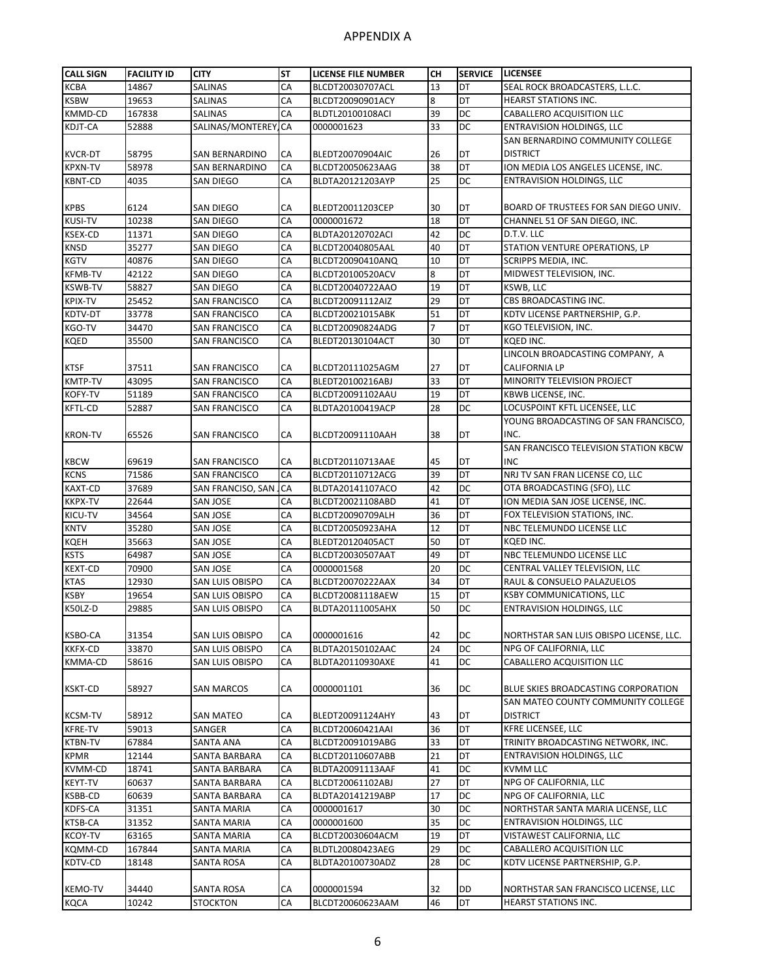| <b>CALL SIGN</b>           | <b>FACILITY ID</b> | <b>CITY</b>           | <b>ST</b>                  | LICENSE FILE NUMBER | CН | <b>SERVICE</b> | <b>LICENSEE</b>                                             |
|----------------------------|--------------------|-----------------------|----------------------------|---------------------|----|----------------|-------------------------------------------------------------|
| <b>KCBA</b>                | 14867              | SALINAS               | CA                         | BLCDT20030707ACL    | 13 | DT             | SEAL ROCK BROADCASTERS, L.L.C.                              |
| <b>KSBW</b>                | 19653              | <b>SALINAS</b>        | CA                         | BLCDT20090901ACY    | 8  | DT             | <b>HEARST STATIONS INC.</b>                                 |
| KMMD-CD                    | 167838             | SALINAS               | CA                         | BLDTL20100108ACI    | 39 | DC             | CABALLERO ACQUISITION LLC                                   |
| KDJT-CA                    | 52888              | SALINAS/MONTEREY      | <b>CA</b>                  | 0000001623          | 33 | DC             | <b>ENTRAVISION HOLDINGS, LLC</b>                            |
|                            |                    |                       |                            |                     |    |                | SAN BERNARDINO COMMUNITY COLLEGE                            |
| <b>KVCR-DT</b>             | 58795              | <b>SAN BERNARDINO</b> | CA                         | BLEDT20070904AIC    | 26 | DT             | <b>DISTRICT</b>                                             |
| <b>KPXN-TV</b>             | 58978              | SAN BERNARDINO        | CA                         | BLCDT20050623AAG    | 38 | DT             | ION MEDIA LOS ANGELES LICENSE, INC.                         |
| <b>KBNT-CD</b>             | 4035               | SAN DIEGO             | CA                         | BLDTA20121203AYP    | 25 | DC             | <b>ENTRAVISION HOLDINGS, LLC</b>                            |
|                            |                    |                       |                            |                     |    |                |                                                             |
| <b>KPBS</b>                | 6124               | SAN DIEGO             | CA                         | BLEDT20011203CEP    | 30 | DT             | BOARD OF TRUSTEES FOR SAN DIEGO UNIV.                       |
| <b>KUSI-TV</b>             | 10238              | SAN DIEGO             | CA                         | 0000001672          | 18 | DT             | CHANNEL 51 OF SAN DIEGO, INC.                               |
| <b>KSEX-CD</b>             | 11371              | SAN DIEGO             | CA                         | BLDTA20120702ACI    | 42 | DC             | D.T.V. LLC                                                  |
|                            | 35277              |                       | CA                         |                     | 40 | DT             | STATION VENTURE OPERATIONS, LP                              |
| <b>KNSD</b><br><b>KGTV</b> |                    | <b>SAN DIEGO</b>      | CA                         | BLCDT20040805AAL    | 10 | DT             |                                                             |
|                            | 40876              | <b>SAN DIEGO</b>      |                            | BLCDT20090410ANQ    |    |                | SCRIPPS MEDIA, INC.                                         |
| <b>KFMB-TV</b>             | 42122              | <b>SAN DIEGO</b>      | CA                         | BLCDT20100520ACV    | 8  | DT             | MIDWEST TELEVISION, INC.                                    |
| <b>KSWB-TV</b>             | 58827              | SAN DIEGO             | CA                         | BLCDT20040722AAO    | 19 | DT             | KSWB, LLC                                                   |
| KPIX-TV                    | 25452              | SAN FRANCISCO         | CA                         | BLCDT20091112AIZ    | 29 | DT             | CBS BROADCASTING INC.                                       |
| KDTV-DT                    | 33778              | <b>SAN FRANCISCO</b>  | CA                         | BLCDT20021015ABK    | 51 | DT             | KDTV LICENSE PARTNERSHIP, G.P.                              |
| KGO-TV                     | 34470              | SAN FRANCISCO         | CA                         | BLCDT20090824ADG    | 7  | DT             | KGO TELEVISION, INC.                                        |
| <b>KQED</b>                | 35500              | <b>SAN FRANCISCO</b>  | CA                         | BLEDT20130104ACT    | 30 | DT             | KOED INC.                                                   |
|                            |                    |                       |                            |                     |    |                | LINCOLN BROADCASTING COMPANY, A                             |
| <b>KTSF</b>                | 37511              | SAN FRANCISCO         | CA                         | BLCDT20111025AGM    | 27 | DT             | CALIFORNIA LP                                               |
| <b>KMTP-TV</b>             | 43095              | <b>SAN FRANCISCO</b>  | CA                         | BLEDT20100216ABJ    | 33 | DT             | MINORITY TELEVISION PROJECT                                 |
| <b>KOFY-TV</b>             | 51189              | <b>SAN FRANCISCO</b>  | CA                         | BLCDT20091102AAU    | 19 | DT             | KBWB LICENSE, INC.                                          |
| <b>KFTL-CD</b>             | 52887              | SAN FRANCISCO         | CA                         | BLDTA20100419ACP    | 28 | DC             | LOCUSPOINT KFTL LICENSEE, LLC                               |
|                            |                    |                       |                            |                     |    |                | YOUNG BROADCASTING OF SAN FRANCISCO,                        |
| <b>KRON-TV</b>             | 65526              | SAN FRANCISCO         | CA                         | BLCDT20091110AAH    | 38 | DT             | INC.                                                        |
|                            |                    |                       |                            |                     |    |                | SAN FRANCISCO TELEVISION STATION KBCW                       |
| <b>KBCW</b>                | 69619              | SAN FRANCISCO         | CA                         | BLCDT20110713AAE    | 45 | DT             | <b>INC</b>                                                  |
| <b>KCNS</b>                | 71586              | <b>SAN FRANCISCO</b>  | CA                         | BLCDT20110712ACG    | 39 | DT             | NRJ TV SAN FRAN LICENSE CO, LLC                             |
| <b>KAXT-CD</b>             | 37689              | SAN FRANCISO, SAN     | $\overline{\mathsf{L}}$ CA | BLDTA20141107ACO    | 42 | DC             | OTA BROADCASTING (SFO), LLC                                 |
| <b>KKPX-TV</b>             | 22644              | SAN JOSE              | CA                         | BLCDT20021108ABD    | 41 | DT             | ION MEDIA SAN JOSE LICENSE, INC.                            |
| KICU-TV                    | 34564              | <b>SAN JOSE</b>       | CA                         | BLCDT20090709ALH    | 36 | DT             | FOX TELEVISION STATIONS, INC.                               |
| <b>KNTV</b>                | 35280              | SAN JOSE              | CA                         | BLCDT20050923AHA    | 12 | DT             | NBC TELEMUNDO LICENSE LLC                                   |
| <b>KQEH</b>                | 35663              | <b>SAN JOSE</b>       | CA                         | BLEDT20120405ACT    | 50 | DT             | KQED INC.                                                   |
| <b>KSTS</b>                | 64987              | SAN JOSE              | CA                         | BLCDT20030507AAT    | 49 | DT             | NBC TELEMUNDO LICENSE LLC                                   |
| <b>KEXT-CD</b>             | 70900              | SAN JOSE              | CA                         | 0000001568          | 20 | DC             | CENTRAL VALLEY TELEVISION, LLC                              |
| <b>KTAS</b>                | 12930              | SAN LUIS OBISPO       | CA                         | BLCDT20070222AAX    | 34 | DT             | RAUL & CONSUELO PALAZUELOS                                  |
| <b>KSBY</b>                | 19654              | SAN LUIS OBISPO       | CA                         | BLCDT20081118AEW    | 15 | DT             | <b>KSBY COMMUNICATIONS, LLC</b>                             |
| K50LZ-D                    | 29885              | SAN LUIS OBISPO       | CA                         | BLDTA20111005AHX    | 50 | DC             | ENTRAVISION HOLDINGS, LLC                                   |
|                            |                    |                       |                            |                     |    |                |                                                             |
| <b>KSBO-CA</b>             | 31354              | SAN LUIS OBISPO       | CA                         | 0000001616          | 42 | DC             | NORTHSTAR SAN LUIS OBISPO LICENSE, LLC.                     |
| <b>KKFX-CD</b>             | 33870              | SAN LUIS OBISPO       | CA                         | BLDTA20150102AAC    | 24 | DC             | NPG OF CALIFORNIA, LLC                                      |
| KMMA-CD                    | 58616              | SAN LUIS OBISPO       | CA                         | BLDTA20110930AXE    | 41 | DC             | CABALLERO ACQUISITION LLC                                   |
|                            |                    |                       |                            |                     |    |                |                                                             |
| <b>KSKT-CD</b>             | 58927              | SAN MARCOS            | CA                         | 0000001101          | 36 | DC             | BLUE SKIES BROADCASTING CORPORATION                         |
|                            |                    |                       |                            |                     |    |                | SAN MATEO COUNTY COMMUNITY COLLEGE                          |
| <b>KCSM-TV</b>             | 58912              | <b>SAN MATEO</b>      | СA                         | BLEDT20091124AHY    | 43 | DT             | <b>DISTRICT</b>                                             |
| <b>KFRE-TV</b>             | 59013              | SANGER                | CA                         | BLCDT20060421AAI    | 36 | DT             | KFRE LICENSEE, LLC                                          |
| <b>KTBN-TV</b>             | 67884              | SANTA ANA             | CA                         | BLCDT20091019ABG    | 33 | DT             | TRINITY BROADCASTING NETWORK, INC.                          |
| <b>KPMR</b>                | 12144              | SANTA BARBARA         | CA                         | BLCDT20110607ABB    | 21 | DT             | <b>ENTRAVISION HOLDINGS, LLC</b>                            |
| <b>KVMM-CD</b>             | 18741              | SANTA BARBARA         | CA                         | BLDTA20091113AAF    | 41 | DC             | <b>KVMM LLC</b>                                             |
| <b>KEYT-TV</b>             | 60637              | SANTA BARBARA         | CA                         | BLCDT20061102ABJ    | 27 | DT             | NPG OF CALIFORNIA, LLC                                      |
| <b>KSBB-CD</b>             | 60639              | SANTA BARBARA         | CA                         | BLDTA20141219ABP    | 17 | DC             | NPG OF CALIFORNIA, LLC                                      |
| KDFS-CA                    | 31351              | SANTA MARIA           | CA                         | 0000001617          | 30 | DC             | NORTHSTAR SANTA MARIA LICENSE, LLC                          |
| KTSB-CA                    | 31352              | SANTA MARIA           | CA                         | 0000001600          | 35 | DC             | <b>ENTRAVISION HOLDINGS, LLC</b>                            |
| <b>KCOY-TV</b>             | 63165              |                       | CA                         |                     | 19 | DT             |                                                             |
|                            |                    | SANTA MARIA           | CA                         | BLCDT20030604ACM    | 29 | DC             | VISTAWEST CALIFORNIA, LLC                                   |
| KQMM-CD                    | 167844             | SANTA MARIA           | CA                         | BLDTL20080423AEG    |    | DC             | CABALLERO ACQUISITION LLC<br>KDTV LICENSE PARTNERSHIP, G.P. |
| KDTV-CD                    | 18148              | SANTA ROSA            |                            | BLDTA20100730ADZ    | 28 |                |                                                             |
|                            |                    |                       |                            |                     |    |                |                                                             |
| <b>KEMO-TV</b>             | 34440              | SANTA ROSA            | CA                         | 0000001594          | 32 | DD             | NORTHSTAR SAN FRANCISCO LICENSE, LLC                        |
| <b>KQCA</b>                | 10242              | <b>STOCKTON</b>       | CA                         | BLCDT20060623AAM    | 46 | DT             | HEARST STATIONS INC.                                        |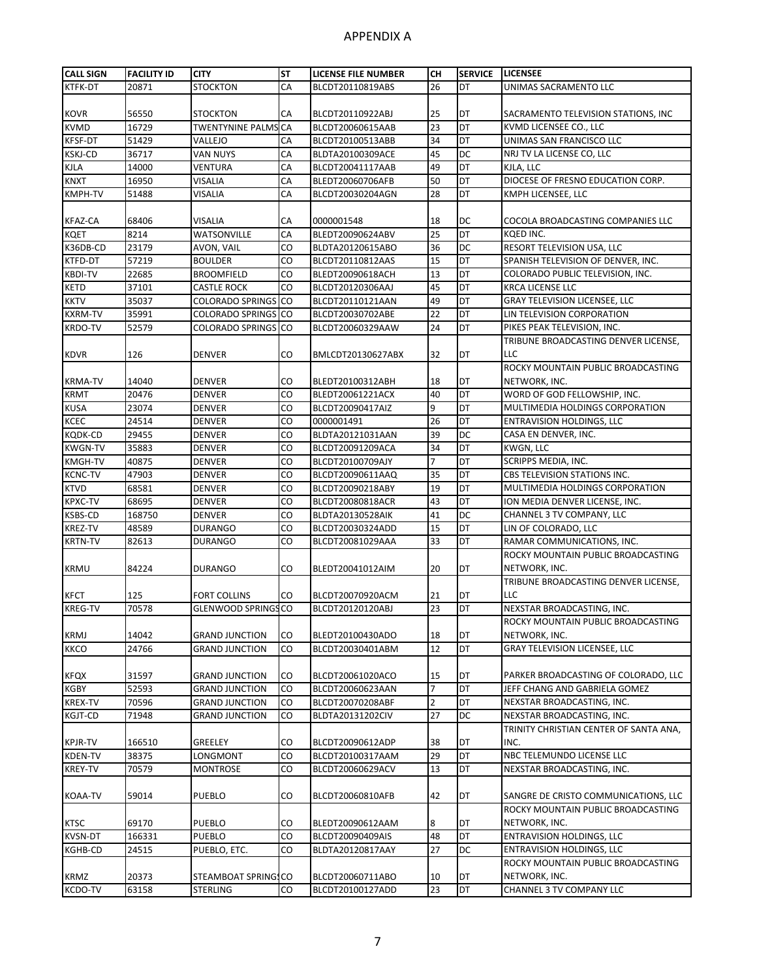| <b>CALL SIGN</b> | <b>FACILITY ID</b> | <b>CITY</b>                                    | <b>ST</b> | <b>LICENSE FILE NUMBER</b>           | CН             | <b>SERVICE</b> | <b>LICENSEE</b>                                |
|------------------|--------------------|------------------------------------------------|-----------|--------------------------------------|----------------|----------------|------------------------------------------------|
| KTFK-DT          | 20871              | <b>STOCKTON</b>                                | CA        | BLCDT20110819ABS                     | 26             | DT             | UNIMAS SACRAMENTO LLC                          |
| <b>KOVR</b>      | 56550              | <b>STOCKTON</b>                                | CA        | BLCDT20110922ABJ                     | 25             | DT             | SACRAMENTO TELEVISION STATIONS, INC            |
| <b>KVMD</b>      | 16729              | <b>TWENTYNINE PALMS CA</b>                     |           | BLCDT20060615AAB                     | 23             | DT             | KVMD LICENSEE CO., LLC                         |
| KFSF-DT          | 51429              | VALLEJO                                        | CA        | BLCDT20100513ABB                     | 34             | DT             | UNIMAS SAN FRANCISCO LLC                       |
| <b>KSKJ-CD</b>   | 36717              | VAN NUYS                                       | CA        | BLDTA20100309ACE                     | 45             | DC             | NRJ TV LA LICENSE CO, LLC                      |
| <b>KJLA</b>      | 14000              | VENTURA                                        | CA        | BLCDT20041117AAB                     | 49             | DT             | KJLA, LLC                                      |
| <b>KNXT</b>      | 16950              | VISALIA                                        | CA        | BLEDT20060706AFB                     | 50             | DT             | DIOCESE OF FRESNO EDUCATION CORP.              |
| <b>KMPH-TV</b>   | 51488              | VISALIA                                        | CA        | BLCDT20030204AGN                     | 28             | DT             | KMPH LICENSEE, LLC                             |
|                  |                    |                                                |           |                                      |                |                |                                                |
| <b>KFAZ-CA</b>   | 68406              | VISALIA                                        | CA        | 0000001548                           | 18             | DC             | COCOLA BROADCASTING COMPANIES LLC              |
| <b>KQET</b>      | 8214               | WATSONVILLE                                    | CA        | BLEDT20090624ABV                     | 25             | DT             | KQED INC.                                      |
| K36DB-CD         | 23179              | AVON, VAIL                                     | CO        | BLDTA20120615ABO                     | 36             | DC             | RESORT TELEVISION USA, LLC                     |
| <b>KTFD-DT</b>   | 57219              | <b>BOULDER</b>                                 | CO        | BLCDT20110812AAS                     | 15             | DT             | SPANISH TELEVISION OF DENVER, INC.             |
| <b>KBDI-TV</b>   | 22685              | <b>BROOMFIELD</b>                              | CO        | BLEDT20090618ACH                     | 13             | DT             | COLORADO PUBLIC TELEVISION, INC.               |
| <b>KETD</b>      | 37101              | CASTLE ROCK                                    | CO        | BLCDT20120306AAJ                     | 45             | DT             | <b>KRCA LICENSE LLC</b>                        |
| <b>KKTV</b>      | 35037              | <b>COLORADO SPRINGS</b> CO                     |           | BLCDT20110121AAN                     | 49             | DT             | <b>GRAY TELEVISION LICENSEE, LLC</b>           |
| <b>KXRM-TV</b>   | 35991              | COLORADO SPRINGS CO                            |           | BLCDT20030702ABE                     | 22             | DT             | LIN TELEVISION CORPORATION                     |
| <b>KRDO-TV</b>   | 52579              | COLORADO SPRINGS CO                            |           | BLCDT20060329AAW                     | 24             | DT             | PIKES PEAK TELEVISION, INC.                    |
|                  |                    |                                                |           |                                      |                |                | TRIBUNE BROADCASTING DENVER LICENSE,           |
| <b>KDVR</b>      | 126                | DENVER                                         | CO        | BMLCDT20130627ABX                    | 32             | DT             | LLC.                                           |
|                  |                    |                                                |           |                                      |                |                | ROCKY MOUNTAIN PUBLIC BROADCASTING             |
| <b>KRMA-TV</b>   | 14040              | <b>DENVER</b>                                  | CO        | BLEDT20100312ABH                     | 18             | DT             | NETWORK, INC.                                  |
| <b>KRMT</b>      | 20476              | <b>DENVER</b>                                  | CO        | BLEDT20061221ACX                     | 40             | DT             | WORD OF GOD FELLOWSHIP, INC.                   |
| <b>KUSA</b>      | 23074              | <b>DENVER</b>                                  | CO        | BLCDT20090417AIZ                     | 9              | DT             | MULTIMEDIA HOLDINGS CORPORATION                |
| KCEC             | 24514              | <b>DENVER</b>                                  | CO        | 0000001491                           | 26             | DT             | <b>ENTRAVISION HOLDINGS, LLC</b>               |
| KQDK-CD          | 29455              | <b>DENVER</b>                                  | CO        | BLDTA20121031AAN                     | 39             | DC             | CASA EN DENVER, INC.                           |
| <b>KWGN-TV</b>   | 35883              | <b>DENVER</b>                                  | CO        | BLCDT20091209ACA                     | 34             | DT             | KWGN, LLC                                      |
| KMGH-TV          | 40875              | <b>DENVER</b>                                  | CO        | BLCDT20100709AJY                     | $\overline{7}$ | DT             | <b>SCRIPPS MEDIA, INC.</b>                     |
| <b>KCNC-TV</b>   | 47903              | <b>DENVER</b>                                  | CO        | BLCDT20090611AAQ                     | 35             | DT             | CBS TELEVISION STATIONS INC.                   |
| <b>KTVD</b>      | 68581              | <b>DENVER</b>                                  | CO        | BLCDT20090218ABY                     | 19             | DT             | MULTIMEDIA HOLDINGS CORPORATION                |
| KPXC-TV          | 68695              | <b>DENVER</b>                                  | CO        | BLCDT20080818ACR                     | 43             | DT             | ION MEDIA DENVER LICENSE, INC.                 |
| KSBS-CD          | 168750             | <b>DENVER</b>                                  | CO        | <b>BLDTA20130528AIK</b>              | 41             | DC             | CHANNEL 3 TV COMPANY, LLC                      |
| KREZ-TV          | 48589              | <b>DURANGO</b>                                 | CO        | BLCDT20030324ADD                     | 15             | DT             | LIN OF COLORADO, LLC                           |
| <b>KRTN-TV</b>   | 82613              | DURANGO                                        | CO        | BLCDT20081029AAA                     | 33             | DT             | RAMAR COMMUNICATIONS, INC.                     |
|                  |                    |                                                |           |                                      |                |                | ROCKY MOUNTAIN PUBLIC BROADCASTING             |
| <b>KRMU</b>      | 84224              | DURANGO                                        | CO        | BLEDT20041012AIM                     | 20             | DT             | NETWORK, INC.                                  |
|                  |                    |                                                |           |                                      |                |                | TRIBUNE BROADCASTING DENVER LICENSE,           |
| <b>KFCT</b>      | 125                | FORT COLLINS                                   | CO        | BLCDT20070920ACM                     | 21             | DT             | LLC                                            |
| <b>KREG-TV</b>   | 70578              | <b>GLENWOOD SPRINGS CO</b>                     |           | BLCDT20120120ABJ                     | 23             | DT             | NEXSTAR BROADCASTING, INC.                     |
|                  |                    |                                                |           |                                      |                |                | ROCKY MOUNTAIN PUBLIC BROADCASTING             |
|                  |                    |                                                |           |                                      |                |                | NETWORK, INC.                                  |
| <b>KRMJ</b>      | 14042              | <b>GRAND JUNCTION</b><br><b>GRAND JUNCTION</b> | CO        | BLEDT20100430ADO<br>BLCDT20030401ABM | 18<br>12       | DT<br>DT       | <b>GRAY TELEVISION LICENSEE, LLC</b>           |
| KKCO             | 24766              |                                                | CO        |                                      |                |                |                                                |
|                  |                    |                                                |           |                                      |                |                | PARKER BROADCASTING OF COLORADO, LLC           |
| <b>KFQX</b>      | 31597              | <b>GRAND JUNCTION</b><br><b>GRAND JUNCTION</b> | CO        | BLCDT20061020ACO                     | 15<br>7        | DT<br>DT       |                                                |
| KGBY             | 52593              |                                                | CO        | BLCDT20060623AAN                     |                |                | JEFF CHANG AND GABRIELA GOMEZ                  |
| KREX-TV          | 70596              | <b>GRAND JUNCTION</b>                          | CO        | BLCDT20070208ABF                     | $\overline{2}$ | DT             | NEXSTAR BROADCASTING, INC.                     |
| KGJT-CD          | 71948              | <b>GRAND JUNCTION</b>                          | CO        | BLDTA20131202CIV                     | 27             | DC             | NEXSTAR BROADCASTING, INC.                     |
| KPJR-TV          | 166510             | <b>GREELEY</b>                                 | CO        | BLCDT20090612ADP                     | 38             | DT             | TRINITY CHRISTIAN CENTER OF SANTA ANA,<br>INC. |
| KDEN-TV          | 38375              | LONGMONT                                       | CO        | BLCDT20100317AAM                     | 29             | DT             | NBC TELEMUNDO LICENSE LLC                      |
| KREY-TV          | 70579              | MONTROSE                                       | CO        | BLCDT20060629ACV                     | 13             | DT             | NEXSTAR BROADCASTING, INC.                     |
|                  |                    |                                                |           |                                      |                |                |                                                |
| KOAA-TV          | 59014              | PUEBLO                                         | CO        | BLCDT20060810AFB                     | 42             | DT             | SANGRE DE CRISTO COMMUNICATIONS, LLC           |
|                  |                    |                                                |           |                                      |                |                | ROCKY MOUNTAIN PUBLIC BROADCASTING             |
| KTSC             | 69170              | PUEBLO                                         | CO        | BLEDT20090612AAM                     | 8              | DT             | NETWORK, INC.                                  |
| <b>KVSN-DT</b>   | 166331             | PUEBLO                                         | CO        | BLCDT20090409AIS                     | 48             | DT             | <b>ENTRAVISION HOLDINGS, LLC</b>               |
| KGHB-CD          | 24515              | PUEBLO, ETC.                                   | CO        | BLDTA20120817AAY                     | 27             | DC             | <b>ENTRAVISION HOLDINGS, LLC</b>               |
|                  |                    |                                                |           |                                      |                |                | ROCKY MOUNTAIN PUBLIC BROADCASTING             |
| <b>KRMZ</b>      | 20373              | STEAMBOAT SPRINGS CO                           |           | BLCDT20060711ABO                     | 10             | DT             | NETWORK, INC.                                  |
| KCDO-TV          | 63158              | <b>STERLING</b>                                | CO        | BLCDT20100127ADD                     | 23             | DT             | CHANNEL 3 TV COMPANY LLC                       |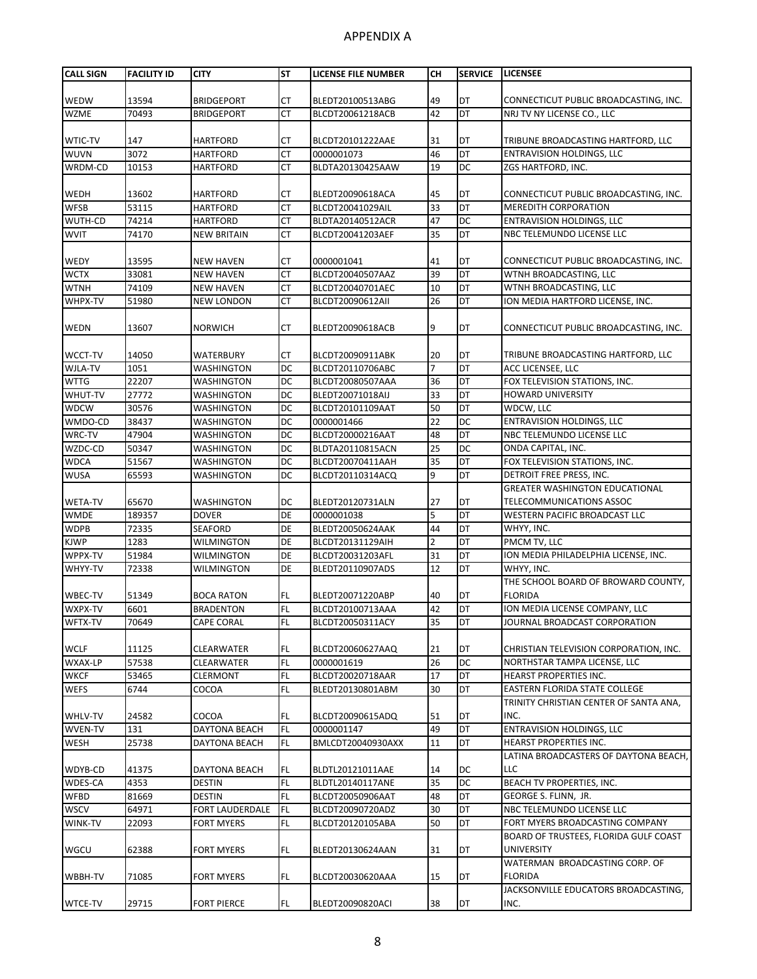| <b>CALL SIGN</b>           | <b>FACILITY ID</b> | <b>CITY</b>                        | <b>ST</b> | <b>LICENSE FILE NUMBER</b>           | CН             | <b>SERVICE</b> | <b>LICENSEE</b>                                               |
|----------------------------|--------------------|------------------------------------|-----------|--------------------------------------|----------------|----------------|---------------------------------------------------------------|
|                            |                    |                                    |           |                                      |                |                |                                                               |
| <b>WEDW</b>                | 13594              | <b>BRIDGEPORT</b>                  | CТ        | BLEDT20100513ABG                     | 49             | DT             | CONNECTICUT PUBLIC BROADCASTING, INC.                         |
| <b>WZME</b>                | 70493              | <b>BRIDGEPORT</b>                  | <b>CT</b> | BLCDT20061218ACB                     | 42             | DT             | NRJ TV NY LICENSE CO., LLC                                    |
|                            |                    |                                    |           |                                      |                |                |                                                               |
| WTIC-TV                    | 147                | <b>HARTFORD</b>                    | CТ        | BLCDT20101222AAE                     | 31             | DT             | TRIBUNE BROADCASTING HARTFORD, LLC                            |
| <b>WUVN</b>                | 3072               | HARTFORD                           | СT        | 0000001073                           | 46             | DT             | ENTRAVISION HOLDINGS, LLC                                     |
| WRDM-CD                    | 10153              | HARTFORD                           | СT        | BLDTA20130425AAW                     | 19             | DC             | ZGS HARTFORD, INC.                                            |
|                            |                    |                                    |           |                                      |                |                |                                                               |
| <b>WEDH</b><br><b>WFSB</b> | 13602<br>53115     | <b>HARTFORD</b><br><b>HARTFORD</b> | СT<br>СT  | BLEDT20090618ACA<br>BLCDT20041029AIL | 45<br>33       | DT<br>DT       | CONNECTICUT PUBLIC BROADCASTING, INC.<br>MEREDITH CORPORATION |
| WUTH-CD                    | 74214              | <b>HARTFORD</b>                    | СT        | BLDTA20140512ACR                     | 47             | DC             | <b>ENTRAVISION HOLDINGS, LLC</b>                              |
| <b>WVIT</b>                | 74170              | <b>NEW BRITAIN</b>                 | СT        | BLCDT20041203AEF                     | 35             | DT             | NBC TELEMUNDO LICENSE LLC                                     |
|                            |                    |                                    |           |                                      |                |                |                                                               |
| <b>WEDY</b>                | 13595              | <b>NEW HAVEN</b>                   | СT        | 0000001041                           | 41             | DT             | CONNECTICUT PUBLIC BROADCASTING, INC.                         |
| <b>WCTX</b>                | 33081              | <b>NEW HAVEN</b>                   | СT        | BLCDT20040507AAZ                     | 39             | DT             | WTNH BROADCASTING, LLC                                        |
| <b>WTNH</b>                | 74109              | <b>NEW HAVEN</b>                   | СT        | BLCDT20040701AEC                     | 10             | DT             | WTNH BROADCASTING, LLC                                        |
| WHPX-TV                    | 51980              | NEW LONDON                         | CT        | BLCDT20090612AII                     | 26             | DT             | ION MEDIA HARTFORD LICENSE, INC.                              |
|                            |                    |                                    |           |                                      |                |                |                                                               |
| <b>WEDN</b>                | 13607              | <b>NORWICH</b>                     | СT        | BLEDT20090618ACB                     | 9              | DT             | CONNECTICUT PUBLIC BROADCASTING, INC.                         |
|                            |                    |                                    |           |                                      |                |                |                                                               |
| <b>WCCT-TV</b>             | 14050              | WATERBURY                          | СT        | BLCDT20090911ABK                     | 20             | DT             | TRIBUNE BROADCASTING HARTFORD, LLC                            |
| WJLA-TV                    | 1051               | WASHINGTON                         | DC        | BLCDT20110706ABC                     | 7              | DT             | ACC LICENSEE, LLC                                             |
| <b>WTTG</b>                | 22207              | <b>WASHINGTON</b>                  | DC        | BLCDT20080507AAA                     | 36             | DT             | FOX TELEVISION STATIONS, INC.                                 |
| WHUT-TV                    | 27772              | <b>WASHINGTON</b>                  | DC        | BLEDT20071018AIJ                     | 33             | DT             | <b>HOWARD UNIVERSITY</b>                                      |
| <b>WDCW</b>                | 30576              | <b>WASHINGTON</b>                  | DC        | BLCDT20101109AAT                     | 50             | DT             | WDCW. LLC                                                     |
| WMDO-CD                    | 38437              | WASHINGTON                         | DC        | 0000001466                           | 22             | DC             | ENTRAVISION HOLDINGS, LLC                                     |
| WRC-TV                     | 47904              | WASHINGTON                         | DC        | BLCDT20000216AAT                     | 48             | DT             | NBC TELEMUNDO LICENSE LLC                                     |
| WZDC-CD                    | 50347              | WASHINGTON                         | DC        | BLDTA20110815ACN                     | 25             | DC             | ONDA CAPITAL, INC.                                            |
| <b>WDCA</b>                | 51567              | <b>WASHINGTON</b>                  | DC        | BLCDT20070411AAH                     | 35             | DT             | FOX TELEVISION STATIONS, INC.                                 |
| <b>WUSA</b>                | 65593              | <b>WASHINGTON</b>                  | DC        | BLCDT20110314ACQ                     | 9              | DT             | DETROIT FREE PRESS, INC.                                      |
|                            |                    |                                    |           |                                      |                |                | <b>GREATER WASHINGTON EDUCATIONAL</b>                         |
| <b>WETA-TV</b>             | 65670              | WASHINGTON                         | DC        | BLEDT20120731ALN                     | 27             | DT             | TELECOMMUNICATIONS ASSOC                                      |
| <b>WMDE</b><br><b>WDPB</b> | 189357<br>72335    | <b>DOVER</b><br><b>SEAFORD</b>     | DE<br>DE  | 0000001038<br>BLEDT20050624AAK       | 5<br>44        | DT<br>DT       | WESTERN PACIFIC BROADCAST LLC<br>WHYY, INC.                   |
| <b>KJWP</b>                | 1283               | <b>WILMINGTON</b>                  | DE        | BLCDT20131129AIH                     | $\overline{2}$ | DT             | PMCM TV, LLC                                                  |
| WPPX-TV                    | 51984              | WILMINGTON                         | DE        | BLCDT20031203AFL                     | 31             | DT             | ION MEDIA PHILADELPHIA LICENSE, INC.                          |
| WHYY-TV                    | 72338              | WILMINGTON                         | DE        | BLEDT20110907ADS                     | 12             | DT             | WHYY, INC.                                                    |
|                            |                    |                                    |           |                                      |                |                | THE SCHOOL BOARD OF BROWARD COUNTY,                           |
| WBEC-TV                    | 51349              | <b>BOCA RATON</b>                  | FL        | BLEDT20071220ABP                     | 40             | DT             | <b>FLORIDA</b>                                                |
| WXPX-TV                    | 6601               | <b>BRADENTON</b>                   | FL        | BLCDT20100713AAA                     | 42             | DT             | ION MEDIA LICENSE COMPANY, LLC                                |
| WFTX-TV                    | 70649              | <b>CAPE CORAL</b>                  | FL        | BLCDT20050311ACY                     | 35             | DT             | JOURNAL BROADCAST CORPORATION                                 |
|                            |                    |                                    |           |                                      |                |                |                                                               |
| <b>WCLF</b>                | 11125              | CLEARWATER                         | FL.       | BLCDT20060627AAQ                     | 21             | DT             | CHRISTIAN TELEVISION CORPORATION, INC.                        |
| WXAX-LP                    | 57538              | CLEARWATER                         | FL        | 0000001619                           | 26             | DC             | NORTHSTAR TAMPA LICENSE, LLC                                  |
| <b>WKCF</b>                | 53465              | <b>CLERMONT</b>                    | FL        | BLCDT20020718AAR                     | 17             | DT             | <b>HEARST PROPERTIES INC.</b>                                 |
| <b>WEFS</b>                | 6744               | COCOA                              | FL        | BLEDT20130801ABM                     | 30             | DT             | EASTERN FLORIDA STATE COLLEGE                                 |
|                            |                    |                                    |           |                                      |                |                | TRINITY CHRISTIAN CENTER OF SANTA ANA,                        |
| <b>WHLV-TV</b>             | 24582              | COCOA                              | FL        | BLCDT20090615ADQ                     | 51             | DT             | INC.                                                          |
| <b>WVEN-TV</b>             | 131                | DAYTONA BEACH                      | FL        | 0000001147                           | 49             | DT             | <b>ENTRAVISION HOLDINGS, LLC</b>                              |
| WESH                       | 25738              | DAYTONA BEACH                      | FL        | BMLCDT20040930AXX                    | 11             | DT             | <b>HEARST PROPERTIES INC.</b>                                 |
|                            |                    |                                    |           |                                      |                |                | LATINA BROADCASTERS OF DAYTONA BEACH,                         |
| WDYB-CD<br><b>WDES-CA</b>  | 41375              | DAYTONA BEACH                      | FL.<br>FL | BLDTL20121011AAE                     | 14             | DC<br>DC       | LLC<br>BEACH TV PROPERTIES, INC.                              |
| <b>WFBD</b>                | 4353<br>81669      | <b>DESTIN</b><br><b>DESTIN</b>     | FL        | BLDTL20140117ANE<br>BLCDT20050906AAT | 35<br>48       | DT             | GEORGE S. FLINN, JR.                                          |
| <b>WSCV</b>                | 64971              | FORT LAUDERDALE                    | FL.       | BLCDT20090720ADZ                     | 30             | DT             | NBC TELEMUNDO LICENSE LLC                                     |
| WINK-TV                    | 22093              | FORT MYERS                         | FL.       | BLCDT20120105ABA                     | 50             | DT             | FORT MYERS BROADCASTING COMPANY                               |
|                            |                    |                                    |           |                                      |                |                | BOARD OF TRUSTEES, FLORIDA GULF COAST                         |
| WGCU                       | 62388              | FORT MYERS                         | FL.       | BLEDT20130624AAN                     | 31             | DT             | UNIVERSITY                                                    |
|                            |                    |                                    |           |                                      |                |                | WATERMAN BROADCASTING CORP. OF                                |
| WBBH-TV                    | 71085              | <b>FORT MYERS</b>                  | FL.       | BLCDT20030620AAA                     | 15             | DT             | <b>FLORIDA</b>                                                |
|                            |                    |                                    |           |                                      |                |                | JACKSONVILLE EDUCATORS BROADCASTING,                          |
| <b>WTCE-TV</b>             | 29715              | <b>FORT PIERCE</b>                 | FL.       | BLEDT20090820ACI                     | 38             | DT             | INC.                                                          |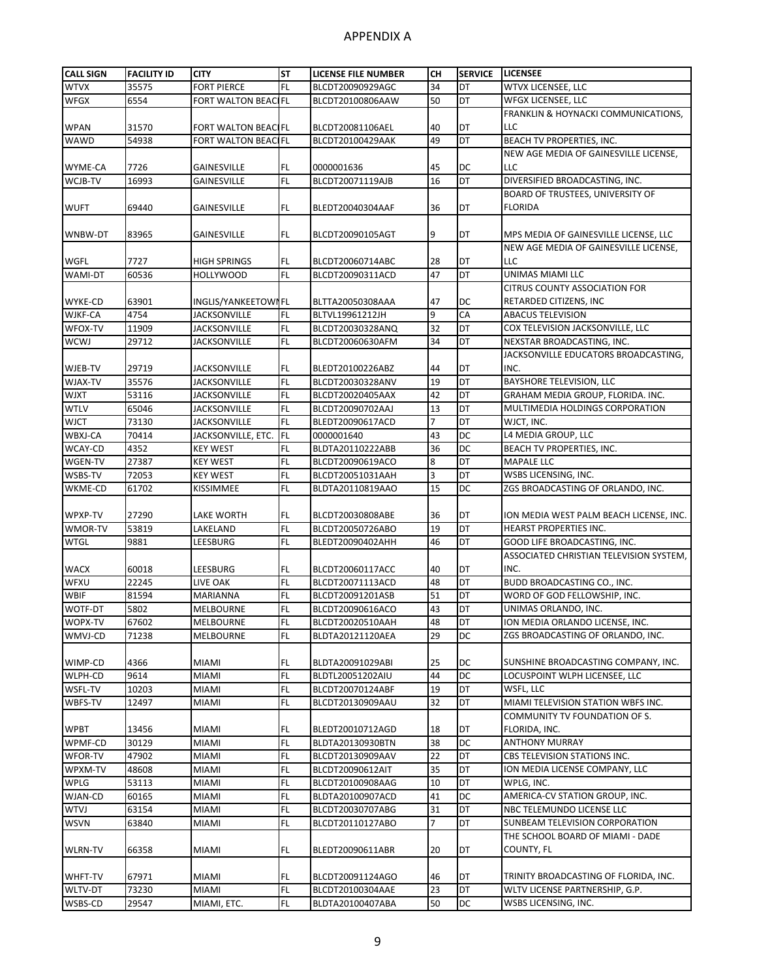| <b>CALL SIGN</b>   | <b>FACILITY ID</b> | <b>CITY</b>                | <b>ST</b>              | <b>LICENSE FILE NUMBER</b> | CH | <b>SERVICE</b> | <b>LICENSEE</b>                         |
|--------------------|--------------------|----------------------------|------------------------|----------------------------|----|----------------|-----------------------------------------|
| <b>WTVX</b>        | 35575              | <b>FORT PIERCE</b>         | <b>FL</b>              | BLCDT20090929AGC           | 34 | DT             | WTVX LICENSEE, LLC                      |
| <b>WFGX</b>        | 6554               | FORT WALTON BEACIFL        |                        | BLCDT20100806AAW           | 50 | DT             | WFGX LICENSEE, LLC                      |
|                    |                    |                            |                        |                            |    |                | FRANKLIN & HOYNACKI COMMUNICATIONS,     |
| <b>WPAN</b>        | 31570              | FORT WALTON BEACIFL        |                        | BLCDT20081106AEL           | 40 | DT             | LLC                                     |
| <b>WAWD</b>        | 54938              | <b>FORT WALTON BEACLEL</b> |                        | BLCDT20100429AAK           | 49 | DT             | BEACH TV PROPERTIES, INC.               |
|                    |                    |                            |                        |                            |    |                | NEW AGE MEDIA OF GAINESVILLE LICENSE,   |
|                    | 7726               | <b>GAINESVILLE</b>         |                        | 0000001636                 | 45 | DC             | LLC                                     |
| WYME-CA<br>WCJB-TV | 16993              |                            | <b>FL</b><br><b>FL</b> |                            | 16 | DT             | DIVERSIFIED BROADCASTING, INC.          |
|                    |                    | <b>GAINESVILLE</b>         |                        | BLCDT20071119AJB           |    |                | BOARD OF TRUSTEES, UNIVERSITY OF        |
|                    |                    |                            |                        |                            |    |                |                                         |
| <b>WUFT</b>        | 69440              | <b>GAINESVILLE</b>         | FL.                    | BLEDT20040304AAF           | 36 | DT             | <b>FLORIDA</b>                          |
|                    |                    |                            |                        |                            |    |                |                                         |
| WNBW-DT            | 83965              | <b>GAINESVILLE</b>         | FL.                    | BLCDT20090105AGT           | 9  | DT             | MPS MEDIA OF GAINESVILLE LICENSE, LLC   |
|                    |                    |                            |                        |                            |    |                | NEW AGE MEDIA OF GAINESVILLE LICENSE,   |
| WGFL               | 7727               | <b>HIGH SPRINGS</b>        | FL.                    | BLCDT20060714ABC           | 28 | DT             | LLC                                     |
| WAMI-DT            | 60536              | <b>HOLLYWOOD</b>           | <b>FL</b>              | BLCDT20090311ACD           | 47 | DT             | UNIMAS MIAMI LLC                        |
|                    |                    |                            |                        |                            |    |                | <b>CITRUS COUNTY ASSOCIATION FOR</b>    |
| WYKE-CD            | 63901              | INGLIS/YANKEETOWI FL       |                        | BLTTA20050308AAA           | 47 | DC             | RETARDED CITIZENS, INC                  |
| WJKF-CA            | 4754               | <b>JACKSONVILLE</b>        | <b>FL</b>              | BLTVL19961212JH            | 9  | CA             | <b>ABACUS TELEVISION</b>                |
| WFOX-TV            | 11909              | <b>JACKSONVILLE</b>        | <b>FL</b>              | BLCDT20030328ANQ           | 32 | DT             | COX TELEVISION JACKSONVILLE, LLC        |
| WCWJ               | 29712              | <b>JACKSONVILLE</b>        | <b>FL</b>              | BLCDT20060630AFM           | 34 | DT             | NEXSTAR BROADCASTING, INC.              |
|                    |                    |                            |                        |                            |    |                | JACKSONVILLE EDUCATORS BROADCASTING,    |
| WJEB-TV            | 29719              | <b>JACKSONVILLE</b>        | FL.                    | BLEDT20100226ABZ           | 44 | DT             | INC.                                    |
| WJAX-TV            | 35576              | <b>JACKSONVILLE</b>        | <b>FL</b>              | BLCDT20030328ANV           | 19 | DT             | BAYSHORE TELEVISION, LLC                |
| <b>WJXT</b>        | 53116              | <b>JACKSONVILLE</b>        | <b>FL</b>              | BLCDT20020405AAX           | 42 | DT             | GRAHAM MEDIA GROUP, FLORIDA. INC.       |
| <b>WTLV</b>        | 65046              | <b>JACKSONVILLE</b>        | <b>FL</b>              | BLCDT20090702AAJ           | 13 | DT             | MULTIMEDIA HOLDINGS CORPORATION         |
| <b>WJCT</b>        | 73130              | <b>JACKSONVILLE</b>        | <b>FL</b>              | BLEDT20090617ACD           | 7  | DT             | WJCT, INC.                              |
| WBXJ-CA            | 70414              | JACKSONVILLE, ETC.         | FL                     | 0000001640                 | 43 | DC             | L4 MEDIA GROUP, LLC                     |
| WCAY-CD            | 4352               | <b>KEY WEST</b>            | <b>FL</b>              | BLDTA20110222ABB           | 36 | DC             | BEACH TV PROPERTIES, INC.               |
| WGEN-TV            | 27387              | <b>KEY WEST</b>            | <b>FL</b>              | BLCDT20090619ACO           | 8  | DT             | <b>MAPALE LLC</b>                       |
| WSBS-TV            | 72053              | <b>KEY WEST</b>            | <b>FL</b>              | BLCDT20051031AAH           | 3  | DT             | WSBS LICENSING, INC.                    |
| WKME-CD            | 61702              | KISSIMMEE                  | <b>FL</b>              | BLDTA20110819AAO           | 15 | DC             | ZGS BROADCASTING OF ORLANDO, INC.       |
|                    |                    |                            |                        |                            |    |                |                                         |
| WPXP-TV            | 27290              | LAKE WORTH                 | FL.                    | BLCDT20030808ABE           | 36 | DT             | ION MEDIA WEST PALM BEACH LICENSE, INC. |
| WMOR-TV            | 53819              | LAKELAND                   | <b>FL</b>              | BLCDT20050726ABO           | 19 | DT             | <b>HEARST PROPERTIES INC.</b>           |
| <b>WTGL</b>        | 9881               | LEESBURG                   | FL.                    | BLEDT20090402AHH           | 46 | DT             | GOOD LIFE BROADCASTING, INC.            |
|                    |                    |                            |                        |                            |    |                | ASSOCIATED CHRISTIAN TELEVISION SYSTEM, |
| <b>WACX</b>        | 60018              | LEESBURG                   | FL.                    | BLCDT20060117ACC           | 40 | DT             | INC.                                    |
| <b>WFXU</b>        | 22245              | LIVE OAK                   | FL.                    | BLCDT20071113ACD           | 48 | DT             | BUDD BROADCASTING CO., INC.             |
| <b>WBIF</b>        | 81594              | <b>MARIANNA</b>            | FL                     | BLCDT20091201ASB           | 51 | DT             | WORD OF GOD FELLOWSHIP, INC.            |
| <b>WOTF-DT</b>     | 5802               | <b>MELBOURNE</b>           | <b>FL</b>              | BLCDT20090616ACO           | 43 | DT             | UNIMAS ORLANDO, INC.                    |
| WOPX-TV            | 67602              | <b>MELBOURNE</b>           | FL.                    | BLCDT20020510AAH           | 48 | DT             | ION MEDIA ORLANDO LICENSE, INC.         |
| WMVJ-CD            | 71238              | MELBOURNE                  | <b>FL</b>              | BLDTA20121120AEA           | 29 | DC             | ZGS BROADCASTING OF ORLANDO, INC.       |
|                    |                    |                            |                        |                            |    |                |                                         |
| WIMP-CD            | 4366               | <b>MIAMI</b>               | FL.                    | BLDTA20091029ABI           | 25 | DC<br>DС       | SUNSHINE BROADCASTING COMPANY, INC.     |
| WLPH-CD            | 9614               | <b>MIAMI</b>               | <b>FL</b>              | BLDTL20051202AIU           | 44 |                | LOCUSPOINT WLPH LICENSEE, LLC           |
| WSFL-TV            | 10203              | <b>MIAMI</b>               | <b>FL</b>              | BLCDT20070124ABF           | 19 | DT             | WSFL, LLC                               |
| WBFS-TV            | 12497              | MIAMI                      | FL                     | BLCDT20130909AAU           | 32 | DT             | MIAMI TELEVISION STATION WBFS INC.      |
|                    |                    |                            |                        |                            |    |                | COMMUNITY TV FOUNDATION OF S.           |
| <b>WPBT</b>        | 13456              | <b>MIAMI</b>               | FL.                    | BLEDT20010712AGD           | 18 | DT             | FLORIDA, INC.                           |
| WPMF-CD            | 30129              | <b>MIAMI</b>               | <b>FL</b>              | BLDTA20130930BTN           | 38 | DC             | <b>ANTHONY MURRAY</b>                   |
| WFOR-TV            | 47902              | <b>MIAMI</b>               | FL.                    | BLCDT20130909AAV           | 22 | DT             | CBS TELEVISION STATIONS INC.            |
| WPXM-TV            | 48608              | <b>MIAMI</b>               | <b>FL</b>              | BLCDT20090612AIT           | 35 | DT             | ION MEDIA LICENSE COMPANY, LLC          |
| WPLG               | 53113              | MIAMI                      | FL.                    | BLCDT20100908AAG           | 10 | DT             | WPLG, INC.                              |
| WJAN-CD            | 60165              | MIAMI                      | FL                     | BLDTA20100907ACD           | 41 | DC             | AMERICA-CV STATION GROUP, INC.          |
| <b>WTVJ</b>        | 63154              | MIAMI                      | <b>FL</b>              | BLCDT20030707ABG           | 31 | DT             | NBC TELEMUNDO LICENSE LLC               |
| <b>WSVN</b>        | 63840              | MIAMI                      | FL                     | BLCDT20110127ABO           | 7  | DT             | SUNBEAM TELEVISION CORPORATION          |
|                    |                    |                            |                        |                            |    |                | THE SCHOOL BOARD OF MIAMI - DADE        |
| <b>WLRN-TV</b>     | 66358              | MIAMI                      | FL.                    | BLEDT20090611ABR           | 20 | DT             | COUNTY, FL                              |
|                    |                    |                            |                        |                            |    |                |                                         |
| WHFT-TV            | 67971              | <b>MIAMI</b>               | FL.                    | BLCDT20091124AGO           | 46 | DT             | TRINITY BROADCASTING OF FLORIDA, INC.   |
| WLTV-DT            | 73230              | <b>MIAMI</b>               | FL.                    | BLCDT20100304AAE           | 23 | DT             | WLTV LICENSE PARTNERSHIP, G.P.          |
| WSBS-CD            | 29547              | MIAMI, ETC.                | FL.                    | BLDTA20100407ABA           | 50 | DC             | WSBS LICENSING, INC.                    |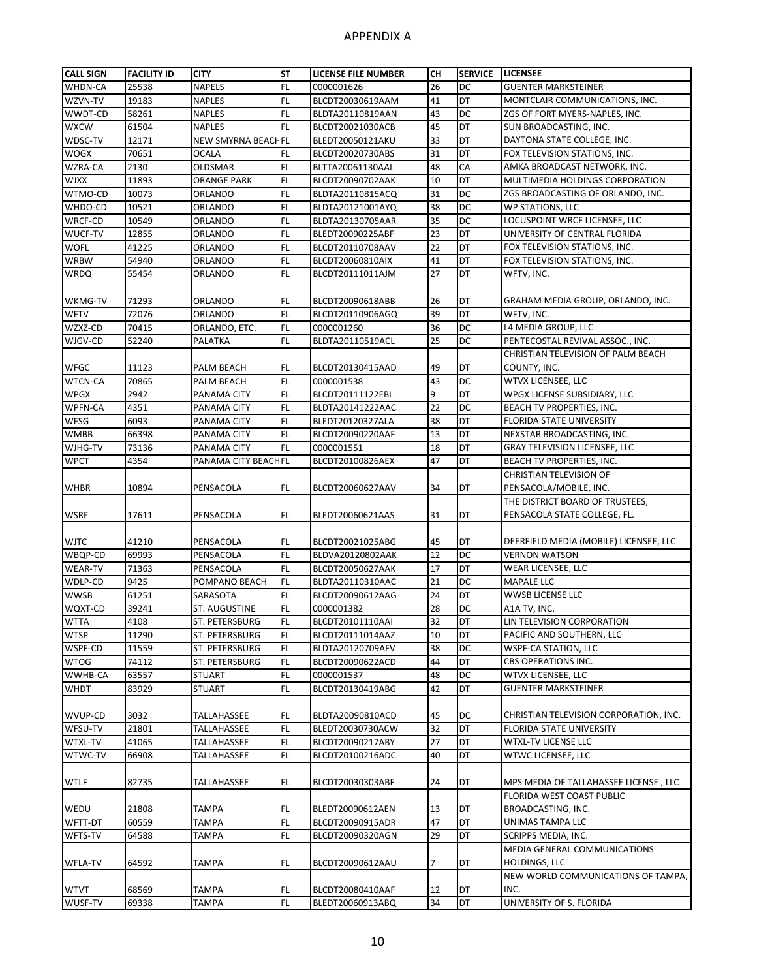| <b>CALL SIGN</b> | <b>FACILITY ID</b> | <b>CITY</b>            | <b>ST</b>     | <b>LICENSE FILE NUMBER</b> | CН | <b>SERVICE</b>  | <b>LICENSEE</b>                        |
|------------------|--------------------|------------------------|---------------|----------------------------|----|-----------------|----------------------------------------|
| WHDN-CA          | 25538              | <b>NAPELS</b>          | FL            | 0000001626                 | 26 | DC              | <b>GUENTER MARKSTEINER</b>             |
| WZVN-TV          | 19183              | NAPLES                 | FL            | BLCDT20030619AAM           | 41 | DT              | MONTCLAIR COMMUNICATIONS, INC.         |
| WWDT-CD          | 58261              | <b>NAPLES</b>          | FL            | BLDTA20110819AAN           | 43 | DC              | ZGS OF FORT MYERS-NAPLES, INC.         |
| <b>WXCW</b>      | 61504              | <b>NAPLES</b>          | FL            | BLCDT20021030ACB           | 45 | DT              | SUN BROADCASTING, INC.                 |
| WDSC-TV          | 12171              | <b>NEW SMYRNA BEAC</b> | HFL           | BLEDT20050121AKU           | 33 | DT              | DAYTONA STATE COLLEGE, INC.            |
| WOGX             | 70651              | OCALA                  | FL            | BLCDT20020730ABS           | 31 | DT              | FOX TELEVISION STATIONS, INC.          |
| WZRA-CA          | 2130               |                        | FL            |                            | 48 | CA              |                                        |
|                  |                    | OLDSMAR                |               | BLTTA20061130AAL           |    |                 | AMKA BROADCAST NETWORK, INC.           |
| <b>WJXX</b>      | 11893              | <b>ORANGE PARK</b>     | FL.           | BLCDT20090702AAK           | 10 | DT              | MULTIMEDIA HOLDINGS CORPORATION        |
| WTMO-CD          | 10073              | <b>ORLANDO</b>         | FL            | BLDTA20110815ACQ           | 31 | DC              | ZGS BROADCASTING OF ORLANDO, INC.      |
| WHDO-CD          | 10521              | ORLANDO                | FL            | BLDTA20121001AYQ           | 38 | <b>DC</b>       | <b>WP STATIONS, LLC</b>                |
| WRCF-CD          | 10549              | ORLANDO                | FL            | BLDTA20130705AAR           | 35 | DC              | LOCUSPOINT WRCF LICENSEE, LLC          |
| WUCF-TV          | 12855              | ORLANDO                | FL.           | BLEDT20090225ABF           | 23 | DT              | UNIVERSITY OF CENTRAL FLORIDA          |
| <b>WOFL</b>      | 41225              | ORLANDO                | FL            | BLCDT20110708AAV           | 22 | DT              | FOX TELEVISION STATIONS, INC.          |
| <b>WRBW</b>      | 54940              | ORLANDO                | FL            | BLCDT20060810AIX           | 41 | DT              | FOX TELEVISION STATIONS, INC.          |
| <b>WRDQ</b>      | 55454              | ORLANDO                | FL.           | BLCDT20111011AJM           | 27 | DT              | WFTV, INC.                             |
|                  |                    |                        |               |                            |    |                 |                                        |
| WKMG-TV          | 71293              | ORLANDO                | FL            | BLCDT20090618ABB           | 26 | DT              | GRAHAM MEDIA GROUP, ORLANDO, INC.      |
| <b>WFTV</b>      | 72076              | ORLANDO                | FL            | BLCDT20110906AGQ           | 39 | $\overline{DT}$ | WFTV, INC.                             |
| WZXZ-CD          | 70415              | ORLANDO, ETC.          | FL.           | 0000001260                 | 36 | DC              | L4 MEDIA GROUP, LLC                    |
| WJGV-CD          | 52240              | PALATKA                | FL            | BLDTA20110519ACL           | 25 | DC              | PENTECOSTAL REVIVAL ASSOC., INC.       |
|                  |                    |                        |               |                            |    |                 | CHRISTIAN TELEVISION OF PALM BEACH     |
| <b>WFGC</b>      | 11123              | PALM BEACH             | FL            | BLCDT20130415AAD           | 49 | DT              | COUNTY, INC.                           |
| <b>WTCN-CA</b>   | 70865              | PALM BEACH             | FL            | 0000001538                 | 43 | DC              | WTVX LICENSEE, LLC                     |
| <b>WPGX</b>      | 2942               | PANAMA CITY            | FL.           | BLCDT20111122EBL           | 9  | <b>DT</b>       | WPGX LICENSE SUBSIDIARY, LLC           |
| <b>WPFN-CA</b>   | 4351               | PANAMA CITY            | FL            | BLDTA20141222AAC           | 22 | <b>DC</b>       | BEACH TV PROPERTIES, INC.              |
| WFSG             | 6093               | PANAMA CITY            | FL            | BLEDT20120327ALA           | 38 | DT              | FLORIDA STATE UNIVERSITY               |
| WMBB             | 66398              | PANAMA CITY            | FL            | BLCDT20090220AAF           | 13 | DT              | NEXSTAR BROADCASTING, INC.             |
| WJHG-TV          | 73136              | PANAMA CITY            | FL            | 0000001551                 | 18 | DT              | <b>GRAY TELEVISION LICENSEE, LLC</b>   |
|                  |                    |                        |               |                            | 47 | DT              |                                        |
| <b>WPCT</b>      | 4354               | PANAMA CITY BEACH FL   |               | BLCDT20100826AEX           |    |                 | BEACH TV PROPERTIES, INC.              |
|                  |                    |                        |               |                            |    |                 | <b>CHRISTIAN TELEVISION OF</b>         |
| <b>WHBR</b>      | 10894              | PENSACOLA              | FL            | BLCDT20060627AAV           | 34 | DT              | PENSACOLA/MOBILE, INC.                 |
|                  |                    |                        |               |                            |    |                 | THE DISTRICT BOARD OF TRUSTEES,        |
| WSRE             | 17611              | PENSACOLA              | FL            | BLEDT20060621AAS           | 31 | DT              | PENSACOLA STATE COLLEGE, FL.           |
|                  |                    |                        |               |                            |    |                 |                                        |
| <b>WJTC</b>      | 41210              | PENSACOLA              | FL            | BLCDT20021025ABG           | 45 | DT              | DEERFIELD MEDIA (MOBILE) LICENSEE, LLC |
| WBQP-CD          | 69993              | PENSACOLA              | FL            | BLDVA20120802AAK           | 12 | DC              | <b>VERNON WATSON</b>                   |
| <b>WEAR-TV</b>   | 71363              | PENSACOLA              | FL            | BLCDT20050627AAK           | 17 | DT              | <b>WEAR LICENSEE, LLC</b>              |
| WDLP-CD          | 9425               | POMPANO BEACH          | FL            | BLDTA20110310AAC           | 21 | DC              | <b>MAPALE LLC</b>                      |
| <b>WWSB</b>      | 61251              | SARASOTA               | FL            | BLCDT20090612AAG           | 24 | DT              | <b>WWSB LICENSE LLC</b>                |
| WQXT-CD          | 39241              | ST. AUGUSTINE          | FL.           | 0000001382                 | 28 | DC              | A1A TV, INC.                           |
| <b>WTTA</b>      | 4108               | ST. PETERSBURG         | <b>FL</b>     | BLCDT20101110AAI           | 32 | DT              | LIN TELEVISION CORPORATION             |
| <b>WTSP</b>      | 11290              | ST. PETERSBURG         | FL            | BLCDT20111014AAZ           | 10 | DT              | PACIFIC AND SOUTHERN, LLC              |
| WSPF-CD          | 11559              | ST. PETERSBURG         | FL            | BLDTA20120709AFV           | 38 | DC              | WSPF-CA STATION, LLC                   |
| <b>WTOG</b>      | 74112              | ST. PETERSBURG         | FL            | BLCDT20090622ACD           | 44 | DT              | CBS OPERATIONS INC.                    |
| WWHB-CA          | 63557              | <b>STUART</b>          | FL            | 0000001537                 | 48 | DC              | WTVX LICENSEE, LLC                     |
| WHDT             | 83929              | STUART                 | FL            | BLCDT20130419ABG           | 42 | DT              | <b>GUENTER MARKSTEINER</b>             |
|                  |                    |                        |               |                            |    |                 |                                        |
| WVUP-CD          | 3032               | TALLAHASSEE            | FL            | BLDTA20090810ACD           | 45 | DC              | CHRISTIAN TELEVISION CORPORATION, INC. |
| WFSU-TV          | 21801              | TALLAHASSEE            | FL            | BLEDT20030730ACW           | 32 | DT              | FLORIDA STATE UNIVERSITY               |
| WTXL-TV          | 41065              | TALLAHASSEE            | FL            | BLCDT20090217ABY           | 27 | DT              | WTXL-TV LICENSE LLC                    |
| WTWC-TV          | 66908              | TALLAHASSEE            | FL.           | BLCDT20100216ADC           | 40 | DT              | WTWC LICENSEE, LLC                     |
|                  |                    |                        |               |                            |    |                 |                                        |
|                  |                    |                        |               |                            |    |                 |                                        |
| WTLF             | 82735              | TALLAHASSEE            | FL.           | BLCDT20030303ABF           | 24 | DT              | MPS MEDIA OF TALLAHASSEE LICENSE, LLC  |
|                  |                    |                        |               |                            |    |                 | FLORIDA WEST COAST PUBLIC              |
| WEDU             | 21808              | <b>TAMPA</b>           | FL            | BLEDT20090612AEN           | 13 | DT              | BROADCASTING, INC.                     |
| WFTT-DT          | 60559              | <b>TAMPA</b>           | FL            | BLCDT20090915ADR           | 47 | DT              | UNIMAS TAMPA LLC                       |
| WFTS-TV          | 64588              | TAMPA                  | FL.           | BLCDT20090320AGN           | 29 | DT              | SCRIPPS MEDIA, INC.                    |
|                  |                    |                        |               |                            |    |                 | MEDIA GENERAL COMMUNICATIONS           |
| WFLA-TV          | 64592              | <b>TAMPA</b>           | FL            | BLCDT20090612AAU           | 7  | DT              | <b>HOLDINGS, LLC</b>                   |
|                  |                    |                        |               |                            |    |                 | NEW WORLD COMMUNICATIONS OF TAMPA,     |
| <b>WTVT</b>      | 68569              | <b>TAMPA</b>           | FL            | BLCDT20080410AAF           | 12 | DT              | INC.                                   |
| WUSF-TV          | 69338              | TAMPA                  | $\mathsf{FL}$ | BLEDT20060913ABQ           | 34 | DT              | UNIVERSITY OF S. FLORIDA               |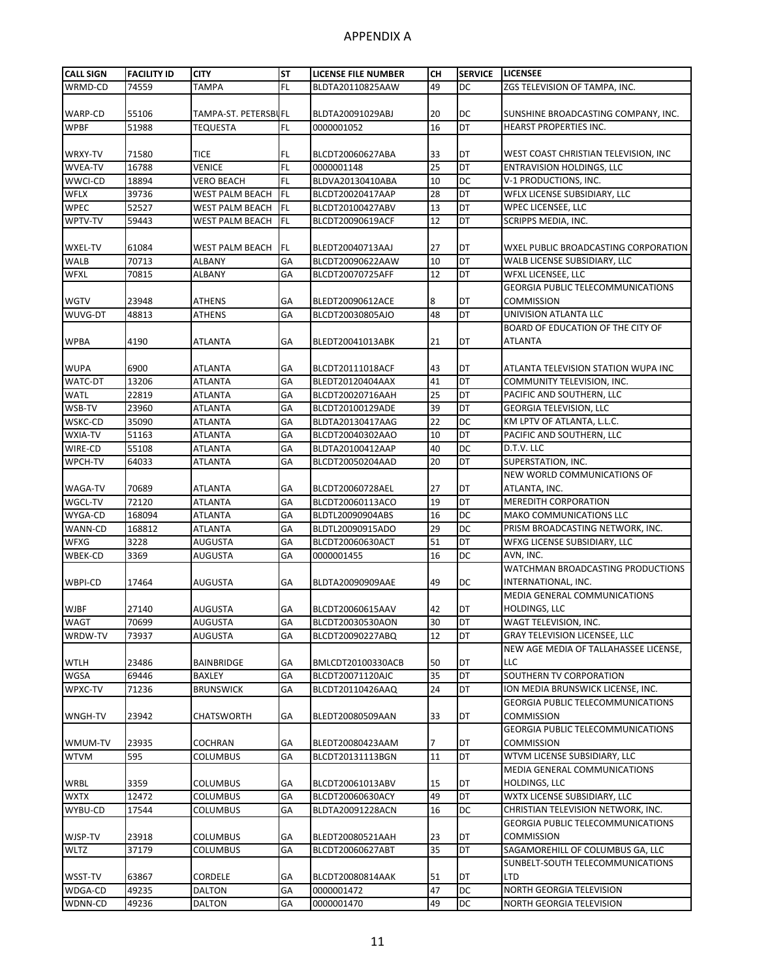| <b>CALL SIGN</b>   | <b>FACILITY ID</b> | <b>CITY</b>          | <b>ST</b> | <b>LICENSE FILE NUMBER</b>           | CН       | <b>SERVICE</b> | <b>LICENSEE</b>                              |
|--------------------|--------------------|----------------------|-----------|--------------------------------------|----------|----------------|----------------------------------------------|
| WRMD-CD            | 74559              | <b>TAMPA</b>         | FL        | BLDTA20110825AAW                     | 49       | DC             | ZGS TELEVISION OF TAMPA, INC.                |
|                    |                    |                      |           |                                      |          |                |                                              |
| WARP-CD            | 55106              | TAMPA-ST. PETERSBUFL |           | BLDTA20091029ABJ                     | 20       | DC             | SUNSHINE BROADCASTING COMPANY, INC.          |
| <b>WPBF</b>        | 51988              | <b>TEQUESTA</b>      | FL        | 0000001052                           | 16       | DT             | <b>HEARST PROPERTIES INC.</b>                |
|                    |                    |                      |           |                                      |          |                |                                              |
| WRXY-TV            | 71580              | TICE                 | FL        | BLCDT20060627ABA                     | 33       | DT             | WEST COAST CHRISTIAN TELEVISION, INC         |
| <b>WVEA-TV</b>     | 16788              | VENICE               | FL        | 0000001148                           | 25       | DT             | <b>ENTRAVISION HOLDINGS, LLC</b>             |
| WWCI-CD            | 18894              | VERO BEACH           | FL        | BLDVA20130410ABA                     | 10       | <b>DC</b>      | V-1 PRODUCTIONS, INC.                        |
| <b>WFLX</b>        | 39736              | WEST PALM BEACH      | <b>FL</b> | BLCDT20020417AAP                     | 28       | DT             | <b>WFLX LICENSE SUBSIDIARY, LLC</b>          |
| <b>WPEC</b>        | 52527              | WEST PALM BEACH      | <b>FL</b> | BLCDT20100427ABV                     | 13       | DT             | <b>WPEC LICENSEE, LLC</b>                    |
| WPTV-TV            | 59443              | WEST PALM BEACH      | <b>FL</b> | BLCDT20090619ACF                     | 12       | DT             | SCRIPPS MEDIA, INC.                          |
|                    |                    |                      |           |                                      |          |                |                                              |
| WXEL-TV            | 61084              | WEST PALM BEACH      | FL.       | BLEDT20040713AAJ                     | 27       | DT             | WXEL PUBLIC BROADCASTING CORPORATION         |
| WALB               | 70713              | ALBANY               | GA        | BLCDT20090622AAW                     | 10       | DT             | WALB LICENSE SUBSIDIARY, LLC                 |
| WFXL               | 70815              | ALBANY               | GA        | BLCDT20070725AFF                     | 12       | DT             | <b>WFXL LICENSEE, LLC</b>                    |
|                    |                    |                      |           |                                      |          |                | <b>GEORGIA PUBLIC TELECOMMUNICATIONS</b>     |
| <b>WGTV</b>        | 23948              | ATHENS               | GA        | BLEDT20090612ACE                     | 8        | DT             | <b>COMMISSION</b>                            |
| WUVG-DT            | 48813              | ATHENS               | GA        | BLCDT20030805AJO                     | 48       | <b>DT</b>      | UNIVISION ATLANTA LLC                        |
|                    |                    |                      |           |                                      |          |                | BOARD OF EDUCATION OF THE CITY OF            |
| <b>WPBA</b>        | 4190               | ATLANTA              | GA        | BLEDT20041013ABK                     | 21       | DT             | <b>ATLANTA</b>                               |
|                    |                    |                      |           |                                      |          |                |                                              |
| <b>WUPA</b>        | 6900               | ATLANTA              | GA        | BLCDT20111018ACF                     | 43       | DT             | ATLANTA TELEVISION STATION WUPA INC          |
| <b>WATC-DT</b>     | 13206              | <b>ATLANTA</b>       | GA        | BLEDT20120404AAX                     | 41       | DT             | COMMUNITY TELEVISION, INC.                   |
| WATL               | 22819              | <b>ATLANTA</b>       | GA        | BLCDT20020716AAH                     | 25       | DT             | PACIFIC AND SOUTHERN, LLC                    |
| WSB-TV             | 23960              | <b>ATLANTA</b>       | GA        | BLCDT20100129ADE                     | 39       | DT             | <b>GEORGIA TELEVISION, LLC</b>               |
| WSKC-CD            | 35090              | ATLANTA              | GA        | BLDTA20130417AAG                     | 22       | DC<br>DT       | KM LPTV OF ATLANTA, L.L.C.                   |
| WXIA-TV            | 51163              | <b>ATLANTA</b>       | GA        | BLCDT20040302AAO                     | 10       | DC             | PACIFIC AND SOUTHERN, LLC                    |
| WIRE-CD            | 55108              | <b>ATLANTA</b>       | GA        | BLDTA20100412AAP                     | 40       | DT             | D.T.V. LLC<br>SUPERSTATION, INC.             |
| WPCH-TV            | 64033              | ATLANTA              | GA        | BLCDT20050204AAD                     | 20       |                | NEW WORLD COMMUNICATIONS OF                  |
|                    |                    |                      |           |                                      |          |                |                                              |
| WAGA-TV            | 70689<br>72120     | ATLANTA              | GA<br>GA  | BLCDT20060728AEL                     | 27<br>19 | DT<br>DT       | ATLANTA, INC.<br><b>MEREDITH CORPORATION</b> |
| WGCL-TV<br>WYGA-CD | 168094             | ATLANTA<br>ATLANTA   | GA        | BLCDT20060113ACO<br>BLDTL20090904ABS | 16       | DC             | <b>MAKO COMMUNICATIONS LLC</b>               |
| WANN-CD            | 168812             | ATLANTA              | GA        | BLDTL20090915ADO                     | 29       | <b>DC</b>      | PRISM BROADCASTING NETWORK, INC.             |
| WFXG               | 3228               | AUGUSTA              | GA        | BLCDT20060630ACT                     | 51       | DT             | WFXG LICENSE SUBSIDIARY, LLC                 |
| WBEK-CD            | 3369               | AUGUSTA              | GA        | 0000001455                           | 16       | DC             | AVN, INC.                                    |
|                    |                    |                      |           |                                      |          |                | WATCHMAN BROADCASTING PRODUCTIONS            |
| WBPI-CD            | 17464              | AUGUSTA              | GA        | BLDTA20090909AAE                     | 49       | DC             | INTERNATIONAL, INC.                          |
|                    |                    |                      |           |                                      |          |                | MEDIA GENERAL COMMUNICATIONS                 |
| <b>WJBF</b>        | 27140              | AUGUSTA              | GA        | BLCDT20060615AAV                     | 42       | DT             | <b>HOLDINGS, LLC</b>                         |
| WAGT               | 70699              | <b>AUGUSTA</b>       | GA        | BLCDT20030530AON                     | 30       | DT             | WAGT TELEVISION, INC.                        |
| WRDW-TV            | 73937              | AUGUSTA              | GA        | BLCDT20090227ABQ                     | 12       | DT             | <b>GRAY TELEVISION LICENSEE, LLC</b>         |
|                    |                    |                      |           |                                      |          |                | NEW AGE MEDIA OF TALLAHASSEE LICENSE,        |
| WTLH               | 23486              | BAINBRIDGE           | GA        | BMLCDT20100330ACB                    | 50       | DT             | LLC                                          |
| <b>WGSA</b>        | 69446              | <b>BAXLEY</b>        | GA        | BLCDT20071120AJC                     | 35       | <b>DT</b>      | SOUTHERN TV CORPORATION                      |
| WPXC-TV            | 71236              | <b>BRUNSWICK</b>     | GA        | BLCDT20110426AAQ                     | 24       | DT             | ION MEDIA BRUNSWICK LICENSE, INC.            |
|                    |                    |                      |           |                                      |          |                | <b>GEORGIA PUBLIC TELECOMMUNICATIONS</b>     |
| WNGH-TV            | 23942              | CHATSWORTH           | GA        | BLEDT20080509AAN                     | 33       | DT             | <b>COMMISSION</b>                            |
|                    |                    |                      |           |                                      |          |                | <b>GEORGIA PUBLIC TELECOMMUNICATIONS</b>     |
| WMUM-TV            | 23935              | COCHRAN              | GA        | BLEDT20080423AAM                     | 7        | DT             | <b>COMMISSION</b>                            |
| <b>WTVM</b>        | 595                | COLUMBUS             | GA        | BLCDT20131113BGN                     | 11       | DT             | WTVM LICENSE SUBSIDIARY, LLC                 |
|                    |                    |                      |           |                                      |          |                | MEDIA GENERAL COMMUNICATIONS                 |
| WRBL               | 3359               | COLUMBUS             | GA        | BLCDT20061013ABV                     | 15       | DT             | <b>HOLDINGS, LLC</b>                         |
| <b>WXTX</b>        | 12472              | <b>COLUMBUS</b>      | GA        | BLCDT20060630ACY                     | 49       | DT             | WXTX LICENSE SUBSIDIARY, LLC                 |
| WYBU-CD            | 17544              | COLUMBUS             | GA        | BLDTA20091228ACN                     | 16       | DC             | CHRISTIAN TELEVISION NETWORK, INC.           |
|                    |                    |                      |           |                                      |          |                | <b>GEORGIA PUBLIC TELECOMMUNICATIONS</b>     |
| WJSP-TV            | 23918              | COLUMBUS             | GA        | BLEDT20080521AAH                     | 23       | DT             | <b>COMMISSION</b>                            |
| WLTZ               | 37179              | COLUMBUS             | GA        | BLCDT20060627ABT                     | 35       | DT             | SAGAMOREHILL OF COLUMBUS GA, LLC             |
|                    |                    |                      |           |                                      |          |                | SUNBELT-SOUTH TELECOMMUNICATIONS             |
| WSST-TV            | 63867              | CORDELE              | GA        | BLCDT20080814AAK                     | 51       | DT             | <b>LTD</b>                                   |
| WDGA-CD            | 49235              | DALTON               | GA        | 0000001472                           | 47       | DC             | NORTH GEORGIA TELEVISION                     |
| WDNN-CD            | 49236              | DALTON               | GA        | 0000001470                           | 49       | DC             | NORTH GEORGIA TELEVISION                     |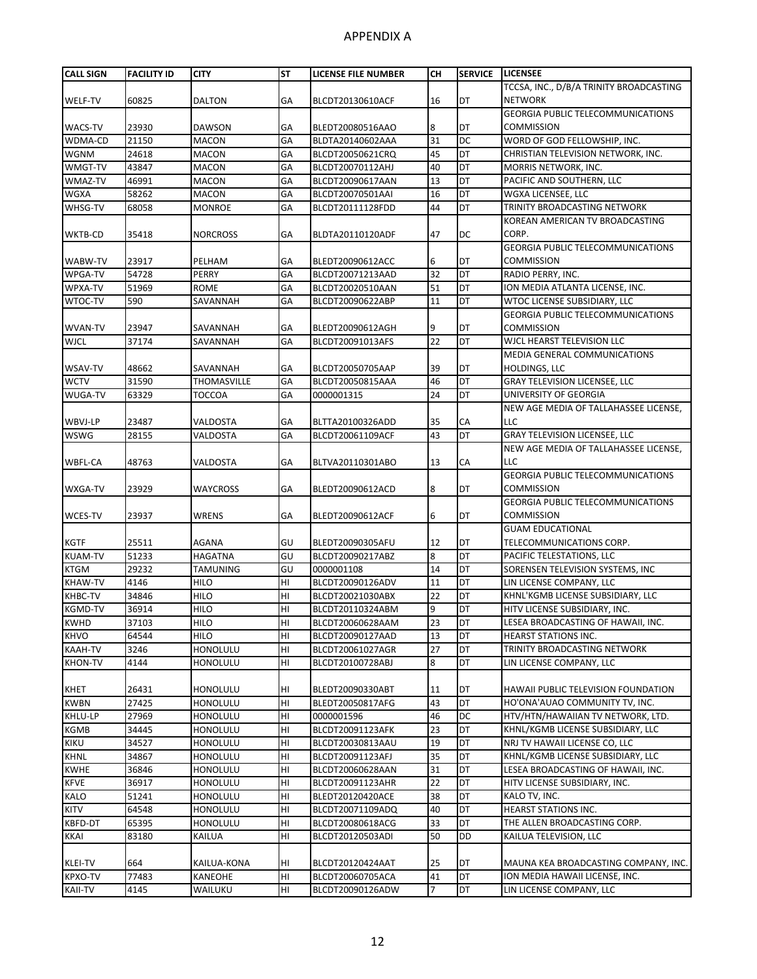| <b>CALL SIGN</b> | <b>FACILITY ID</b> | <b>CITY</b>     | <b>ST</b>       | LICENSE FILE NUMBER | <b>CH</b> | <b>SERVICE</b> | <b>LICENSEE</b>                            |
|------------------|--------------------|-----------------|-----------------|---------------------|-----------|----------------|--------------------------------------------|
|                  |                    |                 |                 |                     |           |                | TCCSA, INC., D/B/A TRINITY BROADCASTING    |
| WELF-TV          | 60825              | DALTON          | GA              | BLCDT20130610ACF    | 16        | DT             | <b>NETWORK</b>                             |
|                  |                    |                 |                 |                     |           |                | <b>GEORGIA PUBLIC TELECOMMUNICATIONS</b>   |
| <b>WACS-TV</b>   | 23930              | <b>DAWSON</b>   | GA              | BLEDT20080516AAO    | 8         | DT             | <b>COMMISSION</b>                          |
| WDMA-CD          | 21150              | <b>MACON</b>    | GA              | BLDTA20140602AAA    | 31        | <b>DC</b>      | WORD OF GOD FELLOWSHIP, INC.               |
| <b>WGNM</b>      | 24618              | <b>MACON</b>    | GA              | BLCDT20050621CRQ    | 45        | DT             | CHRISTIAN TELEVISION NETWORK, INC.         |
| WMGT-TV          | 43847              | <b>MACON</b>    | GA              | BLCDT20070112AHJ    | 40        | DT             | MORRIS NETWORK, INC.                       |
| WMAZ-TV          | 46991              | <b>MACON</b>    | GA              | BLCDT20090617AAN    | 13        | DT             | PACIFIC AND SOUTHERN, LLC                  |
| <b>WGXA</b>      | 58262              | <b>MACON</b>    | GA              | BLCDT20070501AAI    | 16        | DT             | WGXA LICENSEE, LLC                         |
| WHSG-TV          | 68058              | <b>MONROE</b>   | GA              | BLCDT20111128FDD    | 44        | DT             | TRINITY BROADCASTING NETWORK               |
|                  |                    |                 |                 |                     |           |                | KOREAN AMERICAN TV BROADCASTING            |
| WKTB-CD          | 35418              | <b>NORCROSS</b> | GA              | BLDTA20110120ADF    | 47        | DC             | CORP.                                      |
|                  |                    |                 |                 |                     |           |                | <b>GEORGIA PUBLIC TELECOMMUNICATIONS</b>   |
| WABW-TV          | 23917              | PELHAM          | GA              | BLEDT20090612ACC    | 6         | DT             | <b>COMMISSION</b>                          |
| WPGA-TV          | 54728              | PERRY           | GA              | BLCDT20071213AAD    | 32        | DT             | RADIO PERRY, INC.                          |
| WPXA-TV          | 51969              | ROME            | GA              | BLCDT20020510AAN    | 51        | DT             | ION MEDIA ATLANTA LICENSE, INC.            |
| WTOC-TV          | 590                | SAVANNAH        | GA              | BLCDT20090622ABP    | 11        | DT             | WTOC LICENSE SUBSIDIARY, LLC               |
|                  |                    |                 |                 |                     |           |                | <b>GEORGIA PUBLIC TELECOMMUNICATIONS</b>   |
| <b>WVAN-TV</b>   | 23947              | SAVANNAH        | GA              | BLEDT20090612AGH    | 9         | DT             | <b>COMMISSION</b>                          |
| <b>WJCL</b>      | 37174              | SAVANNAH        | GA              | BLCDT20091013AFS    | 22        | DT             | WICL HEARST TELEVISION LLC                 |
|                  |                    |                 |                 |                     |           |                | MEDIA GENERAL COMMUNICATIONS               |
| WSAV-TV          | 48662              | SAVANNAH        | GA              | BLCDT20050705AAP    | 39        | DT             | <b>HOLDINGS, LLC</b>                       |
| <b>WCTV</b>      | 31590              | THOMASVILLE     | GA              | BLCDT20050815AAA    | 46        | DT             | <b>GRAY TELEVISION LICENSEE, LLC</b>       |
| <b>WUGA-TV</b>   | 63329              | <b>TOCCOA</b>   | GA              | 0000001315          | 24        | DT             | UNIVERSITY OF GEORGIA                      |
|                  |                    |                 |                 |                     |           |                | NEW AGE MEDIA OF TALLAHASSEE LICENSE,      |
| WBVJ-LP          | 23487              | <b>VALDOSTA</b> | GA              | BLTTA20100326ADD    | 35        | СA             | LLC                                        |
| <b>WSWG</b>      | 28155              | VALDOSTA        | GA              | BLCDT20061109ACF    | 43        | <b>DT</b>      | <b>GRAY TELEVISION LICENSEE, LLC</b>       |
|                  |                    |                 |                 |                     |           |                | NEW AGE MEDIA OF TALLAHASSEE LICENSE,      |
| WBFL-CA          | 48763              | VALDOSTA        | GA              | BLTVA20110301ABO    | 13        | СA             | LLC                                        |
|                  |                    |                 |                 |                     |           |                | GEORGIA PUBLIC TELECOMMUNICATIONS          |
| WXGA-TV          | 23929              | WAYCROSS        | GA              | BLEDT20090612ACD    | 8         | DT             | <b>COMMISSION</b>                          |
|                  |                    |                 |                 |                     |           |                | <b>GEORGIA PUBLIC TELECOMMUNICATIONS</b>   |
| <b>WCES-TV</b>   | 23937              | WRENS           | GA              | BLEDT20090612ACF    | 6         | DT             | <b>COMMISSION</b>                          |
|                  |                    |                 |                 |                     |           |                | <b>GUAM EDUCATIONAL</b>                    |
| <b>KGTF</b>      | 25511              | <b>AGANA</b>    | GU              | BLEDT20090305AFU    | 12        | DT             | TELECOMMUNICATIONS CORP.                   |
| <b>KUAM-TV</b>   | 51233              | HAGATNA         | GU              | BLCDT20090217ABZ    | 8         | DT             | PACIFIC TELESTATIONS, LLC                  |
| <b>KTGM</b>      | 29232              | TAMUNING        | GU              | 0000001108          | 14        | DT             | SORENSEN TELEVISION SYSTEMS, INC           |
| <b>KHAW-TV</b>   | 4146               | <b>HILO</b>     | HI              | BLCDT20090126ADV    | 11        | DT             | LIN LICENSE COMPANY, LLC                   |
| KHBC-TV          | 34846              | <b>HILO</b>     | HI              | BLCDT20021030ABX    | 22        | DT             | KHNL'KGMB LICENSE SUBSIDIARY, LLC          |
| <b>KGMD-TV</b>   | 36914              | <b>HILO</b>     | H <sub>l</sub>  | BLCDT20110324ABM    | 9         | DT             | HITV LICENSE SUBSIDIARY, INC.              |
| <b>KWHD</b>      | 37103              | <b>HILO</b>     | HI              | BLCDT20060628AAM    | 23        | DT             | LESEA BROADCASTING OF HAWAII, INC.         |
| <b>KHVO</b>      | 64544              | HILO            | H <sub>II</sub> | BLCDT20090127AAD    | 13        | DT             | <b>HEARST STATIONS INC.</b>                |
| <b>KAAH-TV</b>   | 3246               | HONOLULU        | HI              | BLCDT20061027AGR    | 27        | DT             | TRINITY BROADCASTING NETWORK               |
| <b>KHON-TV</b>   | 4144               | HONOLULU        | HI              | BLCDT20100728ABJ    | 8         | DT             | LIN LICENSE COMPANY, LLC                   |
|                  |                    |                 |                 |                     |           |                |                                            |
| KHET             | 26431              | HONOLULU        | HI              | BLEDT20090330ABT    | 11        | DT             | <b>HAWAII PUBLIC TELEVISION FOUNDATION</b> |
| <b>KWBN</b>      | 27425              | HONOLULU        | HI              | BLEDT20050817AFG    | 43        | DT             | HO'ONA'AUAO COMMUNITY TV, INC.             |
| KHLU-LP          | 27969              | HONOLULU        | H <sub>II</sub> | 0000001596          | 46        | DC             | HTV/HTN/HAWAIIAN TV NETWORK, LTD.          |
| <b>KGMB</b>      | 34445              | <b>HONOLULU</b> | H <sub>II</sub> | BLCDT20091123AFK    | 23        | DT             | KHNL/KGMB LICENSE SUBSIDIARY, LLC          |
| KIKU             | 34527              | HONOLULU        | H <sub>II</sub> | BLCDT20030813AAU    | 19        | DT             | NRJ TV HAWAII LICENSE CO, LLC              |
| <b>KHNL</b>      | 34867              | HONOLULU        | H <sub>II</sub> | BLCDT20091123AFJ    | 35        | DT             | KHNL/KGMB LICENSE SUBSIDIARY, LLC          |
| <b>KWHE</b>      | 36846              | HONOLULU        | HI              | BLCDT20060628AAN    | 31        | DT             | LESEA BROADCASTING OF HAWAII, INC.         |
| <b>KFVE</b>      | 36917              | HONOLULU        | HI              | BLCDT20091123AHR    | 22        | DT             | HITV LICENSE SUBSIDIARY, INC.              |
| <b>KALO</b>      | 51241              | HONOLULU        | H <sub>II</sub> | BLEDT20120420ACE    | 38        | DT             | KALO TV, INC.                              |
| <b>KITV</b>      | 64548              | <b>HONOLULU</b> | HI              | BLCDT20071109ADQ    | 40        | DT             | <b>HEARST STATIONS INC.</b>                |
| KBFD-DT          | 65395              | HONOLULU        | H <sub>II</sub> | BLCDT20080618ACG    | 33        | DT             | THE ALLEN BROADCASTING CORP.               |
| <b>KKAI</b>      | 83180              | KAILUA          | HI              | BLCDT20120503ADI    | 50        | DD             | KAILUA TELEVISION, LLC                     |
|                  |                    |                 |                 |                     |           |                |                                            |
| <b>KLEI-TV</b>   | 664                | KAILUA-KONA     | HI              | BLCDT20120424AAT    | 25        | DT             | MAUNA KEA BROADCASTING COMPANY, INC.       |
| <b>KPXO-TV</b>   | 77483              | <b>KANEOHE</b>  | HI              | BLCDT20060705ACA    | 41        | <b>DT</b>      | ION MEDIA HAWAII LICENSE, INC.             |
| KAII-TV          | 4145               | WAILUKU         | HI              | BLCDT20090126ADW    | 7         | DT             | LIN LICENSE COMPANY, LLC                   |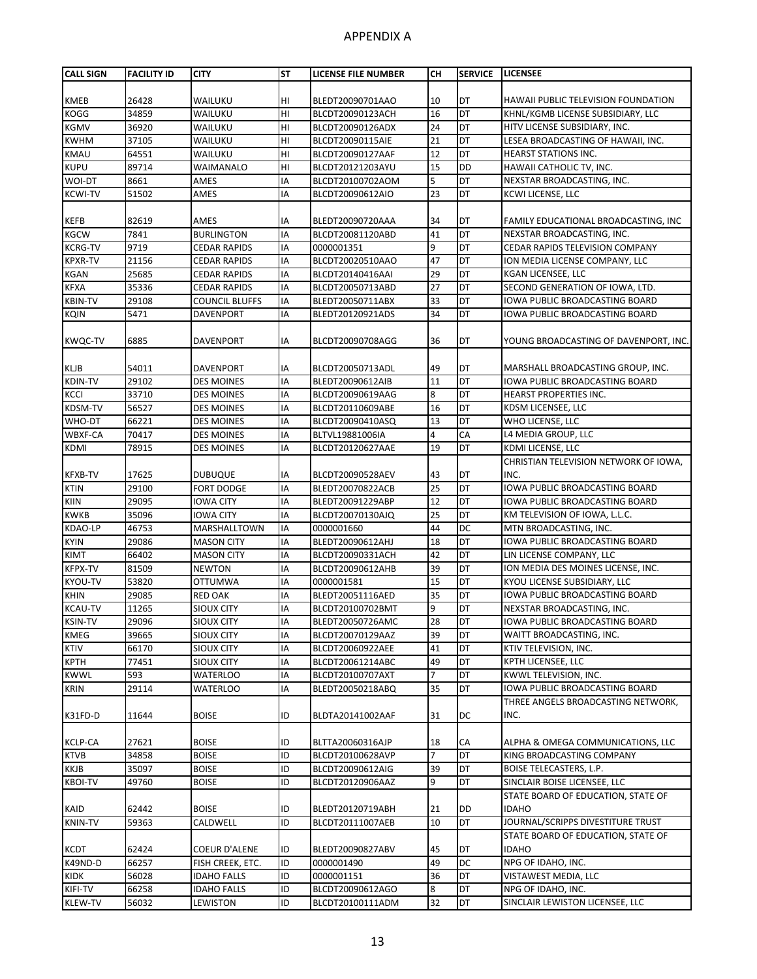| <b>CALL SIGN</b>           | <b>FACILITY ID</b> | <b>CITY</b>                            | <b>ST</b> | LICENSE FILE NUMBER      | CН       | <b>SERVICE</b>  | <b>LICENSEE</b>                             |
|----------------------------|--------------------|----------------------------------------|-----------|--------------------------|----------|-----------------|---------------------------------------------|
|                            |                    |                                        |           |                          |          |                 |                                             |
| KMEB                       | 26428              | WAILUKU                                | HI        | BLEDT20090701AAO         | 10       | <b>DT</b>       | <b>HAWAII PUBLIC TELEVISION FOUNDATION</b>  |
| KOGG                       | 34859              | WAILUKU                                | HI        | BLCDT20090123ACH         | 16       | DT              | KHNL/KGMB LICENSE SUBSIDIARY, LLC           |
| KGMV                       | 36920              | WAILUKU                                | HI        | BLCDT20090126ADX         | 24       | DT              | HITV LICENSE SUBSIDIARY, INC.               |
| <b>KWHM</b>                | 37105              | WAILUKU                                | HI        | BLCDT20090115AIE         | 21       | <b>DT</b>       | LESEA BROADCASTING OF HAWAII, INC.          |
| KMAU                       | 64551              | WAILUKU                                | HI        | BLCDT20090127AAF         | 12       | DT              | <b>HEARST STATIONS INC.</b>                 |
| <b>KUPU</b>                | 89714              | WAIMANALO                              | HI        | BLCDT20121203AYU         | 15       | <b>DD</b>       | HAWAII CATHOLIC TV, INC.                    |
| WOI-DT                     | 8661               | AMES                                   | IA        | BLCDT20100702AOM         | 5        | DT              | NEXSTAR BROADCASTING, INC.                  |
| <b>KCWI-TV</b>             | 51502              | AMES                                   | IA        | BLCDT20090612AIO         | 23       | <b>DT</b>       | KCWI LICENSE, LLC                           |
|                            |                    |                                        |           |                          |          |                 |                                             |
| KEFB                       | 82619              | AMES                                   | ΙA        | BLEDT20090720AAA         | 34       | DT              | FAMILY EDUCATIONAL BROADCASTING, INC        |
| <b>KGCW</b>                | 7841               | <b>BURLINGTON</b>                      | IA        | BLCDT20081120ABD         | 41       | DT              | NEXSTAR BROADCASTING, INC.                  |
| <b>KCRG-TV</b>             | 9719               | <b>CEDAR RAPIDS</b>                    | IA        | 0000001351               | 9        | DT              | CEDAR RAPIDS TELEVISION COMPANY             |
| <b>KPXR-TV</b>             | 21156              | <b>CEDAR RAPIDS</b>                    | IA        | BLCDT20020510AAO         | 47       | DT              | ION MEDIA LICENSE COMPANY, LLC              |
| <b>KGAN</b>                | 25685              | <b>CEDAR RAPIDS</b>                    | IA        | BLCDT20140416AAI         | 29       | DT              | KGAN LICENSEE, LLC                          |
| <b>KFXA</b>                | 35336              | <b>CEDAR RAPIDS</b>                    | IA        | BLCDT20050713ABD         | 27       | <b>DT</b>       | SECOND GENERATION OF IOWA, LTD.             |
| <b>KBIN-TV</b>             | 29108              | <b>COUNCIL BLUFFS</b>                  | IA        | BLEDT20050711ABX         | 33       | DT              | IOWA PUBLIC BROADCASTING BOARD              |
| <b>KQIN</b>                | 5471               | <b>DAVENPORT</b>                       | IA        | BLEDT20120921ADS         | 34       | DT              | IOWA PUBLIC BROADCASTING BOARD              |
| <b>KWQC-TV</b>             | 6885               | <b>DAVENPORT</b>                       | IA        | BLCDT20090708AGG         | 36       | DT              | YOUNG BROADCASTING OF DAVENPORT, INC.       |
|                            |                    |                                        |           |                          |          |                 |                                             |
| KLJB                       | 54011              | <b>DAVENPORT</b>                       | ΙA        | BLCDT20050713ADL         | 49       | DT              | MARSHALL BROADCASTING GROUP, INC.           |
| KDIN-TV                    | 29102              | <b>DES MOINES</b>                      | IA        | BLEDT20090612AIB         | 11       | ЪL              | IOWA PUBLIC BROADCASTING BOARD              |
| <b>KCCI</b>                | 33710              | <b>DES MOINES</b>                      | IA        | BLCDT20090619AAG         | 8        | DT              | <b>HEARST PROPERTIES INC.</b>               |
| KDSM-TV                    | 56527              | <b>DES MOINES</b>                      | IA        | BLCDT20110609ABE         | 16       | DT              | KDSM LICENSEE, LLC                          |
| WHO-DT                     | 66221              | <b>DES MOINES</b>                      | IA        | BLCDT20090410ASQ         | 13       | DT              | WHO LICENSE, LLC                            |
| WBXF-CA                    | 70417              | <b>DES MOINES</b>                      | IA        | BLTVL19881006IA          | 4        | CA              | L4 MEDIA GROUP, LLC                         |
| KDMI                       | 78915              | <b>DES MOINES</b>                      | IA        | BLCDT20120627AAE         | 19       | DT              | KDMI LICENSE, LLC                           |
|                            |                    |                                        |           |                          |          |                 | CHRISTIAN TELEVISION NETWORK OF IOWA,       |
| <b>KFXB-TV</b>             | 17625              | <b>DUBUQUE</b>                         | IA        | BLCDT20090528AEV         | 43       | DT              | INC.                                        |
| <b>KTIN</b>                | 29100              | <b>FORT DODGE</b>                      | IA        | BLEDT20070822ACB         | 25       | DT              | IOWA PUBLIC BROADCASTING BOARD              |
| KIIN                       | 29095              | IOWA CITY                              | IA        | BLEDT20091229ABP         | 12       | DT              | IOWA PUBLIC BROADCASTING BOARD              |
| <b>KWKB</b>                | 35096              | <b>IOWA CITY</b>                       | IA        | BLCDT20070130AJQ         | 25       | <b>DT</b>       | KM TELEVISION OF IOWA, L.L.C.               |
| KDAO-LP                    | 46753              | MARSHALLTOWN                           | IA        | 0000001660               | 44       | <b>DC</b>       | MTN BROADCASTING, INC.                      |
| <b>KYIN</b>                | 29086              | <b>MASON CITY</b>                      | IA        | BLEDT20090612AHJ         | 18       | DT              | IOWA PUBLIC BROADCASTING BOARD              |
| <b>KIMT</b>                | 66402              | <b>MASON CITY</b>                      | IA        | BLCDT20090331ACH         | 42       | DT              | LIN LICENSE COMPANY, LLC                    |
| <b>KFPX-TV</b>             | 81509              | <b>NEWTON</b>                          | IA        | BLCDT20090612AHB         | 39       | DT              | ION MEDIA DES MOINES LICENSE, INC.          |
| KYOU-TV                    | 53820              | <b>OTTUMWA</b>                         | IA        | 0000001581               | 15       | DT              | KYOU LICENSE SUBSIDIARY, LLC                |
| <b>KHIN</b>                | 29085              | <b>RED OAK</b>                         | IA        | BLEDT20051116AED         | 35       | DT              | IOWA PUBLIC BROADCASTING BOARD              |
| <b>KCAU-TV</b>             | 11265              | <b>SIOUX CITY</b>                      | IA        | BLCDT20100702BMT         | 9        | DT              | NEXSTAR BROADCASTING, INC.                  |
| <b>KSIN-TV</b>             | 29096              | SIOUX CITY                             | IA        | BLEDT20050726AMC         | 28       | DT              | IOWA PUBLIC BROADCASTING BOARD              |
| KMEG                       | 39665              | SIOUX CITY                             | IA        | BLCDT20070129AAZ         | 39       | DT              | WAITT BROADCASTING, INC.                    |
| <b>KTIV</b>                | 66170              | SIOUX CITY                             | IA        | BLCDT20060922AEE         | 41       | DT<br><b>DT</b> | KTIV TELEVISION, INC.                       |
| <b>KPTH</b><br><b>KWWL</b> | 77451              | SIOUX CITY                             | IA        | BLCDT20061214ABC         | 49       |                 | KPTH LICENSEE, LLC<br>KWWL TELEVISION, INC. |
|                            | 593                | <b>WATERLOO</b>                        | IA        | BLCDT20100707AXT         | 7        | DT              |                                             |
| <b>KRIN</b>                | 29114              | WATERLOO                               | IA        | BLEDT20050218ABQ         | 35       | DT              | IOWA PUBLIC BROADCASTING BOARD              |
| K31FD-D                    | 11644              | <b>BOISE</b>                           | ID        | BLDTA20141002AAF         | 31       | DC              | THREE ANGELS BROADCASTING NETWORK,<br>INC.  |
| <b>KCLP-CA</b>             | 27621              | <b>BOISE</b>                           | ID        | BLTTA20060316AJP         | 18       | СA              | ALPHA & OMEGA COMMUNICATIONS, LLC           |
| <b>KTVB</b>                | 34858              | <b>BOISE</b>                           | ID        | BLCDT20100628AVP         | 7        | <b>DT</b>       | KING BROADCASTING COMPANY                   |
|                            |                    |                                        | ID        |                          | 39       | DT              | <b>BOISE TELECASTERS, L.P.</b>              |
| KKJB<br><b>KBOI-TV</b>     | 35097              | <b>BOISE</b>                           | ID        | BLCDT20090612AIG         | 9        | DT              | SINCLAIR BOISE LICENSEE, LLC                |
|                            | 49760              | <b>BOISE</b>                           |           | BLCDT20120906AAZ         |          |                 | STATE BOARD OF EDUCATION, STATE OF          |
| KAID                       | 62442              | <b>BOISE</b>                           | ID        |                          | 21       | <b>DD</b>       | <b>IDAHO</b>                                |
| KNIN-TV                    | 59363              | CALDWELL                               | ID        | BLEDT20120719ABH         | 10       | DT              | JOURNAL/SCRIPPS DIVESTITURE TRUST           |
|                            |                    |                                        |           | BLCDT20111007AEB         |          |                 | STATE BOARD OF EDUCATION, STATE OF          |
|                            |                    |                                        |           |                          |          |                 | <b>IDAHO</b>                                |
| KCDT                       | 62424              | <b>COEUR D'ALENE</b>                   | ID<br>ID  | BLEDT20090827ABV         | 45<br>49 | DT<br><b>DC</b> | NPG OF IDAHO, INC.                          |
| K49ND-D<br><b>KIDK</b>     | 66257<br>56028     | FISH CREEK, ETC.<br><b>IDAHO FALLS</b> | ID        | 0000001490<br>0000001151 | 36       | DT              | VISTAWEST MEDIA, LLC                        |
| KIFI-TV                    | 66258              |                                        | ID        | BLCDT20090612AGO         |          | DT              | NPG OF IDAHO, INC.                          |
|                            |                    | <b>IDAHO FALLS</b>                     |           |                          | 8        |                 |                                             |
| KLEW-TV                    | 56032              | LEWISTON                               | ID        | BLCDT20100111ADM         | 32       | DT              | SINCLAIR LEWISTON LICENSEE, LLC             |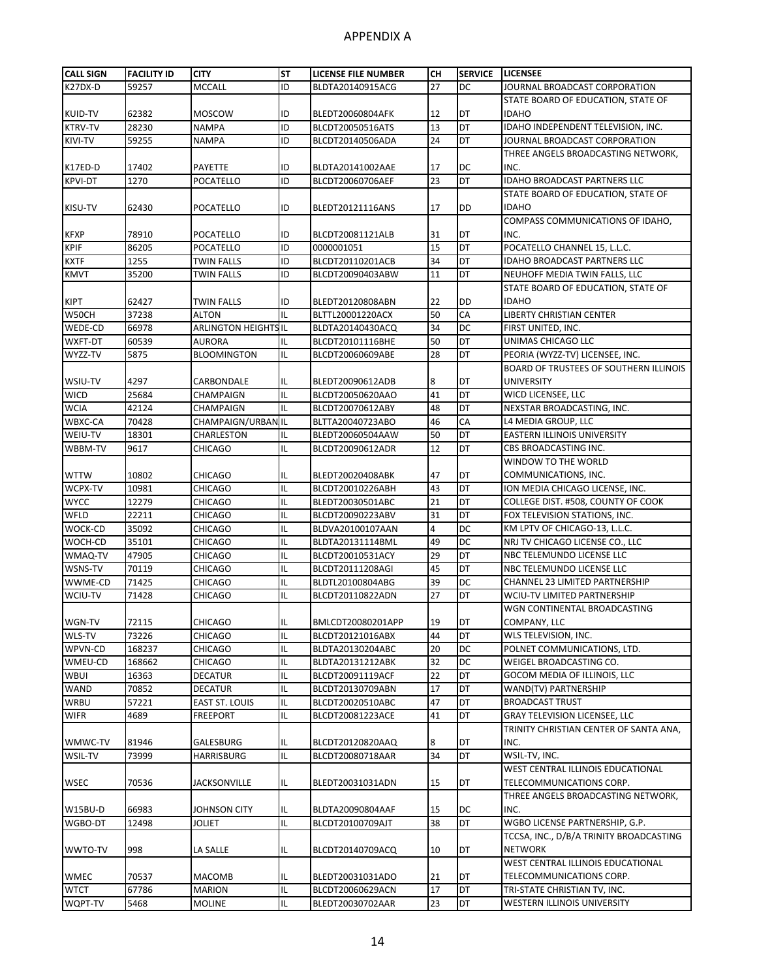| <b>CALL SIGN</b> | <b>FACILITY ID</b> | <b>CITY</b>                 | <b>ST</b> | <b>LICENSE FILE NUMBER</b> | CН | <b>SERVICE</b> | <b>LICENSEE</b>                          |
|------------------|--------------------|-----------------------------|-----------|----------------------------|----|----------------|------------------------------------------|
| K27DX-D          | 59257              | MCCALL                      | ID        | BLDTA20140915ACG           | 27 | DC             | JOURNAL BROADCAST CORPORATION            |
|                  |                    |                             |           |                            |    |                | STATE BOARD OF EDUCATION. STATE OF       |
| <b>KUID-TV</b>   | 62382              | MOSCOW                      | ID        | BLEDT20060804AFK           | 12 | DT             | <b>IDAHO</b>                             |
| <b>KTRV-TV</b>   | 28230              | <b>NAMPA</b>                | ID        | BLCDT20050516ATS           | 13 | DT             | IDAHO INDEPENDENT TELEVISION, INC.       |
| KIVI-TV          | 59255              | <b>NAMPA</b>                | ID        | BLCDT20140506ADA           | 24 | DT             | JOURNAL BROADCAST CORPORATION            |
|                  |                    |                             |           |                            |    |                | THREE ANGELS BROADCASTING NETWORK,       |
| K17ED-D          | 17402              | PAYETTE                     | ID        | BLDTA20141002AAE           | 17 | DC             | INC.                                     |
| <b>KPVI-DT</b>   | 1270               | POCATELLO                   | ID        | BLCDT20060706AEF           | 23 | DT             | IDAHO BROADCAST PARTNERS LLC             |
|                  |                    |                             |           |                            |    |                | STATE BOARD OF EDUCATION, STATE OF       |
| KISU-TV          | 62430              | POCATELLO                   | ID        | BLEDT20121116ANS           | 17 | DD             | <b>IDAHO</b>                             |
|                  |                    |                             |           |                            |    |                | COMPASS COMMUNICATIONS OF IDAHO,         |
| <b>KFXP</b>      | 78910              | POCATELLO                   | ID        | BLCDT20081121ALB           | 31 | DT             | INC.                                     |
| <b>KPIF</b>      | 86205              | POCATELLO                   | ID        | 0000001051                 | 15 | DT             | POCATELLO CHANNEL 15, L.L.C.             |
| <b>KXTF</b>      | 1255               | <b>TWIN FALLS</b>           | ID        | BLCDT20110201ACB           | 34 | DT             | <b>IDAHO BROADCAST PARTNERS LLC</b>      |
| <b>KMVT</b>      | 35200              | TWIN FALLS                  | ID        | BLCDT20090403ABW           | 11 | DT             | NEUHOFF MEDIA TWIN FALLS, LLC            |
|                  |                    |                             |           |                            |    |                | STATE BOARD OF EDUCATION, STATE OF       |
| <b>KIPT</b>      | 62427              | TWIN FALLS                  | ID        | BLEDT20120808ABN           | 22 | DD             | <b>IDAHO</b>                             |
| W50CH            | 37238              | ALTON                       | IL        | BLTTL20001220ACX           | 50 | CA             | <b>LIBERTY CHRISTIAN CENTER</b>          |
| WEDE-CD          | 66978              | <b>ARLINGTON HEIGHTS IL</b> |           | BLDTA20140430ACQ           | 34 | DC             | FIRST UNITED, INC.                       |
| WXFT-DT          | 60539              | AURORA                      | IL        | BLCDT20101116BHE           | 50 | DT             | UNIMAS CHICAGO LLC                       |
| WYZZ-TV          | 5875               | <b>BLOOMINGTON</b>          | IL        | BLCDT20060609ABE           | 28 | DT             | PEORIA (WYZZ-TV) LICENSEE, INC.          |
|                  |                    |                             |           |                            |    |                | BOARD OF TRUSTEES OF SOUTHERN ILLINOIS   |
| WSIU-TV          | 4297               | CARBONDALE                  | IL        | BLEDT20090612ADB           | 8  | DT             | <b>UNIVERSITY</b>                        |
| <b>WICD</b>      | 25684              | CHAMPAIGN                   | IL        | BLCDT20050620AAO           | 41 | DT             | WICD LICENSEE, LLC                       |
| <b>WCIA</b>      | 42124              | CHAMPAIGN                   | IL        | BLCDT20070612ABY           | 48 | DT             | NEXSTAR BROADCASTING, INC.               |
| WBXC-CA          | 70428              | <b>CHAMPAIGN/URBAN IL</b>   |           | BLTTA20040723ABO           | 46 | CA             | L4 MEDIA GROUP, LLC                      |
| WEIU-TV          | 18301              | CHARLESTON                  | IL        | BLEDT20060504AAW           | 50 | DT             | EASTERN ILLINOIS UNIVERSITY              |
| WBBM-TV          | 9617               | <b>CHICAGO</b>              | IL        | BLCDT20090612ADR           | 12 | DT             | CBS BROADCASTING INC.                    |
|                  |                    |                             |           |                            |    |                | WINDOW TO THE WORLD                      |
| <b>WTTW</b>      | 10802              | CHICAGO                     | IL        | BLEDT20020408ABK           | 47 | DT             | COMMUNICATIONS, INC.                     |
| WCPX-TV          | 10981              | <b>CHICAGO</b>              | IL        | BLCDT20010226ABH           | 43 | DT             | ION MEDIA CHICAGO LICENSE, INC.          |
| <b>WYCC</b>      | 12279              | CHICAGO                     | IL        | BLEDT20030501ABC           | 21 | DT             | COLLEGE DIST. #508, COUNTY OF COOK       |
| WFLD             | 22211              | <b>CHICAGO</b>              | IL        | BLCDT20090223ABV           | 31 | DT             | FOX TELEVISION STATIONS, INC.            |
| WOCK-CD          | 35092              | <b>CHICAGO</b>              | IL        | BLDVA20100107AAN           | 4  | DC             | KM LPTV OF CHICAGO-13, L.L.C.            |
| WOCH-CD          | 35101              | CHICAGO                     | IL        | BLDTA20131114BML           | 49 | DC             | NRJ TV CHICAGO LICENSE CO., LLC          |
| WMAQ-TV          | 47905              | <b>CHICAGO</b>              | IL        | BLCDT20010531ACY           | 29 | DT             | NBC TELEMUNDO LICENSE LLC                |
| WSNS-TV          | 70119              | CHICAGO                     | IL        | BLCDT20111208AGI           | 45 | DT             | NBC TELEMUNDO LICENSE LLC                |
| WWME-CD          | 71425              | <b>CHICAGO</b>              | IL        | BLDTL20100804ABG           | 39 | DC             | CHANNEL 23 LIMITED PARTNERSHIP           |
| WCIU-TV          | 71428              | <b>CHICAGO</b>              | IL        | BLCDT20110822ADN           | 27 | DT             | <b>WCIU-TV LIMITED PARTNERSHIP</b>       |
|                  |                    |                             |           |                            |    |                | WGN CONTINENTAL BROADCASTING             |
| WGN-TV           | 72115              | <b>CHICAGO</b>              | IL        | BMLCDT20080201APP          | 19 | DT             | COMPANY, LLC                             |
| WLS-TV           | 73226              | CHICAGO                     | IL        | BLCDT20121016ABX           | 44 | DT             | WLS TELEVISION, INC.                     |
| WPVN-CD          | 168237             | CHICAGO                     | IL        | BLDTA20130204ABC           | 20 | DC             | POLNET COMMUNICATIONS, LTD.              |
| WMEU-CD          | 168662             | CHICAGO                     | IL        | BLDTA20131212ABK           | 32 | DC             | WEIGEL BROADCASTING CO.                  |
| <b>WBUI</b>      | 16363              | DECATUR                     | IL        | BLCDT20091119ACF           | 22 | DT             | GOCOM MEDIA OF ILLINOIS, LLC             |
| <b>WAND</b>      | 70852              | DECATUR                     | IL        | BLCDT20130709ABN           | 17 | DT             | WAND(TV) PARTNERSHIP                     |
| <b>WRBU</b>      | 57221              | EAST ST. LOUIS              | IL        | BLCDT20020510ABC           | 47 | DT             | <b>BROADCAST TRUST</b>                   |
| <b>WIFR</b>      | 4689               | FREEPORT                    | IL        | BLCDT20081223ACE           | 41 | DT             | GRAY TELEVISION LICENSEE, LLC            |
|                  |                    |                             |           |                            |    |                | TRINITY CHRISTIAN CENTER OF SANTA ANA,   |
| WMWC-TV          | 81946              | GALESBURG                   | IL        | BLCDT20120820AAQ           | 8  | DT             | INC.                                     |
| WSIL-TV          | 73999              | <b>HARRISBURG</b>           | IL        | BLCDT20080718AAR           | 34 | DT             | WSIL-TV, INC.                            |
|                  |                    |                             |           |                            |    |                | <b>WEST CENTRAL ILLINOIS EDUCATIONAL</b> |
| <b>WSEC</b>      | 70536              |                             | IL        |                            | 15 | DT             | TELECOMMUNICATIONS CORP.                 |
|                  |                    | JACKSONVILLE                |           | BLEDT20031031ADN           |    |                | THREE ANGELS BROADCASTING NETWORK,       |
|                  | 66983              |                             |           |                            |    |                | INC.                                     |
| W15BU-D          |                    | JOHNSON CITY                | IL        | BLDTA20090804AAF           | 15 | DC             |                                          |
| WGBO-DT          | 12498              | JOLIET                      | IL        | BLCDT20100709AJT           | 38 | DT             | WGBO LICENSE PARTNERSHIP, G.P.           |
|                  |                    |                             | IL        |                            |    |                | TCCSA, INC., D/B/A TRINITY BROADCASTING  |
| WWTO-TV          | 998                | LA SALLE                    |           | BLCDT20140709ACQ           | 10 | DT             | <b>NETWORK</b>                           |
|                  |                    |                             |           |                            |    |                | WEST CENTRAL ILLINOIS EDUCATIONAL        |
| <b>WMEC</b>      | 70537              | <b>MACOMB</b>               | IL        | BLEDT20031031ADO           | 21 | DT             | TELECOMMUNICATIONS CORP.                 |
| <b>WTCT</b>      | 67786              | <b>MARION</b>               | IL        | BLCDT20060629ACN           | 17 | DT             | TRI-STATE CHRISTIAN TV, INC.             |
| WQPT-TV          | 5468               | MOLINE                      | $\sf IL$  | BLEDT20030702AAR           | 23 | DT             | WESTERN ILLINOIS UNIVERSITY              |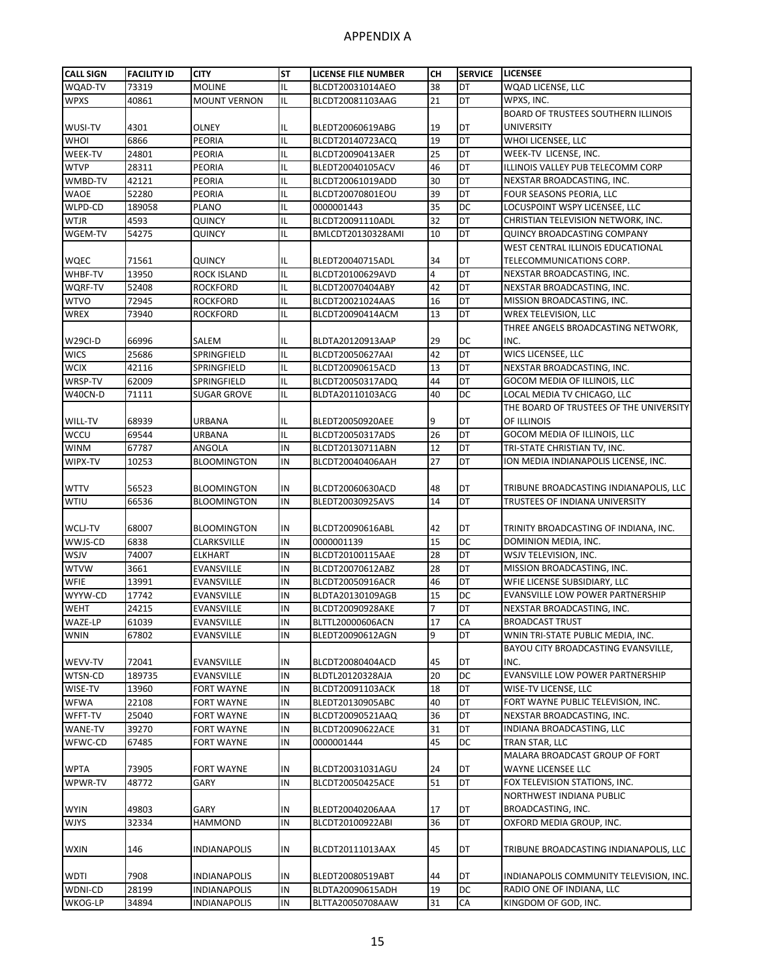| <b>CALL SIGN</b> | <b>FACILITY ID</b> | <b>CITY</b>         | <b>ST</b> | <b>LICENSE FILE NUMBER</b> | <b>CH</b>      | <b>SERVICE</b>  | <b>LICENSEE</b>                            |
|------------------|--------------------|---------------------|-----------|----------------------------|----------------|-----------------|--------------------------------------------|
| WQAD-TV          | 73319              | <b>MOLINE</b>       | IL        | BLCDT20031014AEO           | 38             | DT              | WQAD LICENSE, LLC                          |
| <b>WPXS</b>      | 40861              | <b>MOUNT VERNON</b> | IL        | BLCDT20081103AAG           | 21             | DT              | WPXS, INC.                                 |
|                  |                    |                     |           |                            |                |                 | <b>BOARD OF TRUSTEES SOUTHERN ILLINOIS</b> |
| WUSI-TV          | 4301               | <b>OLNEY</b>        | IL        | BLEDT20060619ABG           | 19             | DT              | <b>UNIVERSITY</b>                          |
| WHOI             | 6866               | <b>PEORIA</b>       | IL        | BLCDT20140723ACQ           | 19             | DT              | WHOI LICENSEE, LLC                         |
| WEEK-TV          | 24801              | PEORIA              | IL        | BLCDT20090413AER           | 25             | DT              | WEEK-TV LICENSE, INC.                      |
| <b>WTVP</b>      | 28311              | <b>PEORIA</b>       | IL        | BLEDT20040105ACV           | 46             | DT              | ILLINOIS VALLEY PUB TELECOMM CORP          |
| WMBD-TV          | 42121              | <b>PEORIA</b>       | IL        |                            | 30             | DT              | NEXSTAR BROADCASTING, INC.                 |
| <b>WAOE</b>      | 52280              | <b>PEORIA</b>       | IL        | BLCDT20061019ADD           | 39             | DT              | FOUR SEASONS PEORIA, LLC                   |
| WLPD-CD          |                    |                     |           | BLCDT20070801EOU           |                | DC              |                                            |
|                  | 189058             | <b>PLANO</b>        | IL        | 0000001443                 | 35             |                 | LOCUSPOINT WSPY LICENSEE, LLC              |
| <b>WTJR</b>      | 4593               | QUINCY              | IL        | BLCDT20091110ADL           | 32             | DT              | CHRISTIAN TELEVISION NETWORK, INC.         |
| WGEM-TV          | 54275              | QUINCY              | IL        | BMLCDT20130328AMI          | 10             | DT              | QUINCY BROADCASTING COMPANY                |
|                  |                    |                     |           |                            |                |                 | WEST CENTRAL ILLINOIS EDUCATIONAL          |
| <b>WQEC</b>      | 71561              | <b>QUINCY</b>       | IL        | BLEDT20040715ADL           | 34             | DT              | TELECOMMUNICATIONS CORP.                   |
| WHBF-TV          | 13950              | ROCK ISLAND         | IL        | BLCDT20100629AVD           | $\overline{a}$ | <b>DT</b>       | NEXSTAR BROADCASTING, INC.                 |
| <b>WQRF-TV</b>   | 52408              | <b>ROCKFORD</b>     | IL        | BLCDT20070404ABY           | 42             | DT              | NEXSTAR BROADCASTING, INC.                 |
| <b>WTVO</b>      | 72945              | <b>ROCKFORD</b>     | IL        | BLCDT20021024AAS           | 16             | DT              | MISSION BROADCASTING, INC.                 |
| <b>WREX</b>      | 73940              | <b>ROCKFORD</b>     | IL        | BLCDT20090414ACM           | 13             | DT              | WREX TELEVISION, LLC                       |
|                  |                    |                     |           |                            |                |                 | THREE ANGELS BROADCASTING NETWORK,         |
| W29CI-D          | 66996              | SALEM               | IL        | BLDTA20120913AAP           | 29             | DC              | INC.                                       |
| <b>WICS</b>      | 25686              | SPRINGFIELD         | IL        | BLCDT20050627AAI           | 42             | DT              | WICS LICENSEE, LLC                         |
| <b>WCIX</b>      | 42116              | SPRINGFIELD         | IL        | BLCDT20090615ACD           | 13             | DT              | NEXSTAR BROADCASTING, INC.                 |
| WRSP-TV          | 62009              | SPRINGFIELD         | IL        | BLCDT20050317ADQ           | 44             | DT              | GOCOM MEDIA OF ILLINOIS, LLC               |
| W40CN-D          | 71111              | <b>SUGAR GROVE</b>  | IL        | BLDTA20110103ACG           | 40             | <b>DC</b>       | LOCAL MEDIA TV CHICAGO, LLC                |
|                  |                    |                     |           |                            |                |                 | THE BOARD OF TRUSTEES OF THE UNIVERSITY    |
| WILL-TV          | 68939              | URBANA              | IL        | BLEDT20050920AEE           | 9              | DT              | OF ILLINOIS                                |
| <b>WCCU</b>      | 69544              | URBANA              | IL        | BLCDT20050317ADS           | 26             | DT              | GOCOM MEDIA OF ILLINOIS, LLC               |
| <b>WINM</b>      | 67787              | ANGOLA              | IN        | BLCDT20130711ABN           | 12             | $\overline{DT}$ | TRI-STATE CHRISTIAN TV, INC.               |
| WIPX-TV          | 10253              | <b>BLOOMINGTON</b>  | IN        | BLCDT20040406AAH           | 27             | DT              | ION MEDIA INDIANAPOLIS LICENSE, INC.       |
|                  |                    |                     |           |                            |                |                 |                                            |
| <b>WTTV</b>      | 56523              | <b>BLOOMINGTON</b>  | IN        | BLCDT20060630ACD           | 48             | DT              | TRIBUNE BROADCASTING INDIANAPOLIS, LLC     |
| WTIU             | 66536              | <b>BLOOMINGTON</b>  | IN        | BLEDT20030925AVS           | 14             | DT              | TRUSTEES OF INDIANA UNIVERSITY             |
|                  |                    |                     |           |                            |                |                 |                                            |
| WCLJ-TV          | 68007              | <b>BLOOMINGTON</b>  | IN        | BLCDT20090616ABL           | 42             | DT              | TRINITY BROADCASTING OF INDIANA, INC.      |
| WWJS-CD          | 6838               | CLARKSVILLE         | IN        | 0000001139                 | 15             | DC              | DOMINION MEDIA, INC.                       |
| WSJV             | 74007              | <b>ELKHART</b>      | IN        | BLCDT20100115AAE           | 28             | DT              | WSJV TELEVISION, INC.                      |
| <b>WTVW</b>      | 3661               | EVANSVILLE          | IN        | BLCDT20070612ABZ           | 28             | DT              | MISSION BROADCASTING, INC.                 |
| <b>WFIE</b>      | 13991              | EVANSVILLE          | IN        | BLCDT20050916ACR           | 46             | DT              | WFIE LICENSE SUBSIDIARY, LLC               |
| WYYW-CD          | 17742              | EVANSVILLE          | IN        | BLDTA20130109AGB           | 15             | DC              | EVANSVILLE LOW POWER PARTNERSHIP           |
| <b>WEHT</b>      | 24215              | <b>EVANSVILLE</b>   | IN        | <b>BLCDT20090928AKE</b>    | 7              | DT              | NEXSTAR BROADCASTING, INC.                 |
| WAZE-LP          | 61039              | EVANSVILLE          | IN        | BLTTL20000606ACN           | 17             | CA              | <b>BROADCAST TRUST</b>                     |
| <b>WNIN</b>      | 67802              | EVANSVILLE          | IN        | BLEDT20090612AGN           | 9              | DT              | WNIN TRI-STATE PUBLIC MEDIA, INC.          |
|                  |                    |                     |           |                            |                |                 | BAYOU CITY BROADCASTING EVANSVILLE,        |
| WEVV-TV          | 72041              | EVANSVILLE          | IN        | BLCDT20080404ACD           | 45             | DT              | INC.                                       |
| WTSN-CD          | 189735             | EVANSVILLE          | IN        | BLDTL20120328AJA           | 20             | DC              | EVANSVILLE LOW POWER PARTNERSHIP           |
| WISE-TV          | 13960              | FORT WAYNE          | IN        | BLCDT20091103ACK           | 18             | DT              | WISE-TV LICENSE, LLC                       |
| <b>WFWA</b>      | 22108              | FORT WAYNE          | IN        | BLEDT20130905ABC           | 40             | DT              | FORT WAYNE PUBLIC TELEVISION, INC.         |
| WFFT-TV          | 25040              | FORT WAYNE          | $\sf IN$  | BLCDT20090521AAQ           | 36             | DT              | NEXSTAR BROADCASTING, INC.                 |
| WANE-TV          | 39270              | <b>FORT WAYNE</b>   | IN        | BLCDT20090622ACE           | 31             | DT              | INDIANA BROADCASTING, LLC                  |
| WFWC-CD          | 67485              | FORT WAYNE          | IN        | 0000001444                 | 45             | DC              | TRAN STAR, LLC                             |
|                  |                    |                     |           |                            |                |                 | MALARA BROADCAST GROUP OF FORT             |
| <b>WPTA</b>      | 73905              | FORT WAYNE          | IN        | BLCDT20031031AGU           | 24             | DT              | WAYNE LICENSEE LLC                         |
| WPWR-TV          | 48772              | GARY                | IN        | BLCDT20050425ACE           | 51             | DT              | FOX TELEVISION STATIONS, INC.              |
|                  |                    |                     |           |                            |                |                 | NORTHWEST INDIANA PUBLIC                   |
|                  | 49803              | GARY                |           |                            |                |                 | BROADCASTING, INC.                         |
| <b>WYIN</b>      |                    | <b>HAMMOND</b>      | IN        | BLEDT20040206AAA           | 17<br>36       | DT<br><b>DT</b> |                                            |
| <b>WJYS</b>      | 32334              |                     | IN        | BLCDT20100922ABI           |                |                 | OXFORD MEDIA GROUP, INC.                   |
|                  |                    |                     |           |                            |                |                 |                                            |
| <b>WXIN</b>      | 146                | INDIANAPOLIS        | IN        | BLCDT20111013AAX           | 45             | DT              | TRIBUNE BROADCASTING INDIANAPOLIS, LLC     |
|                  |                    |                     |           |                            |                |                 |                                            |
| <b>WDTI</b>      | 7908               | <b>INDIANAPOLIS</b> | IN        | BLEDT20080519ABT           | 44             | DT              | INDIANAPOLIS COMMUNITY TELEVISION, INC.    |
| WDNI-CD          | 28199              | <b>INDIANAPOLIS</b> | IN        | BLDTA20090615ADH           | 19             | DC              | RADIO ONE OF INDIANA, LLC                  |
| WKOG-LP          | 34894              | <b>INDIANAPOLIS</b> | IN        | BLTTA20050708AAW           | 31             | CA              | KINGDOM OF GOD, INC.                       |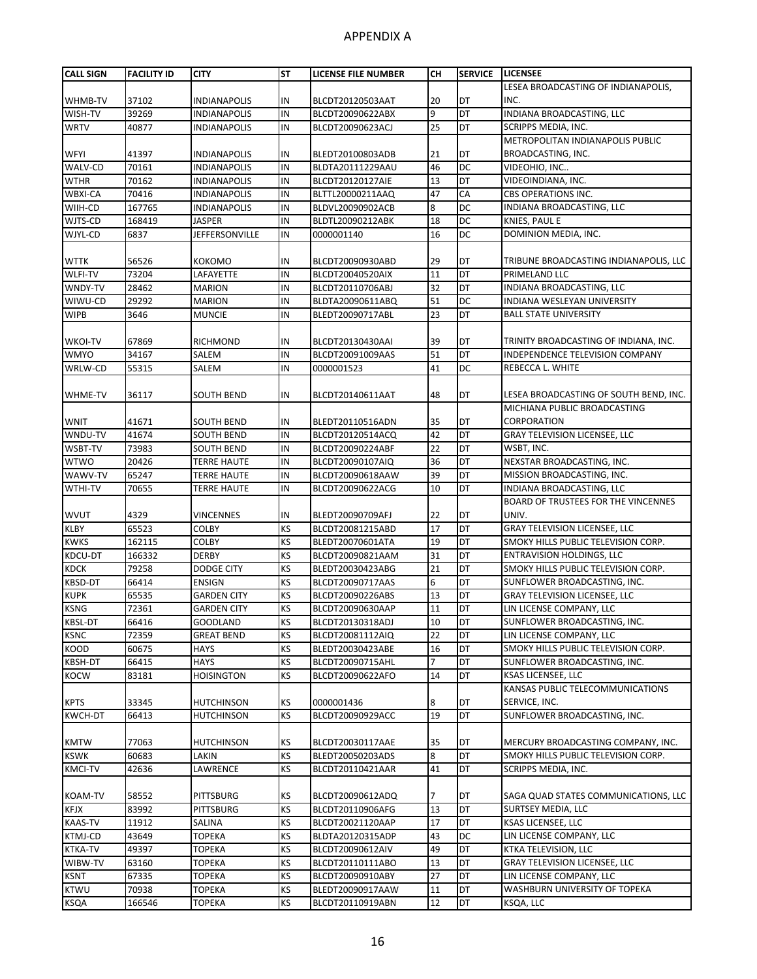| <b>CALL SIGN</b> | <b>FACILITY ID</b> | <b>CITY</b>         | <b>ST</b> | LICENSE FILE NUMBER | <b>CH</b> | <b>SERVICE</b>  | <b>LICENSEE</b>                        |
|------------------|--------------------|---------------------|-----------|---------------------|-----------|-----------------|----------------------------------------|
|                  |                    |                     |           |                     |           |                 | LESEA BROADCASTING OF INDIANAPOLIS,    |
| WHMB-TV          | 37102              | <b>INDIANAPOLIS</b> | IN        | BLCDT20120503AAT    | 20        | DT              | INC.                                   |
| WISH-TV          | 39269              | <b>INDIANAPOLIS</b> | IN        | BLCDT20090622ABX    | 9         | $\overline{DT}$ | INDIANA BROADCASTING, LLC              |
| <b>WRTV</b>      | 40877              | <b>INDIANAPOLIS</b> | IN        | BLCDT20090623ACJ    | 25        | DT              | SCRIPPS MEDIA, INC.                    |
|                  |                    |                     |           |                     |           |                 | METROPOLITAN INDIANAPOLIS PUBLIC       |
| WFYI             | 41397              | <b>INDIANAPOLIS</b> | IN        | BLEDT20100803ADB    | 21        | DT              | BROADCASTING, INC.                     |
| WALV-CD          | 70161              | <b>INDIANAPOLIS</b> | IN        | BLDTA20111229AAU    | 46        | DC              | VIDEOHIO, INC                          |
| <b>WTHR</b>      | 70162              | <b>INDIANAPOLIS</b> | IN        | BLCDT20120127AIE    | 13        | DT              | VIDEOINDIANA, INC.                     |
| <b>WBXI-CA</b>   | 70416              | <b>INDIANAPOLIS</b> | IN        | BLTTL20000211AAQ    | 47        | CA              | <b>CBS OPERATIONS INC.</b>             |
| WIIH-CD          | 167765             | <b>INDIANAPOLIS</b> | IN        | BLDVL20090902ACB    | 8         | <b>DC</b>       | INDIANA BROADCASTING, LLC              |
| WJTS-CD          | 168419             | <b>JASPER</b>       | IN        | BLDTL20090212ABK    | 18        | DC              | KNIES, PAUL E                          |
| WJYL-CD          | 6837               | JEFFERSONVILLE      | IN        | 0000001140          | 16        | DC              | DOMINION MEDIA, INC.                   |
|                  |                    |                     |           |                     |           |                 |                                        |
| <b>WTTK</b>      | 56526              | <b>KOKOMO</b>       | IN        | BLCDT20090930ABD    | 29        | DT              | TRIBUNE BROADCASTING INDIANAPOLIS, LLC |
| WLFI-TV          | 73204              | LAFAYETTE           | IN        | BLCDT20040520AIX    | 11        | DT              | PRIMELAND LLC                          |
| WNDY-TV          | 28462              | <b>MARION</b>       | IN        | BLCDT20110706ABJ    | 32        | DT              | INDIANA BROADCASTING, LLC              |
| WIWU-CD          | 29292              | <b>MARION</b>       | IN        | BLDTA20090611ABQ    | 51        | DC              | INDIANA WESLEYAN UNIVERSITY            |
| <b>WIPB</b>      | 3646               | <b>MUNCIE</b>       | IN        | BLEDT20090717ABL    | 23        | DT              | <b>BALL STATE UNIVERSITY</b>           |
|                  |                    |                     |           |                     |           |                 |                                        |
|                  | 67869              |                     |           |                     | 39        | DT              |                                        |
| <b>WKOI-TV</b>   |                    | RICHMOND            | IN        | BLCDT20130430AAI    |           | DT              | TRINITY BROADCASTING OF INDIANA, INC.  |
| <b>WMYO</b>      | 34167              | SALEM               | IN<br>IN  | BLCDT20091009AAS    | 51        | DC              | INDEPENDENCE TELEVISION COMPANY        |
| WRLW-CD          | 55315              | SALEM               |           | 0000001523          | 41        |                 | REBECCA L. WHITE                       |
|                  |                    |                     |           |                     |           |                 |                                        |
| <b>WHME-TV</b>   | 36117              | <b>SOUTH BEND</b>   | IN        | BLCDT20140611AAT    | 48        | DT              | LESEA BROADCASTING OF SOUTH BEND, INC. |
|                  |                    |                     |           |                     |           |                 | MICHIANA PUBLIC BROADCASTING           |
| <b>WNIT</b>      | 41671              | <b>SOUTH BEND</b>   | IN        | BLEDT20110516ADN    | 35        | DT              | CORPORATION                            |
| WNDU-TV          | 41674              | <b>SOUTH BEND</b>   | IN        | BLCDT20120514ACQ    | 42        | DT              | <b>GRAY TELEVISION LICENSEE, LLC</b>   |
| WSBT-TV          | 73983              | <b>SOUTH BEND</b>   | IN        | BLCDT20090224ABF    | 22        | DT              | WSBT, INC.                             |
| <b>WTWO</b>      | 20426              | <b>TERRE HAUTE</b>  | IN        | BLCDT20090107AIQ    | 36        | DT              | NEXSTAR BROADCASTING, INC.             |
| WAWV-TV          | 65247              | <b>TERRE HAUTE</b>  | IN        | BLCDT20090618AAW    | 39        | DT              | MISSION BROADCASTING, INC.             |
| WTHI-TV          | 70655              | <b>TERRE HAUTE</b>  | IN        | BLCDT20090622ACG    | 10        | DT              | INDIANA BROADCASTING, LLC              |
|                  |                    |                     |           |                     |           |                 | BOARD OF TRUSTEES FOR THE VINCENNES    |
| <b>WVUT</b>      | 4329               | VINCENNES           | IN        | BLEDT20090709AFJ    | 22        | DT              | UNIV.                                  |
| <b>KLBY</b>      | 65523              | <b>COLBY</b>        | KS        | BLCDT20081215ABD    | 17        | DT              | <b>GRAY TELEVISION LICENSEE, LLC</b>   |
| <b>KWKS</b>      | 162115             | <b>COLBY</b>        | KS        | BLEDT20070601ATA    | 19        | DT              | SMOKY HILLS PUBLIC TELEVISION CORP.    |
| KDCU-DT          | 166332             | <b>DERBY</b>        | KS        | BLCDT20090821AAM    | 31        | DT              | <b>ENTRAVISION HOLDINGS, LLC</b>       |
| <b>KDCK</b>      | 79258              | <b>DODGE CITY</b>   | KS        | BLEDT20030423ABG    | 21        | DT              | SMOKY HILLS PUBLIC TELEVISION CORP.    |
| <b>KBSD-DT</b>   | 66414              | <b>ENSIGN</b>       | KS        | BLCDT20090717AAS    | 6         | DT              | SUNFLOWER BROADCASTING, INC.           |
| <b>KUPK</b>      | 65535              | <b>GARDEN CITY</b>  | KS        | BLCDT20090226ABS    | 13        | DT              | <b>GRAY TELEVISION LICENSEE, LLC</b>   |
| <b>KSNG</b>      | 72361              | <b>GARDEN CITY</b>  | KS        | BLCDT20090630AAP    | 11        | DT              | LIN LICENSE COMPANY, LLC               |
| <b>KBSL-DT</b>   | 66416              | <b>GOODLAND</b>     | <b>KS</b> | BLCDT20130318ADJ    | 10        | DT              | SUNFLOWER BROADCASTING, INC.           |
| <b>KSNC</b>      | 72359              | <b>GREAT BEND</b>   | KS        | BLCDT20081112AIQ    | 22        | DT              | LIN LICENSE COMPANY, LLC               |
| KOOD             | 60675              | HAYS                | KS        | BLEDT20030423ABE    | 16        | DT              | SMOKY HILLS PUBLIC TELEVISION CORP.    |
| KBSH-DT          | 66415              | HAYS                | KS        | BLCDT20090715AHL    | 7         | DT              | SUNFLOWER BROADCASTING, INC.           |
| <b>KOCW</b>      | 83181              | HOISINGTON          | KS        | BLCDT20090622AFO    | 14        | DT              | KSAS LICENSEE, LLC                     |
|                  |                    |                     |           |                     |           |                 | KANSAS PUBLIC TELECOMMUNICATIONS       |
| <b>KPTS</b>      | 33345              | HUTCHINSON          | KS        | 0000001436          | 8         | DT              | SERVICE, INC.                          |
| KWCH-DT          | 66413              | HUTCHINSON          | KS        | BLCDT20090929ACC    | 19        | DT              | SUNFLOWER BROADCASTING, INC.           |
|                  |                    |                     |           |                     |           |                 |                                        |
| <b>KMTW</b>      | 77063              | HUTCHINSON          | KS        | BLCDT20030117AAE    | 35        | DT              | MERCURY BROADCASTING COMPANY, INC.     |
| <b>KSWK</b>      | 60683              | LAKIN               | KS        | BLEDT20050203ADS    | 8         | DT              | SMOKY HILLS PUBLIC TELEVISION CORP.    |
| <b>KMCI-TV</b>   | 42636              | LAWRENCE            | KS        | BLCDT20110421AAR    | 41        | DT              | SCRIPPS MEDIA, INC.                    |
|                  |                    |                     |           |                     |           |                 |                                        |
| <b>KOAM-TV</b>   | 58552              | PITTSBURG           | <b>KS</b> | BLCDT20090612ADQ    |           | DT              | SAGA QUAD STATES COMMUNICATIONS, LLC   |
| <b>KFJX</b>      | 83992              | <b>PITTSBURG</b>    | <b>KS</b> | BLCDT20110906AFG    | 13        | DT              | <b>SURTSEY MEDIA, LLC</b>              |
| <b>KAAS-TV</b>   | 11912              | SALINA              | KS        | BLCDT20021120AAP    | 17        | DT              | KSAS LICENSEE, LLC                     |
| <b>KTMJ-CD</b>   | 43649              | TOPEKA              | KS        | BLDTA20120315ADP    | 43        | DC              | LIN LICENSE COMPANY, LLC               |
| <b>KTKA-TV</b>   | 49397              | TOPEKA              | KS        | BLCDT20090612AIV    | 49        | DT              | KTKA TELEVISION, LLC                   |
| WIBW-TV          | 63160              | <b>TOPEKA</b>       | KS        | BLCDT20110111ABO    | 13        | DT              | GRAY TELEVISION LICENSEE, LLC          |
| <b>KSNT</b>      | 67335              | <b>TOPEKA</b>       | KS        | BLCDT20090910ABY    | 27        | DT              | LIN LICENSE COMPANY, LLC               |
| <b>KTWU</b>      | 70938              | ТОРЕКА              | KS        | BLEDT20090917AAW    | 11        | DT              | WASHBURN UNIVERSITY OF TOPEKA          |
| KSQA             | 166546             | TOPEKA              | KS        | BLCDT20110919ABN    | 12        | DT              | KSQA, LLC                              |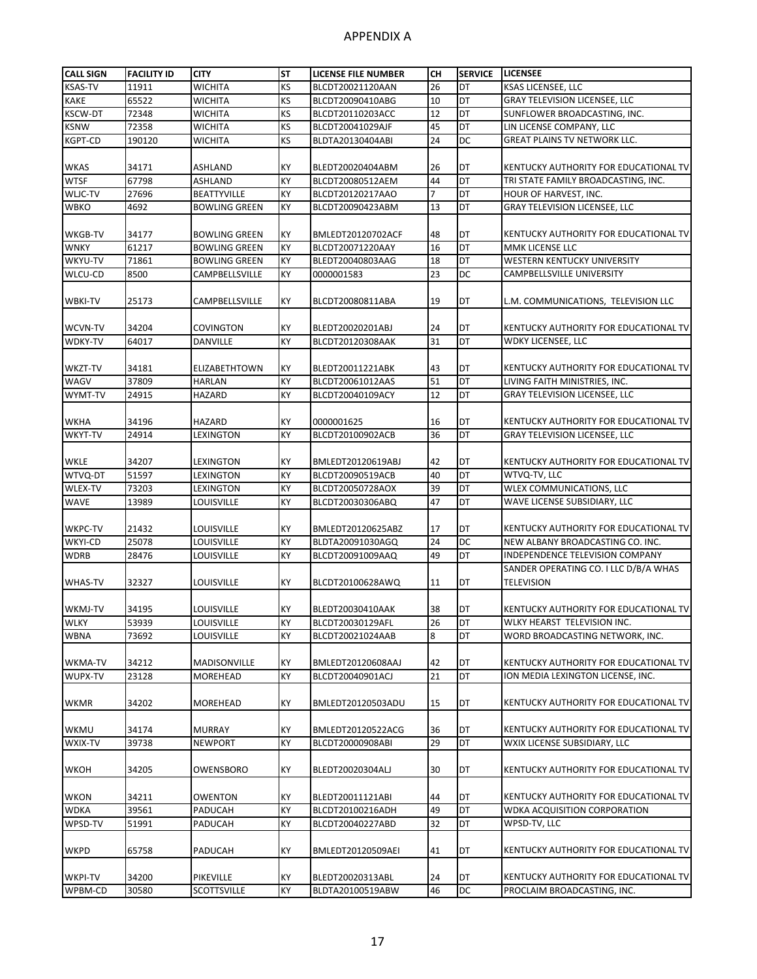| KS<br><b>KSAS-TV</b><br>26<br>DT<br>11911<br><b>WICHITA</b><br>BLCDT20021120AAN<br>KSAS LICENSEE, LLC<br>KS<br>DT<br><b>KAKE</b><br>65522<br>10<br><b>GRAY TELEVISION LICENSEE, LLC</b><br><b>WICHITA</b><br>BLCDT20090410ABG<br>DT<br>72348<br>KS<br>12<br>SUNFLOWER BROADCASTING, INC.<br><b>KSCW-DT</b><br>WICHITA<br>BLCDT20110203ACC<br>KS<br>DT<br><b>KSNW</b><br>45<br>LIN LICENSE COMPANY, LLC<br>72358<br>WICHITA<br>BLCDT20041029AJF<br>DC<br>KS<br>24<br><b>GREAT PLAINS TV NETWORK LLC.</b><br><b>KGPT-CD</b><br>190120<br>WICHITA<br>BLDTA20130404ABI<br>KY<br><b>WKAS</b><br>34171<br>ASHLAND<br>26<br>DT<br>BLEDT20020404ABM<br>KENTUCKY AUTHORITY FOR EDUCATIONAL TV<br>67798<br>KY<br>DT<br><b>WTSF</b><br>44<br>ASHLAND<br>BLCDT20080512AEM<br>TRI STATE FAMILY BROADCASTING, INC.<br>WLJC-TV<br>KY<br>7<br>DT<br>27696<br><b>BEATTYVILLE</b><br>BLCDT20120217AAO<br>HOUR OF HARVEST, INC.<br>DT<br><b>GRAY TELEVISION LICENSEE, LLC</b><br><b>WBKO</b><br>4692<br><b>BOWLING GREEN</b><br>KY<br>BLCDT20090423ABM<br>13<br>KY<br>34177<br>48<br>DT<br>KENTUCKY AUTHORITY FOR EDUCATIONAL TV<br>WKGB-TV<br><b>BOWLING GREEN</b><br><b>BMLEDT20120702ACF</b><br>DT<br>KY<br>16<br>MMK LICENSE LLC<br><b>WNKY</b><br>61217<br><b>BOWLING GREEN</b><br>BLCDT20071220AAY<br>DT<br>WKYU-TV<br>71861<br>KY<br><b>BOWLING GREEN</b><br>BLEDT20040803AAG<br>18<br>WESTERN KENTUCKY UNIVERSITY<br>KY<br>23<br>DC<br>WLCU-CD<br>8500<br>CAMPBELLSVILLE<br>CAMPBELLSVILLE UNIVERSITY<br>0000001583<br>KY<br>DT<br>25173<br>19<br><b>WBKI-TV</b><br>CAMPBELLSVILLE<br>BLCDT20080811ABA<br>L.M. COMMUNICATIONS, TELEVISION LLC<br>34204<br>KY<br>DT<br>WCVN-TV<br>COVINGTON<br>BLEDT20020201ABJ<br>24<br>KENTUCKY AUTHORITY FOR EDUCATIONAL TV<br>31<br>DT<br>KY<br><b>WDKY LICENSEE, LLC</b><br>WDKY-TV<br>64017<br>DANVILLE<br>BLCDT20120308AAK<br>KY<br>43<br>DT<br>KENTUCKY AUTHORITY FOR EDUCATIONAL TV<br>WKZT-TV<br>34181<br><b>ELIZABETHTOWN</b><br>BLEDT20011221ABK<br>KY<br>51<br>DT<br>37809<br>LIVING FAITH MINISTRIES, INC.<br>WAGV<br><b>HARLAN</b><br>BLCDT20061012AAS<br>KY<br>12<br>DT<br><b>GRAY TELEVISION LICENSEE, LLC</b><br>WYMT-TV<br>24915<br>HAZARD<br>BLCDT20040109ACY<br>KY<br>DT<br>KENTUCKY AUTHORITY FOR EDUCATIONAL TV<br><b>WKHA</b><br>34196<br>HAZARD<br>0000001625<br>16<br>KY<br>DT<br>36<br><b>WKYT-TV</b><br>24914<br>BLCDT20100902ACB<br><b>GRAY TELEVISION LICENSEE, LLC</b><br>LEXINGTON<br>34207<br><b>WKLE</b><br>KY<br>42<br>DT<br>KENTUCKY AUTHORITY FOR EDUCATIONAL TV<br>LEXINGTON<br>BMLEDT20120619ABJ<br>DT<br>WTVQ-DT<br>51597<br>KY<br>40<br>WTVQ-TV, LLC<br>LEXINGTON<br>BLCDT20090519ACB<br>KY<br>39<br>DT<br>WLEX COMMUNICATIONS, LLC<br>WLEX-TV<br>73203<br>LEXINGTON<br>BLCDT20050728AOX<br>DT<br>KY<br>47<br>WAVE LICENSE SUBSIDIARY, LLC<br><b>WAVE</b><br>13989<br>LOUISVILLE<br>BLCDT20030306ABQ<br>KY<br>DT<br><b>WKPC-TV</b><br>21432<br>LOUISVILLE<br>BMLEDT20120625ABZ<br>17<br>KENTUCKY AUTHORITY FOR EDUCATIONAL TV<br>WKYI-CD<br>25078<br>KY<br>24<br>DC<br>LOUISVILLE<br>BLDTA20091030AGQ<br>NEW ALBANY BROADCASTING CO. INC.<br>DT<br>KY<br><b>WDRB</b><br>28476<br>LOUISVILLE<br>BLCDT20091009AAQ<br>49<br>INDEPENDENCE TELEVISION COMPANY<br>SANDER OPERATING CO. I LLC D/B/A WHAS<br>KY<br><b>WHAS-TV</b><br>32327<br>LOUISVILLE<br>11<br>DT<br><b>TELEVISION</b><br>BLCDT20100628AWQ<br>KY<br>DT<br>WKMJ-TV<br>34195<br>LOUISVILLE<br>BLEDT20030410AAK<br>38<br>KENTUCKY AUTHORITY FOR EDUCATIONAL TV<br><b>WLKY</b><br>53939<br>LOUISVILLE<br>KY<br>BLCDT20030129AFL<br>26<br>DT<br>WLKY HEARST TELEVISION INC.<br>KY<br>8<br>DT<br>WORD BROADCASTING NETWORK, INC.<br><b>WBNA</b><br>73692<br>LOUISVILLE<br>BLCDT20021024AAB<br>DT<br>KENTUCKY AUTHORITY FOR EDUCATIONAL TV<br>34212<br>MADISONVILLE<br>KY<br>BMLEDT20120608AAJ<br>42<br>WKMA-TV<br>21<br>DT<br>WUPX-TV<br>KY<br>ION MEDIA LEXINGTON LICENSE, INC.<br>23128<br>MOREHEAD<br>BLCDT20040901ACJ<br>15<br>34202<br>KY<br>DT<br>KENTUCKY AUTHORITY FOR EDUCATIONAL TV<br><b>WKMR</b><br>MOREHEAD<br>BMLEDT20120503ADU<br>KY<br><b>WKMU</b><br>34174<br><b>MURRAY</b><br>BMLEDT20120522ACG<br>36<br>DT<br>KENTUCKY AUTHORITY FOR EDUCATIONAL TV<br>KY<br>29<br>DT<br>WXIX-TV<br>39738<br><b>NEWPORT</b><br>BLCDT20000908ABI<br>WXIX LICENSE SUBSIDIARY, LLC<br><b>WKOH</b><br>34205<br>KY<br>30<br>DT<br>OWENSBORO<br>BLEDT20020304ALJ<br>KENTUCKY AUTHORITY FOR EDUCATIONAL TV<br><b>WKON</b><br>34211<br>OWENTON<br>KY<br>44<br>DT<br>KENTUCKY AUTHORITY FOR EDUCATIONAL TV<br>BLEDT20011121ABI<br>KY<br>DT<br><b>WDKA</b><br>39561<br>49<br><b>WDKA ACQUISITION CORPORATION</b><br>PADUCAH<br>BLCDT20100216ADH<br>32<br>DT<br>WPSD-TV<br>KY<br>WPSD-TV, LLC<br>51991<br>PADUCAH<br>BLCDT20040227ABD<br><b>WKPD</b><br>65758<br>KY<br>41<br>DT<br>KENTUCKY AUTHORITY FOR EDUCATIONAL TV<br>PADUCAH<br>BMLEDT20120509AEI<br>KY<br>DT<br>KENTUCKY AUTHORITY FOR EDUCATIONAL TV<br><b>WKPI-TV</b><br>34200<br>PIKEVILLE<br>BLEDT20020313ABL<br>24<br>DC<br>KY<br>46<br>PROCLAIM BROADCASTING, INC.<br>WPBM-CD<br>30580<br><b>SCOTTSVILLE</b><br>BLDTA20100519ABW | <b>CALL SIGN</b> | <b>FACILITY ID</b> | <b>CITY</b> | <b>ST</b> | <b>LICENSE FILE NUMBER</b> | CН | <b>SERVICE</b> | <b>LICENSEE</b> |
|----------------------------------------------------------------------------------------------------------------------------------------------------------------------------------------------------------------------------------------------------------------------------------------------------------------------------------------------------------------------------------------------------------------------------------------------------------------------------------------------------------------------------------------------------------------------------------------------------------------------------------------------------------------------------------------------------------------------------------------------------------------------------------------------------------------------------------------------------------------------------------------------------------------------------------------------------------------------------------------------------------------------------------------------------------------------------------------------------------------------------------------------------------------------------------------------------------------------------------------------------------------------------------------------------------------------------------------------------------------------------------------------------------------------------------------------------------------------------------------------------------------------------------------------------------------------------------------------------------------------------------------------------------------------------------------------------------------------------------------------------------------------------------------------------------------------------------------------------------------------------------------------------------------------------------------------------------------------------------------------------------------------------------------------------------------------------------------------------------------------------------------------------------------------------------------------------------------------------------------------------------------------------------------------------------------------------------------------------------------------------------------------------------------------------------------------------------------------------------------------------------------------------------------------------------------------------------------------------------------------------------------------------------------------------------------------------------------------------------------------------------------------------------------------------------------------------------------------------------------------------------------------------------------------------------------------------------------------------------------------------------------------------------------------------------------------------------------------------------------------------------------------------------------------------------------------------------------------------------------------------------------------------------------------------------------------------------------------------------------------------------------------------------------------------------------------------------------------------------------------------------------------------------------------------------------------------------------------------------------------------------------------------------------------------------------------------------------------------------------------------------------------------------------------------------------------------------------------------------------------------------------------------------------------------------------------------------------------------------------------------------------------------------------------------------------------------------------------------------------------------------------------------------------------------------------------------------------------------------------------------------------------------------------------------------------------------------------------------------------------------------------------------------------------------------------------------------------------------------------------------------------------------------------------------------------------------------------------------------------------------------------------------------------------------------------------------------------------------------------------------------------------------------------------------------------------------------------------------------------------------------------------------------------------------------------------------------------------------------------------------------------------------------------------------------------------------------------------------------|------------------|--------------------|-------------|-----------|----------------------------|----|----------------|-----------------|
|                                                                                                                                                                                                                                                                                                                                                                                                                                                                                                                                                                                                                                                                                                                                                                                                                                                                                                                                                                                                                                                                                                                                                                                                                                                                                                                                                                                                                                                                                                                                                                                                                                                                                                                                                                                                                                                                                                                                                                                                                                                                                                                                                                                                                                                                                                                                                                                                                                                                                                                                                                                                                                                                                                                                                                                                                                                                                                                                                                                                                                                                                                                                                                                                                                                                                                                                                                                                                                                                                                                                                                                                                                                                                                                                                                                                                                                                                                                                                                                                                                                                                                                                                                                                                                                                                                                                                                                                                                                                                                                                                                                                                                                                                                                                                                                                                                                                                                                                                                                                                                                                                                          |                  |                    |             |           |                            |    |                |                 |
|                                                                                                                                                                                                                                                                                                                                                                                                                                                                                                                                                                                                                                                                                                                                                                                                                                                                                                                                                                                                                                                                                                                                                                                                                                                                                                                                                                                                                                                                                                                                                                                                                                                                                                                                                                                                                                                                                                                                                                                                                                                                                                                                                                                                                                                                                                                                                                                                                                                                                                                                                                                                                                                                                                                                                                                                                                                                                                                                                                                                                                                                                                                                                                                                                                                                                                                                                                                                                                                                                                                                                                                                                                                                                                                                                                                                                                                                                                                                                                                                                                                                                                                                                                                                                                                                                                                                                                                                                                                                                                                                                                                                                                                                                                                                                                                                                                                                                                                                                                                                                                                                                                          |                  |                    |             |           |                            |    |                |                 |
|                                                                                                                                                                                                                                                                                                                                                                                                                                                                                                                                                                                                                                                                                                                                                                                                                                                                                                                                                                                                                                                                                                                                                                                                                                                                                                                                                                                                                                                                                                                                                                                                                                                                                                                                                                                                                                                                                                                                                                                                                                                                                                                                                                                                                                                                                                                                                                                                                                                                                                                                                                                                                                                                                                                                                                                                                                                                                                                                                                                                                                                                                                                                                                                                                                                                                                                                                                                                                                                                                                                                                                                                                                                                                                                                                                                                                                                                                                                                                                                                                                                                                                                                                                                                                                                                                                                                                                                                                                                                                                                                                                                                                                                                                                                                                                                                                                                                                                                                                                                                                                                                                                          |                  |                    |             |           |                            |    |                |                 |
|                                                                                                                                                                                                                                                                                                                                                                                                                                                                                                                                                                                                                                                                                                                                                                                                                                                                                                                                                                                                                                                                                                                                                                                                                                                                                                                                                                                                                                                                                                                                                                                                                                                                                                                                                                                                                                                                                                                                                                                                                                                                                                                                                                                                                                                                                                                                                                                                                                                                                                                                                                                                                                                                                                                                                                                                                                                                                                                                                                                                                                                                                                                                                                                                                                                                                                                                                                                                                                                                                                                                                                                                                                                                                                                                                                                                                                                                                                                                                                                                                                                                                                                                                                                                                                                                                                                                                                                                                                                                                                                                                                                                                                                                                                                                                                                                                                                                                                                                                                                                                                                                                                          |                  |                    |             |           |                            |    |                |                 |
|                                                                                                                                                                                                                                                                                                                                                                                                                                                                                                                                                                                                                                                                                                                                                                                                                                                                                                                                                                                                                                                                                                                                                                                                                                                                                                                                                                                                                                                                                                                                                                                                                                                                                                                                                                                                                                                                                                                                                                                                                                                                                                                                                                                                                                                                                                                                                                                                                                                                                                                                                                                                                                                                                                                                                                                                                                                                                                                                                                                                                                                                                                                                                                                                                                                                                                                                                                                                                                                                                                                                                                                                                                                                                                                                                                                                                                                                                                                                                                                                                                                                                                                                                                                                                                                                                                                                                                                                                                                                                                                                                                                                                                                                                                                                                                                                                                                                                                                                                                                                                                                                                                          |                  |                    |             |           |                            |    |                |                 |
|                                                                                                                                                                                                                                                                                                                                                                                                                                                                                                                                                                                                                                                                                                                                                                                                                                                                                                                                                                                                                                                                                                                                                                                                                                                                                                                                                                                                                                                                                                                                                                                                                                                                                                                                                                                                                                                                                                                                                                                                                                                                                                                                                                                                                                                                                                                                                                                                                                                                                                                                                                                                                                                                                                                                                                                                                                                                                                                                                                                                                                                                                                                                                                                                                                                                                                                                                                                                                                                                                                                                                                                                                                                                                                                                                                                                                                                                                                                                                                                                                                                                                                                                                                                                                                                                                                                                                                                                                                                                                                                                                                                                                                                                                                                                                                                                                                                                                                                                                                                                                                                                                                          |                  |                    |             |           |                            |    |                |                 |
|                                                                                                                                                                                                                                                                                                                                                                                                                                                                                                                                                                                                                                                                                                                                                                                                                                                                                                                                                                                                                                                                                                                                                                                                                                                                                                                                                                                                                                                                                                                                                                                                                                                                                                                                                                                                                                                                                                                                                                                                                                                                                                                                                                                                                                                                                                                                                                                                                                                                                                                                                                                                                                                                                                                                                                                                                                                                                                                                                                                                                                                                                                                                                                                                                                                                                                                                                                                                                                                                                                                                                                                                                                                                                                                                                                                                                                                                                                                                                                                                                                                                                                                                                                                                                                                                                                                                                                                                                                                                                                                                                                                                                                                                                                                                                                                                                                                                                                                                                                                                                                                                                                          |                  |                    |             |           |                            |    |                |                 |
|                                                                                                                                                                                                                                                                                                                                                                                                                                                                                                                                                                                                                                                                                                                                                                                                                                                                                                                                                                                                                                                                                                                                                                                                                                                                                                                                                                                                                                                                                                                                                                                                                                                                                                                                                                                                                                                                                                                                                                                                                                                                                                                                                                                                                                                                                                                                                                                                                                                                                                                                                                                                                                                                                                                                                                                                                                                                                                                                                                                                                                                                                                                                                                                                                                                                                                                                                                                                                                                                                                                                                                                                                                                                                                                                                                                                                                                                                                                                                                                                                                                                                                                                                                                                                                                                                                                                                                                                                                                                                                                                                                                                                                                                                                                                                                                                                                                                                                                                                                                                                                                                                                          |                  |                    |             |           |                            |    |                |                 |
|                                                                                                                                                                                                                                                                                                                                                                                                                                                                                                                                                                                                                                                                                                                                                                                                                                                                                                                                                                                                                                                                                                                                                                                                                                                                                                                                                                                                                                                                                                                                                                                                                                                                                                                                                                                                                                                                                                                                                                                                                                                                                                                                                                                                                                                                                                                                                                                                                                                                                                                                                                                                                                                                                                                                                                                                                                                                                                                                                                                                                                                                                                                                                                                                                                                                                                                                                                                                                                                                                                                                                                                                                                                                                                                                                                                                                                                                                                                                                                                                                                                                                                                                                                                                                                                                                                                                                                                                                                                                                                                                                                                                                                                                                                                                                                                                                                                                                                                                                                                                                                                                                                          |                  |                    |             |           |                            |    |                |                 |
|                                                                                                                                                                                                                                                                                                                                                                                                                                                                                                                                                                                                                                                                                                                                                                                                                                                                                                                                                                                                                                                                                                                                                                                                                                                                                                                                                                                                                                                                                                                                                                                                                                                                                                                                                                                                                                                                                                                                                                                                                                                                                                                                                                                                                                                                                                                                                                                                                                                                                                                                                                                                                                                                                                                                                                                                                                                                                                                                                                                                                                                                                                                                                                                                                                                                                                                                                                                                                                                                                                                                                                                                                                                                                                                                                                                                                                                                                                                                                                                                                                                                                                                                                                                                                                                                                                                                                                                                                                                                                                                                                                                                                                                                                                                                                                                                                                                                                                                                                                                                                                                                                                          |                  |                    |             |           |                            |    |                |                 |
|                                                                                                                                                                                                                                                                                                                                                                                                                                                                                                                                                                                                                                                                                                                                                                                                                                                                                                                                                                                                                                                                                                                                                                                                                                                                                                                                                                                                                                                                                                                                                                                                                                                                                                                                                                                                                                                                                                                                                                                                                                                                                                                                                                                                                                                                                                                                                                                                                                                                                                                                                                                                                                                                                                                                                                                                                                                                                                                                                                                                                                                                                                                                                                                                                                                                                                                                                                                                                                                                                                                                                                                                                                                                                                                                                                                                                                                                                                                                                                                                                                                                                                                                                                                                                                                                                                                                                                                                                                                                                                                                                                                                                                                                                                                                                                                                                                                                                                                                                                                                                                                                                                          |                  |                    |             |           |                            |    |                |                 |
|                                                                                                                                                                                                                                                                                                                                                                                                                                                                                                                                                                                                                                                                                                                                                                                                                                                                                                                                                                                                                                                                                                                                                                                                                                                                                                                                                                                                                                                                                                                                                                                                                                                                                                                                                                                                                                                                                                                                                                                                                                                                                                                                                                                                                                                                                                                                                                                                                                                                                                                                                                                                                                                                                                                                                                                                                                                                                                                                                                                                                                                                                                                                                                                                                                                                                                                                                                                                                                                                                                                                                                                                                                                                                                                                                                                                                                                                                                                                                                                                                                                                                                                                                                                                                                                                                                                                                                                                                                                                                                                                                                                                                                                                                                                                                                                                                                                                                                                                                                                                                                                                                                          |                  |                    |             |           |                            |    |                |                 |
|                                                                                                                                                                                                                                                                                                                                                                                                                                                                                                                                                                                                                                                                                                                                                                                                                                                                                                                                                                                                                                                                                                                                                                                                                                                                                                                                                                                                                                                                                                                                                                                                                                                                                                                                                                                                                                                                                                                                                                                                                                                                                                                                                                                                                                                                                                                                                                                                                                                                                                                                                                                                                                                                                                                                                                                                                                                                                                                                                                                                                                                                                                                                                                                                                                                                                                                                                                                                                                                                                                                                                                                                                                                                                                                                                                                                                                                                                                                                                                                                                                                                                                                                                                                                                                                                                                                                                                                                                                                                                                                                                                                                                                                                                                                                                                                                                                                                                                                                                                                                                                                                                                          |                  |                    |             |           |                            |    |                |                 |
|                                                                                                                                                                                                                                                                                                                                                                                                                                                                                                                                                                                                                                                                                                                                                                                                                                                                                                                                                                                                                                                                                                                                                                                                                                                                                                                                                                                                                                                                                                                                                                                                                                                                                                                                                                                                                                                                                                                                                                                                                                                                                                                                                                                                                                                                                                                                                                                                                                                                                                                                                                                                                                                                                                                                                                                                                                                                                                                                                                                                                                                                                                                                                                                                                                                                                                                                                                                                                                                                                                                                                                                                                                                                                                                                                                                                                                                                                                                                                                                                                                                                                                                                                                                                                                                                                                                                                                                                                                                                                                                                                                                                                                                                                                                                                                                                                                                                                                                                                                                                                                                                                                          |                  |                    |             |           |                            |    |                |                 |
|                                                                                                                                                                                                                                                                                                                                                                                                                                                                                                                                                                                                                                                                                                                                                                                                                                                                                                                                                                                                                                                                                                                                                                                                                                                                                                                                                                                                                                                                                                                                                                                                                                                                                                                                                                                                                                                                                                                                                                                                                                                                                                                                                                                                                                                                                                                                                                                                                                                                                                                                                                                                                                                                                                                                                                                                                                                                                                                                                                                                                                                                                                                                                                                                                                                                                                                                                                                                                                                                                                                                                                                                                                                                                                                                                                                                                                                                                                                                                                                                                                                                                                                                                                                                                                                                                                                                                                                                                                                                                                                                                                                                                                                                                                                                                                                                                                                                                                                                                                                                                                                                                                          |                  |                    |             |           |                            |    |                |                 |
|                                                                                                                                                                                                                                                                                                                                                                                                                                                                                                                                                                                                                                                                                                                                                                                                                                                                                                                                                                                                                                                                                                                                                                                                                                                                                                                                                                                                                                                                                                                                                                                                                                                                                                                                                                                                                                                                                                                                                                                                                                                                                                                                                                                                                                                                                                                                                                                                                                                                                                                                                                                                                                                                                                                                                                                                                                                                                                                                                                                                                                                                                                                                                                                                                                                                                                                                                                                                                                                                                                                                                                                                                                                                                                                                                                                                                                                                                                                                                                                                                                                                                                                                                                                                                                                                                                                                                                                                                                                                                                                                                                                                                                                                                                                                                                                                                                                                                                                                                                                                                                                                                                          |                  |                    |             |           |                            |    |                |                 |
|                                                                                                                                                                                                                                                                                                                                                                                                                                                                                                                                                                                                                                                                                                                                                                                                                                                                                                                                                                                                                                                                                                                                                                                                                                                                                                                                                                                                                                                                                                                                                                                                                                                                                                                                                                                                                                                                                                                                                                                                                                                                                                                                                                                                                                                                                                                                                                                                                                                                                                                                                                                                                                                                                                                                                                                                                                                                                                                                                                                                                                                                                                                                                                                                                                                                                                                                                                                                                                                                                                                                                                                                                                                                                                                                                                                                                                                                                                                                                                                                                                                                                                                                                                                                                                                                                                                                                                                                                                                                                                                                                                                                                                                                                                                                                                                                                                                                                                                                                                                                                                                                                                          |                  |                    |             |           |                            |    |                |                 |
|                                                                                                                                                                                                                                                                                                                                                                                                                                                                                                                                                                                                                                                                                                                                                                                                                                                                                                                                                                                                                                                                                                                                                                                                                                                                                                                                                                                                                                                                                                                                                                                                                                                                                                                                                                                                                                                                                                                                                                                                                                                                                                                                                                                                                                                                                                                                                                                                                                                                                                                                                                                                                                                                                                                                                                                                                                                                                                                                                                                                                                                                                                                                                                                                                                                                                                                                                                                                                                                                                                                                                                                                                                                                                                                                                                                                                                                                                                                                                                                                                                                                                                                                                                                                                                                                                                                                                                                                                                                                                                                                                                                                                                                                                                                                                                                                                                                                                                                                                                                                                                                                                                          |                  |                    |             |           |                            |    |                |                 |
|                                                                                                                                                                                                                                                                                                                                                                                                                                                                                                                                                                                                                                                                                                                                                                                                                                                                                                                                                                                                                                                                                                                                                                                                                                                                                                                                                                                                                                                                                                                                                                                                                                                                                                                                                                                                                                                                                                                                                                                                                                                                                                                                                                                                                                                                                                                                                                                                                                                                                                                                                                                                                                                                                                                                                                                                                                                                                                                                                                                                                                                                                                                                                                                                                                                                                                                                                                                                                                                                                                                                                                                                                                                                                                                                                                                                                                                                                                                                                                                                                                                                                                                                                                                                                                                                                                                                                                                                                                                                                                                                                                                                                                                                                                                                                                                                                                                                                                                                                                                                                                                                                                          |                  |                    |             |           |                            |    |                |                 |
|                                                                                                                                                                                                                                                                                                                                                                                                                                                                                                                                                                                                                                                                                                                                                                                                                                                                                                                                                                                                                                                                                                                                                                                                                                                                                                                                                                                                                                                                                                                                                                                                                                                                                                                                                                                                                                                                                                                                                                                                                                                                                                                                                                                                                                                                                                                                                                                                                                                                                                                                                                                                                                                                                                                                                                                                                                                                                                                                                                                                                                                                                                                                                                                                                                                                                                                                                                                                                                                                                                                                                                                                                                                                                                                                                                                                                                                                                                                                                                                                                                                                                                                                                                                                                                                                                                                                                                                                                                                                                                                                                                                                                                                                                                                                                                                                                                                                                                                                                                                                                                                                                                          |                  |                    |             |           |                            |    |                |                 |
|                                                                                                                                                                                                                                                                                                                                                                                                                                                                                                                                                                                                                                                                                                                                                                                                                                                                                                                                                                                                                                                                                                                                                                                                                                                                                                                                                                                                                                                                                                                                                                                                                                                                                                                                                                                                                                                                                                                                                                                                                                                                                                                                                                                                                                                                                                                                                                                                                                                                                                                                                                                                                                                                                                                                                                                                                                                                                                                                                                                                                                                                                                                                                                                                                                                                                                                                                                                                                                                                                                                                                                                                                                                                                                                                                                                                                                                                                                                                                                                                                                                                                                                                                                                                                                                                                                                                                                                                                                                                                                                                                                                                                                                                                                                                                                                                                                                                                                                                                                                                                                                                                                          |                  |                    |             |           |                            |    |                |                 |
|                                                                                                                                                                                                                                                                                                                                                                                                                                                                                                                                                                                                                                                                                                                                                                                                                                                                                                                                                                                                                                                                                                                                                                                                                                                                                                                                                                                                                                                                                                                                                                                                                                                                                                                                                                                                                                                                                                                                                                                                                                                                                                                                                                                                                                                                                                                                                                                                                                                                                                                                                                                                                                                                                                                                                                                                                                                                                                                                                                                                                                                                                                                                                                                                                                                                                                                                                                                                                                                                                                                                                                                                                                                                                                                                                                                                                                                                                                                                                                                                                                                                                                                                                                                                                                                                                                                                                                                                                                                                                                                                                                                                                                                                                                                                                                                                                                                                                                                                                                                                                                                                                                          |                  |                    |             |           |                            |    |                |                 |
|                                                                                                                                                                                                                                                                                                                                                                                                                                                                                                                                                                                                                                                                                                                                                                                                                                                                                                                                                                                                                                                                                                                                                                                                                                                                                                                                                                                                                                                                                                                                                                                                                                                                                                                                                                                                                                                                                                                                                                                                                                                                                                                                                                                                                                                                                                                                                                                                                                                                                                                                                                                                                                                                                                                                                                                                                                                                                                                                                                                                                                                                                                                                                                                                                                                                                                                                                                                                                                                                                                                                                                                                                                                                                                                                                                                                                                                                                                                                                                                                                                                                                                                                                                                                                                                                                                                                                                                                                                                                                                                                                                                                                                                                                                                                                                                                                                                                                                                                                                                                                                                                                                          |                  |                    |             |           |                            |    |                |                 |
|                                                                                                                                                                                                                                                                                                                                                                                                                                                                                                                                                                                                                                                                                                                                                                                                                                                                                                                                                                                                                                                                                                                                                                                                                                                                                                                                                                                                                                                                                                                                                                                                                                                                                                                                                                                                                                                                                                                                                                                                                                                                                                                                                                                                                                                                                                                                                                                                                                                                                                                                                                                                                                                                                                                                                                                                                                                                                                                                                                                                                                                                                                                                                                                                                                                                                                                                                                                                                                                                                                                                                                                                                                                                                                                                                                                                                                                                                                                                                                                                                                                                                                                                                                                                                                                                                                                                                                                                                                                                                                                                                                                                                                                                                                                                                                                                                                                                                                                                                                                                                                                                                                          |                  |                    |             |           |                            |    |                |                 |
|                                                                                                                                                                                                                                                                                                                                                                                                                                                                                                                                                                                                                                                                                                                                                                                                                                                                                                                                                                                                                                                                                                                                                                                                                                                                                                                                                                                                                                                                                                                                                                                                                                                                                                                                                                                                                                                                                                                                                                                                                                                                                                                                                                                                                                                                                                                                                                                                                                                                                                                                                                                                                                                                                                                                                                                                                                                                                                                                                                                                                                                                                                                                                                                                                                                                                                                                                                                                                                                                                                                                                                                                                                                                                                                                                                                                                                                                                                                                                                                                                                                                                                                                                                                                                                                                                                                                                                                                                                                                                                                                                                                                                                                                                                                                                                                                                                                                                                                                                                                                                                                                                                          |                  |                    |             |           |                            |    |                |                 |
|                                                                                                                                                                                                                                                                                                                                                                                                                                                                                                                                                                                                                                                                                                                                                                                                                                                                                                                                                                                                                                                                                                                                                                                                                                                                                                                                                                                                                                                                                                                                                                                                                                                                                                                                                                                                                                                                                                                                                                                                                                                                                                                                                                                                                                                                                                                                                                                                                                                                                                                                                                                                                                                                                                                                                                                                                                                                                                                                                                                                                                                                                                                                                                                                                                                                                                                                                                                                                                                                                                                                                                                                                                                                                                                                                                                                                                                                                                                                                                                                                                                                                                                                                                                                                                                                                                                                                                                                                                                                                                                                                                                                                                                                                                                                                                                                                                                                                                                                                                                                                                                                                                          |                  |                    |             |           |                            |    |                |                 |
|                                                                                                                                                                                                                                                                                                                                                                                                                                                                                                                                                                                                                                                                                                                                                                                                                                                                                                                                                                                                                                                                                                                                                                                                                                                                                                                                                                                                                                                                                                                                                                                                                                                                                                                                                                                                                                                                                                                                                                                                                                                                                                                                                                                                                                                                                                                                                                                                                                                                                                                                                                                                                                                                                                                                                                                                                                                                                                                                                                                                                                                                                                                                                                                                                                                                                                                                                                                                                                                                                                                                                                                                                                                                                                                                                                                                                                                                                                                                                                                                                                                                                                                                                                                                                                                                                                                                                                                                                                                                                                                                                                                                                                                                                                                                                                                                                                                                                                                                                                                                                                                                                                          |                  |                    |             |           |                            |    |                |                 |
|                                                                                                                                                                                                                                                                                                                                                                                                                                                                                                                                                                                                                                                                                                                                                                                                                                                                                                                                                                                                                                                                                                                                                                                                                                                                                                                                                                                                                                                                                                                                                                                                                                                                                                                                                                                                                                                                                                                                                                                                                                                                                                                                                                                                                                                                                                                                                                                                                                                                                                                                                                                                                                                                                                                                                                                                                                                                                                                                                                                                                                                                                                                                                                                                                                                                                                                                                                                                                                                                                                                                                                                                                                                                                                                                                                                                                                                                                                                                                                                                                                                                                                                                                                                                                                                                                                                                                                                                                                                                                                                                                                                                                                                                                                                                                                                                                                                                                                                                                                                                                                                                                                          |                  |                    |             |           |                            |    |                |                 |
|                                                                                                                                                                                                                                                                                                                                                                                                                                                                                                                                                                                                                                                                                                                                                                                                                                                                                                                                                                                                                                                                                                                                                                                                                                                                                                                                                                                                                                                                                                                                                                                                                                                                                                                                                                                                                                                                                                                                                                                                                                                                                                                                                                                                                                                                                                                                                                                                                                                                                                                                                                                                                                                                                                                                                                                                                                                                                                                                                                                                                                                                                                                                                                                                                                                                                                                                                                                                                                                                                                                                                                                                                                                                                                                                                                                                                                                                                                                                                                                                                                                                                                                                                                                                                                                                                                                                                                                                                                                                                                                                                                                                                                                                                                                                                                                                                                                                                                                                                                                                                                                                                                          |                  |                    |             |           |                            |    |                |                 |
|                                                                                                                                                                                                                                                                                                                                                                                                                                                                                                                                                                                                                                                                                                                                                                                                                                                                                                                                                                                                                                                                                                                                                                                                                                                                                                                                                                                                                                                                                                                                                                                                                                                                                                                                                                                                                                                                                                                                                                                                                                                                                                                                                                                                                                                                                                                                                                                                                                                                                                                                                                                                                                                                                                                                                                                                                                                                                                                                                                                                                                                                                                                                                                                                                                                                                                                                                                                                                                                                                                                                                                                                                                                                                                                                                                                                                                                                                                                                                                                                                                                                                                                                                                                                                                                                                                                                                                                                                                                                                                                                                                                                                                                                                                                                                                                                                                                                                                                                                                                                                                                                                                          |                  |                    |             |           |                            |    |                |                 |
|                                                                                                                                                                                                                                                                                                                                                                                                                                                                                                                                                                                                                                                                                                                                                                                                                                                                                                                                                                                                                                                                                                                                                                                                                                                                                                                                                                                                                                                                                                                                                                                                                                                                                                                                                                                                                                                                                                                                                                                                                                                                                                                                                                                                                                                                                                                                                                                                                                                                                                                                                                                                                                                                                                                                                                                                                                                                                                                                                                                                                                                                                                                                                                                                                                                                                                                                                                                                                                                                                                                                                                                                                                                                                                                                                                                                                                                                                                                                                                                                                                                                                                                                                                                                                                                                                                                                                                                                                                                                                                                                                                                                                                                                                                                                                                                                                                                                                                                                                                                                                                                                                                          |                  |                    |             |           |                            |    |                |                 |
|                                                                                                                                                                                                                                                                                                                                                                                                                                                                                                                                                                                                                                                                                                                                                                                                                                                                                                                                                                                                                                                                                                                                                                                                                                                                                                                                                                                                                                                                                                                                                                                                                                                                                                                                                                                                                                                                                                                                                                                                                                                                                                                                                                                                                                                                                                                                                                                                                                                                                                                                                                                                                                                                                                                                                                                                                                                                                                                                                                                                                                                                                                                                                                                                                                                                                                                                                                                                                                                                                                                                                                                                                                                                                                                                                                                                                                                                                                                                                                                                                                                                                                                                                                                                                                                                                                                                                                                                                                                                                                                                                                                                                                                                                                                                                                                                                                                                                                                                                                                                                                                                                                          |                  |                    |             |           |                            |    |                |                 |
|                                                                                                                                                                                                                                                                                                                                                                                                                                                                                                                                                                                                                                                                                                                                                                                                                                                                                                                                                                                                                                                                                                                                                                                                                                                                                                                                                                                                                                                                                                                                                                                                                                                                                                                                                                                                                                                                                                                                                                                                                                                                                                                                                                                                                                                                                                                                                                                                                                                                                                                                                                                                                                                                                                                                                                                                                                                                                                                                                                                                                                                                                                                                                                                                                                                                                                                                                                                                                                                                                                                                                                                                                                                                                                                                                                                                                                                                                                                                                                                                                                                                                                                                                                                                                                                                                                                                                                                                                                                                                                                                                                                                                                                                                                                                                                                                                                                                                                                                                                                                                                                                                                          |                  |                    |             |           |                            |    |                |                 |
|                                                                                                                                                                                                                                                                                                                                                                                                                                                                                                                                                                                                                                                                                                                                                                                                                                                                                                                                                                                                                                                                                                                                                                                                                                                                                                                                                                                                                                                                                                                                                                                                                                                                                                                                                                                                                                                                                                                                                                                                                                                                                                                                                                                                                                                                                                                                                                                                                                                                                                                                                                                                                                                                                                                                                                                                                                                                                                                                                                                                                                                                                                                                                                                                                                                                                                                                                                                                                                                                                                                                                                                                                                                                                                                                                                                                                                                                                                                                                                                                                                                                                                                                                                                                                                                                                                                                                                                                                                                                                                                                                                                                                                                                                                                                                                                                                                                                                                                                                                                                                                                                                                          |                  |                    |             |           |                            |    |                |                 |
|                                                                                                                                                                                                                                                                                                                                                                                                                                                                                                                                                                                                                                                                                                                                                                                                                                                                                                                                                                                                                                                                                                                                                                                                                                                                                                                                                                                                                                                                                                                                                                                                                                                                                                                                                                                                                                                                                                                                                                                                                                                                                                                                                                                                                                                                                                                                                                                                                                                                                                                                                                                                                                                                                                                                                                                                                                                                                                                                                                                                                                                                                                                                                                                                                                                                                                                                                                                                                                                                                                                                                                                                                                                                                                                                                                                                                                                                                                                                                                                                                                                                                                                                                                                                                                                                                                                                                                                                                                                                                                                                                                                                                                                                                                                                                                                                                                                                                                                                                                                                                                                                                                          |                  |                    |             |           |                            |    |                |                 |
|                                                                                                                                                                                                                                                                                                                                                                                                                                                                                                                                                                                                                                                                                                                                                                                                                                                                                                                                                                                                                                                                                                                                                                                                                                                                                                                                                                                                                                                                                                                                                                                                                                                                                                                                                                                                                                                                                                                                                                                                                                                                                                                                                                                                                                                                                                                                                                                                                                                                                                                                                                                                                                                                                                                                                                                                                                                                                                                                                                                                                                                                                                                                                                                                                                                                                                                                                                                                                                                                                                                                                                                                                                                                                                                                                                                                                                                                                                                                                                                                                                                                                                                                                                                                                                                                                                                                                                                                                                                                                                                                                                                                                                                                                                                                                                                                                                                                                                                                                                                                                                                                                                          |                  |                    |             |           |                            |    |                |                 |
|                                                                                                                                                                                                                                                                                                                                                                                                                                                                                                                                                                                                                                                                                                                                                                                                                                                                                                                                                                                                                                                                                                                                                                                                                                                                                                                                                                                                                                                                                                                                                                                                                                                                                                                                                                                                                                                                                                                                                                                                                                                                                                                                                                                                                                                                                                                                                                                                                                                                                                                                                                                                                                                                                                                                                                                                                                                                                                                                                                                                                                                                                                                                                                                                                                                                                                                                                                                                                                                                                                                                                                                                                                                                                                                                                                                                                                                                                                                                                                                                                                                                                                                                                                                                                                                                                                                                                                                                                                                                                                                                                                                                                                                                                                                                                                                                                                                                                                                                                                                                                                                                                                          |                  |                    |             |           |                            |    |                |                 |
|                                                                                                                                                                                                                                                                                                                                                                                                                                                                                                                                                                                                                                                                                                                                                                                                                                                                                                                                                                                                                                                                                                                                                                                                                                                                                                                                                                                                                                                                                                                                                                                                                                                                                                                                                                                                                                                                                                                                                                                                                                                                                                                                                                                                                                                                                                                                                                                                                                                                                                                                                                                                                                                                                                                                                                                                                                                                                                                                                                                                                                                                                                                                                                                                                                                                                                                                                                                                                                                                                                                                                                                                                                                                                                                                                                                                                                                                                                                                                                                                                                                                                                                                                                                                                                                                                                                                                                                                                                                                                                                                                                                                                                                                                                                                                                                                                                                                                                                                                                                                                                                                                                          |                  |                    |             |           |                            |    |                |                 |
|                                                                                                                                                                                                                                                                                                                                                                                                                                                                                                                                                                                                                                                                                                                                                                                                                                                                                                                                                                                                                                                                                                                                                                                                                                                                                                                                                                                                                                                                                                                                                                                                                                                                                                                                                                                                                                                                                                                                                                                                                                                                                                                                                                                                                                                                                                                                                                                                                                                                                                                                                                                                                                                                                                                                                                                                                                                                                                                                                                                                                                                                                                                                                                                                                                                                                                                                                                                                                                                                                                                                                                                                                                                                                                                                                                                                                                                                                                                                                                                                                                                                                                                                                                                                                                                                                                                                                                                                                                                                                                                                                                                                                                                                                                                                                                                                                                                                                                                                                                                                                                                                                                          |                  |                    |             |           |                            |    |                |                 |
|                                                                                                                                                                                                                                                                                                                                                                                                                                                                                                                                                                                                                                                                                                                                                                                                                                                                                                                                                                                                                                                                                                                                                                                                                                                                                                                                                                                                                                                                                                                                                                                                                                                                                                                                                                                                                                                                                                                                                                                                                                                                                                                                                                                                                                                                                                                                                                                                                                                                                                                                                                                                                                                                                                                                                                                                                                                                                                                                                                                                                                                                                                                                                                                                                                                                                                                                                                                                                                                                                                                                                                                                                                                                                                                                                                                                                                                                                                                                                                                                                                                                                                                                                                                                                                                                                                                                                                                                                                                                                                                                                                                                                                                                                                                                                                                                                                                                                                                                                                                                                                                                                                          |                  |                    |             |           |                            |    |                |                 |
|                                                                                                                                                                                                                                                                                                                                                                                                                                                                                                                                                                                                                                                                                                                                                                                                                                                                                                                                                                                                                                                                                                                                                                                                                                                                                                                                                                                                                                                                                                                                                                                                                                                                                                                                                                                                                                                                                                                                                                                                                                                                                                                                                                                                                                                                                                                                                                                                                                                                                                                                                                                                                                                                                                                                                                                                                                                                                                                                                                                                                                                                                                                                                                                                                                                                                                                                                                                                                                                                                                                                                                                                                                                                                                                                                                                                                                                                                                                                                                                                                                                                                                                                                                                                                                                                                                                                                                                                                                                                                                                                                                                                                                                                                                                                                                                                                                                                                                                                                                                                                                                                                                          |                  |                    |             |           |                            |    |                |                 |
|                                                                                                                                                                                                                                                                                                                                                                                                                                                                                                                                                                                                                                                                                                                                                                                                                                                                                                                                                                                                                                                                                                                                                                                                                                                                                                                                                                                                                                                                                                                                                                                                                                                                                                                                                                                                                                                                                                                                                                                                                                                                                                                                                                                                                                                                                                                                                                                                                                                                                                                                                                                                                                                                                                                                                                                                                                                                                                                                                                                                                                                                                                                                                                                                                                                                                                                                                                                                                                                                                                                                                                                                                                                                                                                                                                                                                                                                                                                                                                                                                                                                                                                                                                                                                                                                                                                                                                                                                                                                                                                                                                                                                                                                                                                                                                                                                                                                                                                                                                                                                                                                                                          |                  |                    |             |           |                            |    |                |                 |
|                                                                                                                                                                                                                                                                                                                                                                                                                                                                                                                                                                                                                                                                                                                                                                                                                                                                                                                                                                                                                                                                                                                                                                                                                                                                                                                                                                                                                                                                                                                                                                                                                                                                                                                                                                                                                                                                                                                                                                                                                                                                                                                                                                                                                                                                                                                                                                                                                                                                                                                                                                                                                                                                                                                                                                                                                                                                                                                                                                                                                                                                                                                                                                                                                                                                                                                                                                                                                                                                                                                                                                                                                                                                                                                                                                                                                                                                                                                                                                                                                                                                                                                                                                                                                                                                                                                                                                                                                                                                                                                                                                                                                                                                                                                                                                                                                                                                                                                                                                                                                                                                                                          |                  |                    |             |           |                            |    |                |                 |
|                                                                                                                                                                                                                                                                                                                                                                                                                                                                                                                                                                                                                                                                                                                                                                                                                                                                                                                                                                                                                                                                                                                                                                                                                                                                                                                                                                                                                                                                                                                                                                                                                                                                                                                                                                                                                                                                                                                                                                                                                                                                                                                                                                                                                                                                                                                                                                                                                                                                                                                                                                                                                                                                                                                                                                                                                                                                                                                                                                                                                                                                                                                                                                                                                                                                                                                                                                                                                                                                                                                                                                                                                                                                                                                                                                                                                                                                                                                                                                                                                                                                                                                                                                                                                                                                                                                                                                                                                                                                                                                                                                                                                                                                                                                                                                                                                                                                                                                                                                                                                                                                                                          |                  |                    |             |           |                            |    |                |                 |
|                                                                                                                                                                                                                                                                                                                                                                                                                                                                                                                                                                                                                                                                                                                                                                                                                                                                                                                                                                                                                                                                                                                                                                                                                                                                                                                                                                                                                                                                                                                                                                                                                                                                                                                                                                                                                                                                                                                                                                                                                                                                                                                                                                                                                                                                                                                                                                                                                                                                                                                                                                                                                                                                                                                                                                                                                                                                                                                                                                                                                                                                                                                                                                                                                                                                                                                                                                                                                                                                                                                                                                                                                                                                                                                                                                                                                                                                                                                                                                                                                                                                                                                                                                                                                                                                                                                                                                                                                                                                                                                                                                                                                                                                                                                                                                                                                                                                                                                                                                                                                                                                                                          |                  |                    |             |           |                            |    |                |                 |
|                                                                                                                                                                                                                                                                                                                                                                                                                                                                                                                                                                                                                                                                                                                                                                                                                                                                                                                                                                                                                                                                                                                                                                                                                                                                                                                                                                                                                                                                                                                                                                                                                                                                                                                                                                                                                                                                                                                                                                                                                                                                                                                                                                                                                                                                                                                                                                                                                                                                                                                                                                                                                                                                                                                                                                                                                                                                                                                                                                                                                                                                                                                                                                                                                                                                                                                                                                                                                                                                                                                                                                                                                                                                                                                                                                                                                                                                                                                                                                                                                                                                                                                                                                                                                                                                                                                                                                                                                                                                                                                                                                                                                                                                                                                                                                                                                                                                                                                                                                                                                                                                                                          |                  |                    |             |           |                            |    |                |                 |
|                                                                                                                                                                                                                                                                                                                                                                                                                                                                                                                                                                                                                                                                                                                                                                                                                                                                                                                                                                                                                                                                                                                                                                                                                                                                                                                                                                                                                                                                                                                                                                                                                                                                                                                                                                                                                                                                                                                                                                                                                                                                                                                                                                                                                                                                                                                                                                                                                                                                                                                                                                                                                                                                                                                                                                                                                                                                                                                                                                                                                                                                                                                                                                                                                                                                                                                                                                                                                                                                                                                                                                                                                                                                                                                                                                                                                                                                                                                                                                                                                                                                                                                                                                                                                                                                                                                                                                                                                                                                                                                                                                                                                                                                                                                                                                                                                                                                                                                                                                                                                                                                                                          |                  |                    |             |           |                            |    |                |                 |
|                                                                                                                                                                                                                                                                                                                                                                                                                                                                                                                                                                                                                                                                                                                                                                                                                                                                                                                                                                                                                                                                                                                                                                                                                                                                                                                                                                                                                                                                                                                                                                                                                                                                                                                                                                                                                                                                                                                                                                                                                                                                                                                                                                                                                                                                                                                                                                                                                                                                                                                                                                                                                                                                                                                                                                                                                                                                                                                                                                                                                                                                                                                                                                                                                                                                                                                                                                                                                                                                                                                                                                                                                                                                                                                                                                                                                                                                                                                                                                                                                                                                                                                                                                                                                                                                                                                                                                                                                                                                                                                                                                                                                                                                                                                                                                                                                                                                                                                                                                                                                                                                                                          |                  |                    |             |           |                            |    |                |                 |
|                                                                                                                                                                                                                                                                                                                                                                                                                                                                                                                                                                                                                                                                                                                                                                                                                                                                                                                                                                                                                                                                                                                                                                                                                                                                                                                                                                                                                                                                                                                                                                                                                                                                                                                                                                                                                                                                                                                                                                                                                                                                                                                                                                                                                                                                                                                                                                                                                                                                                                                                                                                                                                                                                                                                                                                                                                                                                                                                                                                                                                                                                                                                                                                                                                                                                                                                                                                                                                                                                                                                                                                                                                                                                                                                                                                                                                                                                                                                                                                                                                                                                                                                                                                                                                                                                                                                                                                                                                                                                                                                                                                                                                                                                                                                                                                                                                                                                                                                                                                                                                                                                                          |                  |                    |             |           |                            |    |                |                 |
|                                                                                                                                                                                                                                                                                                                                                                                                                                                                                                                                                                                                                                                                                                                                                                                                                                                                                                                                                                                                                                                                                                                                                                                                                                                                                                                                                                                                                                                                                                                                                                                                                                                                                                                                                                                                                                                                                                                                                                                                                                                                                                                                                                                                                                                                                                                                                                                                                                                                                                                                                                                                                                                                                                                                                                                                                                                                                                                                                                                                                                                                                                                                                                                                                                                                                                                                                                                                                                                                                                                                                                                                                                                                                                                                                                                                                                                                                                                                                                                                                                                                                                                                                                                                                                                                                                                                                                                                                                                                                                                                                                                                                                                                                                                                                                                                                                                                                                                                                                                                                                                                                                          |                  |                    |             |           |                            |    |                |                 |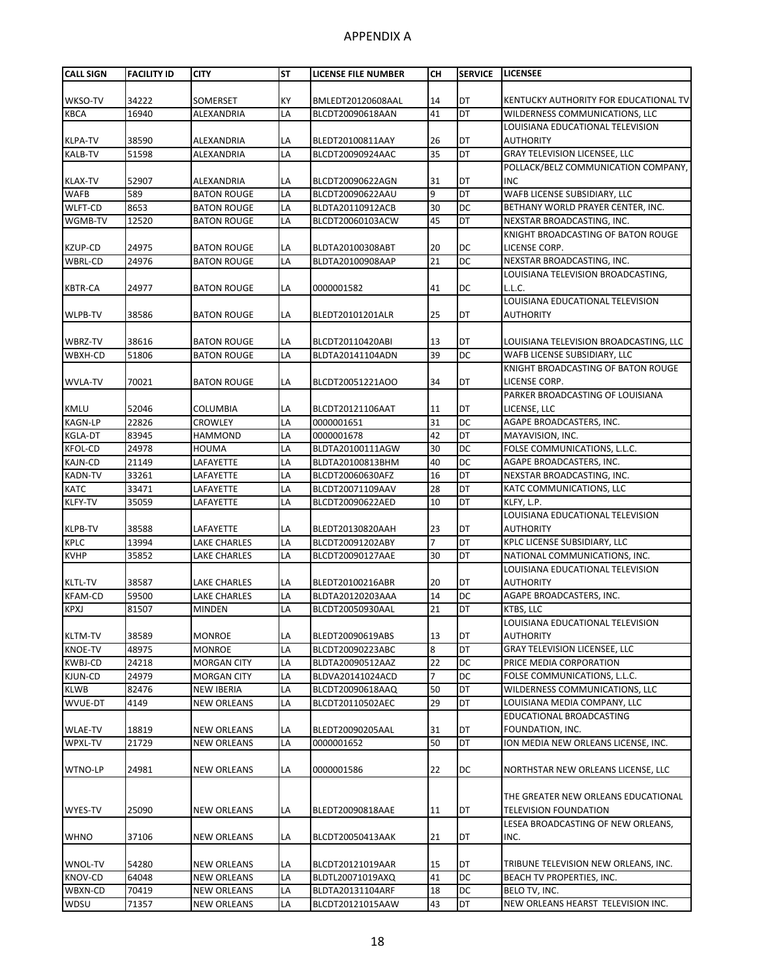| <b>CALL SIGN</b>          | <b>FACILITY ID</b> | <b>CITY</b>                              | <b>ST</b> | <b>LICENSE FILE NUMBER</b>           | CН             | <b>SERVICE</b>         | <b>LICENSEE</b>                                                 |
|---------------------------|--------------------|------------------------------------------|-----------|--------------------------------------|----------------|------------------------|-----------------------------------------------------------------|
|                           |                    |                                          |           |                                      |                |                        |                                                                 |
| WKSO-TV                   | 34222              | SOMERSET                                 | KY        | BMLEDT20120608AAL                    | 14             | DT                     | KENTUCKY AUTHORITY FOR EDUCATIONAL TV                           |
| <b>KBCA</b>               | 16940              | ALEXANDRIA                               | LA        | BLCDT20090618AAN                     | 41             | ЪL                     | WILDERNESS COMMUNICATIONS, LLC                                  |
|                           |                    |                                          |           |                                      |                |                        | LOUISIANA EDUCATIONAL TELEVISION                                |
| <b>KLPA-TV</b>            | 38590              | ALEXANDRIA                               | LA        | BLEDT20100811AAY                     | 26             | DT                     | <b>AUTHORITY</b>                                                |
| <b>KALB-TV</b>            | 51598              | <b>ALEXANDRIA</b>                        | LA        | BLCDT20090924AAC                     | 35             | DT                     | <b>GRAY TELEVISION LICENSEE, LLC</b>                            |
|                           |                    |                                          |           |                                      |                |                        | POLLACK/BELZ COMMUNICATION COMPANY,                             |
| <b>KLAX-TV</b>            | 52907              | ALEXANDRIA                               | LA        | BLCDT20090622AGN                     | 31             | DT                     | <b>INC</b>                                                      |
| <b>WAFB</b>               | 589                | <b>BATON ROUGE</b>                       | LA        | BLCDT20090622AAU                     | 9              | DT                     | WAFB LICENSE SUBSIDIARY, LLC                                    |
| <b>WLFT-CD</b>            | 8653               | <b>BATON ROUGE</b>                       | LA        | BLDTA20110912ACB                     | 30             | DC                     | BETHANY WORLD PRAYER CENTER, INC.                               |
| WGMB-TV                   | 12520              | <b>BATON ROUGE</b>                       | LA        | BLCDT20060103ACW                     | 45             | DT                     | NEXSTAR BROADCASTING, INC.                                      |
|                           |                    |                                          |           |                                      |                |                        | KNIGHT BROADCASTING OF BATON ROUGE                              |
| KZUP-CD                   | 24975              | <b>BATON ROUGE</b>                       | LA<br>LA  | BLDTA20100308ABT                     | 20<br>21       | <b>DC</b><br><b>DC</b> | LICENSE CORP.<br>NEXSTAR BROADCASTING, INC.                     |
| <b>WBRL-CD</b>            | 24976              | <b>BATON ROUGE</b>                       |           | BLDTA20100908AAP                     |                |                        | LOUISIANA TELEVISION BROADCASTING,                              |
|                           | 24977              | <b>BATON ROUGE</b>                       | LA        | 0000001582                           | 41             |                        | L.L.C.                                                          |
| <b>KBTR-CA</b>            |                    |                                          |           |                                      |                | DC                     | LOUISIANA EDUCATIONAL TELEVISION                                |
| WLPB-TV                   | 38586              | <b>BATON ROUGE</b>                       | LA        | BLEDT20101201ALR                     | 25             | DT                     | <b>AUTHORITY</b>                                                |
|                           |                    |                                          |           |                                      |                |                        |                                                                 |
| WBRZ-TV                   | 38616              | <b>BATON ROUGE</b>                       | LA        | BLCDT20110420ABI                     | 13             | DT                     | LOUISIANA TELEVISION BROADCASTING, LLC                          |
| WBXH-CD                   | 51806              | <b>BATON ROUGE</b>                       | LA        | BLDTA20141104ADN                     | 39             | DC                     | WAFB LICENSE SUBSIDIARY, LLC                                    |
|                           |                    |                                          |           |                                      |                |                        | KNIGHT BROADCASTING OF BATON ROUGE                              |
| <b>WVLA-TV</b>            | 70021              | <b>BATON ROUGE</b>                       | LA        | BLCDT20051221AOO                     | 34             | DT                     | LICENSE CORP.                                                   |
|                           |                    |                                          |           |                                      |                |                        | PARKER BROADCASTING OF LOUISIANA                                |
| <b>KMLU</b>               | 52046              | <b>COLUMBIA</b>                          | LA        | BLCDT20121106AAT                     | 11             | <b>DT</b>              | LICENSE, LLC                                                    |
| <b>KAGN-LP</b>            | 22826              | <b>CROWLEY</b>                           | LA        | 0000001651                           | 31             | DС                     | AGAPE BROADCASTERS, INC.                                        |
| <b>KGLA-DT</b>            | 83945              | <b>HAMMOND</b>                           | LA        | 0000001678                           | 42             | <b>DT</b>              | MAYAVISION, INC.                                                |
| <b>KFOL-CD</b>            | 24978              | <b>HOUMA</b>                             | LA        | BLDTA20100111AGW                     | 30             | DC                     | FOLSE COMMUNICATIONS, L.L.C.                                    |
| <b>KAJN-CD</b>            | 21149              | LAFAYETTE                                | LA        | BLDTA20100813BHM                     | 40             | DC                     | AGAPE BROADCASTERS, INC.                                        |
| <b>KADN-TV</b>            | 33261              | LAFAYETTE                                | LA        | BLCDT20060630AFZ                     | 16             | DT                     | NEXSTAR BROADCASTING, INC.                                      |
| <b>KATC</b>               | 33471              | LAFAYETTE                                | LA        | BLCDT20071109AAV                     | 28             | <b>DT</b>              | KATC COMMUNICATIONS, LLC                                        |
| <b>KLFY-TV</b>            | 35059              | LAFAYETTE                                | LA        | BLCDT20090622AED                     | 10             | DT                     | KLFY, L.P.                                                      |
|                           |                    |                                          |           |                                      |                |                        | LOUISIANA EDUCATIONAL TELEVISION                                |
| <b>KLPB-TV</b>            | 38588              | LAFAYETTE                                | LA        | BLEDT20130820AAH                     | 23             | DT                     | <b>AUTHORITY</b>                                                |
| <b>KPLC</b>               | 13994              | <b>LAKE CHARLES</b>                      | LA        | BLCDT20091202ABY                     | $\overline{7}$ | ЪL                     | KPLC LICENSE SUBSIDIARY, LLC                                    |
| <b>KVHP</b>               | 35852              | LAKE CHARLES                             | LA        | BLCDT20090127AAE                     | 30             | <b>DT</b>              | NATIONAL COMMUNICATIONS, INC.                                   |
|                           |                    |                                          |           |                                      |                |                        | LOUISIANA EDUCATIONAL TELEVISION                                |
| <b>KLTL-TV</b>            | 38587              | LAKE CHARLES                             | LA        | BLEDT20100216ABR                     | 20             | DT                     | <b>AUTHORITY</b>                                                |
| <b>KFAM-CD</b>            | 59500              | LAKE CHARLES                             | LA        | BLDTA20120203AAA                     | 14             | DC                     | AGAPE BROADCASTERS, INC.                                        |
| <b>KPXJ</b>               | 81507              | <b>MINDEN</b>                            | LA        | BLCDT20050930AAL                     | 21             | <b>DT</b>              | KTBS, LLC                                                       |
|                           |                    |                                          |           |                                      |                |                        | LOUISIANA EDUCATIONAL TELEVISION                                |
| <b>KLTM-TV</b>            | 38589              | <b>MONROE</b>                            | LA        | BLEDT20090619ABS                     | 13             | DT                     | <b>AUTHORITY</b>                                                |
| <b>KNOE-TV</b>            | 48975<br>24218     | <b>MONROE</b>                            | LA<br>LA  | BLCDT20090223ABC                     | 8<br>22        | DT<br><b>DC</b>        | <b>GRAY TELEVISION LICENSEE, LLC</b><br>PRICE MEDIA CORPORATION |
| <b>KWBJ-CD</b><br>KJUN-CD | 24979              | <b>MORGAN CITY</b><br><b>MORGAN CITY</b> | LA        | BLDTA20090512AAZ<br>BLDVA20141024ACD | 7              | <b>DC</b>              | FOLSE COMMUNICATIONS, L.L.C.                                    |
| <b>KLWB</b>               | 82476              | <b>NEW IBERIA</b>                        | LA        | BLCDT20090618AAQ                     | 50             | DT                     | WILDERNESS COMMUNICATIONS, LLC                                  |
| WVUE-DT                   | 4149               | NEW ORLEANS                              | LA        | BLCDT20110502AEC                     | 29             | DT                     | LOUISIANA MEDIA COMPANY, LLC                                    |
|                           |                    |                                          |           |                                      |                |                        | EDUCATIONAL BROADCASTING                                        |
| <b>WLAE-TV</b>            | 18819              | <b>NEW ORLEANS</b>                       | LA        | BLEDT20090205AAL                     | 31             | DT                     | FOUNDATION, INC.                                                |
| WPXL-TV                   | 21729              | <b>NEW ORLEANS</b>                       | LA        | 0000001652                           | 50             | <b>DT</b>              | ION MEDIA NEW ORLEANS LICENSE, INC.                             |
|                           |                    |                                          |           |                                      |                |                        |                                                                 |
| WTNO-LP                   | 24981              | <b>NEW ORLEANS</b>                       | LA        | 0000001586                           | 22             | DC                     | NORTHSTAR NEW ORLEANS LICENSE, LLC                              |
|                           |                    |                                          |           |                                      |                |                        |                                                                 |
|                           |                    |                                          |           |                                      |                |                        | THE GREATER NEW ORLEANS EDUCATIONAL                             |
| WYES-TV                   | 25090              | <b>NEW ORLEANS</b>                       | LA        | BLEDT20090818AAE                     | 11             | DT                     | TELEVISION FOUNDATION                                           |
|                           |                    |                                          |           |                                      |                |                        | LESEA BROADCASTING OF NEW ORLEANS,                              |
| <b>WHNO</b>               | 37106              | <b>NEW ORLEANS</b>                       | LA        | BLCDT20050413AAK                     | 21             | DT                     | INC.                                                            |
|                           |                    |                                          |           |                                      |                |                        |                                                                 |
| WNOL-TV                   | 54280              | <b>NEW ORLEANS</b>                       | LA        | BLCDT20121019AAR                     | 15             | DT                     | TRIBUNE TELEVISION NEW ORLEANS, INC.                            |
| <b>KNOV-CD</b>            | 64048              | <b>NEW ORLEANS</b>                       | LA        | BLDTL20071019AXQ                     | 41             | <b>DC</b>              | BEACH TV PROPERTIES, INC.                                       |
| WBXN-CD                   | 70419              | <b>NEW ORLEANS</b>                       | LA        | BLDTA20131104ARF                     | 18             | <b>DC</b>              | BELO TV, INC.                                                   |
| WDSU                      | 71357              | <b>NEW ORLEANS</b>                       | LA        | BLCDT20121015AAW                     | 43             | DT                     | NEW ORLEANS HEARST TELEVISION INC.                              |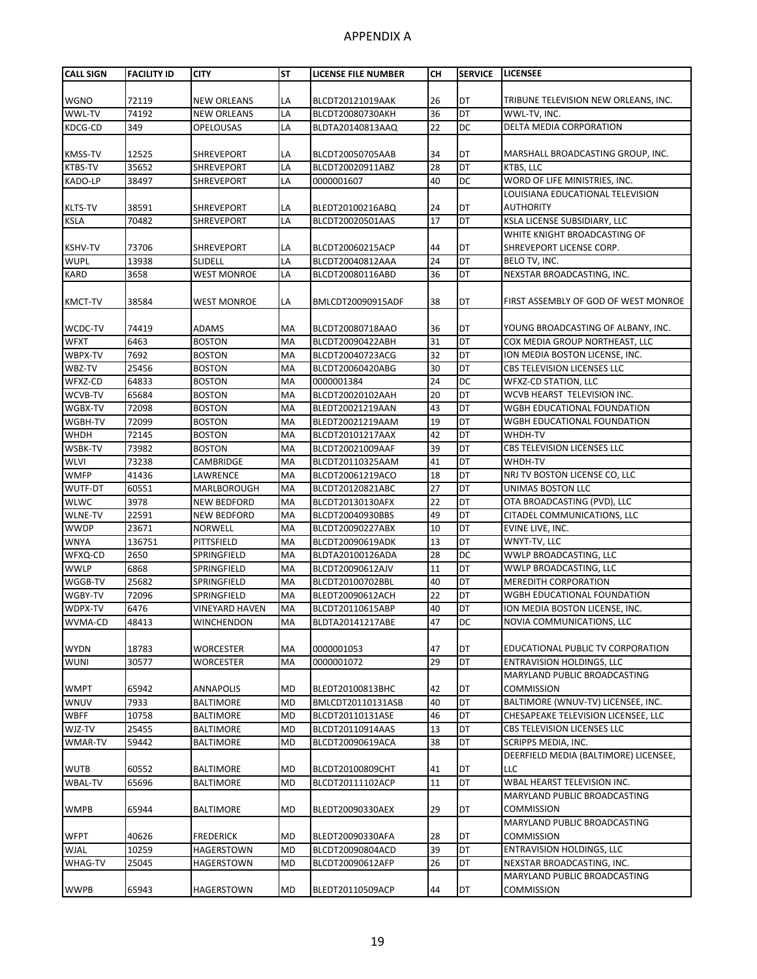| <b>CALL SIGN</b>       | <b>FACILITY ID</b> | <b>CITY</b>                    | <b>ST</b> | LICENSE FILE NUMBER                  | CН       | <b>SERVICE</b>  | <b>LICENSEE</b>                                              |
|------------------------|--------------------|--------------------------------|-----------|--------------------------------------|----------|-----------------|--------------------------------------------------------------|
|                        |                    |                                |           |                                      |          |                 |                                                              |
| <b>WGNO</b>            | 72119              | <b>NEW ORLEANS</b>             | LA        | BLCDT20121019AAK                     | 26       | DT              | TRIBUNE TELEVISION NEW ORLEANS, INC.                         |
| WWL-TV                 | 74192              | <b>NEW ORLEANS</b>             | LA        | BLCDT20080730AKH                     | 36       | $\overline{DT}$ | WWL-TV, INC.                                                 |
| KDCG-CD                | 349                | <b>OPELOUSAS</b>               | LA        | BLDTA20140813AAQ                     | 22       | DC              | <b>DELTA MEDIA CORPORATION</b>                               |
|                        |                    |                                |           |                                      |          |                 |                                                              |
| <b>KMSS-TV</b>         | 12525              | <b>SHREVEPORT</b>              | LA        | BLCDT20050705AAB                     | 34       | DT              | MARSHALL BROADCASTING GROUP, INC.                            |
| <b>KTBS-TV</b>         | 35652              | <b>SHREVEPORT</b>              | LA        | BLCDT20020911ABZ                     | 28       | DT              | KTBS, LLC                                                    |
| KADO-LP                | 38497              | SHREVEPORT                     | LA        | 0000001607                           | 40       | DC              | WORD OF LIFE MINISTRIES, INC.                                |
|                        |                    |                                |           |                                      |          |                 | LOUISIANA EDUCATIONAL TELEVISION                             |
| <b>KLTS-TV</b>         | 38591              | <b>SHREVEPORT</b>              | LA        | BLEDT20100216ABQ                     | 24<br>17 | DT<br>DT        | AUTHORITY                                                    |
| <b>KSLA</b>            | 70482              | SHREVEPORT                     | LA        | BLCDT20020501AAS                     |          |                 | KSLA LICENSE SUBSIDIARY, LLC<br>WHITE KNIGHT BROADCASTING OF |
| <b>KSHV-TV</b>         | 73706              | <b>SHREVEPORT</b>              | LA        | BLCDT20060215ACP                     | 44       | DT              | SHREVEPORT LICENSE CORP.                                     |
| <b>WUPL</b>            | 13938              | <b>SLIDELL</b>                 | LA        | BLCDT20040812AAA                     | 24       | DT              | BELO TV, INC.                                                |
| <b>KARD</b>            | 3658               | <b>WEST MONROE</b>             | LA        | BLCDT20080116ABD                     | 36       | DT              | NEXSTAR BROADCASTING, INC.                                   |
|                        |                    |                                |           |                                      |          |                 |                                                              |
| <b>KMCT-TV</b>         | 38584              | WEST MONROE                    | LA        | BMLCDT20090915ADF                    | 38       | DT              | FIRST ASSEMBLY OF GOD OF WEST MONROE                         |
| WCDC-TV                | 74419              | <b>ADAMS</b>                   | МA        | BLCDT20080718AAO                     | 36       | DT              | YOUNG BROADCASTING OF ALBANY, INC.                           |
| <b>WFXT</b>            | 6463               | <b>BOSTON</b>                  | MA        | BLCDT20090422ABH                     | 31       | DT              | COX MEDIA GROUP NORTHEAST, LLC                               |
| WBPX-TV                | 7692               | <b>BOSTON</b>                  | MA        | BLCDT20040723ACG                     | 32       | DT              | ION MEDIA BOSTON LICENSE, INC.                               |
| WBZ-TV                 | 25456              | <b>BOSTON</b>                  | MA        | BLCDT20060420ABG                     | 30       | DT              | <b>CBS TELEVISION LICENSES LLC</b>                           |
| WFXZ-CD                | 64833              | <b>BOSTON</b>                  | MA        | 0000001384                           | 24       | DC              | WFXZ-CD STATION, LLC                                         |
| WCVB-TV                | 65684              | <b>BOSTON</b>                  | MA        | BLCDT20020102AAH                     | 20       | DT              | WCVB HEARST TELEVISION INC.                                  |
| WGBX-TV                | 72098              | <b>BOSTON</b>                  | MA        | BLEDT20021219AAN                     | 43       | DT              | WGBH EDUCATIONAL FOUNDATION                                  |
| WGBH-TV                | 72099              | <b>BOSTON</b>                  | MA        | BLEDT20021219AAM                     | 19       | DT              | WGBH EDUCATIONAL FOUNDATION                                  |
| WHDH                   | 72145<br>73982     | <b>BOSTON</b>                  | MA<br>MA  | BLCDT20101217AAX                     | 42<br>39 | DT<br>DT        | WHDH-TV                                                      |
| WSBK-TV<br><b>WLVI</b> | 73238              | <b>BOSTON</b><br>CAMBRIDGE     | MA        | BLCDT20021009AAF<br>BLCDT20110325AAM | 41       | DT              | CBS TELEVISION LICENSES LLC<br>WHDH-TV                       |
| <b>WMFP</b>            | 41436              | LAWRENCE                       | MA        | BLCDT20061219ACO                     | 18       | DT              | NRJ TV BOSTON LICENSE CO, LLC                                |
| WUTF-DT                | 60551              | MARLBOROUGH                    | MA        | BLCDT20120821ABC                     | 27       | DT              | UNIMAS BOSTON LLC                                            |
| <b>WLWC</b>            | 3978               | NEW BEDFORD                    | MA        | BLCDT20130130AFX                     | 22       | DT              | OTA BROADCASTING (PVD), LLC                                  |
| <b>WLNE-TV</b>         | 22591              | <b>NEW BEDFORD</b>             | MA        | BLCDT20040930BBS                     | 49       | DT              | CITADEL COMMUNICATIONS, LLC                                  |
| <b>WWDP</b>            | 23671              | <b>NORWELL</b>                 | MA        | BLCDT20090227ABX                     | 10       | DT              | EVINE LIVE, INC.                                             |
| <b>WNYA</b>            | 136751             | PITTSFIELD                     | MA        | BLCDT20090619ADK                     | 13       | DT              | WNYT-TV, LLC                                                 |
| WFXQ-CD                | 2650               | SPRINGFIELD                    | MA        | BLDTA20100126ADA                     | 28       | DC              | WWLP BROADCASTING, LLC                                       |
| <b>WWLP</b>            | 6868               | SPRINGFIELD                    | MA        | BLCDT20090612AJV                     | 11       | DT              | WWLP BROADCASTING, LLC                                       |
| WGGB-TV                | 25682              | SPRINGFIELD                    | MA        | BLCDT20100702BBL                     | 40       | DT              | <b>MEREDITH CORPORATION</b>                                  |
| WGBY-TV                | 72096              | SPRINGFIELD                    | MA        | BLEDT20090612ACH                     | 22       | DT              | WGBH EDUCATIONAL FOUNDATION                                  |
| WDPX-TV                | 6476               | <b>VINEYARD HAVEN</b>          | MA        | BLCDT20110615ABP                     | 40       | DT              | ION MEDIA BOSTON LICENSE, INC.                               |
| WVMA-CD                | 48413              | WINCHENDON                     | МA        | BLDTA20141217ABE                     | 47       | <b>DC</b>       | NOVIA COMMUNICATIONS, LLC                                    |
| <b>WYDN</b>            | 18783              | WORCESTER                      | MA        | 0000001053                           | 47       | DT              | EDUCATIONAL PUBLIC TV CORPORATION                            |
| <b>WUNI</b>            | 30577              | WORCESTER                      | MA        | 0000001072                           | 29       | DT              | <b>ENTRAVISION HOLDINGS, LLC</b>                             |
|                        |                    |                                |           |                                      |          |                 | MARYLAND PUBLIC BROADCASTING                                 |
| <b>WMPT</b>            | 65942              | <b>ANNAPOLIS</b>               | MD        | BLEDT20100813BHC                     | 42       | DT              | <b>COMMISSION</b>                                            |
| <b>WNUV</b>            | 7933               | <b>BALTIMORE</b>               | <b>MD</b> | BMLCDT20110131ASB                    | 40       | DT              | BALTIMORE (WNUV-TV) LICENSEE, INC.                           |
| <b>WBFF</b>            | 10758              | <b>BALTIMORE</b>               | <b>MD</b> | BLCDT20110131ASE                     | 46       | DT              | CHESAPEAKE TELEVISION LICENSEE, LLC                          |
| WJZ-TV                 | 25455              | <b>BALTIMORE</b>               | <b>MD</b> | BLCDT20110914AAS                     | 13       | DT              | CBS TELEVISION LICENSES LLC                                  |
| WMAR-TV                | 59442              | <b>BALTIMORE</b>               | MD        | BLCDT20090619ACA                     | 38       | DT              | SCRIPPS MEDIA, INC.                                          |
|                        |                    |                                |           |                                      |          |                 | DEERFIELD MEDIA (BALTIMORE) LICENSEE,                        |
| <b>WUTB</b>            | 60552              | <b>BALTIMORE</b>               | <b>MD</b> | BLCDT20100809CHT                     | 41       | DT              | LLC                                                          |
| WBAL-TV                | 65696              | BALTIMORE                      | MD        | BLCDT20111102ACP                     | 11       | DT              | WBAL HEARST TELEVISION INC.                                  |
|                        |                    |                                |           |                                      |          |                 | MARYLAND PUBLIC BROADCASTING                                 |
| <b>WMPB</b>            | 65944              | <b>BALTIMORE</b>               | MD        | BLEDT20090330AEX                     | 29       | DT              | <b>COMMISSION</b>                                            |
| <b>WFPT</b>            | 40626              |                                | MD        |                                      |          |                 | MARYLAND PUBLIC BROADCASTING<br><b>COMMISSION</b>            |
| <b>WJAL</b>            | 10259              | <b>FREDERICK</b><br>HAGERSTOWN | MD        | BLEDT20090330AFA<br>BLCDT20090804ACD | 28<br>39 | DT<br>DT        | ENTRAVISION HOLDINGS, LLC                                    |
| WHAG-TV                | 25045              | HAGERSTOWN                     | <b>MD</b> | BLCDT20090612AFP                     | 26       | DT              | NEXSTAR BROADCASTING, INC.                                   |
|                        |                    |                                |           |                                      |          |                 | MARYLAND PUBLIC BROADCASTING                                 |
| <b>WWPB</b>            | 65943              | <b>HAGERSTOWN</b>              | MD        | BLEDT20110509ACP                     | 44       | DT              | <b>COMMISSION</b>                                            |
|                        |                    |                                |           |                                      |          |                 |                                                              |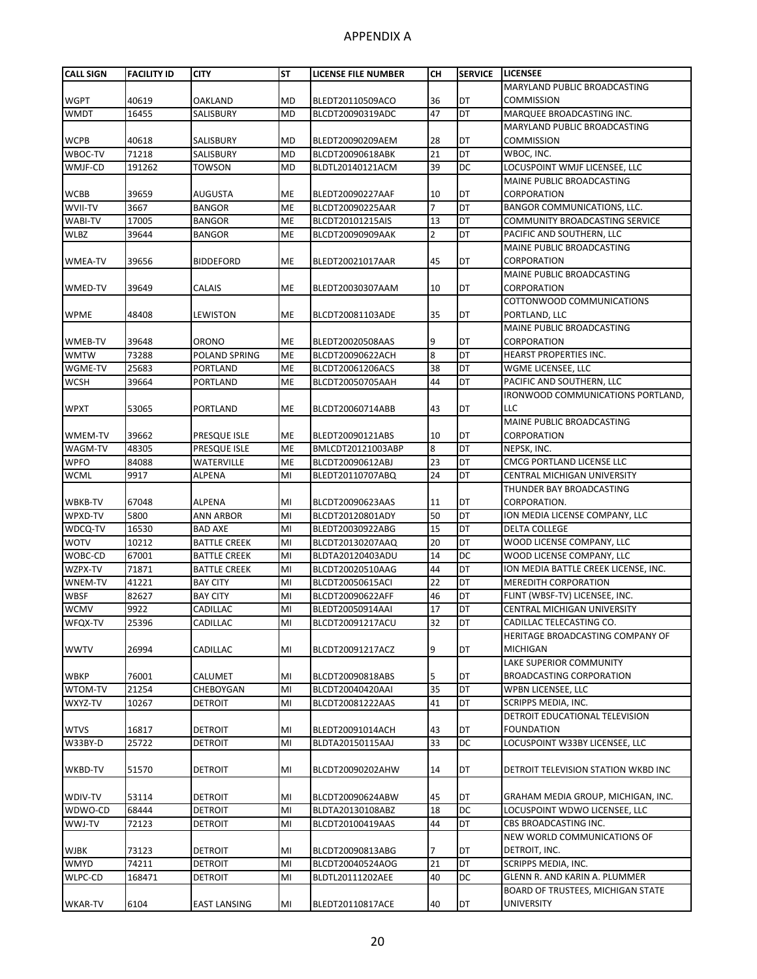| <b>CALL SIGN</b> | <b>FACILITY ID</b> | <b>CITY</b>         | <b>ST</b> | <b>LICENSE FILE NUMBER</b> | <b>CH</b> | <b>SERVICE</b> | <b>LICENSEE</b>                          |
|------------------|--------------------|---------------------|-----------|----------------------------|-----------|----------------|------------------------------------------|
|                  |                    |                     |           |                            |           |                | MARYLAND PUBLIC BROADCASTING             |
| <b>WGPT</b>      | 40619              | <b>OAKLAND</b>      | <b>MD</b> | BLEDT20110509ACO           | 36        | DT             | <b>COMMISSION</b>                        |
| <b>WMDT</b>      | 16455              | SALISBURY           | <b>MD</b> | BLCDT20090319ADC           | 47        | DT             | MARQUEE BROADCASTING INC.                |
|                  |                    |                     |           |                            |           |                | <b>MARYLAND PUBLIC BROADCASTING</b>      |
| <b>WCPB</b>      | 40618              | SALISBURY           | <b>MD</b> | BLEDT20090209AEM           | 28        | DT             | <b>COMMISSION</b>                        |
| WBOC-TV          | 71218              | SALISBURY           | <b>MD</b> | BLCDT20090618ABK           | 21        | DT             | WBOC, INC.                               |
| WMJF-CD          | 191262             | TOWSON              | <b>MD</b> | BLDTL20140121ACM           | 39        | DC             | LOCUSPOINT WMJF LICENSEE, LLC            |
|                  |                    |                     |           |                            |           |                | MAINE PUBLIC BROADCASTING                |
|                  |                    |                     |           |                            |           |                | CORPORATION                              |
| <b>WCBB</b>      | 39659              | AUGUSTA             | <b>ME</b> | BLEDT20090227AAF           | 10<br>7   | DT<br>DT       |                                          |
| WVII-TV          | 3667               | <b>BANGOR</b>       | <b>ME</b> | BLCDT20090225AAR           |           |                | BANGOR COMMUNICATIONS, LLC.              |
| <b>WABI-TV</b>   | 17005              | <b>BANGOR</b>       | <b>ME</b> | BLCDT20101215AIS           | 13        | DT             | COMMUNITY BROADCASTING SERVICE           |
| <b>WLBZ</b>      | 39644              | <b>BANGOR</b>       | ME        | BLCDT20090909AAK           | 2         | DT             | PACIFIC AND SOUTHERN, LLC                |
|                  |                    |                     |           |                            |           |                | MAINE PUBLIC BROADCASTING                |
| <b>WMEA-TV</b>   | 39656              | <b>BIDDEFORD</b>    | <b>ME</b> | BLEDT20021017AAR           | 45        | DT             | CORPORATION                              |
|                  |                    |                     |           |                            |           |                | MAINE PUBLIC BROADCASTING                |
| WMED-TV          | 39649              | CALAIS              | <b>ME</b> | BLEDT20030307AAM           | 10        | DT             | CORPORATION                              |
|                  |                    |                     |           |                            |           |                | COTTONWOOD COMMUNICATIONS                |
| <b>WPME</b>      | 48408              | LEWISTON            | <b>ME</b> | BLCDT20081103ADE           | 35        | DT             | PORTLAND, LLC                            |
|                  |                    |                     |           |                            |           |                | MAINE PUBLIC BROADCASTING                |
| WMEB-TV          | 39648              | <b>ORONO</b>        | <b>ME</b> | BLEDT20020508AAS           | 9         | DT             | CORPORATION                              |
| <b>WMTW</b>      | 73288              | POLAND SPRING       | <b>ME</b> | BLCDT20090622ACH           | 8         | DT             | <b>HEARST PROPERTIES INC.</b>            |
| WGME-TV          | 25683              | PORTLAND            | <b>ME</b> | BLCDT20061206ACS           | 38        | DT             | WGME LICENSEE, LLC                       |
| <b>WCSH</b>      | 39664              | PORTLAND            | ME        | BLCDT20050705AAH           | 44        | DT             | PACIFIC AND SOUTHERN, LLC                |
|                  |                    |                     |           |                            |           |                | IRONWOOD COMMUNICATIONS PORTLAND.        |
| <b>WPXT</b>      | 53065              | PORTLAND            | <b>ME</b> | BLCDT20060714ABB           | 43        | DT             | LLC                                      |
|                  |                    |                     |           |                            |           |                | MAINE PUBLIC BROADCASTING                |
| WMEM-TV          | 39662              | PRESQUE ISLE        | ME        | BLEDT20090121ABS           | 10        | DT             | CORPORATION                              |
| WAGM-TV          | 48305              | PRESQUE ISLE        | <b>ME</b> | BMLCDT20121003ABP          | 8         | DT             | NEPSK, INC.                              |
| <b>WPFO</b>      | 84088              | WATERVILLE          | ME        | BLCDT20090612ABJ           | 23        | DT             | CMCG PORTLAND LICENSE LLC                |
| <b>WCML</b>      | 9917               | <b>ALPENA</b>       | MI        | BLEDT20110707ABQ           | 24        | DT             | CENTRAL MICHIGAN UNIVERSITY              |
|                  |                    |                     |           |                            |           |                | THUNDER BAY BROADCASTING                 |
| WBKB-TV          | 67048              | ALPENA              | MI        | BLCDT20090623AAS           | 11        | DT             | CORPORATION.                             |
| WPXD-TV          | 5800               | <b>ANN ARBOR</b>    | MI        | BLCDT20120801ADY           | 50        | DT             | ION MEDIA LICENSE COMPANY, LLC           |
| WDCQ-TV          | 16530              | <b>BAD AXE</b>      | MI        | BLEDT20030922ABG           | 15        | DT             | <b>DELTA COLLEGE</b>                     |
| <b>WOTV</b>      | 10212              | <b>BATTLE CREEK</b> | MI        | BLCDT20130207AAQ           | 20        | <b>DT</b>      | WOOD LICENSE COMPANY, LLC                |
| WOBC-CD          | 67001              | <b>BATTLE CREEK</b> | MI        | BLDTA20120403ADU           | 14        | DC             | WOOD LICENSE COMPANY, LLC                |
| WZPX-TV          | 71871              | <b>BATTLE CREEK</b> | MI        | BLCDT20020510AAG           | 44        | DT             | ION MEDIA BATTLE CREEK LICENSE, INC.     |
| WNEM-TV          | 41221              | <b>BAY CITY</b>     | MI        | BLCDT20050615ACI           | 22        | DT             | <b>MEREDITH CORPORATION</b>              |
| <b>WBSF</b>      | 82627              | <b>BAY CITY</b>     | MI        | BLCDT20090622AFF           | 46        | DT             | FLINT (WBSF-TV) LICENSEE, INC.           |
| <b>WCMV</b>      | 9922               | CADILLAC            | MI        | BLEDT20050914AAI           | 17        | DT             | CENTRAL MICHIGAN UNIVERSITY              |
| WFQX-TV          | 25396              | CADILLAC            | MI        | BLCDT20091217ACU           | 32        | DT             | CADILLAC TELECASTING CO.                 |
|                  |                    |                     |           |                            |           |                | HERITAGE BROADCASTING COMPANY OF         |
| <b>WWTV</b>      | 26994              | CADILLAC            | MI        | BLCDT20091217ACZ           | 9         | DT             | MICHIGAN                                 |
|                  |                    |                     |           |                            |           |                | LAKE SUPERIOR COMMUNITY                  |
| <b>WBKP</b>      | 76001              | CALUMET             | MI        | BLCDT20090818ABS           | 5         | DT             | <b>BROADCASTING CORPORATION</b>          |
| WTOM-TV          | 21254              | CHEBOYGAN           | MI        | BLCDT20040420AAI           | 35        | DT             | WPBN LICENSEE, LLC                       |
| WXYZ-TV          | 10267              | DETROIT             | MI        | BLCDT20081222AAS           | 41        | DT             | SCRIPPS MEDIA, INC.                      |
|                  |                    |                     |           |                            |           |                | DETROIT EDUCATIONAL TELEVISION           |
| <b>WTVS</b>      | 16817              | <b>DETROIT</b>      | MI        | BLEDT20091014ACH           | 43        | DT             | <b>FOUNDATION</b>                        |
| W33BY-D          | 25722              | <b>DETROIT</b>      | MI        | BLDTA20150115AAJ           | 33        | DC             | LOCUSPOINT W33BY LICENSEE, LLC           |
|                  |                    |                     |           |                            |           |                |                                          |
| WKBD-TV          | 51570              | <b>DETROIT</b>      | MI        | BLCDT20090202AHW           | 14        | DT             | DETROIT TELEVISION STATION WKBD INC      |
|                  |                    |                     |           |                            |           |                |                                          |
| WDIV-TV          | 53114              | <b>DETROIT</b>      | MI        | BLCDT20090624ABW           | 45        | DT             | GRAHAM MEDIA GROUP, MICHIGAN, INC.       |
| WDWO-CD          | 68444              | <b>DETROIT</b>      | MI        | BLDTA20130108ABZ           | 18        | DC             | LOCUSPOINT WDWO LICENSEE, LLC            |
| WWJ-TV           | 72123              | <b>DETROIT</b>      | MI        | BLCDT20100419AAS           | 44        | DT             | CBS BROADCASTING INC.                    |
|                  |                    |                     |           |                            |           |                | NEW WORLD COMMUNICATIONS OF              |
| <b>WJBK</b>      | 73123              | <b>DETROIT</b>      | MI        | BLCDT20090813ABG           | 7         | DT             | DETROIT, INC.                            |
| <b>WMYD</b>      | 74211              | <b>DETROIT</b>      | MI        | BLCDT20040524AOG           | 21        | DT             | SCRIPPS MEDIA, INC.                      |
| WLPC-CD          | 168471             | <b>DETROIT</b>      | MI        | BLDTL20111202AEE           | 40        | DC             | GLENN R. AND KARIN A. PLUMMER            |
|                  |                    |                     |           |                            |           |                | <b>BOARD OF TRUSTEES, MICHIGAN STATE</b> |
| WKAR-TV          | 6104               | <b>EAST LANSING</b> | MI        | BLEDT20110817ACE           | 40        | DT             | <b>UNIVERSITY</b>                        |
|                  |                    |                     |           |                            |           |                |                                          |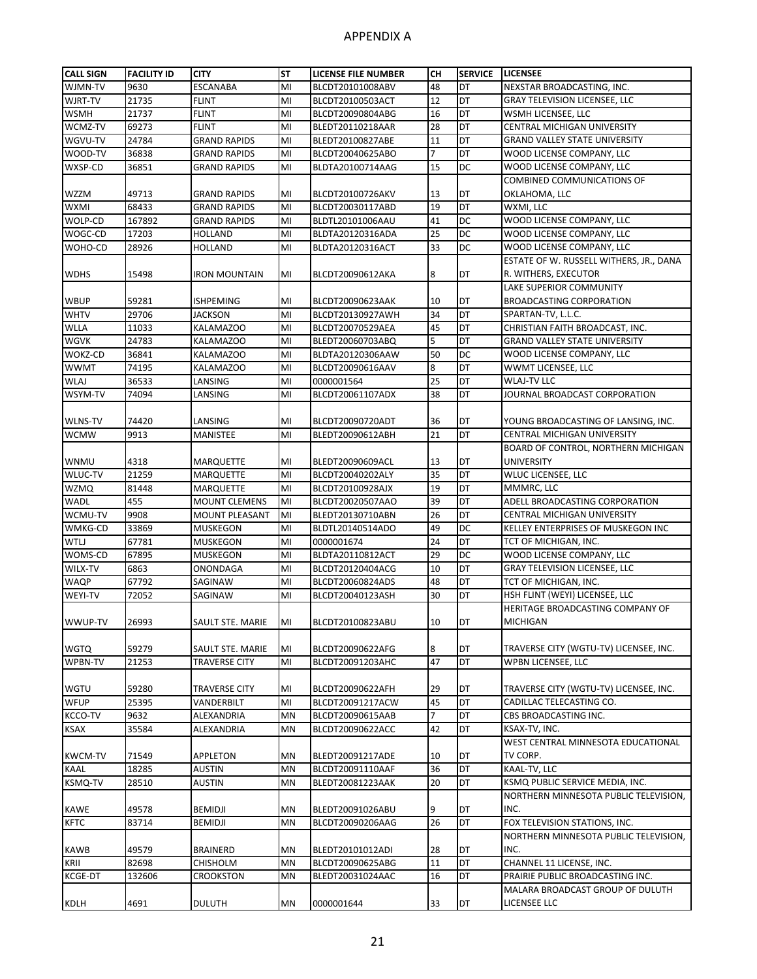| <b>CALL SIGN</b> | <b>FACILITY ID</b> | <b>CITY</b>            | <b>ST</b> | <b>LICENSE FILE NUMBER</b>           | CН             | <b>SERVICE</b> | <b>LICENSEE</b>                          |
|------------------|--------------------|------------------------|-----------|--------------------------------------|----------------|----------------|------------------------------------------|
| WJMN-TV          | 9630               | <b>ESCANABA</b>        | MI        | BLCDT20101008ABV                     | 48             | DT             | NEXSTAR BROADCASTING, INC.               |
| WJRT-TV          | 21735              | <b>FLINT</b>           | MI        | BLCDT20100503ACT                     | 12             | DT             | <b>GRAY TELEVISION LICENSEE, LLC</b>     |
| <b>WSMH</b>      | 21737              | <b>FLINT</b>           | MI        | BLCDT20090804ABG                     | 16             | DT             | WSMH LICENSEE, LLC                       |
| WCMZ-TV          | 69273              | <b>FLINT</b>           | MI        | BLEDT20110218AAR                     | 28             | DT             | CENTRAL MICHIGAN UNIVERSITY              |
| WGVU-TV          | 24784              | <b>GRAND RAPIDS</b>    | MI        | BLEDT20100827ABE                     | 11             | DT             | <b>GRAND VALLEY STATE UNIVERSITY</b>     |
| WOOD-TV          | 36838              | <b>GRAND RAPIDS</b>    | MI        | BLCDT20040625ABO                     | $\overline{7}$ | DT             | WOOD LICENSE COMPANY, LLC                |
| WXSP-CD          | 36851              | <b>GRAND RAPIDS</b>    | MI        | BLDTA20100714AAG                     | 15             | DC             | WOOD LICENSE COMPANY, LLC                |
|                  |                    |                        |           |                                      |                |                | COMBINED COMMUNICATIONS OF               |
| <b>WZZM</b>      | 49713              | <b>GRAND RAPIDS</b>    | MI        | BLCDT20100726AKV                     | 13             | DT             | OKLAHOMA, LLC                            |
| WXMI             | 68433              | <b>GRAND RAPIDS</b>    | MI        | BLCDT20030117ABD                     | 19             | DT             | WXMI, LLC                                |
| WOLP-CD          | 167892             | <b>GRAND RAPIDS</b>    | MI        | BLDTL20101006AAU                     | 41             | DC             | WOOD LICENSE COMPANY, LLC                |
| WOGC-CD          | 17203              | <b>HOLLAND</b>         | MI        | BLDTA20120316ADA                     | 25             | DC             | WOOD LICENSE COMPANY, LLC                |
| WOHO-CD          | 28926              | HOLLAND                | MI        | BLDTA20120316ACT                     | 33             | DC             | WOOD LICENSE COMPANY, LLC                |
|                  |                    |                        |           |                                      |                |                | ESTATE OF W. RUSSELL WITHERS, JR., DANA  |
| <b>WDHS</b>      | 15498              | IRON MOUNTAIN          | MI        | BLCDT20090612AKA                     | 8              | DT             | R. WITHERS, EXECUTOR                     |
|                  |                    |                        |           |                                      |                |                | LAKE SUPERIOR COMMUNITY                  |
| WBUP             | 59281              | <b>ISHPEMING</b>       | MI        | BLCDT20090623AAK                     | 10             | DT             | <b>BROADCASTING CORPORATION</b>          |
| <b>WHTV</b>      | 29706              | <b>JACKSON</b>         | MI        | BLCDT20130927AWH                     | 34             | DT             | SPARTAN-TV, L.L.C.                       |
| <b>WLLA</b>      | 11033              | KALAMAZOO              | MI        | BLCDT20070529AEA                     | 45             | DT             | CHRISTIAN FAITH BROADCAST, INC.          |
| <b>WGVK</b>      | 24783              | <b>KALAMAZOO</b>       | MI        | BLEDT20060703ABQ                     | 5              | DT             | <b>GRAND VALLEY STATE UNIVERSITY</b>     |
| WOKZ-CD          |                    |                        | MI        |                                      | 50             | DC             | WOOD LICENSE COMPANY, LLC                |
| <b>WWMT</b>      | 36841<br>74195     | KALAMAZOO<br>KALAMAZOO | MI        | BLDTA20120306AAW<br>BLCDT20090616AAV | 8              | DT             |                                          |
|                  |                    | LANSING                |           |                                      | 25             | DT             | WWMT LICENSEE, LLC<br><b>WLAJ-TV LLC</b> |
| <b>WLAJ</b>      | 36533              |                        | MI        | 0000001564                           |                |                | JOURNAL BROADCAST CORPORATION            |
| WSYM-TV          | 74094              | LANSING                | MI        | BLCDT20061107ADX                     | 38             | DT             |                                          |
|                  |                    |                        |           |                                      |                |                |                                          |
| WLNS-TV          | 74420              | LANSING                | MI        | BLCDT20090720ADT                     | 36             | DT             | YOUNG BROADCASTING OF LANSING, INC.      |
| <b>WCMW</b>      | 9913               | <b>MANISTEE</b>        | MI        | BLEDT20090612ABH                     | 21             | DT             | CENTRAL MICHIGAN UNIVERSITY              |
|                  |                    |                        |           |                                      |                |                | BOARD OF CONTROL, NORTHERN MICHIGAN      |
| WNMU             | 4318               | <b>MARQUETTE</b>       | MI        | BLEDT20090609ACL                     | 13             | DT             | <b>UNIVERSITY</b>                        |
| WLUC-TV          | 21259              | <b>MARQUETTE</b>       | MI        | BLCDT20040202ALY                     | 35             | DT             | WLUC LICENSEE, LLC                       |
| <b>WZMQ</b>      | 81448              | <b>MARQUETTE</b>       | MI        | BLCDT20100928AJX                     | 19             | DT             | MMMRC, LLC                               |
| <b>WADL</b>      | 455                | <b>MOUNT CLEMENS</b>   | MI        | BLCDT20020507AAO                     | 39             | DT             | ADELL BROADCASTING CORPORATION           |
| WCMU-TV          | 9908               | <b>MOUNT PLEASANT</b>  | MI        | BLEDT20130710ABN                     | 26             | DT             | CENTRAL MICHIGAN UNIVERSITY              |
| WMKG-CD          | 33869              | <b>MUSKEGON</b>        | MI        | BLDTL20140514ADO                     | 49             | DC             | KELLEY ENTERPRISES OF MUSKEGON INC       |
| <b>WTLJ</b>      | 67781              | <b>MUSKEGON</b>        | MI        | 0000001674                           | 24             | DT             | TCT OF MICHIGAN, INC.                    |
| WOMS-CD          | 67895              | <b>MUSKEGON</b>        | MI        | BLDTA20110812ACT                     | 29             | DC             | WOOD LICENSE COMPANY, LLC                |
| WILX-TV          | 6863               | ONONDAGA               | MI        | BLCDT20120404ACG                     | 10             | DT             | <b>GRAY TELEVISION LICENSEE, LLC</b>     |
| <b>WAQP</b>      | 67792              | SAGINAW                | MI        | BLCDT20060824ADS                     | 48             | DT             | TCT OF MICHIGAN, INC.                    |
| WEYI-TV          | 72052              | SAGINAW                | MI        | BLCDT20040123ASH                     | 30             | DT             | HSH FLINT (WEYI) LICENSEE, LLC           |
|                  |                    |                        |           |                                      |                |                | HERITAGE BROADCASTING COMPANY OF         |
| WWUP-TV          | 26993              | SAULT STE. MARIE       | MI        | BLCDT20100823ABU                     | 10             | DT             | MICHIGAN                                 |
|                  |                    |                        |           |                                      |                |                |                                          |
| <b>WGTQ</b>      | 59279              | SAULT STE. MARIE       | MI        | BLCDT20090622AFG                     | 8              | DT             | TRAVERSE CITY (WGTU-TV) LICENSEE, INC.   |
| WPBN-TV          | 21253              | <b>TRAVERSE CITY</b>   | MI        | BLCDT20091203AHC                     | 47             | DT             | WPBN LICENSEE, LLC                       |
|                  |                    |                        |           |                                      |                |                |                                          |
| <b>WGTU</b>      | 59280              | TRAVERSE CITY          | MI        | BLCDT20090622AFH                     | 29             | DT             | TRAVERSE CITY (WGTU-TV) LICENSEE, INC.   |
| <b>WFUP</b>      | 25395              | VANDERBILT             | MI        | BLCDT20091217ACW                     | 45             | DT             | CADILLAC TELECASTING CO.                 |
| KCCO-TV          | 9632               | ALEXANDRIA             | MN        | BLCDT20090615AAB                     | $\overline{7}$ | DT             | CBS BROADCASTING INC.                    |
| <b>KSAX</b>      | 35584              | ALEXANDRIA             | MN        | BLCDT20090622ACC                     | 42             | DT             | KSAX-TV, INC.                            |
|                  |                    |                        |           |                                      |                |                | WEST CENTRAL MINNESOTA EDUCATIONAL       |
| <b>KWCM-TV</b>   | 71549              | APPLETON               | MN        | BLEDT20091217ADE                     | 10             | DT             | TV CORP.                                 |
| KAAL             | 18285              | AUSTIN                 | MN        | BLCDT20091110AAF                     | 36             | DT             | KAAL-TV, LLC                             |
| <b>KSMQ-TV</b>   | 28510              | AUSTIN                 | MN        | BLEDT20081223AAK                     | 20             | DT             | KSMQ PUBLIC SERVICE MEDIA, INC.          |
|                  |                    |                        |           |                                      |                |                | NORTHERN MINNESOTA PUBLIC TELEVISION,    |
| KAWE             | 49578              | BEMIDJI                | MN        | BLEDT20091026ABU                     | 9              | DT             | INC.                                     |
| <b>KFTC</b>      | 83714              | <b>BEMIDJI</b>         | MN        | BLCDT20090206AAG                     | 26             | DT             | FOX TELEVISION STATIONS, INC.            |
|                  |                    |                        |           |                                      |                |                | NORTHERN MINNESOTA PUBLIC TELEVISION,    |
| KAWB             | 49579              | <b>BRAINERD</b>        | MN        | BLEDT20101012ADI                     | 28             | DT             | INC.                                     |
| KRII             | 82698              | <b>CHISHOLM</b>        | <b>MN</b> | BLCDT20090625ABG                     | 11             | DT             | CHANNEL 11 LICENSE, INC.                 |
| <b>KCGE-DT</b>   | 132606             | CROOKSTON              | MN        | BLEDT20031024AAC                     | 16             | DT             | PRAIRIE PUBLIC BROADCASTING INC.         |
|                  |                    |                        |           |                                      |                |                | MALARA BROADCAST GROUP OF DULUTH         |
| KDLH             | 4691               | <b>DULUTH</b>          | MN        | 0000001644                           | 33             | DT             | LICENSEE LLC                             |
|                  |                    |                        |           |                                      |                |                |                                          |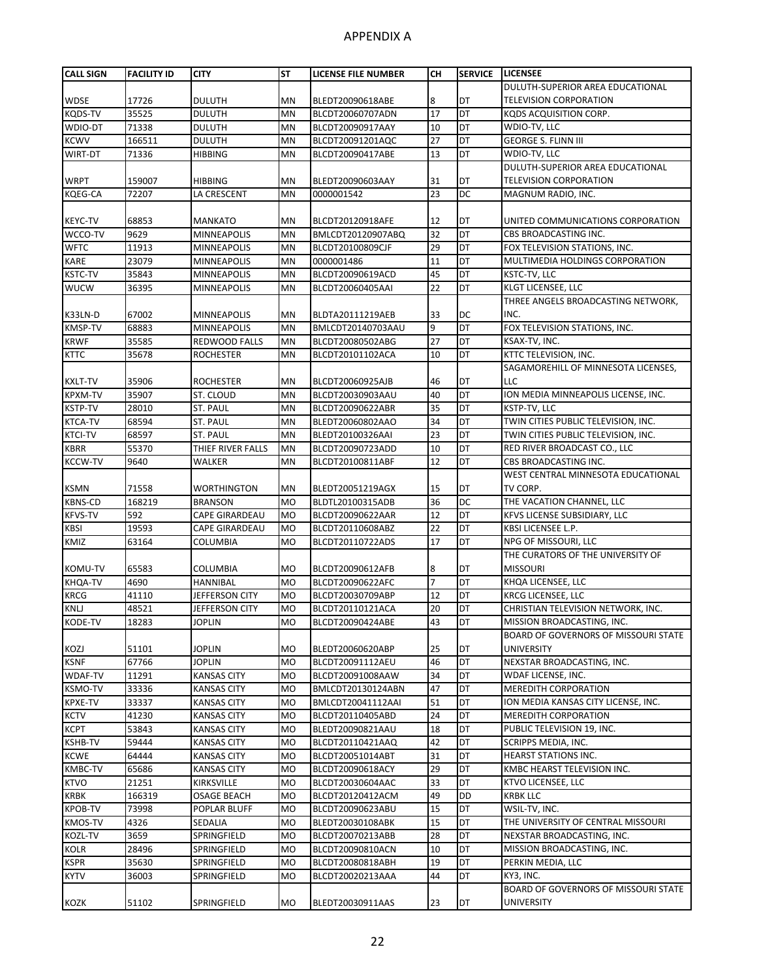| <b>CALL SIGN</b>              | <b>FACILITY ID</b> | <b>CITY</b>                   | <b>ST</b> | LICENSE FILE NUMBER                  | <b>CH</b>      | <b>SERVICE</b> | <b>LICENSEE</b>                                                            |
|-------------------------------|--------------------|-------------------------------|-----------|--------------------------------------|----------------|----------------|----------------------------------------------------------------------------|
|                               |                    |                               |           |                                      |                |                | DULUTH-SUPERIOR AREA EDUCATIONAL                                           |
| <b>WDSE</b>                   | 17726              | <b>DULUTH</b>                 | ΜN        | BLEDT20090618ABE                     | 8              | DT             | <b>TELEVISION CORPORATION</b>                                              |
| <b>KQDS-TV</b>                | 35525              | <b>DULUTH</b>                 | MN        | BLCDT20060707ADN                     | 17             | DT             | KQDS ACQUISITION CORP.                                                     |
| WDIO-DT                       | 71338              | <b>DULUTH</b>                 | MN        | BLCDT20090917AAY                     | 10             | DT             | WDIO-TV, LLC                                                               |
| <b>KCWV</b>                   | 166511             | <b>DULUTH</b>                 | MN        | BLCDT20091201AQC                     | 27             | DT             | <b>GEORGE S. FLINN III</b>                                                 |
| WIRT-DT                       | 71336              | HIBBING                       | MN        | BLCDT20090417ABE                     | 13             | <b>DT</b>      | WDIO-TV, LLC                                                               |
|                               |                    |                               |           |                                      |                |                | DULUTH-SUPERIOR AREA EDUCATIONAL                                           |
| <b>WRPT</b>                   | 159007             | <b>HIBBING</b>                | MN        | BLEDT20090603AAY                     | 31             | DT             | <b>TELEVISION CORPORATION</b>                                              |
| <b>KQEG-CA</b>                | 72207              | LA CRESCENT                   | <b>MN</b> | 0000001542                           | 23             | <b>DC</b>      | MAGNUM RADIO, INC.                                                         |
|                               |                    |                               |           |                                      |                |                |                                                                            |
| <b>KEYC-TV</b>                | 68853              | <b>MANKATO</b>                | MN        | BLCDT20120918AFE                     | 12             | DT             | UNITED COMMUNICATIONS CORPORATION                                          |
| WCCO-TV                       | 9629               | MINNEAPOLIS                   | MN        | BMLCDT20120907ABQ                    | 32             | DT             | CBS BROADCASTING INC.                                                      |
| <b>WFTC</b>                   | 11913              | <b>MINNEAPOLIS</b>            | MN        | BLCDT20100809CJF                     | 29             | DT             | FOX TELEVISION STATIONS, INC.                                              |
| <b>KARE</b>                   | 23079              | <b>MINNEAPOLIS</b>            | MN        | 0000001486                           | 11             | DT             | MULTIMEDIA HOLDINGS CORPORATION                                            |
| KSTC-TV                       | 35843              | <b>MINNEAPOLIS</b>            | MN        | BLCDT20090619ACD                     | 45             | DT             | KSTC-TV, LLC                                                               |
| <b>WUCW</b>                   | 36395              | MINNEAPOLIS                   | MN        | BLCDT20060405AAI                     | 22             | DT             | <b>KLGT LICENSEE, LLC</b>                                                  |
|                               |                    |                               |           |                                      |                |                | THREE ANGELS BROADCASTING NETWORK,                                         |
| K33LN-D                       | 67002              | <b>MINNEAPOLIS</b>            | MN        | BLDTA20111219AEB                     | 33             | DC             | INC.                                                                       |
| <b>KMSP-TV</b>                | 68883              | <b>MINNEAPOLIS</b>            | <b>MN</b> | BMLCDT20140703AAU                    | 9              | DT             | FOX TELEVISION STATIONS, INC.                                              |
| <b>KRWF</b>                   | 35585              | REDWOOD FALLS                 | MN        | BLCDT20080502ABG                     | 27             | DT             | KSAX-TV, INC.                                                              |
| <b>KTTC</b>                   | 35678              | <b>ROCHESTER</b>              | ΜN        | BLCDT20101102ACA                     | 10             | DT             | KTTC TELEVISION, INC.                                                      |
|                               |                    |                               |           |                                      |                |                | SAGAMOREHILL OF MINNESOTA LICENSES,                                        |
| <b>KXLT-TV</b>                | 35906              | <b>ROCHESTER</b>              | MN        | BLCDT20060925AJB                     | 46             | DT             | LLC                                                                        |
| <b>KPXM-TV</b>                | 35907              | ST. CLOUD                     | MN        | BLCDT20030903AAU                     | 40             | DT             | ION MEDIA MINNEAPOLIS LICENSE, INC.                                        |
| <b>KSTP-TV</b>                | 28010              | <b>ST. PAUL</b>               | MN        | BLCDT20090622ABR                     | 35             | DT             | KSTP-TV, LLC                                                               |
| <b>KTCA-TV</b>                | 68594              | ST. PAUL                      | MN        | BLEDT20060802AAO                     | 34             | DT<br>DT       | TWIN CITIES PUBLIC TELEVISION, INC.<br>TWIN CITIES PUBLIC TELEVISION, INC. |
| <b>KTCI-TV</b>                | 68597<br>55370     | ST. PAUL<br>THIEF RIVER FALLS | MN<br>MN  | BLEDT20100326AAI<br>BLCDT20090723ADD | 23<br>10       | DT             | RED RIVER BROADCAST CO., LLC                                               |
| <b>KBRR</b><br><b>KCCW-TV</b> | 9640               | WALKER                        | <b>MN</b> | BLCDT20100811ABF                     | 12             | DT             | CBS BROADCASTING INC.                                                      |
|                               |                    |                               |           |                                      |                |                | WEST CENTRAL MINNESOTA EDUCATIONAL                                         |
| <b>KSMN</b>                   | 71558              | <b>WORTHINGTON</b>            | MN        | BLEDT20051219AGX                     | 15             | DT             | TV CORP.                                                                   |
| <b>KBNS-CD</b>                | 168219             | <b>BRANSON</b>                | <b>MO</b> | BLDTL20100315ADB                     | 36             | <b>DC</b>      | THE VACATION CHANNEL, LLC                                                  |
| <b>KFVS-TV</b>                | 592                | <b>CAPE GIRARDEAU</b>         | <b>MO</b> | BLCDT20090622AAR                     | 12             | DT             | KFVS LICENSE SUBSIDIARY, LLC                                               |
| <b>KBSI</b>                   | 19593              | <b>CAPE GIRARDEAU</b>         | <b>MO</b> | BLCDT20110608ABZ                     | 22             | DT             | <b>KBSI LICENSEE L.P.</b>                                                  |
| KMIZ                          | 63164              | COLUMBIA                      | <b>MO</b> | BLCDT20110722ADS                     | 17             | DT             | NPG OF MISSOURI, LLC                                                       |
|                               |                    |                               |           |                                      |                |                | THE CURATORS OF THE UNIVERSITY OF                                          |
| KOMU-TV                       | 65583              | COLUMBIA                      | MO        | BLCDT20090612AFB                     | 8              | DT             | <b>MISSOURI</b>                                                            |
| KHQA-TV                       | 4690               | HANNIBAL                      | <b>MO</b> | BLCDT20090622AFC                     | $\overline{7}$ | DT             | KHQA LICENSEE, LLC                                                         |
| <b>KRCG</b>                   | 41110              | JEFFERSON CITY                | <b>MO</b> | BLCDT20030709ABP                     | 12             | DT             | KRCG LICENSEE, LLC                                                         |
| <b>KNLJ</b>                   | 48521              | JEFFERSON CITY                | <b>MO</b> | BLCDT20110121ACA                     | 20             | DT             | CHRISTIAN TELEVISION NETWORK, INC.                                         |
| KODE-TV                       | 18283              | <b>JOPLIN</b>                 | <b>MO</b> | BLCDT20090424ABE                     | 43             | DT             | MISSION BROADCASTING, INC.                                                 |
|                               |                    |                               |           |                                      |                |                | <b>BOARD OF GOVERNORS OF MISSOURI STATE</b>                                |
| KOZJ                          | 51101              | <b>JOPLIN</b>                 | MO        | BLEDT20060620ABP                     | 25             | DT             | <b>UNIVERSITY</b>                                                          |
| <b>KSNF</b>                   | 67766              | <b>JOPLIN</b>                 | <b>MO</b> | BLCDT20091112AEU                     | 46             | <b>DT</b>      | NEXSTAR BROADCASTING, INC.                                                 |
| <b>WDAF-TV</b>                | 11291              | <b>KANSAS CITY</b>            | <b>MO</b> | BLCDT20091008AAW                     | 34             | DT             | WDAF LICENSE, INC.                                                         |
| <b>KSMO-TV</b>                | 33336              | <b>KANSAS CITY</b>            | <b>MO</b> | BMLCDT20130124ABN                    | 47             | DT             | <b>MEREDITH CORPORATION</b>                                                |
| <b>KPXE-TV</b>                | 33337              | <b>KANSAS CITY</b>            | <b>MO</b> | BMLCDT20041112AAI                    | 51             | DT             | ION MEDIA KANSAS CITY LICENSE, INC.                                        |
| <b>KCTV</b>                   | 41230              | <b>KANSAS CITY</b>            | MO        | BLCDT20110405ABD                     | 24             | DT             | <b>MEREDITH CORPORATION</b>                                                |
| <b>KCPT</b>                   | 53843              | <b>KANSAS CITY</b>            | <b>MO</b> | BLEDT20090821AAU                     | 18             | DT             | PUBLIC TELEVISION 19, INC.                                                 |
| <b>KSHB-TV</b>                | 59444              | <b>KANSAS CITY</b>            | <b>MO</b> | BLCDT20110421AAQ                     | 42             | DT             | SCRIPPS MEDIA, INC.                                                        |
| <b>KCWE</b>                   | 64444              | KANSAS CITY                   | <b>MO</b> | BLCDT20051014ABT                     | 31             | DT             | HEARST STATIONS INC.                                                       |
| KMBC-TV                       | 65686              | KANSAS CITY                   | <b>MO</b> | BLCDT20090618ACY                     | 29             | DT             | KMBC HEARST TELEVISION INC.                                                |
| <b>KTVO</b>                   | 21251              | KIRKSVILLE                    | MO        | BLCDT20030604AAC                     | 33             | DT             | KTVO LICENSEE, LLC                                                         |
| <b>KRBK</b>                   | 166319             | OSAGE BEACH                   | <b>MO</b> | BLCDT20120412ACM                     | 49             | <b>DD</b>      | <b>KRBK LLC</b>                                                            |
| <b>KPOB-TV</b>                | 73998              | POPLAR BLUFF                  | <b>MO</b> | BLCDT20090623ABU                     | 15             | DT             | WSIL-TV, INC.                                                              |
| <b>KMOS-TV</b>                | 4326               | SEDALIA                       | <b>MO</b> | BLEDT20030108ABK                     | 15             | DT             | THE UNIVERSITY OF CENTRAL MISSOURI                                         |
| KOZL-TV                       | 3659               | SPRINGFIELD                   | <b>MO</b> | BLCDT20070213ABB                     | 28             | DT             | NEXSTAR BROADCASTING, INC.                                                 |
| <b>KOLR</b>                   | 28496              | SPRINGFIELD                   | MO        | BLCDT20090810ACN                     | 10             | DT             | MISSION BROADCASTING, INC.                                                 |
| <b>KSPR</b>                   | 35630              | SPRINGFIELD                   | <b>MO</b> | BLCDT20080818ABH                     | 19             | DT             | PERKIN MEDIA, LLC                                                          |
| <b>KYTV</b>                   | 36003              | SPRINGFIELD                   | MO        | BLCDT20020213AAA                     | 44             | DT             | KY3, INC.                                                                  |
|                               |                    |                               |           |                                      |                |                | BOARD OF GOVERNORS OF MISSOURI STATE                                       |
| KOZK                          | 51102              | SPRINGFIELD                   | MO        | BLEDT20030911AAS                     | 23             | DT             | <b>UNIVERSITY</b>                                                          |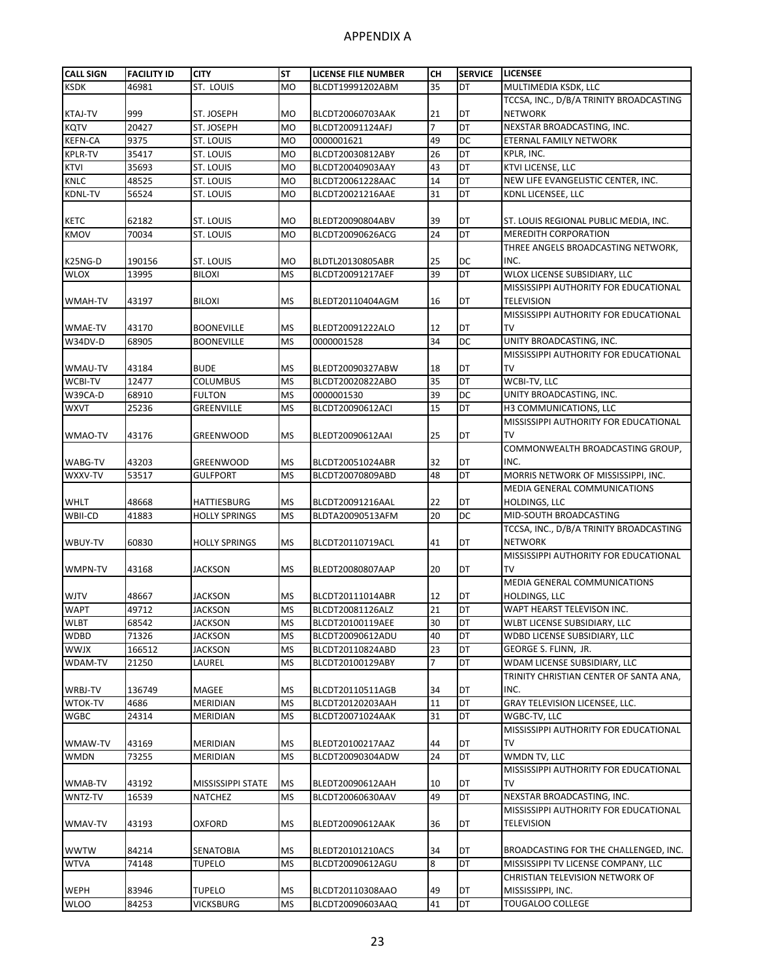| <b>CALL SIGN</b> | <b>FACILITY ID</b> | <b>CITY</b>          | <b>ST</b> | LICENSE FILE NUMBER | CН             | <b>SERVICE</b>  | <b>LICENSEE</b>                         |
|------------------|--------------------|----------------------|-----------|---------------------|----------------|-----------------|-----------------------------------------|
| <b>KSDK</b>      | 46981              | ST. LOUIS            | <b>MO</b> | BLCDT19991202ABM    | 35             | DT              | MULTIMEDIA KSDK, LLC                    |
|                  |                    |                      |           |                     |                |                 | TCCSA, INC., D/B/A TRINITY BROADCASTING |
| <b>KTAJ-TV</b>   | 999                | ST. JOSEPH           | <b>MO</b> | BLCDT20060703AAK    | 21             | DT              | <b>NETWORK</b>                          |
| <b>KQTV</b>      | 20427              | ST. JOSEPH           | <b>MO</b> | BLCDT20091124AFJ    | $\overline{7}$ | DT              | NEXSTAR BROADCASTING, INC.              |
| <b>KEFN-CA</b>   | 9375               | ST. LOUIS            | <b>MO</b> | 0000001621          | 49             | DC              | ETERNAL FAMILY NETWORK                  |
| <b>KPLR-TV</b>   | 35417              | ST. LOUIS            | <b>MO</b> | BLCDT20030812ABY    | 26             | DT              | KPLR, INC.                              |
| <b>KTVI</b>      | 35693              | ST. LOUIS            | <b>MO</b> | BLCDT20040903AAY    | 43             | DT              | <b>KTVI LICENSE, LLC</b>                |
| <b>KNLC</b>      | 48525              | ST. LOUIS            | <b>MO</b> | BLCDT20061228AAC    | 14             | DT              | NEW LIFE EVANGELISTIC CENTER, INC.      |
| <b>KDNL-TV</b>   | 56524              | ST. LOUIS            | <b>MO</b> | BLCDT20021216AAE    | 31             | DT              | KDNL LICENSEE, LLC                      |
|                  |                    |                      |           |                     |                |                 |                                         |
| <b>KETC</b>      | 62182              | ST. LOUIS            | <b>MO</b> | BLEDT20090804ABV    | 39             | DT              | ST. LOUIS REGIONAL PUBLIC MEDIA, INC.   |
| <b>KMOV</b>      | 70034              | ST. LOUIS            | <b>MO</b> | BLCDT20090626ACG    | 24             | DT              | <b>MEREDITH CORPORATION</b>             |
|                  |                    |                      |           |                     |                |                 | THREE ANGELS BROADCASTING NETWORK,      |
| K25NG-D          | 190156             | <b>ST. LOUIS</b>     | <b>MO</b> | BLDTL20130805ABR    | 25             | DC              | INC.                                    |
| <b>WLOX</b>      | 13995              | <b>BILOXI</b>        | <b>MS</b> | BLCDT20091217AEF    | 39             | <b>DT</b>       | WLOX LICENSE SUBSIDIARY, LLC            |
|                  |                    |                      |           |                     |                |                 | MISSISSIPPI AUTHORITY FOR EDUCATIONAL   |
| WMAH-TV          | 43197              | <b>BILOXI</b>        | <b>MS</b> | BLEDT20110404AGM    | 16             | DT              | TELEVISION                              |
|                  |                    |                      |           |                     |                |                 | MISSISSIPPI AUTHORITY FOR EDUCATIONAL   |
| <b>WMAE-TV</b>   | 43170              | <b>BOONEVILLE</b>    | <b>MS</b> | BLEDT20091222ALO    | 12             | DT              | <b>TV</b>                               |
| W34DV-D          | 68905              | <b>BOONEVILLE</b>    | <b>MS</b> | 0000001528          | 34             | DC              | UNITY BROADCASTING, INC.                |
|                  |                    |                      |           |                     |                |                 | MISSISSIPPI AUTHORITY FOR EDUCATIONAL   |
| WMAU-TV          | 43184              | <b>BUDE</b>          | <b>MS</b> | BLEDT20090327ABW    | 18             | DT              | TV                                      |
| WCBI-TV          | 12477              | <b>COLUMBUS</b>      | <b>MS</b> | BLCDT20020822ABO    | 35             | DT              | WCBI-TV, LLC                            |
| W39CA-D          | 68910              | <b>FULTON</b>        | <b>MS</b> | 0000001530          | 39             | DC              | UNITY BROADCASTING, INC.                |
| <b>WXVT</b>      | 25236              | <b>GREENVILLE</b>    | <b>MS</b> | BLCDT20090612ACI    | 15             | DT              | H3 COMMUNICATIONS, LLC                  |
|                  |                    |                      |           |                     |                |                 | MISSISSIPPI AUTHORITY FOR EDUCATIONAL   |
| WMAO-TV          | 43176              | GREENWOOD            | <b>MS</b> | BLEDT20090612AAI    | 25             | DT              | TV                                      |
|                  |                    |                      |           |                     |                |                 | COMMONWEALTH BROADCASTING GROUP,        |
| WABG-TV          | 43203              | <b>GREENWOOD</b>     | <b>MS</b> | BLCDT20051024ABR    | 32             | DT              | INC.                                    |
| WXXV-TV          | 53517              | <b>GULFPORT</b>      | <b>MS</b> | BLCDT20070809ABD    | 48             | DT              | MORRIS NETWORK OF MISSISSIPPI, INC.     |
|                  |                    |                      |           |                     |                |                 | MEDIA GENERAL COMMUNICATIONS            |
| <b>WHLT</b>      | 48668              | <b>HATTIESBURG</b>   | <b>MS</b> | BLCDT20091216AAL    | 22             | DT              | <b>HOLDINGS, LLC</b>                    |
| WBII-CD          | 41883              | <b>HOLLY SPRINGS</b> | <b>MS</b> | BLDTA20090513AFM    | 20             | DС              | MID-SOUTH BROADCASTING                  |
|                  |                    |                      |           |                     |                |                 | TCCSA, INC., D/B/A TRINITY BROADCASTING |
| WBUY-TV          | 60830              | <b>HOLLY SPRINGS</b> | <b>MS</b> | BLCDT20110719ACL    | 41             | DT              | <b>NETWORK</b>                          |
|                  |                    |                      |           |                     |                |                 | MISSISSIPPI AUTHORITY FOR EDUCATIONAL   |
| WMPN-TV          | 43168              | JACKSON              | <b>MS</b> | BLEDT20080807AAP    | 20             | DT              | <b>TV</b>                               |
|                  |                    |                      |           |                     |                |                 | MEDIA GENERAL COMMUNICATIONS            |
| <b>WJTV</b>      | 48667              | JACKSON              | <b>MS</b> | BLCDT20111014ABR    | 12             | DT              | HOLDINGS, LLC                           |
| <b>WAPT</b>      | 49712              | <b>JACKSON</b>       | <b>MS</b> | BLCDT20081126ALZ    | 21             | DT              | WAPT HEARST TELEVISON INC.              |
| <b>WLBT</b>      | 68542              | <b>JACKSON</b>       | <b>MS</b> | BLCDT20100119AEE    | 30             | DT              | WLBT LICENSE SUBSIDIARY, LLC            |
| <b>WDBD</b>      | 71326              | <b>JACKSON</b>       | <b>MS</b> | BLCDT20090612ADU    | 40             | DT              | WDBD LICENSE SUBSIDIARY, LLC            |
| <b>WWJX</b>      | 166512             | JACKSON              | <b>MS</b> | BLCDT20110824ABD    | 23             | DT              | GEORGE S. FLINN, JR.                    |
| <b>WDAM-TV</b>   | 21250              | LAUREL               | <b>MS</b> | BLCDT20100129ABY    | 7              | DT              | WDAM LICENSE SUBSIDIARY, LLC            |
|                  |                    |                      |           |                     |                |                 | TRINITY CHRISTIAN CENTER OF SANTA ANA,  |
| WRBJ-TV          | 136749             | MAGEE                | <b>MS</b> | BLCDT20110511AGB    | 34             | DT              | INC.                                    |
| WTOK-TV          | 4686               | MERIDIAN             | <b>MS</b> | BLCDT20120203AAH    | 11             | DT              | GRAY TELEVISION LICENSEE, LLC.          |
| <b>WGBC</b>      | 24314              | MERIDIAN             | <b>MS</b> | BLCDT20071024AAK    | 31             | DT              | WGBC-TV, LLC                            |
|                  |                    |                      |           |                     |                |                 | MISSISSIPPI AUTHORITY FOR EDUCATIONAL   |
| WMAW-TV          | 43169              | MERIDIAN             | <b>MS</b> | BLEDT20100217AAZ    | 44             | DT              | <b>TV</b>                               |
| <b>WMDN</b>      | 73255              | MERIDIAN             | <b>MS</b> | BLCDT20090304ADW    | 24             | DT              | WMDN TV, LLC                            |
|                  |                    |                      |           |                     |                |                 | MISSISSIPPI AUTHORITY FOR EDUCATIONAL   |
| WMAB-TV          | 43192              | MISSISSIPPI STATE    | <b>MS</b> | BLEDT20090612AAH    | 10             | DT              | TV                                      |
| WNTZ-TV          | 16539              | NATCHEZ              | <b>MS</b> | BLCDT20060630AAV    | 49             | $\overline{DT}$ | NEXSTAR BROADCASTING, INC.              |
|                  |                    |                      |           |                     |                |                 | MISSISSIPPI AUTHORITY FOR EDUCATIONAL   |
| WMAV-TV          | 43193              | OXFORD               | <b>MS</b> | BLEDT20090612AAK    | 36             | DT              | TELEVISION                              |
|                  |                    |                      |           |                     |                |                 |                                         |
| <b>WWTW</b>      | 84214              | SENATOBIA            | <b>MS</b> | BLEDT20101210ACS    | 34             | DT              | BROADCASTING FOR THE CHALLENGED, INC.   |
| <b>WTVA</b>      | 74148              | <b>TUPELO</b>        | <b>MS</b> | BLCDT20090612AGU    | 8              | DT              | MISSISSIPPI TV LICENSE COMPANY, LLC     |
|                  |                    |                      |           |                     |                |                 | CHRISTIAN TELEVISION NETWORK OF         |
| WEPH             | 83946              | <b>TUPELO</b>        | <b>MS</b> | BLCDT20110308AAO    | 49             | DT              | MISSISSIPPI, INC.                       |
|                  | 84253              |                      |           |                     | 41             | DT              | <b>TOUGALOO COLLEGE</b>                 |
| <b>WLOO</b>      |                    | VICKSBURG            | <b>MS</b> | BLCDT20090603AAQ    |                |                 |                                         |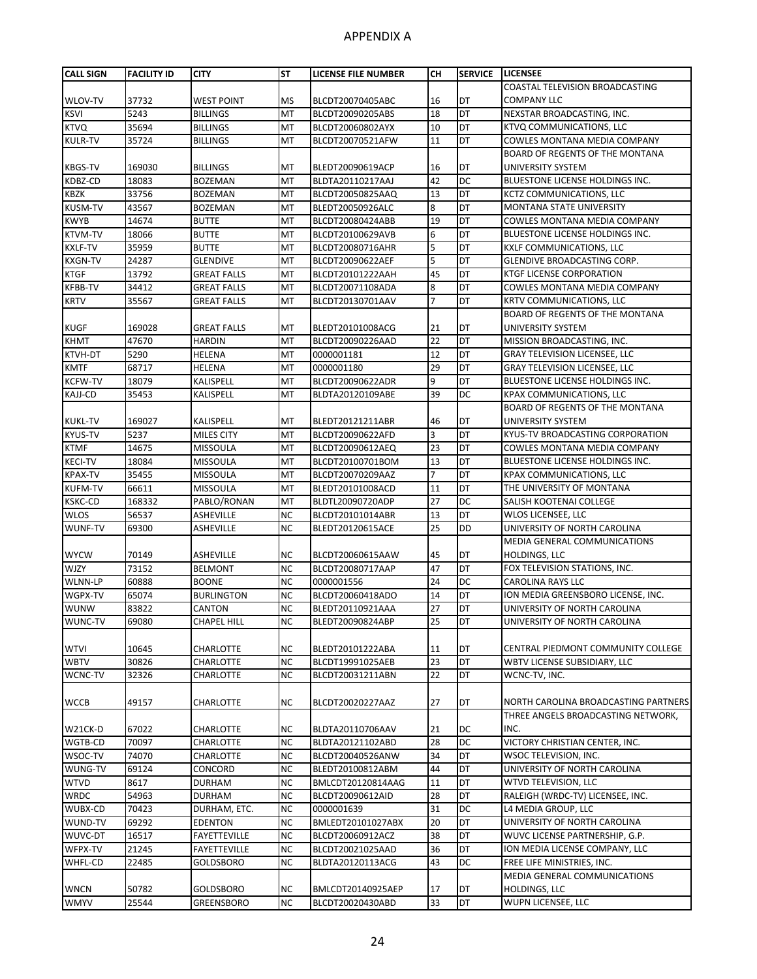| <b>CALL SIGN</b> | <b>FACILITY ID</b> | <b>CITY</b>         | <b>ST</b> | LICENSE FILE NUMBER | CН             | <b>SERVICE</b>  | <b>LICENSEE</b>                        |
|------------------|--------------------|---------------------|-----------|---------------------|----------------|-----------------|----------------------------------------|
|                  |                    |                     |           |                     |                |                 | COASTAL TELEVISION BROADCASTING        |
| WLOV-TV          | 37732              | <b>WEST POINT</b>   | <b>MS</b> | BLCDT20070405ABC    | 16             | DT              | <b>COMPANY LLC</b>                     |
| <b>KSVI</b>      | 5243               | <b>BILLINGS</b>     | MT        | BLCDT20090205ABS    | 18             | DT              | NEXSTAR BROADCASTING, INC.             |
| <b>KTVQ</b>      | 35694              | <b>BILLINGS</b>     | MT        | BLCDT20060802AYX    | 10             | DT              | KTVQ COMMUNICATIONS, LLC               |
| <b>KULR-TV</b>   | 35724              | <b>BILLINGS</b>     | MT        | BLCDT20070521AFW    | 11             | DT              | <b>COWLES MONTANA MEDIA COMPANY</b>    |
|                  |                    |                     |           |                     |                |                 | <b>BOARD OF REGENTS OF THE MONTANA</b> |
| <b>KBGS-TV</b>   | 169030             | <b>BILLINGS</b>     | MT        | BLEDT20090619ACP    | 16             | DT              | UNIVERSITY SYSTEM                      |
| KDBZ-CD          | 18083              | <b>BOZEMAN</b>      | MT        | BLDTA20110217AAJ    | 42             | DC              | BLUESTONE LICENSE HOLDINGS INC.        |
| <b>KBZK</b>      | 33756              | <b>BOZEMAN</b>      | MT        | BLCDT20050825AAQ    | 13             | DT              | KCTZ COMMUNICATIONS, LLC               |
| <b>KUSM-TV</b>   | 43567              | <b>BOZEMAN</b>      | MT        | BLEDT20050926ALC    | 8              | DT              | <b>MONTANA STATE UNIVERSITY</b>        |
| <b>KWYB</b>      | 14674              | <b>BUTTE</b>        | MT        | BLCDT20080424ABB    | 19             | DT              | <b>COWLES MONTANA MEDIA COMPANY</b>    |
| <b>KTVM-TV</b>   | 18066              | <b>BUTTE</b>        | MT        | BLCDT20100629AVB    | 6              | DT              | BLUESTONE LICENSE HOLDINGS INC.        |
| <b>KXLF-TV</b>   | 35959              | <b>BUTTE</b>        | MT        | BLCDT20080716AHR    | 5              | DT              | <b>KXLF COMMUNICATIONS, LLC</b>        |
| <b>KXGN-TV</b>   | 24287              | <b>GLENDIVE</b>     | MT        | BLCDT20090622AEF    | 5              | DT              | GLENDIVE BROADCASTING CORP.            |
| <b>KTGF</b>      | 13792              | <b>GREAT FALLS</b>  | MT        | BLCDT20101222AAH    | 45             | DT              | <b>KTGF LICENSE CORPORATION</b>        |
| <b>KFBB-TV</b>   | 34412              | <b>GREAT FALLS</b>  | MT        | BLCDT20071108ADA    | 8              | DT              | COWLES MONTANA MEDIA COMPANY           |
| <b>KRTV</b>      | 35567              | <b>GREAT FALLS</b>  | MT        | BLCDT20130701AAV    | 7              | DT              | KRTV COMMUNICATIONS, LLC               |
|                  |                    |                     |           |                     |                |                 | BOARD OF REGENTS OF THE MONTANA        |
| <b>KUGF</b>      | 169028             | <b>GREAT FALLS</b>  | MT        | BLEDT20101008ACG    | 21             | DT              | UNIVERSITY SYSTEM                      |
| <b>KHMT</b>      | 47670              | <b>HARDIN</b>       | MT        | BLCDT20090226AAD    | 22             | DT              | MISSION BROADCASTING, INC.             |
| <b>KTVH-DT</b>   | 5290               | HELENA              | MT        | 0000001181          | 12             | DT              | <b>GRAY TELEVISION LICENSEE, LLC</b>   |
| <b>KMTF</b>      | 68717              | HELENA              | MT        | 0000001180          | 29             | DT              | <b>GRAY TELEVISION LICENSEE, LLC</b>   |
| <b>KCFW-TV</b>   | 18079              | KALISPELL           | MT        | BLCDT20090622ADR    | 9              | DT              | BLUESTONE LICENSE HOLDINGS INC.        |
| <b>KAJJ-CD</b>   | 35453              | KALISPELL           | <b>MT</b> | BLDTA20120109ABE    | 39             | DC              | <b>KPAX COMMUNICATIONS, LLC</b>        |
|                  |                    |                     |           |                     |                |                 | BOARD OF REGENTS OF THE MONTANA        |
| <b>KUKL-TV</b>   | 169027             | KALISPELL           | MT        | BLEDT20121211ABR    | 46             | DT              | UNIVERSITY SYSTEM                      |
| <b>KYUS-TV</b>   | 5237               | MILES CITY          | MT        | BLCDT20090622AFD    | 3              | DT              | KYUS-TV BROADCASTING CORPORATION       |
| <b>KTMF</b>      | 14675              | <b>MISSOULA</b>     | MT        | BLCDT20090612AEQ    | 23             | DT              | COWLES MONTANA MEDIA COMPANY           |
| <b>KECI-TV</b>   | 18084              | <b>MISSOULA</b>     | MT        | BLCDT20100701BOM    | 13             | DT              | BLUESTONE LICENSE HOLDINGS INC.        |
| <b>KPAX-TV</b>   | 35455              | <b>MISSOULA</b>     | MT        | BLCDT20070209AAZ    | $\overline{7}$ | DT              | KPAX COMMUNICATIONS, LLC               |
| <b>KUFM-TV</b>   | 66611              | <b>MISSOULA</b>     | MT        | BLEDT20101008ACD    | 11             | DT              | THE UNIVERSITY OF MONTANA              |
| <b>KSKC-CD</b>   | 168332             | PABLO/RONAN         | MT        | BLDTL20090720ADP    | 27             | DC              | SALISH KOOTENAI COLLEGE                |
| <b>WLOS</b>      | 56537              | <b>ASHEVILLE</b>    | <b>NC</b> | BLCDT20101014ABR    | 13             | DT              | WLOS LICENSEE, LLC                     |
| WUNF-TV          | 69300              | <b>ASHEVILLE</b>    | <b>NC</b> | BLEDT20120615ACE    | 25             | DD              | UNIVERSITY OF NORTH CAROLINA           |
|                  |                    |                     |           |                     |                |                 | MEDIA GENERAL COMMUNICATIONS           |
| <b>WYCW</b>      | 70149              | ASHEVILLE           | <b>NC</b> | BLCDT20060615AAW    | 45             | DT              | HOLDINGS, LLC                          |
| <b>WJZY</b>      | 73152              | <b>BELMONT</b>      | <b>NC</b> | BLCDT20080717AAP    | 47             | DT              | FOX TELEVISION STATIONS, INC.          |
| WLNN-LP          | 60888              | <b>BOONE</b>        | <b>NC</b> | 0000001556          | 24             | DC              | <b>CAROLINA RAYS LLC</b>               |
| WGPX-TV          | 65074              | <b>BURLINGTON</b>   | <b>NC</b> |                     | 14             | DT              | ION MEDIA GREENSBORO LICENSE, INC.     |
|                  |                    | CANTON              | <b>NC</b> | BLCDT20060418ADO    | 27             | DT              | UNIVERSITY OF NORTH CAROLINA           |
| <b>WUNW</b>      | 83822              |                     |           | BLEDT20110921AAA    |                |                 |                                        |
| WUNC-TV          | 69080              | CHAPEL HILL         | NC.       | BLEDT20090824ABP    | 25             | DT              | UNIVERSITY OF NORTH CAROLINA           |
|                  | 10645              |                     |           |                     |                |                 | CENTRAL PIEDMONT COMMUNITY COLLEGE     |
| <b>WTVI</b>      |                    | CHARLOTTE           | <b>NC</b> | BLEDT20101222ABA    | 11             | DT<br><b>DT</b> |                                        |
| <b>WBTV</b>      | 30826              | <b>CHARLOTTE</b>    | <b>NC</b> | BLCDT19991025AEB    | 23             |                 | WBTV LICENSE SUBSIDIARY, LLC           |
| WCNC-TV          | 32326              | CHARLOTTE           | <b>NC</b> | BLCDT20031211ABN    | 22             | DT              | WCNC-TV, INC.                          |
|                  |                    |                     |           |                     |                |                 |                                        |
| <b>WCCB</b>      | 49157              | CHARLOTTE           | <b>NC</b> | BLCDT20020227AAZ    | 27             | DT              | NORTH CAROLINA BROADCASTING PARTNERS   |
|                  |                    |                     |           |                     |                |                 | THREE ANGELS BROADCASTING NETWORK,     |
| W21CK-D          | 67022              | CHARLOTTE           | <b>NC</b> | BLDTA20110706AAV    | 21             | DC              | INC.                                   |
| WGTB-CD          | 70097              | <b>CHARLOTTE</b>    | <b>NC</b> | BLDTA20121102ABD    | 28             | DC              | VICTORY CHRISTIAN CENTER, INC.         |
| WSOC-TV          | 74070              | CHARLOTTE           | <b>NC</b> | BLCDT20040526ANW    | 34             | DT              | WSOC TELEVISION, INC.                  |
| WUNG-TV          | 69124              | CONCORD             | <b>NC</b> | BLEDT20100812ABM    | 44             | DT              | UNIVERSITY OF NORTH CAROLINA           |
| <b>WTVD</b>      | 8617               | <b>DURHAM</b>       | <b>NC</b> | BMLCDT20120814AAG   | 11             | DT              | WTVD TELEVISION, LLC                   |
| <b>WRDC</b>      | 54963              | <b>DURHAM</b>       | <b>NC</b> | BLCDT20090612AID    | 28             | DT              | RALEIGH (WRDC-TV) LICENSEE, INC.       |
| WUBX-CD          | 70423              | DURHAM, ETC.        | <b>NC</b> | 0000001639          | 31             | DC              | L4 MEDIA GROUP, LLC                    |
| WUND-TV          | 69292              | <b>EDENTON</b>      | <b>NC</b> | BMLEDT20101027ABX   | 20             | DT              | UNIVERSITY OF NORTH CAROLINA           |
| WUVC-DT          | 16517              | FAYETTEVILLE        | <b>NC</b> | BLCDT20060912ACZ    | 38             | DT              | WUVC LICENSE PARTNERSHIP, G.P.         |
| WFPX-TV          | 21245              | <b>FAYETTEVILLE</b> | <b>NC</b> | BLCDT20021025AAD    | 36             | DT              | ION MEDIA LICENSE COMPANY, LLC         |
| WHFL-CD          | 22485              | GOLDSBORO           | <b>NC</b> | BLDTA20120113ACG    | 43             | DC              | FREE LIFE MINISTRIES, INC.             |
|                  |                    |                     |           |                     |                |                 | MEDIA GENERAL COMMUNICATIONS           |
| <b>WNCN</b>      | 50782              | GOLDSBORO           | <b>NC</b> | BMLCDT20140925AEP   | 17             | DT              | HOLDINGS, LLC                          |
| <b>WMYV</b>      | 25544              | GREENSBORO          | <b>NC</b> | BLCDT20020430ABD    | 33             | DT              | WUPN LICENSEE, LLC                     |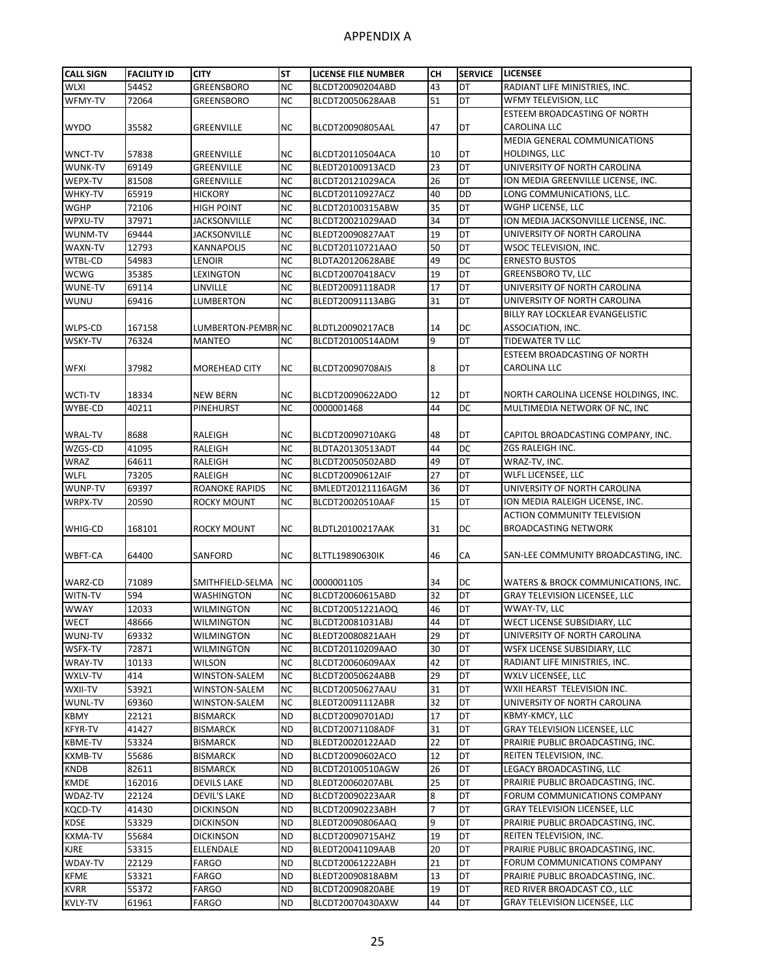| <b>CALL SIGN</b> | <b>FACILITY ID</b> | <b>CITY</b>              | <b>ST</b>              | LICENSE FILE NUMBER                   | CН       | <b>SERVICE</b> | <b>LICENSEE</b>                                                             |
|------------------|--------------------|--------------------------|------------------------|---------------------------------------|----------|----------------|-----------------------------------------------------------------------------|
| <b>WLXI</b>      | 54452              | <b>GREENSBORO</b>        | <b>NC</b>              | BLCDT20090204ABD                      | 43       | DT             | RADIANT LIFE MINISTRIES, INC.                                               |
| WFMY-TV          | 72064              | GREENSBORO               | <b>NC</b>              | BLCDT20050628AAB                      | 51       | DT             | WFMY TELEVISION, LLC                                                        |
|                  |                    |                          |                        |                                       |          |                | ESTEEM BROADCASTING OF NORTH                                                |
| <b>WYDO</b>      | 35582              | <b>GREENVILLE</b>        | <b>NC</b>              | BLCDT20090805AAL                      | 47       | DT             | <b>CAROLINA LLC</b>                                                         |
|                  |                    |                          |                        |                                       |          |                | MEDIA GENERAL COMMUNICATIONS                                                |
| <b>WNCT-TV</b>   | 57838              | <b>GREENVILLE</b>        | <b>NC</b>              | BLCDT20110504ACA                      | 10       | DT             | <b>HOLDINGS, LLC</b>                                                        |
| WUNK-TV          | 69149              | <b>GREENVILLE</b>        | <b>NC</b>              | BLEDT20100913ACD                      | 23       | DT             | UNIVERSITY OF NORTH CAROLINA                                                |
| WEPX-TV          | 81508              | <b>GREENVILLE</b>        | <b>NC</b>              | BLCDT20121029ACA                      | 26       | DT             | ION MEDIA GREENVILLE LICENSE, INC.                                          |
| WHKY-TV          | 65919              | <b>HICKORY</b>           | <b>NC</b>              | BLCDT20110927ACZ                      | 40       | <b>DD</b>      | LONG COMMUNICATIONS, LLC.                                                   |
| <b>WGHP</b>      | 72106              | <b>HIGH POINT</b>        | <b>NC</b>              | BLCDT20100315ABW                      | 35       | DT             | WGHP LICENSE, LLC                                                           |
| WPXU-TV          | 37971              | JACKSONVILLE             | <b>NC</b>              | BLCDT20021029AAD                      | 34       | DT             | ION MEDIA JACKSONVILLE LICENSE, INC.                                        |
| WUNM-TV          | 69444              | <b>JACKSONVILLE</b>      | <b>NC</b>              | BLEDT20090827AAT                      | 19       | DT             | UNIVERSITY OF NORTH CAROLINA                                                |
| WAXN-TV          | 12793              | <b>KANNAPOLIS</b>        | <b>NC</b>              | BLCDT20110721AAO                      | 50       | DT             | WSOC TELEVISION, INC.                                                       |
| WTBL-CD          | 54983              | LENOIR                   | <b>NC</b>              | BLDTA20120628ABE                      | 49       | DC             | <b>ERNESTO BUSTOS</b>                                                       |
| <b>WCWG</b>      | 35385              | LEXINGTON                | <b>NC</b>              | BLCDT20070418ACV                      | 19       | DT             | <b>GREENSBORO TV, LLC</b>                                                   |
| WUNE-TV          | 69114              | LINVILLE                 | <b>NC</b>              | BLEDT20091118ADR                      | 17       | DT             | UNIVERSITY OF NORTH CAROLINA                                                |
| <b>WUNU</b>      | 69416              | LUMBERTON                | <b>NC</b>              | BLEDT20091113ABG                      | 31       | DT             | UNIVERSITY OF NORTH CAROLINA                                                |
|                  |                    |                          |                        |                                       |          |                | BILLY RAY LOCKLEAR EVANGELISTIC                                             |
| WLPS-CD          | 167158             | LUMBERTON-PEMBRING       |                        | BLDTL20090217ACB                      | 14       | DC             | ASSOCIATION, INC.                                                           |
| <b>WSKY-TV</b>   | 76324              | <b>MANTEO</b>            | <b>NC</b>              | BLCDT20100514ADM                      | 9        | DT             | TIDEWATER TV LLC                                                            |
|                  |                    |                          |                        |                                       |          |                | ESTEEM BROADCASTING OF NORTH                                                |
| <b>WFXI</b>      | 37982              | MOREHEAD CITY            | <b>NC</b>              | BLCDT20090708AIS                      | 8        | DT             | CAROLINA LLC                                                                |
|                  |                    |                          |                        |                                       |          |                |                                                                             |
| <b>WCTI-TV</b>   | 18334              | <b>NEW BERN</b>          | <b>NC</b>              | BLCDT20090622ADO                      | 12       | DT             | NORTH CAROLINA LICENSE HOLDINGS, INC.                                       |
| WYBE-CD          | 40211              | PINEHURST                | <b>NC</b>              | 0000001468                            | 44       | DC             | MULTIMEDIA NETWORK OF NC, INC                                               |
|                  |                    |                          |                        |                                       |          |                |                                                                             |
| <b>WRAL-TV</b>   | 8688               | RALEIGH                  | <b>NC</b>              | BLCDT20090710AKG                      | 48       | DT             | CAPITOL BROADCASTING COMPANY, INC.                                          |
| WZGS-CD          | 41095              | RALEIGH                  | <b>NC</b>              | BLDTA20130513ADT                      | 44       | DC             | ZGS RALEIGH INC.                                                            |
| <b>WRAZ</b>      | 64611              | RALEIGH                  | <b>NC</b>              | BLCDT20050502ABD                      | 49       | <b>DT</b>      | WRAZ-TV, INC.                                                               |
| <b>WLFL</b>      | 73205              | RALEIGH                  | <b>NC</b>              | BLCDT20090612AIF                      | 27       | DT             | WLFL LICENSEE, LLC                                                          |
| WUNP-TV          | 69397              | <b>ROANOKE RAPIDS</b>    | <b>NC</b>              |                                       |          | DT             | UNIVERSITY OF NORTH CAROLINA                                                |
| WRPX-TV          | 20590              | ROCKY MOUNT              | <b>NC</b>              | BMLEDT20121116AGM<br>BLCDT20020510AAF | 36<br>15 | DT             | ION MEDIA RALEIGH LICENSE, INC.                                             |
|                  |                    |                          |                        |                                       |          |                | <b>ACTION COMMUNITY TELEVISION</b>                                          |
| WHIG-CD          | 168101             | <b>ROCKY MOUNT</b>       | <b>NC</b>              | BLDTL20100217AAK                      | 31       | DC             | <b>BROADCASTING NETWORK</b>                                                 |
|                  |                    |                          |                        |                                       |          |                |                                                                             |
| WBFT-CA          | 64400              | SANFORD                  | <b>NC</b>              | BLTTL19890630IK                       | 46       | СA             | SAN-LEE COMMUNITY BROADCASTING, INC.                                        |
|                  |                    |                          |                        |                                       |          |                |                                                                             |
| WARZ-CD          | 71089              | SMITHFIELD-SELMA         | <b>NC</b>              | 0000001105                            | 34       | DC             |                                                                             |
| WITN-TV          | 594                | <b>WASHINGTON</b>        | <b>NC</b>              | BLCDT20060615ABD                      | 32       | DT             | WATERS & BROCK COMMUNICATIONS, INC.<br><b>GRAY TELEVISION LICENSEE, LLC</b> |
| <b>WWAY</b>      | 12033              | <b>WILMINGTON</b>        | <b>NC</b>              | BLCDT20051221AOQ                      | 46       | DT             | WWAY-TV, LLC                                                                |
|                  | 48666              |                          |                        |                                       |          |                |                                                                             |
| <b>WECT</b>      |                    | <b>WILMINGTON</b>        | <b>NC</b><br><b>NC</b> | BLCDT20081031ABJ                      | 44<br>29 | DT<br>DT       | WECT LICENSE SUBSIDIARY, LLC                                                |
| WUNJ-TV          | 69332              | WILMINGTON<br>WILMINGTON |                        | BLEDT20080821AAH                      |          | DT             | UNIVERSITY OF NORTH CAROLINA                                                |
| WSFX-TV          | 72871              |                          | <b>NC</b><br><b>NC</b> | BLCDT20110209AAO                      | 30       | DT             | WSFX LICENSE SUBSIDIARY, LLC<br>RADIANT LIFE MINISTRIES, INC.               |
| <b>WRAY-TV</b>   | 10133              | WILSON                   |                        | BLCDT20060609AAX                      | 42       |                |                                                                             |
| WXLV-TV          | 414                | WINSTON-SALEM            | <b>NC</b>              | BLCDT20050624ABB                      | 29       | DT             | WXLV LICENSEE, LLC                                                          |
| WXII-TV          | 53921              | WINSTON-SALEM            | <b>NC</b>              | BLCDT20050627AAU                      | 31       | DT             | WXII HEARST TELEVISION INC.                                                 |
| <b>WUNL-TV</b>   | 69360              | WINSTON-SALEM            | <b>NC</b>              | BLEDT20091112ABR                      | 32       | DT             | UNIVERSITY OF NORTH CAROLINA                                                |
| <b>KBMY</b>      | 22121              | <b>BISMARCK</b>          | <b>ND</b>              | BLCDT20090701ADJ                      | 17       | DT             | KBMY-KMCY, LLC                                                              |
| <b>KFYR-TV</b>   | 41427              | <b>BISMARCK</b>          | <b>ND</b>              | BLCDT20071108ADF                      | 31       | DT             | <b>GRAY TELEVISION LICENSEE, LLC</b>                                        |
| <b>KBME-TV</b>   | 53324              | <b>BISMARCK</b>          | <b>ND</b>              | BLEDT20020122AAD                      | 22       | DT             | PRAIRIE PUBLIC BROADCASTING, INC.                                           |
| KXMB-TV          | 55686              | BISMARCK                 | <b>ND</b>              | BLCDT20090602ACO                      | 12       | DT             | REITEN TELEVISION, INC.                                                     |
| <b>KNDB</b>      | 82611              | <b>BISMARCK</b>          | <b>ND</b>              | BLCDT20100510AGW                      | 26       | DT             | LEGACY BROADCASTING, LLC                                                    |
| <b>KMDE</b>      | 162016             | <b>DEVILS LAKE</b>       | <b>ND</b>              | BLEDT20060207ABL                      | 25       | DT             | PRAIRIE PUBLIC BROADCASTING, INC.                                           |
| WDAZ-TV          | 22124              | DEVIL'S LAKE             | <b>ND</b>              | BLCDT20090223AAR                      | 8        | DT             | FORUM COMMUNICATIONS COMPANY                                                |
| <b>KQCD-TV</b>   | 41430              | <b>DICKINSON</b>         | <b>ND</b>              | BLCDT20090223ABH                      | 7        | DT             | GRAY TELEVISION LICENSEE, LLC                                               |
| <b>KDSE</b>      | 53329              | <b>DICKINSON</b>         | <b>ND</b>              | BLEDT20090806AAQ                      | 9        | DT             | PRAIRIE PUBLIC BROADCASTING, INC.                                           |
| <b>KXMA-TV</b>   | 55684              | <b>DICKINSON</b>         | <b>ND</b>              | BLCDT20090715AHZ                      | 19       | DT             | REITEN TELEVISION, INC.                                                     |
| <b>KJRE</b>      | 53315              | ELLENDALE                | <b>ND</b>              | BLEDT20041109AAB                      | 20       | DT             | PRAIRIE PUBLIC BROADCASTING, INC.                                           |
| WDAY-TV          | 22129              | FARGO                    | <b>ND</b>              | BLCDT20061222ABH                      | 21       | DT             | FORUM COMMUNICATIONS COMPANY                                                |
| <b>KFME</b>      | 53321              | <b>FARGO</b>             | <b>ND</b>              | BLEDT20090818ABM                      | 13       | DT             | PRAIRIE PUBLIC BROADCASTING, INC.                                           |
| <b>KVRR</b>      | 55372              | <b>FARGO</b>             | <b>ND</b>              | BLCDT20090820ABE                      | 19       | DT             | RED RIVER BROADCAST CO., LLC                                                |
| KVLY-TV          | 61961              | FARGO                    | <b>ND</b>              | BLCDT20070430AXW                      | 44       | DT             | <b>GRAY TELEVISION LICENSEE, LLC</b>                                        |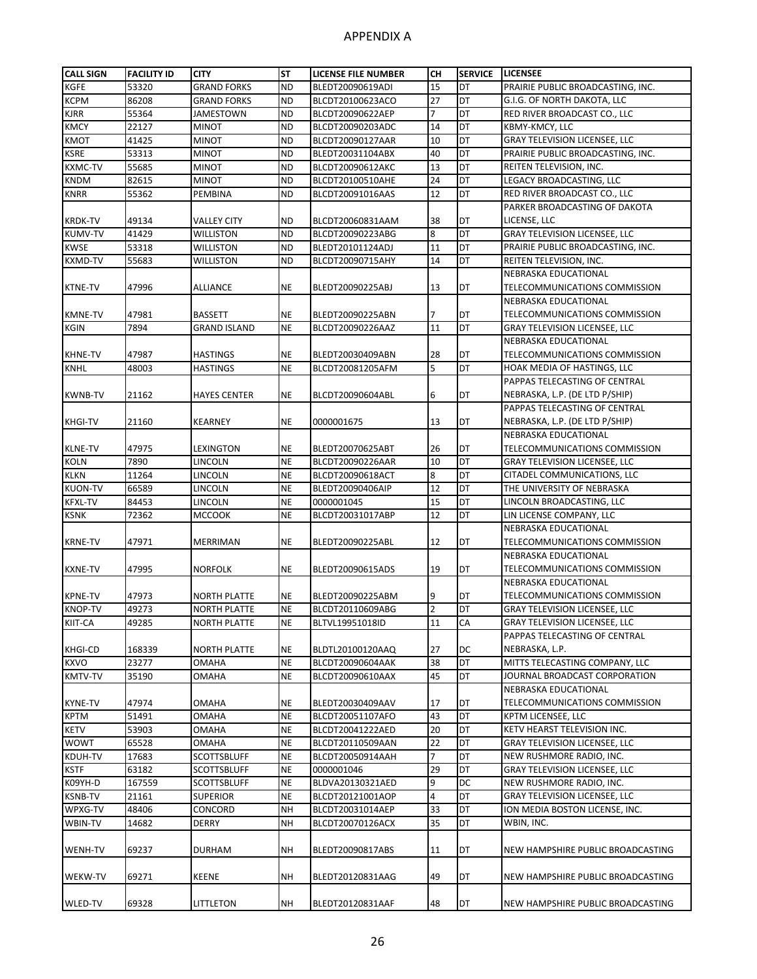| <b>CALL SIGN</b> | <b>FACILITY ID</b> | <b>CITY</b>         | <b>ST</b> | <b>LICENSE FILE NUMBER</b> | CН             | <b>SERVICE</b> | <b>LICENSEE</b>                      |
|------------------|--------------------|---------------------|-----------|----------------------------|----------------|----------------|--------------------------------------|
| KGFE             | 53320              | <b>GRAND FORKS</b>  | <b>ND</b> | BLEDT20090619ADI           | 15             | DT             | PRAIRIE PUBLIC BROADCASTING, INC.    |
| <b>KCPM</b>      | 86208              | <b>GRAND FORKS</b>  | <b>ND</b> | BLCDT20100623ACO           | 27             | DT             | G.I.G. OF NORTH DAKOTA, LLC          |
| <b>KJRR</b>      | 55364              | <b>JAMESTOWN</b>    | <b>ND</b> | BLCDT20090622AEP           | $\overline{7}$ | DT             | RED RIVER BROADCAST CO., LLC         |
| <b>KMCY</b>      | 22127              | MINOT               | <b>ND</b> | BLCDT20090203ADC           | 14             | DT             | KBMY-KMCY, LLC                       |
| KMOT             | 41425              | MINOT               | <b>ND</b> | BLCDT20090127AAR           | 10             | DT             | <b>GRAY TELEVISION LICENSEE, LLC</b> |
| KSRE             | 53313              | <b>MINOT</b>        | <b>ND</b> | BLEDT20031104ABX           | 40             | DT             | PRAIRIE PUBLIC BROADCASTING, INC.    |
| <b>KXMC-TV</b>   | 55685              | <b>MINOT</b>        | <b>ND</b> | BLCDT20090612AKC           | 13             | DT             | REITEN TELEVISION, INC.              |
| <b>KNDM</b>      | 82615              | <b>MINOT</b>        | <b>ND</b> | BLCDT20100510AHE           | 24             | DT             | LEGACY BROADCASTING, LLC             |
| <b>KNRR</b>      | 55362              | PEMBINA             | <b>ND</b> | BLCDT20091016AAS           | 12             | DT             | RED RIVER BROADCAST CO., LLC         |
|                  |                    |                     |           |                            |                |                | PARKER BROADCASTING OF DAKOTA        |
| <b>KRDK-TV</b>   | 49134              | VALLEY CITY         | <b>ND</b> | BLCDT20060831AAM           | 38             | DT             | LICENSE, LLC                         |
| <b>KUMV-TV</b>   | 41429              | WILLISTON           | <b>ND</b> | BLCDT20090223ABG           | 8              | DT             | <b>GRAY TELEVISION LICENSEE, LLC</b> |
| <b>KWSE</b>      | 53318              | <b>WILLISTON</b>    | <b>ND</b> | BLEDT20101124ADJ           | 11             | DT             | PRAIRIE PUBLIC BROADCASTING, INC.    |
| KXMD-TV          | 55683              | WILLISTON           | <b>ND</b> | BLCDT20090715AHY           | 14             | DT             | REITEN TELEVISION, INC.              |
|                  |                    |                     |           |                            |                |                | NEBRASKA EDUCATIONAL                 |
| <b>KTNE-TV</b>   | 47996              | ALLIANCE            | <b>NE</b> | BLEDT20090225ABJ           | 13             | DT             | TELECOMMUNICATIONS COMMISSION        |
|                  |                    |                     |           |                            |                |                | NEBRASKA EDUCATIONAL                 |
| <b>KMNE-TV</b>   | 47981              | <b>BASSETT</b>      | <b>NE</b> | BLEDT20090225ABN           | 7              | DT             | TELECOMMUNICATIONS COMMISSION        |
| <b>KGIN</b>      | 7894               | <b>GRAND ISLAND</b> | <b>NE</b> | BLCDT20090226AAZ           | 11             | DT             | <b>GRAY TELEVISION LICENSEE, LLC</b> |
|                  |                    |                     |           |                            |                |                | NEBRASKA EDUCATIONAL                 |
| <b>KHNE-TV</b>   | 47987              | <b>HASTINGS</b>     | <b>NE</b> | BLEDT20030409ABN           | 28             | DT             | TELECOMMUNICATIONS COMMISSION        |
| <b>KNHL</b>      | 48003              | HASTINGS            | <b>NE</b> | BLCDT20081205AFM           | 5              | DT             | HOAK MEDIA OF HASTINGS, LLC          |
|                  |                    |                     |           |                            |                |                | PAPPAS TELECASTING OF CENTRAL        |
|                  |                    |                     |           |                            |                |                |                                      |
| KWNB-TV          | 21162              | <b>HAYES CENTER</b> | <b>NE</b> | BLCDT20090604ABL           | 6              | DT             | NEBRASKA, L.P. (DE LTD P/SHIP)       |
|                  |                    |                     |           |                            |                |                | PAPPAS TELECASTING OF CENTRAL        |
| <b>KHGI-TV</b>   | 21160              | <b>KEARNEY</b>      | <b>NE</b> | 0000001675                 | 13             | DT             | NEBRASKA, L.P. (DE LTD P/SHIP)       |
|                  |                    |                     |           |                            |                |                | NEBRASKA EDUCATIONAL                 |
| <b>KLNE-TV</b>   | 47975              | LEXINGTON           | <b>NE</b> | BLEDT20070625ABT           | 26             | DT             | TELECOMMUNICATIONS COMMISSION        |
| <b>KOLN</b>      | 7890               | LINCOLN             | <b>NE</b> | BLCDT20090226AAR           | 10             | DT             | GRAY TELEVISION LICENSEE, LLC        |
| <b>KLKN</b>      | 11264              | LINCOLN             | <b>NE</b> | BLCDT20090618ACT           | 8              | DT             | CITADEL COMMUNICATIONS, LLC          |
| <b>KUON-TV</b>   | 66589              | LINCOLN             | <b>NE</b> | BLEDT20090406AIP           | 12             | DT             | THE UNIVERSITY OF NEBRASKA           |
| <b>KFXL-TV</b>   | 84453              | LINCOLN             | <b>NE</b> | 0000001045                 | 15             | DT             | LINCOLN BROADCASTING, LLC            |
| <b>KSNK</b>      | 72362              | <b>MCCOOK</b>       | <b>NE</b> | BLCDT20031017ABP           | 12             | DT             | LIN LICENSE COMPANY, LLC             |
|                  |                    |                     |           |                            |                |                | NEBRASKA EDUCATIONAL                 |
| <b>KRNE-TV</b>   | 47971              | MERRIMAN            | <b>NE</b> | BLEDT20090225ABL           | 12             | DT             | TELECOMMUNICATIONS COMMISSION        |
|                  |                    |                     |           |                            |                |                | NEBRASKA EDUCATIONAL                 |
| <b>KXNE-TV</b>   | 47995              | <b>NORFOLK</b>      | <b>NE</b> | BLEDT20090615ADS           | 19             | DT             | TELECOMMUNICATIONS COMMISSION        |
|                  |                    |                     |           |                            |                |                | NEBRASKA EDUCATIONAL                 |
| <b>KPNE-TV</b>   | 47973              | NORTH PLATTE        | <b>NE</b> | BLEDT20090225ABM           | 9              | DT             | TELECOMMUNICATIONS COMMISSION        |
| <b>KNOP-TV</b>   | 49273              | <b>NORTH PLATTE</b> | <b>NE</b> | BLCDT20110609ABG           | $\overline{2}$ | DT             | <b>GRAY TELEVISION LICENSEE, LLC</b> |
| KIIT-CA          | 49285              | <b>NORTH PLATTE</b> | <b>NE</b> | BLTVL19951018ID            | 11             | СA             | <b>GRAY TELEVISION LICENSEE, LLC</b> |
|                  |                    |                     |           |                            |                |                | PAPPAS TELECASTING OF CENTRAL        |
| <b>KHGI-CD</b>   | 168339             | <b>NORTH PLATTE</b> | <b>NE</b> | BLDTL20100120AAQ           | 27             | DC             | NEBRASKA, L.P.                       |
| <b>KXVO</b>      | 23277              | OMAHA               | <b>NE</b> | BLCDT20090604AAK           | 38             | DT             | MITTS TELECASTING COMPANY, LLC       |
| KMTV-TV          | 35190              | OMAHA               | <b>NE</b> | BLCDT20090610AAX           | 45             | DT             | JOURNAL BROADCAST CORPORATION        |
|                  |                    |                     |           |                            |                |                | NEBRASKA EDUCATIONAL                 |
| <b>KYNE-TV</b>   | 47974              | OMAHA               | <b>NE</b> | BLEDT20030409AAV           | 17             | DT             | TELECOMMUNICATIONS COMMISSION        |
| <b>KPTM</b>      | 51491              | <b>OMAHA</b>        | <b>NE</b> | BLCDT20051107AFO           | 43             | DT             | KPTM LICENSEE, LLC                   |
| <b>KETV</b>      | 53903              | OMAHA               | <b>NE</b> | BLCDT20041222AED           | 20             | DT             | KETV HEARST TELEVISION INC.          |
| <b>WOWT</b>      | 65528              | OMAHA               | <b>NE</b> | BLCDT20110509AAN           | 22             | DT             | <b>GRAY TELEVISION LICENSEE, LLC</b> |
| KDUH-TV          | 17683              | SCOTTSBLUFF         | <b>NE</b> | BLCDT20050914AAH           | $\overline{7}$ | DT             | NEW RUSHMORE RADIO, INC.             |
| KSTF             | 63182              | SCOTTSBLUFF         | <b>NE</b> | 0000001046                 | 29             | DT             | <b>GRAY TELEVISION LICENSEE, LLC</b> |
| K09YH-D          | 167559             | SCOTTSBLUFF         | <b>NE</b> | BLDVA20130321AED           | 9              | DC             | NEW RUSHMORE RADIO, INC.             |
| <b>KSNB-TV</b>   | 21161              | <b>SUPERIOR</b>     | <b>NE</b> | BLCDT20121001AOP           | $\overline{4}$ | DT             | GRAY TELEVISION LICENSEE, LLC        |
| WPXG-TV          | 48406              | CONCORD             | <b>NH</b> | BLCDT20031014AEP           | 33             | DT             | ION MEDIA BOSTON LICENSE, INC.       |
| WBIN-TV          | 14682              | DERRY               | <b>NH</b> | BLCDT20070126ACX           | 35             | DT             | WBIN, INC.                           |
|                  |                    |                     |           |                            |                |                |                                      |
| WENH-TV          | 69237              | DURHAM              | <b>NH</b> | BLEDT20090817ABS           | 11             | DT             | NEW HAMPSHIRE PUBLIC BROADCASTING    |
|                  |                    |                     |           |                            |                |                |                                      |
| WEKW-TV          | 69271              | KEENE               | <b>NH</b> | BLEDT20120831AAG           | 49             | DT             | NEW HAMPSHIRE PUBLIC BROADCASTING    |
|                  |                    |                     |           |                            |                |                |                                      |
| WLED-TV          | 69328              | LITTLETON           | <b>NH</b> | BLEDT20120831AAF           | 48             | DT             | NEW HAMPSHIRE PUBLIC BROADCASTING    |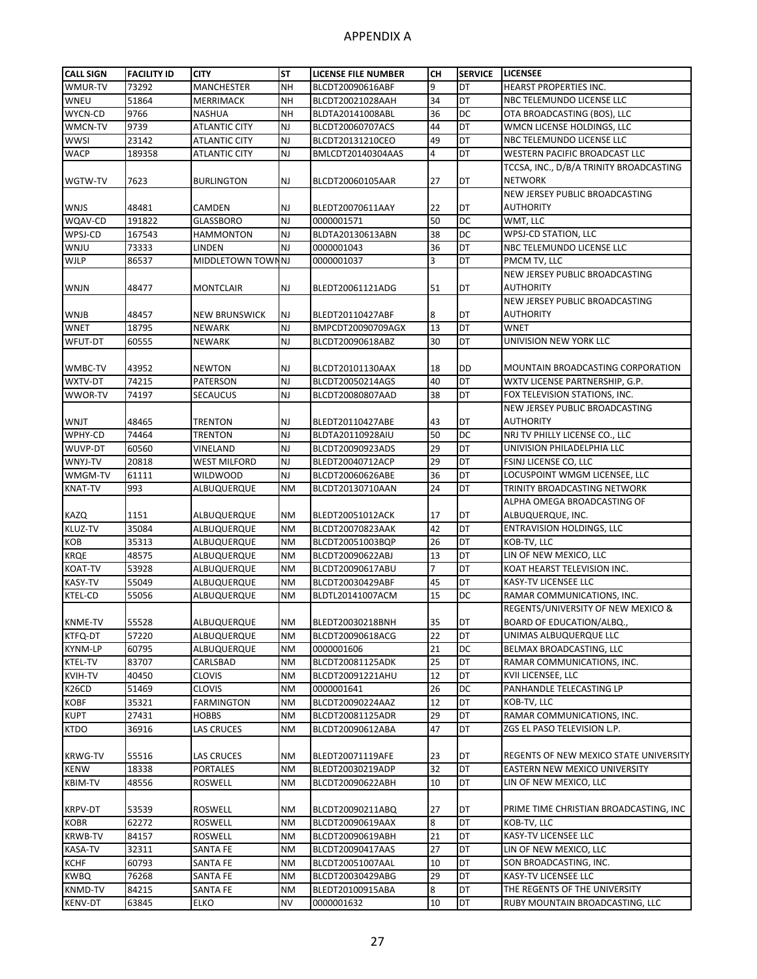| <b>CALL SIGN</b> | <b>FACILITY ID</b> | <b>CITY</b>          | <b>ST</b> | <b>LICENSE FILE NUMBER</b> | CН             | <b>SERVICE</b>  | <b>LICENSEE</b>                         |
|------------------|--------------------|----------------------|-----------|----------------------------|----------------|-----------------|-----------------------------------------|
| WMUR-TV          | 73292              | <b>MANCHESTER</b>    | <b>NH</b> | BLCDT20090616ABF           | 9              | DT              | <b>HEARST PROPERTIES INC.</b>           |
| WNEU             | 51864              | MERRIMACK            | <b>NH</b> | BLCDT20021028AAH           | 34             | DT              | NBC TELEMUNDO LICENSE LLC               |
| WYCN-CD          | 9766               | <b>NASHUA</b>        | <b>NH</b> | BLDTA20141008ABL           | 36             | DC              | OTA BROADCASTING (BOS), LLC             |
| WMCN-TV          | 9739               | <b>ATLANTIC CITY</b> | <b>NJ</b> | BLCDT20060707ACS           | 44             | DT              | WMCN LICENSE HOLDINGS, LLC              |
| wwsi             | 23142              | <b>ATLANTIC CITY</b> | <b>NJ</b> | BLCDT20131210CEO           | 49             | DT              | NBC TELEMUNDO LICENSE LLC               |
| <b>WACP</b>      |                    |                      | <b>NJ</b> | BMLCDT20140304AAS          | 4              | DT              | WESTERN PACIFIC BROADCAST LLC           |
|                  | 189358             | ATLANTIC CITY        |           |                            |                |                 |                                         |
|                  |                    |                      |           |                            |                |                 | TCCSA, INC., D/B/A TRINITY BROADCASTING |
| WGTW-TV          | 7623               | <b>BURLINGTON</b>    | <b>NJ</b> | BLCDT20060105AAR           | 27             | DT              | <b>NETWORK</b>                          |
|                  |                    |                      |           |                            |                |                 | NEW JERSEY PUBLIC BROADCASTING          |
| WNJS             | 48481              | CAMDEN               | <b>NJ</b> | BLEDT20070611AAY           | 22             | DT              | <b>AUTHORITY</b>                        |
| WQAV-CD          | 191822             | <b>GLASSBORO</b>     | <b>NJ</b> | 0000001571                 | 50             | DC              | WMT, LLC                                |
| WPSJ-CD          | 167543             | <b>HAMMONTON</b>     | <b>NJ</b> | BLDTA20130613ABN           | 38             | DC              | WPSJ-CD STATION, LLC                    |
| WNJU             | 73333              | LINDEN               | <b>NJ</b> | 0000001043                 | 36             | DT              | NBC TELEMUNDO LICENSE LLC               |
| <b>WJLP</b>      | 86537              | MIDDLETOWN TOWN NJ   |           | 0000001037                 | 3              | $\overline{DT}$ | PMCM TV, LLC                            |
|                  |                    |                      |           |                            |                |                 | NEW JERSEY PUBLIC BROADCASTING          |
| WNJN             | 48477              | MONTCLAIR            | <b>NJ</b> | BLEDT20061121ADG           | 51             | DT              | <b>AUTHORITY</b>                        |
|                  |                    |                      |           |                            |                |                 | NEW JERSEY PUBLIC BROADCASTING          |
| WNJB             | 48457              | <b>NEW BRUNSWICK</b> | NJ        | BLEDT20110427ABF           | 8              | DT              | <b>AUTHORITY</b>                        |
| <b>WNET</b>      | 18795              | <b>NEWARK</b>        | <b>NJ</b> | BMPCDT20090709AGX          | 13             | DT              | <b>WNET</b>                             |
| WFUT-DT          | 60555              | NEWARK               | <b>NJ</b> | BLCDT20090618ABZ           | 30             | DT              | UNIVISION NEW YORK LLC                  |
|                  |                    |                      |           |                            |                |                 |                                         |
| WMBC-TV          | 43952              | <b>NEWTON</b>        | <b>NJ</b> | BLCDT20101130AAX           | 18             | DD              | MOUNTAIN BROADCASTING CORPORATION       |
|                  |                    |                      |           |                            |                | DT              |                                         |
| WXTV-DT          | 74215              | <b>PATERSON</b>      | <b>NJ</b> | BLCDT20050214AGS           | 40             |                 | WXTV LICENSE PARTNERSHIP, G.P.          |
| WWOR-TV          | 74197              | <b>SECAUCUS</b>      | <b>NJ</b> | BLCDT20080807AAD           | 38             | DT              | FOX TELEVISION STATIONS, INC.           |
|                  |                    |                      |           |                            |                |                 | NEW JERSEY PUBLIC BROADCASTING          |
| WNJT             | 48465              | <b>TRENTON</b>       | <b>NJ</b> | BLEDT20110427ABE           | 43             | DT              | <b>AUTHORITY</b>                        |
| WPHY-CD          | 74464              | <b>TRENTON</b>       | <b>NJ</b> | BLDTA20110928AIU           | 50             | DC              | NRJ TV PHILLY LICENSE CO., LLC          |
| WUVP-DT          | 60560              | VINELAND             | <b>NJ</b> | BLCDT20090923ADS           | 29             | DT              | UNIVISION PHILADELPHIA LLC              |
| WNYJ-TV          | 20818              | <b>WEST MILFORD</b>  | <b>NJ</b> | BLEDT20040712ACP           | 29             | DT              | FSINJ LICENSE CO, LLC                   |
| WMGM-TV          | 61111              | <b>WILDWOOD</b>      | <b>NJ</b> | BLCDT20060626ABE           | 36             | DT              | LOCUSPOINT WMGM LICENSEE, LLC           |
| <b>KNAT-TV</b>   | 993                | ALBUQUERQUE          | <b>NM</b> | BLCDT20130710AAN           | 24             | DT              | TRINITY BROADCASTING NETWORK            |
|                  |                    |                      |           |                            |                |                 | ALPHA OMEGA BROADCASTING OF             |
| <b>KAZQ</b>      | 1151               | ALBUQUERQUE          | <b>NM</b> | BLEDT20051012ACK           | 17             | DT              | ALBUQUERQUE, INC.                       |
| KLUZ-TV          | 35084              | ALBUQUERQUE          | <b>NM</b> | BLCDT20070823AAK           | 42             | DT              | <b>ENTRAVISION HOLDINGS, LLC</b>        |
| KOB              | 35313              | ALBUQUERQUE          | <b>NM</b> | BLCDT20051003BQP           | 26             | DT              | KOB-TV, LLC                             |
| <b>KRQE</b>      | 48575              | ALBUQUERQUE          | <b>NM</b> | BLCDT20090622ABJ           | 13             | DT              | LIN OF NEW MEXICO, LLC                  |
| KOAT-TV          | 53928              | ALBUQUERQUE          | <b>NM</b> | BLCDT20090617ABU           | $\overline{7}$ | DT              | KOAT HEARST TELEVISION INC.             |
| KASY-TV          | 55049              | ALBUQUERQUE          | <b>NM</b> | BLCDT20030429ABF           | 45             | DT              | KASY-TV LICENSEE LLC                    |
| KTEL-CD          | 55056              | ALBUQUERQUE          | <b>NM</b> | BLDTL20141007ACM           | 15             | DC              | RAMAR COMMUNICATIONS, INC.              |
|                  |                    |                      |           |                            |                |                 | REGENTS/UNIVERSITY OF NEW MEXICO &      |
| <b>KNME-TV</b>   | 55528              | ALBUQUERQUE          | <b>NM</b> | BLEDT20030218BNH           | 35             | DT              | BOARD OF EDUCATION/ALBQ.,               |
|                  | 57220              |                      |           |                            | 22             | DT              |                                         |
| KTFQ-DT          |                    | ALBUQUERQUE          | <b>NM</b> | BLCDT20090618ACG           |                |                 | UNIMAS ALBUQUERQUE LLC                  |
| KYNM-LP          | 60795              | ALBUQUERQUE          | <b>NM</b> | 0000001606                 | 21             | DC              | BELMAX BROADCASTING, LLC                |
| KTEL-TV          | 83707              | CARLSBAD             | <b>NM</b> | BLCDT20081125ADK           | 25             | DT              | RAMAR COMMUNICATIONS, INC.              |
| KVIH-TV          | 40450              | <b>CLOVIS</b>        | <b>NM</b> | BLCDT20091221AHU           | 12             | DT              | KVII LICENSEE, LLC                      |
| K26CD            | 51469              | <b>CLOVIS</b>        | <b>NM</b> | 0000001641                 | 26             | DC              | PANHANDLE TELECASTING LP                |
| <b>KOBF</b>      | 35321              | <b>FARMINGTON</b>    | <b>NM</b> | BLCDT20090224AAZ           | 12             | DT              | KOB-TV, LLC                             |
| <b>KUPT</b>      | 27431              | HOBBS                | <b>NM</b> | BLCDT20081125ADR           | 29             | DT              | RAMAR COMMUNICATIONS, INC.              |
| <b>KTDO</b>      | 36916              | <b>LAS CRUCES</b>    | <b>NM</b> | BLCDT20090612ABA           | 47             | DT              | ZGS EL PASO TELEVISION L.P.             |
|                  |                    |                      |           |                            |                |                 |                                         |
| <b>KRWG-TV</b>   | 55516              | LAS CRUCES           | <b>NM</b> | BLEDT20071119AFE           | 23             | DT              | REGENTS OF NEW MEXICO STATE UNIVERSITY  |
| KENW             | 18338              | PORTALES             | <b>NM</b> | BLEDT20030219ADP           | 32             | DT              | EASTERN NEW MEXICO UNIVERSITY           |
| <b>KBIM-TV</b>   | 48556              | ROSWELL              | ΝM        | BLCDT20090622ABH           | 10             | DT              | LIN OF NEW MEXICO, LLC                  |
|                  |                    |                      |           |                            |                |                 |                                         |
| KRPV-DT          | 53539              | ROSWELL              | <b>NM</b> | BLCDT20090211ABQ           | 27             | DT              | PRIME TIME CHRISTIAN BROADCASTING, INC  |
| <b>KOBR</b>      | 62272              | ROSWELL              | <b>NM</b> | BLCDT20090619AAX           | 8              | DT              | KOB-TV, LLC                             |
| <b>KRWB-TV</b>   | 84157              | ROSWELL              | <b>NM</b> | BLCDT20090619ABH           | 21             | DT              | KASY-TV LICENSEE LLC                    |
|                  |                    |                      |           |                            |                |                 |                                         |
| KASA-TV          | 32311              | SANTA FE             | <b>NM</b> | BLCDT20090417AAS           | 27             | DT              | LIN OF NEW MEXICO, LLC                  |
| <b>KCHF</b>      | 60793              | SANTA FE             | <b>NM</b> | BLCDT20051007AAL           | 10             | DT              | SON BROADCASTING, INC.                  |
| <b>KWBQ</b>      | 76268              | <b>SANTA FE</b>      | <b>NM</b> | BLCDT20030429ABG           | 29             | DT              | KASY-TV LICENSEE LLC                    |
| KNMD-TV          | 84215              | SANTA FE             | <b>NM</b> | BLEDT20100915ABA           | 8              | DT              | THE REGENTS OF THE UNIVERSITY           |
| <b>KENV-DT</b>   | 63845              | ELKO                 | <b>NV</b> | 0000001632                 | 10             | DT              | RUBY MOUNTAIN BROADCASTING, LLC         |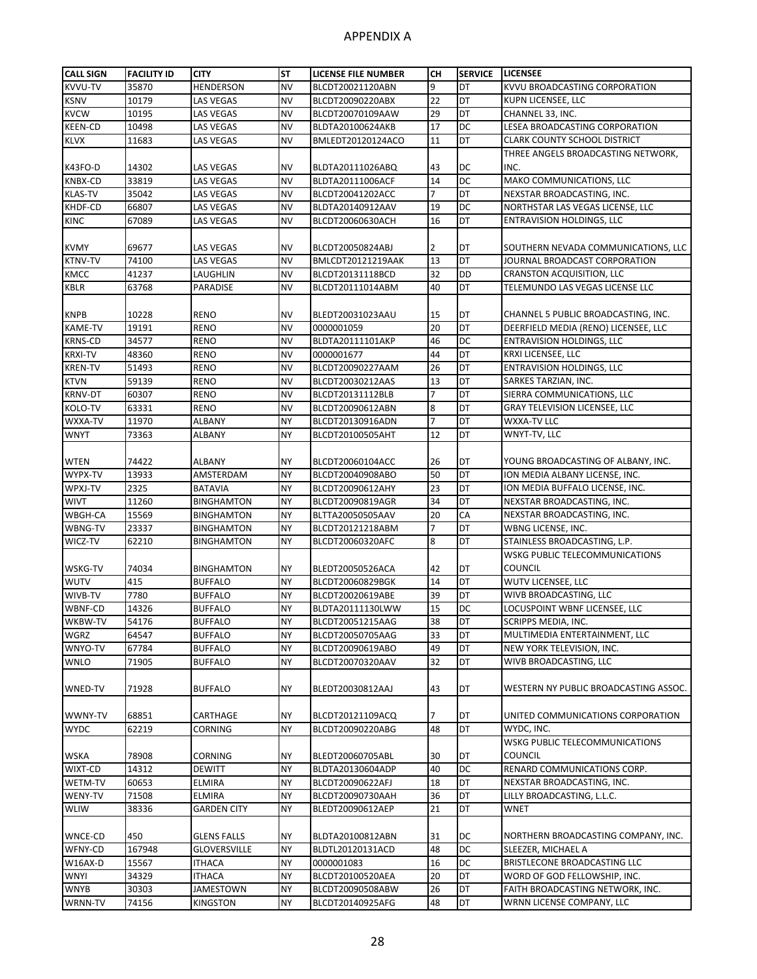| <b>CALL SIGN</b> | <b>FACILITY ID</b> | <b>CITY</b>        | <b>ST</b> | <b>LICENSE FILE NUMBER</b> | CН             | <b>SERVICE</b>  | <b>LICENSEE</b>                       |
|------------------|--------------------|--------------------|-----------|----------------------------|----------------|-----------------|---------------------------------------|
| KVVU-TV          | 35870              | <b>HENDERSON</b>   | <b>NV</b> | BLCDT20021120ABN           | 9              | DT              | KVVU BROADCASTING CORPORATION         |
| <b>KSNV</b>      | 10179              | <b>LAS VEGAS</b>   | <b>NV</b> | BLCDT20090220ABX           | 22             | DT              | KUPN LICENSEE, LLC                    |
| <b>KVCW</b>      | 10195              | LAS VEGAS          | <b>NV</b> | BLCDT20070109AAW           | 29             | <b>DT</b>       | CHANNEL 33, INC.                      |
| <b>KEEN-CD</b>   | 10498              | LAS VEGAS          | <b>NV</b> | BLDTA20100624AKB           | 17             | DC              | LESEA BROADCASTING CORPORATION        |
| <b>KLVX</b>      | 11683              | <b>LAS VEGAS</b>   | <b>NV</b> | BMLEDT20120124ACO          | 11             | DT              | <b>CLARK COUNTY SCHOOL DISTRICT</b>   |
|                  |                    |                    |           |                            |                |                 | THREE ANGELS BROADCASTING NETWORK.    |
| K43FO-D          | 14302              | LAS VEGAS          | <b>NV</b> | BLDTA20111026ABQ           | 43             | DC              | INC.                                  |
| KNBX-CD          | 33819              | LAS VEGAS          | <b>NV</b> | BLDTA20111006ACF           | 14             | <b>DC</b>       | MAKO COMMUNICATIONS, LLC              |
| <b>KLAS-TV</b>   | 35042              | LAS VEGAS          | <b>NV</b> | BLCDT20041202ACC           | $\overline{7}$ | DT              | NEXSTAR BROADCASTING, INC.            |
| KHDF-CD          | 66807              | LAS VEGAS          | <b>NV</b> | BLDTA20140912AAV           | 19             | DC              | NORTHSTAR LAS VEGAS LICENSE, LLC      |
| <b>KINC</b>      | 67089              | LAS VEGAS          | <b>NV</b> | BLCDT20060630ACH           | 16             | DT              | <b>ENTRAVISION HOLDINGS, LLC</b>      |
|                  |                    |                    |           |                            |                |                 |                                       |
| <b>KVMY</b>      | 69677              | LAS VEGAS          | <b>NV</b> | BLCDT20050824ABJ           | 2              | DT              | SOUTHERN NEVADA COMMUNICATIONS, LLC   |
| KTNV-TV          | 74100              | LAS VEGAS          | <b>NV</b> | <b>BMLCDT20121219AAK</b>   | 13             | <b>DT</b>       | JOURNAL BROADCAST CORPORATION         |
| KMCC             | 41237              | LAUGHLIN           | <b>NV</b> | BLCDT20131118BCD           | 32             | <b>DD</b>       | <b>CRANSTON ACQUISITION, LLC</b>      |
| <b>KBLR</b>      | 63768              | PARADISE           | <b>NV</b> | BLCDT20111014ABM           | 40             | DT              | TELEMUNDO LAS VEGAS LICENSE LLC       |
|                  |                    |                    |           |                            |                |                 |                                       |
| <b>KNPB</b>      | 10228              | <b>RENO</b>        | <b>NV</b> | BLEDT20031023AAU           | 15             | DT              | CHANNEL 5 PUBLIC BROADCASTING, INC.   |
| <b>KAME-TV</b>   | 19191              | <b>RENO</b>        | <b>NV</b> | 0000001059                 | 20             | <b>DT</b>       | DEERFIELD MEDIA (RENO) LICENSEE, LLC  |
| <b>KRNS-CD</b>   | 34577              | <b>RENO</b>        | <b>NV</b> | BLDTA20111101AKP           | 46             | <b>DC</b>       | <b>ENTRAVISION HOLDINGS, LLC</b>      |
| <b>KRXI-TV</b>   | 48360              | RENO               | <b>NV</b> | 0000001677                 | 44             | DT              | <b>KRXI LICENSEE, LLC</b>             |
| <b>KREN-TV</b>   | 51493              | <b>RENO</b>        | <b>NV</b> | BLCDT20090227AAM           | 26             | DT              | <b>ENTRAVISION HOLDINGS, LLC</b>      |
| <b>KTVN</b>      | 59139              | <b>RENO</b>        | <b>NV</b> | BLCDT20030212AAS           | 13             | DT              | SARKES TARZIAN, INC.                  |
| <b>KRNV-DT</b>   | 60307              | <b>RENO</b>        | <b>NV</b> | BLCDT20131112BLB           | $\overline{7}$ | DT              | SIERRA COMMUNICATIONS, LLC            |
| KOLO-TV          | 63331              | <b>RENO</b>        | <b>NV</b> | BLCDT20090612ABN           | 8              | DT              | <b>GRAY TELEVISION LICENSEE. LLC</b>  |
| WXXA-TV          | 11970              | ALBANY             | <b>NY</b> | BLCDT20130916ADN           | 7              | DT              | WXXA-TV LLC                           |
| WNYT             | 73363              | ALBANY             | <b>NY</b> | BLCDT20100505AHT           | 12             | DT              | WNYT-TV, LLC                          |
|                  |                    |                    |           |                            |                |                 |                                       |
| WTEN             | 74422              | ALBANY             | <b>NY</b> | BLCDT20060104ACC           | 26             | DT              | YOUNG BROADCASTING OF ALBANY, INC.    |
| WYPX-TV          | 13933              | AMSTERDAM          | <b>NY</b> | BLCDT20040908ABO           | 50             | <b>DT</b>       | ION MEDIA ALBANY LICENSE, INC.        |
| WPXJ-TV          | 2325               | <b>BATAVIA</b>     | <b>NY</b> | BLCDT20090612AHY           | 23             | DT              | ION MEDIA BUFFALO LICENSE, INC.       |
| WIVT             | 11260              | <b>BINGHAMTON</b>  | <b>NY</b> | BLCDT20090819AGR           | 34             | DT              | NEXSTAR BROADCASTING, INC.            |
| WBGH-CA          | 15569              | <b>BINGHAMTON</b>  | <b>NY</b> | BLTTA20050505AAV           | 20             | CA              | NEXSTAR BROADCASTING, INC.            |
| WBNG-TV          | 23337              | <b>BINGHAMTON</b>  | <b>NY</b> | BLCDT20121218ABM           | 7              | <b>DT</b>       | WBNG LICENSE, INC.                    |
| WICZ-TV          | 62210              | BINGHAMTON         | <b>NY</b> | BLCDT20060320AFC           | 8              | DT              | STAINLESS BROADCASTING, L.P.          |
|                  |                    |                    |           |                            |                |                 | WSKG PUBLIC TELECOMMUNICATIONS        |
| WSKG-TV          | 74034              | <b>BINGHAMTON</b>  | NY        | BLEDT20050526ACA           | 42             | DT              | <b>COUNCIL</b>                        |
| <b>WUTV</b>      | 415                | <b>BUFFALO</b>     | <b>NY</b> | BLCDT20060829BGK           | 14             | DT              | <b>WUTV LICENSEE, LLC</b>             |
| WIVB-TV          | 7780               | <b>BUFFALO</b>     | <b>NY</b> | BLCDT20020619ABE           | 39             | DT              | WIVB BROADCASTING, LLC                |
| WBNF-CD          | 14326              | <b>BUFFALO</b>     | <b>NY</b> | BLDTA20111130LWW           | 15             | DC              | LOCUSPOINT WBNF LICENSEE, LLC         |
| WKBW-TV          | 54176              | BUFFALO            | <b>NY</b> | BLCDT20051215AAG           | 38             | DT              | SCRIPPS MEDIA, INC.                   |
| WGRZ             | 64547              | <b>BUFFALO</b>     | <b>NY</b> | BLCDT20050705AAG           | 33             | DT              | MULTIMEDIA ENTERTAINMENT, LLC         |
| WNYO-TV          | 67784              | <b>BUFFALO</b>     | <b>NY</b> | BLCDT20090619ABO           | 49             | DT              | NEW YORK TELEVISION, INC.             |
| <b>WNLO</b>      | 71905              | <b>BUFFALO</b>     | <b>NY</b> | BLCDT20070320AAV           | 32             | <b>DT</b>       | WIVB BROADCASTING, LLC                |
|                  |                    |                    |           |                            |                |                 |                                       |
|                  | 71928              |                    | NY        |                            | 43             | DT              | WESTERN NY PUBLIC BROADCASTING ASSOC. |
| WNED-TV          |                    | BUFFALO            |           | BLEDT20030812AAJ           |                |                 |                                       |
|                  |                    |                    |           |                            |                |                 | UNITED COMMUNICATIONS CORPORATION     |
| WWNY-TV          | 68851              | CARTHAGE           | NY        | BLCDT20121109ACQ           | 7              | DT<br><b>DT</b> |                                       |
| <b>WYDC</b>      | 62219              | CORNING            | <b>NY</b> | BLCDT20090220ABG           | 48             |                 | WYDC, INC.                            |
|                  |                    |                    |           |                            |                |                 | WSKG PUBLIC TELECOMMUNICATIONS        |
| WSKA             | 78908              | CORNING            | NY        | BLEDT20060705ABL           | 30             | DT              | <b>COUNCIL</b>                        |
| WIXT-CD          | 14312              | DEWITT             | <b>NY</b> | BLDTA20130604ADP           | 40             | DC              | RENARD COMMUNICATIONS CORP.           |
| WETM-TV          | 60653              | ELMIRA             | <b>NY</b> | BLCDT20090622AFJ           | 18             | DT              | NEXSTAR BROADCASTING, INC.            |
| WENY-TV          | 71508              | ELMIRA             | <b>NY</b> | BLCDT20090730AAH           | 36             | DT              | LILLY BROADCASTING, L.L.C.            |
| <b>WLIW</b>      | 38336              | <b>GARDEN CITY</b> | <b>NY</b> | BLEDT20090612AEP           | 21             | DT              | <b>WNET</b>                           |
|                  |                    |                    |           |                            |                |                 |                                       |
| WNCE-CD          | 450                | GLENS FALLS        | NY        | BLDTA20100812ABN           | 31             | DC              | NORTHERN BROADCASTING COMPANY, INC.   |
| WFNY-CD          | 167948             | GLOVERSVILLE       | <b>NY</b> | BLDTL20120131ACD           | 48             | DC              | SLEEZER, MICHAEL A                    |
| W16AX-D          | 15567              | <b>ITHACA</b>      | <b>NY</b> | 0000001083                 | 16             | DC              | BRISTLECONE BROADCASTING LLC          |
| WNYI             | 34329              | ITHACA             | <b>NY</b> | BLCDT20100520AEA           | 20             | DT              | WORD OF GOD FELLOWSHIP, INC.          |
| WNYB             | 30303              | JAMESTOWN          | NY        | BLCDT20090508ABW           | 26             | DT              | FAITH BROADCASTING NETWORK, INC.      |
| WRNN-TV          | 74156              | KINGSTON           | <b>NY</b> | BLCDT20140925AFG           | 48             | DT              | WRNN LICENSE COMPANY, LLC             |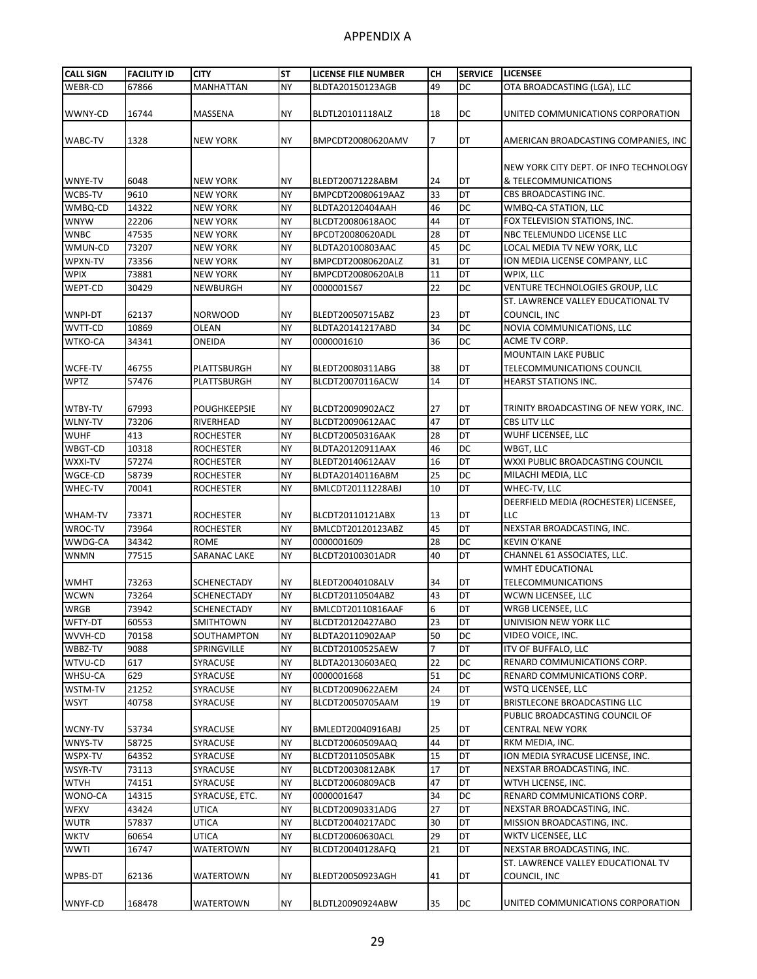| <b>CALL SIGN</b> | <b>FACILITY ID</b> | <b>CITY</b>        | <b>ST</b> | LICENSE FILE NUMBER | CН | <b>SERVICE</b> | <b>LICENSEE</b>                                                  |
|------------------|--------------------|--------------------|-----------|---------------------|----|----------------|------------------------------------------------------------------|
| WEBR-CD          | 67866              | <b>MANHATTAN</b>   | <b>NY</b> | BLDTA20150123AGB    | 49 | DC             | OTA BROADCASTING (LGA), LLC                                      |
| WWNY-CD          | 16744              | MASSENA            | NY        | BLDTL20101118ALZ    | 18 | DC             | UNITED COMMUNICATIONS CORPORATION                                |
|                  |                    |                    |           |                     |    |                |                                                                  |
| WABC-TV          | 1328               | NEW YORK           | NY        | BMPCDT20080620AMV   | 7  | DT             | AMERICAN BROADCASTING COMPANIES, INC                             |
|                  |                    |                    |           |                     |    |                | NEW YORK CITY DEPT. OF INFO TECHNOLOGY                           |
| WNYE-TV          | 6048               | <b>NEW YORK</b>    | NY        | BLEDT20071228ABM    | 24 | <b>DT</b>      | & TELECOMMUNICATIONS                                             |
| WCBS-TV          | 9610               | <b>NEW YORK</b>    | <b>NY</b> | BMPCDT20080619AAZ   | 33 | DT             | CBS BROADCASTING INC.                                            |
| WMBQ-CD          | 14322              | <b>NEW YORK</b>    | <b>NY</b> | BLDTA20120404AAH    | 46 | DC             | WMBQ-CA STATION, LLC                                             |
| <b>WNYW</b>      | 22206              | <b>NEW YORK</b>    | <b>NY</b> | BLCDT20080618AOC    | 44 | DT             | FOX TELEVISION STATIONS, INC.                                    |
| <b>WNBC</b>      | 47535              | <b>NEW YORK</b>    | <b>NY</b> | BPCDT20080620ADL    | 28 | DT             | NBC TELEMUNDO LICENSE LLC                                        |
| WMUN-CD          | 73207              | <b>NEW YORK</b>    | <b>NY</b> | BLDTA20100803AAC    | 45 | <b>DC</b>      | LOCAL MEDIA TV NEW YORK, LLC                                     |
| WPXN-TV          | 73356              | <b>NEW YORK</b>    | <b>NY</b> | BMPCDT20080620ALZ   | 31 | DT             | ION MEDIA LICENSE COMPANY, LLC                                   |
| <b>WPIX</b>      | 73881              | <b>NEW YORK</b>    | <b>NY</b> | BMPCDT20080620ALB   | 11 | DT             | WPIX, LLC                                                        |
| WEPT-CD          | 30429              | NEWBURGH           | <b>NY</b> | 0000001567          | 22 | DC             | VENTURE TECHNOLOGIES GROUP, LLC                                  |
| WNPI-DT          | 62137              | <b>NORWOOD</b>     | NY        | BLEDT20050715ABZ    | 23 | DT             | ST. LAWRENCE VALLEY EDUCATIONAL TV<br>COUNCIL, INC               |
| WVTT-CD          | 10869              | OLEAN              | <b>NY</b> | BLDTA20141217ABD    | 34 | DC             | NOVIA COMMUNICATIONS, LLC                                        |
| WTKO-CA          | 34341              | ONEIDA             | <b>NY</b> | 0000001610          | 36 | DC             | ACME TV CORP.                                                    |
|                  |                    |                    |           |                     |    |                | <b>MOUNTAIN LAKE PUBLIC</b>                                      |
| WCFE-TV          | 46755              | PLATTSBURGH        | NY        | BLEDT20080311ABG    | 38 | DT             | <b>TELECOMMUNICATIONS COUNCIL</b>                                |
| <b>WPTZ</b>      | 57476              | PLATTSBURGH        | <b>NY</b> | BLCDT20070116ACW    | 14 | DT             | <b>HEARST STATIONS INC.</b>                                      |
|                  |                    |                    |           |                     |    |                |                                                                  |
| WTBY-TV          | 67993              | POUGHKEEPSIE       | <b>NY</b> | BLCDT20090902ACZ    | 27 | DT             | TRINITY BROADCASTING OF NEW YORK, INC.                           |
| <b>WLNY-TV</b>   | 73206              | RIVERHEAD          | <b>NY</b> | BLCDT20090612AAC    | 47 | DT             | CBS LITV LLC                                                     |
| WUHF             | 413                | ROCHESTER          | <b>NY</b> | BLCDT20050316AAK    | 28 | DT             | WUHF LICENSEE, LLC                                               |
| WBGT-CD          | 10318              | ROCHESTER          | <b>NY</b> | BLDTA20120911AAX    | 46 | DC             | WBGT, LLC                                                        |
| WXXI-TV          | 57274              | ROCHESTER          | <b>NY</b> | BLEDT20140612AAV    | 16 | DT             | WXXI PUBLIC BROADCASTING COUNCIL                                 |
| WGCE-CD          | 58739              | <b>ROCHESTER</b>   | <b>NY</b> | BLDTA20140116ABM    | 25 | <b>DC</b>      | MILACHI MEDIA, LLC                                               |
| WHEC-TV          | 70041              | <b>ROCHESTER</b>   | <b>NY</b> | BMLCDT20111228ABJ   | 10 | DT             | WHEC-TV, LLC                                                     |
|                  |                    |                    |           |                     |    |                | DEERFIELD MEDIA (ROCHESTER) LICENSEE,                            |
| WHAM-TV          | 73371              | ROCHESTER          | NY        | BLCDT20110121ABX    | 13 | DT             | LLC                                                              |
| WROC-TV          | 73964              | <b>ROCHESTER</b>   | <b>NY</b> | BMLCDT20120123ABZ   | 45 | DT             | NEXSTAR BROADCASTING, INC.                                       |
| WWDG-CA          | 34342              | <b>ROME</b>        | <b>NY</b> | 0000001609          | 28 | <b>DC</b>      | <b>KEVIN O'KANE</b>                                              |
| WNMN             | 77515              | SARANAC LAKE       | <b>NY</b> | BLCDT20100301ADR    | 40 | DT             | CHANNEL 61 ASSOCIATES, LLC.                                      |
|                  |                    |                    |           |                     |    |                | WMHT EDUCATIONAL                                                 |
| WMHT             | 73263              | SCHENECTADY        | NY        | BLEDT20040108ALV    | 34 | DT             | <b>TELECOMMUNICATIONS</b>                                        |
| WCWN             | 73264              | SCHENECTADY        | <b>NY</b> | BLCDT20110504ABZ    | 43 | DT             | WCWN LICENSEE, LLC                                               |
| <b>WRGB</b>      | 73942              | <b>SCHENECTADY</b> | <b>NY</b> | BMLCDT20110816AAF   | 6  | DT             | <b>WRGB LICENSEE, LLC</b>                                        |
| WFTY-DT          | 60553              | <b>SMITHTOWN</b>   | <b>NY</b> | BLCDT20120427ABO    | 23 | DT             | UNIVISION NEW YORK LLC                                           |
| WVVH-CD          | 70158              | SOUTHAMPTON        | <b>NY</b> | BLDTA20110902AAP    | 50 | DC             | VIDEO VOICE, INC.                                                |
| WBBZ-TV          | 9088               | SPRINGVILLE        | <b>NY</b> | BLCDT20100525AEW    | 7  | DT             | <b>ITV OF BUFFALO, LLC</b>                                       |
| WTVU-CD          | 617                | SYRACUSE           | <b>NY</b> | BLDTA20130603AEQ    | 22 | <b>DC</b>      | RENARD COMMUNICATIONS CORP.                                      |
| WHSU-CA          | 629                | SYRACUSE           | <b>NY</b> | 0000001668          | 51 | DC             | RENARD COMMUNICATIONS CORP.                                      |
| WSTM-TV          | 21252              | SYRACUSE           | <b>NY</b> | BLCDT20090622AEM    | 24 | DT             | WSTQ LICENSEE, LLC                                               |
| WSYT             | 40758              | SYRACUSE           | <b>NY</b> | BLCDT20050705AAM    | 19 | DT             | BRISTLECONE BROADCASTING LLC                                     |
|                  |                    |                    |           |                     |    |                | PUBLIC BROADCASTING COUNCIL OF                                   |
| WCNY-TV          | 53734              | <b>SYRACUSE</b>    | NY        | BMLEDT20040916ABJ   | 25 | DT             | <b>CENTRAL NEW YORK</b>                                          |
| WNYS-TV          | 58725              | <b>SYRACUSE</b>    | <b>NY</b> | BLCDT20060509AAQ    | 44 | DT             | RKM MEDIA, INC.                                                  |
| WSPX-TV          | 64352              | SYRACUSE           | <b>NY</b> | BLCDT20110505ABK    | 15 | DT             | ION MEDIA SYRACUSE LICENSE, INC.                                 |
| WSYR-TV          | 73113              | SYRACUSE           | <b>NY</b> | BLCDT20030812ABK    | 17 | DT             | NEXSTAR BROADCASTING, INC.                                       |
| WTVH             | 74151              | SYRACUSE           | <b>NY</b> | BLCDT20060809ACB    | 47 | DT             | WTVH LICENSE, INC.                                               |
| WONO-CA          | 14315              | SYRACUSE, ETC.     | <b>NY</b> | 0000001647          | 34 | DC             | RENARD COMMUNICATIONS CORP.                                      |
| <b>WFXV</b>      | 43424              | UTICA              | <b>NY</b> | BLCDT20090331ADG    | 27 | DT             | NEXSTAR BROADCASTING, INC.                                       |
| WUTR             | 57837              | UTICA              | <b>NY</b> | BLCDT20040217ADC    | 30 | DT             | MISSION BROADCASTING, INC.                                       |
| WKTV             | 60654              | UTICA              | <b>NY</b> | BLCDT20060630ACL    | 29 | DT             | <b>WKTV LICENSEE, LLC</b>                                        |
| WWTI             | 16747              | WATERTOWN          | <b>NY</b> | BLCDT20040128AFQ    | 21 | DT             | NEXSTAR BROADCASTING, INC.<br>ST. LAWRENCE VALLEY EDUCATIONAL TV |
| WPBS-DT          | 62136              | WATERTOWN          | NY        | BLEDT20050923AGH    | 41 | DT             | COUNCIL, INC                                                     |
| WNYF-CD          | 168478             | WATERTOWN          | NY        | BLDTL20090924ABW    | 35 | DC             | UNITED COMMUNICATIONS CORPORATION                                |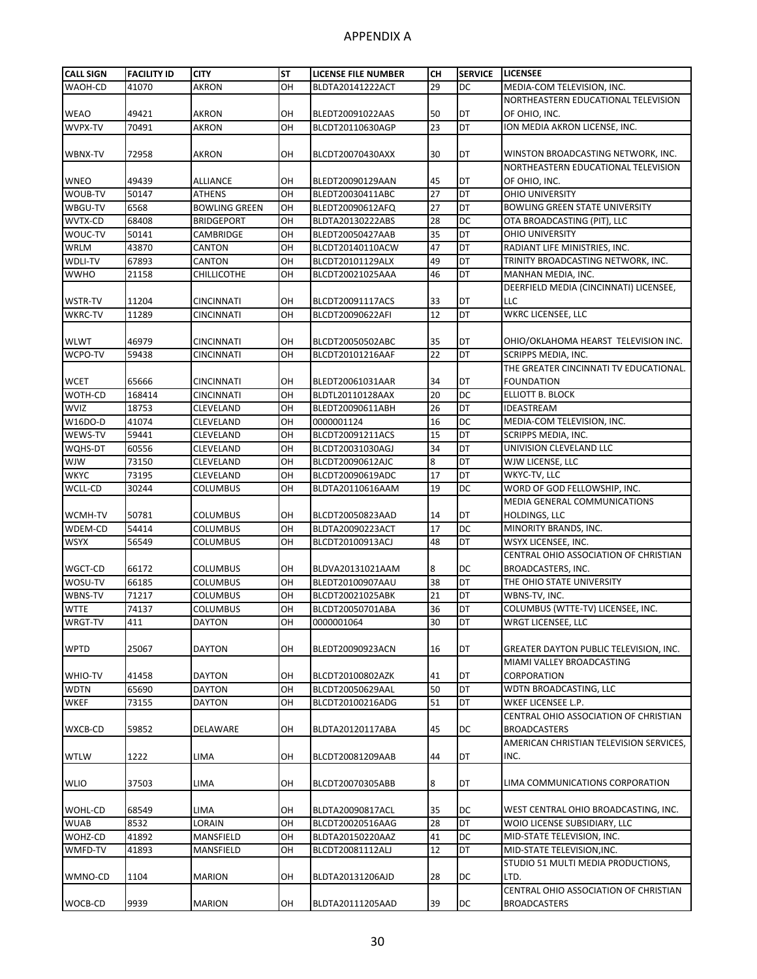| <b>CALL SIGN</b> | <b>FACILITY ID</b> | <b>CITY</b>          | <b>ST</b> | <b>LICENSE FILE NUMBER</b> | CН | <b>SERVICE</b> | <b>LICENSEE</b>                               |
|------------------|--------------------|----------------------|-----------|----------------------------|----|----------------|-----------------------------------------------|
| WAOH-CD          | 41070              | AKRON                | OH        | BLDTA20141222ACT           | 29 | DC             | MEDIA-COM TELEVISION, INC.                    |
|                  |                    |                      |           |                            |    |                | NORTHEASTERN EDUCATIONAL TELEVISION           |
| <b>WEAO</b>      | 49421              | AKRON                | OH        | BLEDT20091022AAS           | 50 | DT             | OF OHIO, INC.                                 |
| WVPX-TV          | 70491              | AKRON                | OH        | BLCDT20110630AGP           | 23 | DT             | ION MEDIA AKRON LICENSE, INC.                 |
|                  |                    |                      |           |                            |    |                |                                               |
| WBNX-TV          | 72958              | AKRON                | OH        | BLCDT20070430AXX           | 30 | DT             | WINSTON BROADCASTING NETWORK, INC.            |
|                  |                    |                      |           |                            |    |                | NORTHEASTERN EDUCATIONAL TELEVISION           |
| <b>WNEO</b>      | 49439              | ALLIANCE             | OH        | BLEDT20090129AAN           | 45 | DT             | OF OHIO, INC.                                 |
| WOUB-TV          | 50147              | ATHENS               | OH        | BLEDT20030411ABC           | 27 | DT             | <b>OHIO UNIVERSITY</b>                        |
| WBGU-TV          | 6568               | <b>BOWLING GREEN</b> | OH        | BLEDT20090612AFQ           | 27 | DT             | <b>BOWLING GREEN STATE UNIVERSITY</b>         |
| WVTX-CD          | 68408              | <b>BRIDGEPORT</b>    | OH        | BLDTA20130222ABS           | 28 | DC             | OTA BROADCASTING (PIT), LLC                   |
| WOUC-TV          | 50141              | <b>CAMBRIDGE</b>     | OH        | BLEDT20050427AAB           | 35 | DT             | OHIO UNIVERSITY                               |
| <b>WRLM</b>      | 43870              | CANTON               | OH        | BLCDT20140110ACW           | 47 | DT             | RADIANT LIFE MINISTRIES, INC.                 |
| WDLI-TV          | 67893              | CANTON               | OH        | BLCDT20101129ALX           | 49 | DT             | TRINITY BROADCASTING NETWORK, INC.            |
| <b>WWHO</b>      | 21158              | CHILLICOTHE          | OH        | BLCDT20021025AAA           | 46 | DT             | MANHAN MEDIA, INC.                            |
|                  |                    |                      |           |                            |    |                | DEERFIELD MEDIA (CINCINNATI) LICENSEE,        |
| <b>WSTR-TV</b>   | 11204              | CINCINNATI           | ΟН        | BLCDT20091117ACS           | 33 | DT             | LLC                                           |
| <b>WKRC-TV</b>   | 11289              | CINCINNATI           | OH        | BLCDT20090622AFI           | 12 | DT             | WKRC LICENSEE, LLC                            |
|                  |                    |                      |           |                            |    |                |                                               |
| <b>WLWT</b>      | 46979              | <b>CINCINNATI</b>    | OН        | BLCDT20050502ABC           | 35 | DT             | OHIO/OKLAHOMA HEARST TELEVISION INC.          |
| WCPO-TV          | 59438              | CINCINNATI           | OH        | BLCDT20101216AAF           | 22 | DT             | SCRIPPS MEDIA, INC.                           |
|                  |                    |                      |           |                            |    |                | THE GREATER CINCINNATI TV EDUCATIONAL.        |
| <b>WCET</b>      | 65666              | CINCINNATI           | OH        | BLEDT20061031AAR           | 34 | DT             | <b>FOUNDATION</b>                             |
| WOTH-CD          | 168414             | <b>CINCINNATI</b>    | OH        | BLDTL20110128AAX           | 20 | DC             | ELLIOTT B. BLOCK                              |
| <b>WVIZ</b>      | 18753              | <b>CLEVELAND</b>     | OH        | BLEDT20090611ABH           | 26 | DT             | IDEASTREAM                                    |
| W16DO-D          | 41074              | CLEVELAND            | OH        | 0000001124                 | 16 | DC             | MEDIA-COM TELEVISION, INC.                    |
| WEWS-TV          | 59441              | CLEVELAND            | OH        | BLCDT20091211ACS           | 15 | DT             | SCRIPPS MEDIA, INC.                           |
| WQHS-DT          | 60556              | CLEVELAND            | OH        | BLCDT20031030AGJ           | 34 | DT             | UNIVISION CLEVELAND LLC                       |
| WJW              | 73150              | CLEVELAND            | OH        | BLCDT20090612AJC           | 8  | DT             | WJW LICENSE, LLC                              |
| <b>WKYC</b>      | 73195              | CLEVELAND            | OH        | BLCDT20090619ADC           | 17 | DT             | WKYC-TV, LLC                                  |
| WCLL-CD          | 30244              | COLUMBUS             | OH        | BLDTA20110616AAM           | 19 | DC             | WORD OF GOD FELLOWSHIP, INC.                  |
|                  |                    |                      |           |                            |    |                | MEDIA GENERAL COMMUNICATIONS                  |
| WCMH-TV          | 50781              | COLUMBUS             | OH        | BLCDT20050823AAD           | 14 | DT             | HOLDINGS, LLC                                 |
| WDEM-CD          | 54414              | <b>COLUMBUS</b>      | OH        | BLDTA20090223ACT           | 17 | DC             | MINORITY BRANDS, INC.                         |
| <b>WSYX</b>      | 56549              | COLUMBUS             | OH        | BLCDT20100913ACJ           | 48 | DT             | WSYX LICENSEE, INC.                           |
|                  |                    |                      |           |                            |    |                | CENTRAL OHIO ASSOCIATION OF CHRISTIAN         |
| WGCT-CD          | 66172              | COLUMBUS             | ΟН        | BLDVA20131021AAM           | 8  | DC             | BROADCASTERS, INC.                            |
| WOSU-TV          | 66185              | <b>COLUMBUS</b>      | OH        | BLEDT20100907AAU           | 38 | DT             | THE OHIO STATE UNIVERSITY                     |
| WBNS-TV          | 71217              | <b>COLUMBUS</b>      | OH        | BLCDT20021025ABK           | 21 | DT             | WBNS-TV, INC.                                 |
| <b>WTTE</b>      | 74137              | <b>COLUMBUS</b>      | OH        | BLCDT20050701ABA           | 36 | DT             | COLUMBUS (WTTE-TV) LICENSEE, INC.             |
| WRGT-TV          | 411                | DAYTON               | OН        | 0000001064                 | 30 | DT             | WRGT LICENSEE, LLC                            |
|                  |                    |                      |           |                            |    |                |                                               |
| <b>WPTD</b>      | 25067              | <b>DAYTON</b>        | OН        | BLEDT20090923ACN           | 16 | DT             | <b>GREATER DAYTON PUBLIC TELEVISION, INC.</b> |
|                  |                    |                      |           |                            |    |                | MIAMI VALLEY BROADCASTING                     |
| WHIO-TV          | 41458              | <b>DAYTON</b>        | OН        | BLCDT20100802AZK           | 41 | DT             | CORPORATION                                   |
| <b>WDTN</b>      | 65690              | <b>DAYTON</b>        | OH        | BLCDT20050629AAL           | 50 | DT             | WDTN BROADCASTING, LLC                        |
| <b>WKEF</b>      | 73155              | DAYTON               | OH        | BLCDT20100216ADG           | 51 | DT             | WKEF LICENSEE L.P.                            |
|                  |                    |                      |           |                            |    |                | CENTRAL OHIO ASSOCIATION OF CHRISTIAN         |
| WXCB-CD          | 59852              | DELAWARE             | OH        | BLDTA20120117ABA           | 45 | DC             | <b>BROADCASTERS</b>                           |
|                  |                    |                      |           |                            |    |                | AMERICAN CHRISTIAN TELEVISION SERVICES,       |
| <b>WTLW</b>      | 1222               | LIMA                 | OН        | BLCDT20081209AAB           | 44 | DT             | INC.                                          |
|                  |                    |                      |           |                            |    |                |                                               |
| <b>WLIO</b>      | 37503              | LIMA                 | OН        | BLCDT20070305ABB           | 8  | DT             | LIMA COMMUNICATIONS CORPORATION               |
|                  |                    |                      |           |                            |    |                |                                               |
| WOHL-CD          | 68549              | LIMA                 | OH        | BLDTA20090817ACL           | 35 | DC             | WEST CENTRAL OHIO BROADCASTING, INC.          |
| <b>WUAB</b>      | 8532               | LORAIN               | OH        | BLCDT20020516AAG           | 28 | DT             | WOIO LICENSE SUBSIDIARY, LLC                  |
| WOHZ-CD          | 41892              | MANSFIELD            | OH        | BLDTA20150220AAZ           | 41 | DC             | MID-STATE TELEVISION, INC.                    |
| WMFD-TV          | 41893              | MANSFIELD            | ΟН        | BLCDT20081112ALJ           | 12 | DT             | MID-STATE TELEVISION, INC.                    |
|                  |                    |                      |           |                            |    |                | STUDIO 51 MULTI MEDIA PRODUCTIONS,            |
| WMNO-CD          | 1104               | <b>MARION</b>        | OH        | BLDTA20131206AJD           | 28 | DC             | LTD.                                          |
|                  |                    |                      |           |                            |    |                | CENTRAL OHIO ASSOCIATION OF CHRISTIAN         |
| WOCB-CD          | 9939               | MARION               | OН        | BLDTA20111205AAD           | 39 | DC             | <b>BROADCASTERS</b>                           |
|                  |                    |                      |           |                            |    |                |                                               |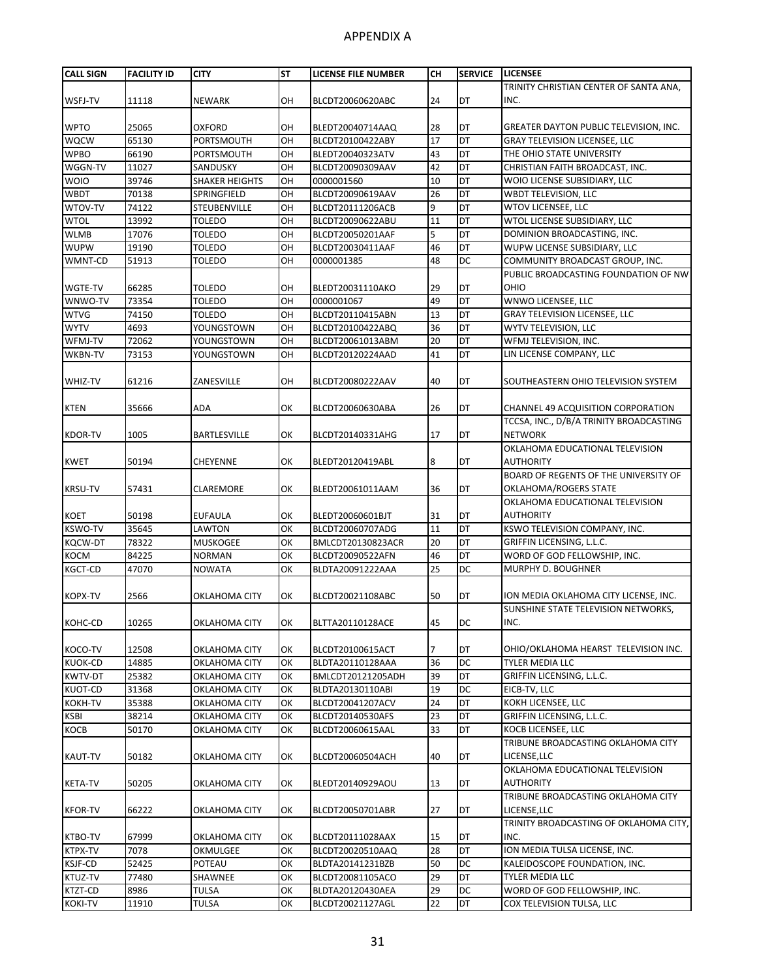| <b>CALL SIGN</b> | <b>FACILITY ID</b> | <b>CITY</b>           | <b>ST</b> | LICENSE FILE NUMBER | CН | <b>SERVICE</b> | <b>LICENSEE</b>                         |
|------------------|--------------------|-----------------------|-----------|---------------------|----|----------------|-----------------------------------------|
|                  |                    |                       |           |                     |    |                | TRINITY CHRISTIAN CENTER OF SANTA ANA,  |
| WSFJ-TV          | 11118              | <b>NEWARK</b>         | OН        | BLCDT20060620ABC    | 24 | DT             | INC.                                    |
|                  |                    |                       |           |                     |    |                |                                         |
| <b>WPTO</b>      | 25065              | <b>OXFORD</b>         | OH        | BLEDT20040714AAQ    | 28 | DT             | GREATER DAYTON PUBLIC TELEVISION, INC.  |
| <b>WQCW</b>      | 65130              | PORTSMOUTH            | ОН        | BLCDT20100422ABY    | 17 | DT             | <b>GRAY TELEVISION LICENSEE, LLC</b>    |
| <b>WPBO</b>      | 66190              | PORTSMOUTH            | OH        | BLEDT20040323ATV    | 43 | DT             | THE OHIO STATE UNIVERSITY               |
| WGGN-TV          | 11027              | SANDUSKY              | OH        | BLCDT20090309AAV    | 42 | DT             | CHRISTIAN FAITH BROADCAST, INC.         |
| <b>WOIO</b>      | 39746              | <b>SHAKER HEIGHTS</b> | OН        | 0000001560          | 10 | DT             | WOIO LICENSE SUBSIDIARY, LLC            |
| <b>WBDT</b>      | 70138              | SPRINGFIELD           | OH        | BLCDT20090619AAV    | 26 | DT             | <b>WBDT TELEVISION, LLC</b>             |
| WTOV-TV          | 74122              | STEUBENVILLE          | OH        | BLCDT20111206ACB    | 9  | DT             | <b>WTOV LICENSEE, LLC</b>               |
| <b>WTOL</b>      | 13992              | <b>TOLEDO</b>         | OH        | BLCDT20090622ABU    | 11 | DT             | WTOL LICENSE SUBSIDIARY, LLC            |
| <b>WLMB</b>      | 17076              | TOLEDO                | OH        | BLCDT20050201AAF    | 5  | DT             | DOMINION BROADCASTING, INC.             |
| <b>WUPW</b>      | 19190              | <b>TOLEDO</b>         | OН        | BLCDT20030411AAF    | 46 | DT             | WUPW LICENSE SUBSIDIARY, LLC            |
| WMNT-CD          | 51913              | TOLEDO                | OH        | 0000001385          | 48 | DC             | COMMUNITY BROADCAST GROUP, INC.         |
|                  |                    |                       |           |                     |    |                | PUBLIC BROADCASTING FOUNDATION OF NW    |
| <b>WGTE-TV</b>   | 66285              | <b>TOLEDO</b>         | OН        | BLEDT20031110AKO    | 29 | DT             | OHIO                                    |
| WNWO-TV          | 73354              | <b>TOLEDO</b>         | OH        | 0000001067          | 49 | DT             | WNWO LICENSEE, LLC                      |
| <b>WTVG</b>      | 74150              | <b>TOLEDO</b>         | OН        | BLCDT20110415ABN    | 13 | DT             | <b>GRAY TELEVISION LICENSEE, LLC</b>    |
| <b>WYTV</b>      | 4693               | YOUNGSTOWN            | OH        | BLCDT20100422ABQ    | 36 | DT             | WYTV TELEVISION, LLC                    |
| WFMJ-TV          | 72062              | YOUNGSTOWN            | OH        | BLCDT20061013ABM    | 20 | DT             | WFMJ TELEVISION, INC.                   |
| WKBN-TV          | 73153              | YOUNGSTOWN            | OH        | BLCDT20120224AAD    | 41 | DT             | LIN LICENSE COMPANY, LLC                |
|                  |                    |                       |           |                     |    |                |                                         |
| WHIZ-TV          | 61216              | ZANESVILLE            | OН        | BLCDT20080222AAV    | 40 | DT             | SOUTHEASTERN OHIO TELEVISION SYSTEM     |
|                  |                    |                       |           |                     |    |                |                                         |
| <b>KTEN</b>      | 35666              | ADA                   | ОК        | BLCDT20060630ABA    | 26 | DT             | CHANNEL 49 ACQUISITION CORPORATION      |
|                  |                    |                       |           |                     |    |                | TCCSA, INC., D/B/A TRINITY BROADCASTING |
| <b>KDOR-TV</b>   | 1005               | BARTLESVILLE          | ОК        | BLCDT20140331AHG    | 17 | DT             | <b>NETWORK</b>                          |
|                  |                    |                       |           |                     |    |                | OKLAHOMA EDUCATIONAL TELEVISION         |
| <b>KWET</b>      | 50194              | <b>CHEYENNE</b>       | ОК        | BLEDT20120419ABL    | 8  | DT             | <b>AUTHORITY</b>                        |
|                  |                    |                       |           |                     |    |                | BOARD OF REGENTS OF THE UNIVERSITY OF   |
| <b>KRSU-TV</b>   | 57431              | CLAREMORE             | ОΚ        | BLEDT20061011AAM    | 36 | DT             | OKLAHOMA/ROGERS STATE                   |
|                  |                    |                       |           |                     |    |                | OKLAHOMA EDUCATIONAL TELEVISION         |
| <b>KOET</b>      | 50198              | <b>EUFAULA</b>        | ОК        | BLEDT20060601BJT    | 31 | DT             | <b>AUTHORITY</b>                        |
| <b>KSWO-TV</b>   | 35645              | <b>LAWTON</b>         | OK        | BLCDT20060707ADG    | 11 | DT             | KSWO TELEVISION COMPANY, INC.           |
| <b>KQCW-DT</b>   | 78322              | <b>MUSKOGEE</b>       | OK        | BMLCDT20130823ACR   | 20 | DT             | GRIFFIN LICENSING, L.L.C.               |
| <b>KOCM</b>      | 84225              | <b>NORMAN</b>         | OK        | BLCDT20090522AFN    | 46 | DT             | WORD OF GOD FELLOWSHIP, INC.            |
| <b>KGCT-CD</b>   | 47070              | <b>NOWATA</b>         | OK        | BLDTA20091222AAA    | 25 | DC             | MURPHY D. BOUGHNER                      |
|                  |                    |                       |           |                     |    |                |                                         |
| <b>KOPX-TV</b>   | 2566               | OKLAHOMA CITY         | ОΚ        | BLCDT20021108ABC    | 50 | DT             | ION MEDIA OKLAHOMA CITY LICENSE, INC.   |
|                  |                    |                       |           |                     |    |                | SUNSHINE STATE TELEVISION NETWORKS,     |
| KOHC-CD          | 10265              | OKLAHOMA CITY         | OК        | BLTTA20110128ACE    | 45 | DC             | INC.                                    |
|                  |                    |                       |           |                     |    |                |                                         |
| KOCO-TV          | 12508              | OKLAHOMA CITY         | OK        | BLCDT20100615ACT    |    | DT             | OHIO/OKLAHOMA HEARST TELEVISION INC.    |
| <b>KUOK-CD</b>   | 14885              | OKLAHOMA CITY         | ОΚ        | BLDTA20110128AAA    | 36 | <b>DC</b>      | TYLER MEDIA LLC                         |
| <b>KWTV-DT</b>   | 25382              | OKLAHOMA CITY         | OK        | BMLCDT20121205ADH   | 39 | DT             | GRIFFIN LICENSING, L.L.C.               |
| KUOT-CD          | 31368              | OKLAHOMA CITY         | OK        | BLDTA20130110ABI    | 19 | DC             | EICB-TV, LLC                            |
| <b>KOKH-TV</b>   | 35388              | OKLAHOMA CITY         | OK        | BLCDT20041207ACV    | 24 | DT             | KOKH LICENSEE, LLC                      |
| KSBI             | 38214              | OKLAHOMA CITY         | OK        | BLCDT20140530AFS    | 23 | DT             | GRIFFIN LICENSING, L.L.C.               |
| KOCB             | 50170              | OKLAHOMA CITY         | ОΚ        | BLCDT20060615AAL    | 33 | DT             | KOCB LICENSEE, LLC                      |
|                  |                    |                       |           |                     |    |                | TRIBUNE BROADCASTING OKLAHOMA CITY      |
| KAUT-TV          | 50182              | OKLAHOMA CITY         | ОΚ        | BLCDT20060504ACH    | 40 | DT             | LICENSE, LLC                            |
|                  |                    |                       |           |                     |    |                | OKLAHOMA EDUCATIONAL TELEVISION         |
| <b>KETA-TV</b>   | 50205              | OKLAHOMA CITY         | ОΚ        | BLEDT20140929AOU    | 13 | DT             | <b>AUTHORITY</b>                        |
|                  |                    |                       |           |                     |    |                | TRIBUNE BROADCASTING OKLAHOMA CITY      |
|                  |                    |                       |           |                     |    |                |                                         |
| <b>KFOR-TV</b>   | 66222              | OKLAHOMA CITY         | ОΚ        | BLCDT20050701ABR    | 27 | DT             | LICENSE, LLC                            |
|                  |                    |                       |           |                     |    |                | TRINITY BROADCASTING OF OKLAHOMA CITY,  |
| KTBO-TV          | 67999              | OKLAHOMA CITY         | ОК        | BLCDT20111028AAX    | 15 | DT             | INC.                                    |
| KTPX-TV          | 7078               | OKMULGEE              | OK        | BLCDT20020510AAQ    | 28 | DT             | ION MEDIA TULSA LICENSE, INC.           |
| <b>KSJF-CD</b>   | 52425              | POTEAU                | OK        | BLDTA20141231BZB    | 50 | DC             | KALEIDOSCOPE FOUNDATION, INC.           |
| KTUZ-TV          | 77480              | SHAWNEE               | OK        | BLCDT20081105ACO    | 29 | DT             | TYLER MEDIA LLC                         |
| KTZT-CD          | 8986               | <b>TULSA</b>          | OK        | BLDTA20120430AEA    | 29 | DC             | WORD OF GOD FELLOWSHIP, INC.            |
| <b>KOKI-TV</b>   | 11910              | <b>TULSA</b>          | ОК        | BLCDT20021127AGL    | 22 | DT             | COX TELEVISION TULSA, LLC               |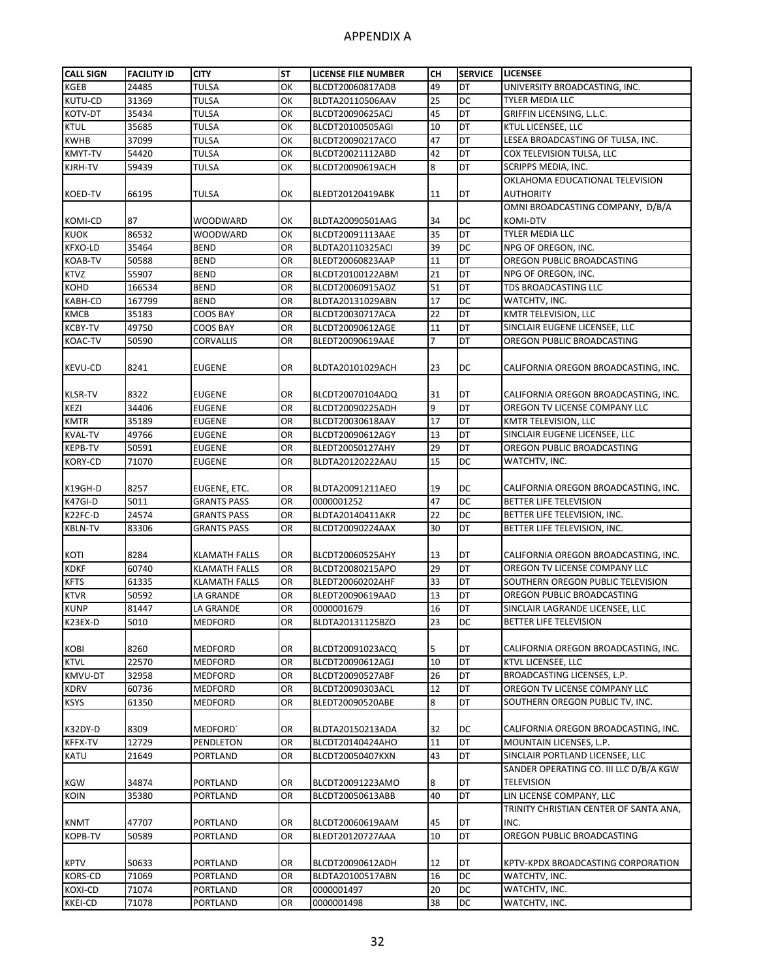| <b>CALL SIGN</b>    | <b>FACILITY ID</b> | <b>CITY</b>                           | SΤ       | <b>LICENSE FILE NUMBER</b>           | CН | <b>SERVICE</b> | <b>LICENSEE</b>                        |
|---------------------|--------------------|---------------------------------------|----------|--------------------------------------|----|----------------|----------------------------------------|
| <b>KGEB</b>         | 24485              | <b>TULSA</b>                          | OK       | BLCDT20060817ADB                     | 49 | DT             | UNIVERSITY BROADCASTING, INC.          |
| KUTU-CD             | 31369              | <b>TULSA</b>                          | OK       | BLDTA20110506AAV                     | 25 | <b>DC</b>      | <b>TYLER MEDIA LLC</b>                 |
| KOTV-DT             | 35434              | <b>TULSA</b>                          | OK       | BLCDT20090625ACJ                     | 45 | DT             | GRIFFIN LICENSING, L.L.C.              |
| <b>KTUL</b>         | 35685              | TULSA                                 | OK       | BLCDT20100505AGI                     | 10 | DT             | KTUL LICENSEE, LLC                     |
| <b>KWHB</b>         | 37099              | <b>TULSA</b>                          | ОК       | BLCDT20090217ACO                     | 47 | DT             | LESEA BROADCASTING OF TULSA, INC.      |
| <b>KMYT-TV</b>      | 54420              | <b>TULSA</b>                          | OK       | BLCDT20021112ABD                     | 42 | DT             | COX TELEVISION TULSA, LLC              |
| KJRH-TV             | 59439              | TULSA                                 | OK       | BLCDT20090619ACH                     | 8  | DT             | SCRIPPS MEDIA, INC.                    |
|                     |                    |                                       |          |                                      |    |                | OKLAHOMA EDUCATIONAL TELEVISION        |
| <b>KOED-TV</b>      | 66195              | <b>TULSA</b>                          | ОΚ       | BLEDT20120419ABK                     | 11 | DT             | <b>AUTHORITY</b>                       |
|                     |                    |                                       |          |                                      |    |                | OMNI BROADCASTING COMPANY, D/B/A       |
| KOMI-CD             | 87                 | <b>WOODWARD</b>                       | ОΚ       | BLDTA20090501AAG                     | 34 | DC             | KOMI-DTV                               |
| <b>KUOK</b>         | 86532              | <b>WOODWARD</b>                       | OK       | BLCDT20091113AAE                     | 35 | DT             | TYLER MEDIA LLC                        |
| <b>KFXO-LD</b>      | 35464              | <b>BEND</b>                           | OR       | BLDTA20110325ACI                     | 39 | DC             | NPG OF OREGON, INC.                    |
| <b>KOAB-TV</b>      | 50588              | <b>BEND</b>                           | OR       | BLEDT20060823AAP                     | 11 | DT             | OREGON PUBLIC BROADCASTING             |
| <b>KTVZ</b>         | 55907              | <b>BEND</b>                           | OR       | BLCDT20100122ABM                     | 21 | DT             | NPG OF OREGON, INC.                    |
| <b>KOHD</b>         | 166534             | <b>BEND</b>                           | OR       | BLCDT20060915AOZ                     | 51 | DT             | TDS BROADCASTING LLC                   |
| KABH-CD             | 167799             | <b>BEND</b>                           | OR       | BLDTA20131029ABN                     | 17 | DC             | WATCHTV, INC.                          |
| <b>KMCB</b>         | 35183              | <b>COOS BAY</b>                       | OR       | BLCDT20030717ACA                     | 22 | DT             | KMTR TELEVISION, LLC                   |
| <b>KCBY-TV</b>      | 49750              | <b>COOS BAY</b>                       | OR       | BLCDT20090612AGE                     | 11 | DT             | SINCLAIR EUGENE LICENSEE, LLC          |
| <b>KOAC-TV</b>      | 50590              | CORVALLIS                             | OR       | BLEDT20090619AAE                     | 7  | DT             | OREGON PUBLIC BROADCASTING             |
|                     |                    |                                       |          |                                      |    |                |                                        |
| <b>KEVU-CD</b>      | 8241               | <b>EUGENE</b>                         | OR       | BLDTA20101029ACH                     | 23 | DC             | CALIFORNIA OREGON BROADCASTING, INC.   |
|                     |                    |                                       |          |                                      |    |                |                                        |
| <b>KLSR-TV</b>      | 8322               | <b>EUGENE</b>                         | OR       | BLCDT20070104ADQ                     | 31 | DT             | CALIFORNIA OREGON BROADCASTING, INC.   |
| KEZI                | 34406              | <b>EUGENE</b>                         | OR       | BLCDT20090225ADH                     | 9  | <b>DT</b>      | OREGON TV LICENSE COMPANY LLC          |
| <b>KMTR</b>         | 35189              | <b>EUGENE</b>                         | OR       | BLCDT20030618AAY                     | 17 | DT             | KMTR TELEVISION, LLC                   |
| <b>KVAL-TV</b>      | 49766              | <b>EUGENE</b>                         | OR       | BLCDT20090612AGY                     | 13 | DT             | SINCLAIR EUGENE LICENSEE, LLC          |
| <b>KEPB-TV</b>      | 50591              | <b>EUGENE</b>                         | OR       | BLEDT20050127AHY                     | 29 | DT             | OREGON PUBLIC BROADCASTING             |
| <b>KORY-CD</b>      | 71070              | <b>EUGENE</b>                         | OR       | BLDTA20120222AAU                     | 15 | DC             | WATCHTV, INC.                          |
|                     |                    |                                       |          |                                      |    |                |                                        |
| K19GH-D             | 8257               | EUGENE, ETC.                          | OR       | BLDTA20091211AEO                     | 19 | DC             | CALIFORNIA OREGON BROADCASTING, INC.   |
| K47GI-D             | 5011               | <b>GRANTS PASS</b>                    | OR       | 0000001252                           | 47 | DC             | BETTER LIFE TELEVISION                 |
| K22FC-D             | 24574              | <b>GRANTS PASS</b>                    | OR       | BLDTA20140411AKR                     | 22 | DC             | BETTER LIFE TELEVISION, INC.           |
| <b>KBLN-TV</b>      | 83306              | <b>GRANTS PASS</b>                    | OR       | BLCDT20090224AAX                     | 30 | DT             | BETTER LIFE TELEVISION, INC.           |
|                     |                    |                                       |          |                                      |    |                |                                        |
|                     | 8284               |                                       |          |                                      | 13 | DT             | CALIFORNIA OREGON BROADCASTING, INC.   |
| KOTI<br><b>KDKF</b> | 60740              | <b>KLAMATH FALLS</b>                  | OR<br>OR | BLCDT20060525AHY<br>BLCDT20080215APO | 29 | DT             | OREGON TV LICENSE COMPANY LLC          |
| <b>KFTS</b>         | 61335              | KLAMATH FALLS<br><b>KLAMATH FALLS</b> | OR       | BLEDT20060202AHF                     | 33 | DT             | SOUTHERN OREGON PUBLIC TELEVISION      |
| <b>KTVR</b>         | 50592              | LA GRANDE                             | OR       | BLEDT20090619AAD                     | 13 | DT             | OREGON PUBLIC BROADCASTING             |
| <b>KUNP</b>         | 81447              | LA GRANDE                             | OR       | 0000001679                           | 16 | DT             | SINCLAIR LAGRANDE LICENSEE, LLC        |
|                     |                    |                                       |          |                                      |    |                |                                        |
| K23EX-D             | 5010               | MEDFORD                               | OR       | BLDTA20131125BZO                     | 23 | DC             | BETTER LIFE TELEVISION                 |
| <b>KOBI</b>         | 8260               | <b>MEDFORD</b>                        | OR       | BLCDT20091023ACQ                     | 5  | DT             | CALIFORNIA OREGON BROADCASTING, INC.   |
| <b>KTVL</b>         | 22570              | <b>MEDFORD</b>                        | OR       | BLCDT20090612AGJ                     | 10 | DT             | KTVL LICENSEE, LLC                     |
| KMVU-DT             |                    |                                       |          |                                      |    | DT             |                                        |
|                     | 32958              | <b>MEDFORD</b>                        | OR       | BLCDT20090527ABF                     | 26 |                | BROADCASTING LICENSES, L.P.            |
| <b>KDRV</b>         | 60736              | MEDFORD                               | OR       | BLCDT20090303ACL                     | 12 | DT             | OREGON TV LICENSE COMPANY LLC          |
| <b>KSYS</b>         | 61350              | MEDFORD                               | OR       | BLEDT20090520ABE                     | 8  | DT             | SOUTHERN OREGON PUBLIC TV, INC.        |
|                     |                    |                                       |          |                                      |    |                |                                        |
| K32DY-D             | 8309               | MEDFORD'                              | OR       | BLDTA20150213ADA                     | 32 | DC             | CALIFORNIA OREGON BROADCASTING, INC.   |
| KFFX-TV             | 12729              | PENDLETON                             | OR       | BLCDT20140424AHO                     | 11 | DT             | MOUNTAIN LICENSES, L.P.                |
| KATU                | 21649              | PORTLAND                              | OR       | BLCDT20050407KXN                     | 43 | DT             | SINCLAIR PORTLAND LICENSEE, LLC        |
|                     |                    |                                       |          |                                      |    |                | SANDER OPERATING CO. III LLC D/B/A KGW |
| KGW                 | 34874              | PORTLAND                              | OR       | BLCDT20091223AMO                     | 8  | DT             | <b>TELEVISION</b>                      |
| <b>KOIN</b>         | 35380              | PORTLAND                              | OR       | BLCDT20050613ABB                     | 40 | <b>DT</b>      | LIN LICENSE COMPANY, LLC               |
|                     |                    |                                       |          |                                      |    |                | TRINITY CHRISTIAN CENTER OF SANTA ANA, |
| <b>KNMT</b>         | 47707              | PORTLAND                              | OR       | BLCDT20060619AAM                     | 45 | DT             | INC.                                   |
| <b>KOPB-TV</b>      | 50589              | PORTLAND                              | OR       | BLEDT20120727AAA                     | 10 | DT             | OREGON PUBLIC BROADCASTING             |
|                     |                    |                                       |          |                                      |    |                |                                        |
| <b>KPTV</b>         | 50633              | PORTLAND                              | OR       | BLCDT20090612ADH                     | 12 | DT             | KPTV-KPDX BROADCASTING CORPORATION     |
| <b>KORS-CD</b>      | 71069              | PORTLAND                              | OR       | BLDTA20100517ABN                     | 16 | <b>DC</b>      | WATCHTV, INC.                          |
| <b>KOXI-CD</b>      | 71074              | PORTLAND                              | OR       | 0000001497                           | 20 | DC             | WATCHTV, INC.                          |
| <b>KKEI-CD</b>      | 71078              | PORTLAND                              | OR       | 0000001498                           | 38 | DC             | WATCHTV, INC.                          |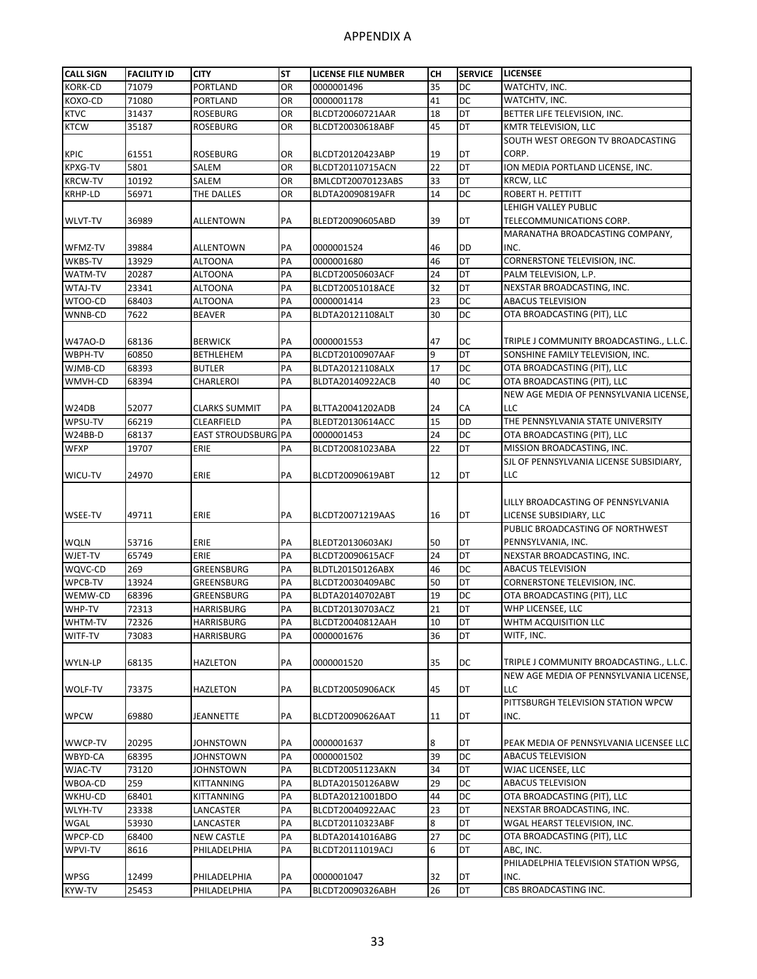| <b>CALL SIGN</b> | <b>FACILITY ID</b> | <b>CITY</b>         | <b>ST</b> | <b>LICENSE FILE NUMBER</b> | CН       | <b>SERVICE</b> | <b>LICENSEE</b>                                             |
|------------------|--------------------|---------------------|-----------|----------------------------|----------|----------------|-------------------------------------------------------------|
| <b>KORK-CD</b>   | 71079              | PORTLAND            | <b>OR</b> | 0000001496                 | 35       | DC             | WATCHTV, INC.                                               |
| KOXO-CD          | 71080              | PORTLAND            | OR        | 0000001178                 | 41       | <b>DC</b>      | WATCHTV, INC.                                               |
| <b>KTVC</b>      | 31437              | <b>ROSEBURG</b>     | OR        | BLCDT20060721AAR           | 18       | <b>DT</b>      | BETTER LIFE TELEVISION, INC.                                |
| <b>KTCW</b>      | 35187              | <b>ROSEBURG</b>     | OR        | BLCDT20030618ABF           | 45       | DT             | KMTR TELEVISION, LLC                                        |
|                  |                    |                     |           |                            |          |                | SOUTH WEST OREGON TV BROADCASTING                           |
| <b>KPIC</b>      | 61551              | <b>ROSEBURG</b>     | OR        | BLCDT20120423ABP           | 19       | DT             | CORP.                                                       |
| <b>KPXG-TV</b>   | 5801               | SALEM               | OR        | BLCDT20110715ACN           | 22       | DT             | ION MEDIA PORTLAND LICENSE, INC.                            |
| <b>KRCW-TV</b>   | 10192              | SALEM               | OR        | BMLCDT20070123ABS          | 33       | DT             | <b>KRCW, LLC</b>                                            |
| KRHP-LD          | 56971              | THE DALLES          | OR        | BLDTA20090819AFR           | 14       | DC             | <b>ROBERT H. PETTITT</b>                                    |
|                  |                    |                     |           |                            |          |                | LEHIGH VALLEY PUBLIC                                        |
| <b>WLVT-TV</b>   | 36989              | ALLENTOWN           | PA        | BLEDT20090605ABD           | 39       | DT             | TELECOMMUNICATIONS CORP.                                    |
|                  |                    |                     |           |                            |          |                | MARANATHA BROADCASTING COMPANY,                             |
| WFMZ-TV          | 39884              | <b>ALLENTOWN</b>    | PA        | 0000001524                 | 46       | <b>DD</b>      | INC.                                                        |
| WKBS-TV          | 13929              | <b>ALTOONA</b>      | PA        | 0000001680                 | 46       | DT             | CORNERSTONE TELEVISION, INC.                                |
| WATM-TV          | 20287              | ALTOONA             | PA        | BLCDT20050603ACF           | 24       | DT             | PALM TELEVISION, L.P.                                       |
| WTAJ-TV          | 23341              | ALTOONA             | PA        | BLCDT20051018ACE           | 32       | DT             | NEXSTAR BROADCASTING, INC.                                  |
| WTOO-CD          | 68403              | ALTOONA             | PA        | 0000001414                 | 23       | DC             | <b>ABACUS TELEVISION</b>                                    |
| WNNB-CD          | 7622               | <b>BEAVER</b>       | PA        | BLDTA20121108ALT           | 30       | DC             | OTA BROADCASTING (PIT), LLC                                 |
|                  |                    |                     |           |                            |          |                |                                                             |
| W47AO-D          | 68136              | <b>BERWICK</b>      | PA        | 0000001553                 | 47       | DC             | TRIPLE J COMMUNITY BROADCASTING., L.L.C.                    |
| WBPH-TV          | 60850              | BETHLEHEM           | PA        | BLCDT20100907AAF           | 9        | DT             | SONSHINE FAMILY TELEVISION, INC.                            |
| WJMB-CD          | 68393              | <b>BUTLER</b>       | PA        | BLDTA20121108ALX           | 17       | DC             | OTA BROADCASTING (PIT), LLC                                 |
| WMVH-CD          | 68394              | CHARLEROI           | PA        | BLDTA20140922ACB           | 40       | DC             | OTA BROADCASTING (PIT), LLC                                 |
|                  |                    |                     |           |                            |          |                | NEW AGE MEDIA OF PENNSYLVANIA LICENSE.                      |
| W24DB            | 52077              | CLARKS SUMMIT       | PA        | BLTTA20041202ADB           | 24       | СA             | LLC                                                         |
| WPSU-TV          | 66219              | CLEARFIELD          | PA        | BLEDT20130614ACC           | 15       | DD             | THE PENNSYLVANIA STATE UNIVERSITY                           |
| W24BB-D          | 68137              | EAST STROUDSBURG PA |           | 0000001453                 | 24       | DC             | OTA BROADCASTING (PIT), LLC                                 |
| <b>WFXP</b>      | 19707              | ERIE                | PA        | BLCDT20081023ABA           | 22       | DT             | MISSION BROADCASTING, INC.                                  |
|                  |                    |                     |           |                            |          |                | SJL OF PENNSYLVANIA LICENSE SUBSIDIARY,                     |
| WICU-TV          | 24970              | ERIE                | PA        | BLCDT20090619ABT           | 12       | DT             | <b>LLC</b>                                                  |
|                  |                    |                     |           |                            |          |                |                                                             |
|                  |                    |                     |           |                            |          |                | LILLY BROADCASTING OF PENNSYLVANIA                          |
| WSEE-TV          | 49711              | ERIE                | PA        | BLCDT20071219AAS           | 16       | DT             | LICENSE SUBSIDIARY, LLC<br>PUBLIC BROADCASTING OF NORTHWEST |
|                  |                    |                     |           | BLEDT20130603AKJ           |          |                | PENNSYLVANIA, INC.                                          |
| WQLN<br>WJET-TV  | 53716<br>65749     | ERIE<br>ERIE        | PA<br>PA  | BLCDT20090615ACF           | 50<br>24 | DT<br>DT       | NEXSTAR BROADCASTING, INC.                                  |
| WQVC-CD          | 269                | GREENSBURG          | PA        | BLDTL20150126ABX           | 46       | <b>DC</b>      | <b>ABACUS TELEVISION</b>                                    |
| WPCB-TV          | 13924              | <b>GREENSBURG</b>   | PA        | BLCDT20030409ABC           | 50       | DT             | CORNERSTONE TELEVISION, INC.                                |
| WEMW-CD          | 68396              | GREENSBURG          | PA        | BLDTA20140702ABT           | 19       | DC             | OTA BROADCASTING (PIT), LLC                                 |
| WHP-TV           | 72313              | HARRISBURG          | PA        | BLCDT20130703ACZ           | 21       | DT             | WHP LICENSEE, LLC                                           |
| WHTM-TV          | 72326              | HARRISBURG          | PA        | BLCDT20040812AAH           | 10       | DT             | WHTM ACQUISITION LLC                                        |
| WITF-TV          | 73083              | HARRISBURG          | PA        | 0000001676                 | 36       | DT             | WITF, INC.                                                  |
|                  |                    |                     |           |                            |          |                |                                                             |
| WYLN-LP          | 68135              | HAZLETON            | PA        | 0000001520                 | 35       | DC             | TRIPLE J COMMUNITY BROADCASTING., L.L.C.                    |
|                  |                    |                     |           |                            |          |                | NEW AGE MEDIA OF PENNSYLVANIA LICENSE,                      |
| WOLF-TV          | 73375              | HAZLETON            | PA        | BLCDT20050906ACK           | 45       | DT             | <b>LLC</b>                                                  |
|                  |                    |                     |           |                            |          |                | PITTSBURGH TELEVISION STATION WPCW                          |
| <b>WPCW</b>      | 69880              | JEANNETTE           | PA        | BLCDT20090626AAT           | 11       | DT             | INC.                                                        |
|                  |                    |                     |           |                            |          |                |                                                             |
| WWCP-TV          | 20295              | JOHNSTOWN           | PA        | 0000001637                 | 8        | DT             | PEAK MEDIA OF PENNSYLVANIA LICENSEE LLC                     |
| WBYD-CA          | 68395              | <b>JOHNSTOWN</b>    | PA        | 0000001502                 | 39       | <b>DC</b>      | <b>ABACUS TELEVISION</b>                                    |
| WJAC-TV          | 73120              | JOHNSTOWN           | PA        | BLCDT20051123AKN           | 34       | DT             | WJAC LICENSEE, LLC                                          |
| WBOA-CD          | 259                | KITTANNING          | PA        | BLDTA20150126ABW           | 29       | DC             | <b>ABACUS TELEVISION</b>                                    |
| WKHU-CD          | 68401              | KITTANNING          | PA        | BLDTA20121001BDO           | 44       | DC             | OTA BROADCASTING (PIT), LLC                                 |
| WLYH-TV          | 23338              | LANCASTER           | PA        | BLCDT20040922AAC           | 23       | <b>DT</b>      | NEXSTAR BROADCASTING, INC.                                  |
| WGAL             | 53930              | LANCASTER           | PA        | BLCDT20110323ABF           | 8        | DT             | WGAL HEARST TELEVISION, INC.                                |
| WPCP-CD          | 68400              | <b>NEW CASTLE</b>   | PA        | BLDTA20141016ABG           | 27       | DC             | OTA BROADCASTING (PIT), LLC                                 |
| WPVI-TV          | 8616               | PHILADELPHIA        | PA        | BLCDT20111019ACJ           | 6        | DT             | ABC, INC.                                                   |
|                  |                    |                     |           |                            |          |                | PHILADELPHIA TELEVISION STATION WPSG,                       |
| WPSG             | 12499              | PHILADELPHIA        | PA        | 0000001047                 | 32       | DT             | INC.                                                        |
| KYW-TV           | 25453              | PHILADELPHIA        | PA        | BLCDT20090326ABH           | 26       | <b>DT</b>      | CBS BROADCASTING INC.                                       |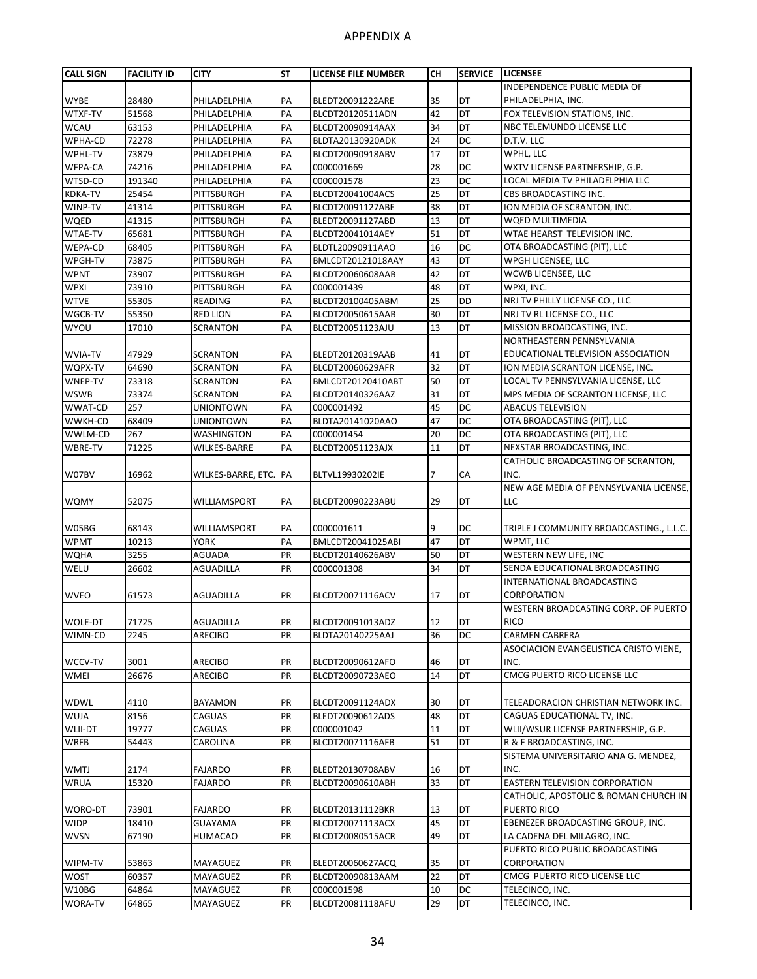| <b>CALL SIGN</b> | <b>FACILITY ID</b> | <b>CITY</b>           | <b>ST</b> | LICENSE FILE NUMBER | CН | <b>SERVICE</b> | <b>LICENSEE</b>                          |
|------------------|--------------------|-----------------------|-----------|---------------------|----|----------------|------------------------------------------|
|                  |                    |                       |           |                     |    |                | INDEPENDENCE PUBLIC MEDIA OF             |
| <b>WYBE</b>      | 28480              | PHILADELPHIA          | PA        | BLEDT20091222ARE    | 35 | <b>DT</b>      | PHILADELPHIA, INC.                       |
| WTXF-TV          | 51568              | PHILADELPHIA          | PA        | BLCDT20120511ADN    | 42 | DT             | FOX TELEVISION STATIONS, INC.            |
| <b>WCAU</b>      | 63153              | PHILADELPHIA          | PA        | BLCDT20090914AAX    | 34 | DT             | NBC TELEMUNDO LICENSE LLC                |
| WPHA-CD          | 72278              | PHILADELPHIA          | PA        | BLDTA20130920ADK    | 24 | DC             | D.T.V. LLC                               |
| WPHL-TV          | 73879              | PHILADELPHIA          | PA        | BLCDT20090918ABV    | 17 | DT             | WPHL, LLC                                |
| WFPA-CA          | 74216              | PHILADELPHIA          | PA        | 0000001669          | 28 | DC             | WXTV LICENSE PARTNERSHIP, G.P.           |
| WTSD-CD          | 191340             | PHILADELPHIA          | PA        | 0000001578          | 23 | DC             | LOCAL MEDIA TV PHILADELPHIA LLC          |
| <b>KDKA-TV</b>   | 25454              | PITTSBURGH            | PA        | BLCDT20041004ACS    | 25 | DT             | CBS BROADCASTING INC.                    |
| WINP-TV          | 41314              | PITTSBURGH            | PA        | BLCDT20091127ABE    | 38 | DT             | ION MEDIA OF SCRANTON, INC.              |
| WQED             | 41315              | PITTSBURGH            | PA        | BLEDT20091127ABD    | 13 | DT             | WQED MULTIMEDIA                          |
| <b>WTAE-TV</b>   | 65681              | PITTSBURGH            | PA        | BLCDT20041014AEY    | 51 | DT             | WTAE HEARST TELEVISION INC.              |
| WEPA-CD          | 68405              | PITTSBURGH            | PA        | BLDTL20090911AAO    | 16 | DC             | OTA BROADCASTING (PIT), LLC              |
| WPGH-TV          | 73875              | PITTSBURGH            | PA        | BMLCDT20121018AAY   | 43 | DT             | WPGH LICENSEE, LLC                       |
| <b>WPNT</b>      | 73907              | PITTSBURGH            | PA        | BLCDT20060608AAB    | 42 | DT             | WCWB LICENSEE, LLC                       |
| <b>WPXI</b>      | 73910              | PITTSBURGH            | PA        | 0000001439          | 48 | DT             | WPXI, INC.                               |
| <b>WTVE</b>      | 55305              | <b>READING</b>        | PA        | BLCDT20100405ABM    | 25 | <b>DD</b>      | NRJ TV PHILLY LICENSE CO., LLC           |
| WGCB-TV          | 55350              | <b>RED LION</b>       | PA        | BLCDT20050615AAB    | 30 | DT             | NRJ TV RL LICENSE CO., LLC               |
| WYOU             | 17010              | <b>SCRANTON</b>       | PA        | BLCDT20051123AJU    | 13 | DT             | MISSION BROADCASTING, INC.               |
|                  |                    |                       |           |                     |    |                | NORTHEASTERN PENNSYLVANIA                |
| <b>WVIA-TV</b>   | 47929              | <b>SCRANTON</b>       | PA        | BLEDT20120319AAB    | 41 | DT             | EDUCATIONAL TELEVISION ASSOCIATION       |
| WQPX-TV          | 64690              | <b>SCRANTON</b>       | PA        | BLCDT20060629AFR    | 32 | DT             | ION MEDIA SCRANTON LICENSE, INC.         |
| WNEP-TV          | 73318              | <b>SCRANTON</b>       | PA        | BMLCDT20120410ABT   | 50 | DT             | LOCAL TV PENNSYLVANIA LICENSE, LLC       |
| <b>WSWB</b>      | 73374              | <b>SCRANTON</b>       | PA        | BLCDT20140326AAZ    | 31 | <b>DT</b>      | MPS MEDIA OF SCRANTON LICENSE, LLC       |
| WWAT-CD          | 257                | <b>UNIONTOWN</b>      | PA        | 0000001492          | 45 | DC             | <b>ABACUS TELEVISION</b>                 |
| WWKH-CD          | 68409              | <b>UNIONTOWN</b>      | PA        | BLDTA20141020AAO    | 47 | DC             | OTA BROADCASTING (PIT), LLC              |
| WWLM-CD          | 267                | WASHINGTON            | PA        | 0000001454          | 20 | DC             | OTA BROADCASTING (PIT), LLC              |
| WBRE-TV          | 71225              | <b>WILKES-BARRE</b>   | PA        | BLCDT20051123AJX    | 11 | DT             | NEXSTAR BROADCASTING, INC.               |
|                  |                    |                       |           |                     |    |                | CATHOLIC BROADCASTING OF SCRANTON,       |
| W07BV            | 16962              | WILKES-BARRE, ETC. PA |           | BLTVL19930202IE     | 7  | СA             | INC.                                     |
|                  |                    |                       |           |                     |    |                | NEW AGE MEDIA OF PENNSYLVANIA LICENSE,   |
| <b>WQMY</b>      | 52075              | WILLIAMSPORT          | PA        | BLCDT20090223ABU    | 29 | DT             | LLC                                      |
|                  |                    |                       |           |                     |    |                |                                          |
| W05BG            | 68143              | WILLIAMSPORT          | PA        | 0000001611          | 9  | <b>DC</b>      | TRIPLE J COMMUNITY BROADCASTING., L.L.C. |
| <b>WPMT</b>      | 10213              | <b>YORK</b>           | PA        | BMLCDT20041025ABI   | 47 | DT             | WPMT, LLC                                |
| <b>WQHA</b>      | 3255               | <b>AGUADA</b>         | PR        | BLCDT20140626ABV    | 50 | DT             | WESTERN NEW LIFE, INC                    |
| WELU             | 26602              | AGUADILLA             | <b>PR</b> | 0000001308          | 34 | DT             | SENDA EDUCATIONAL BROADCASTING           |
|                  |                    |                       |           |                     |    |                | INTERNATIONAL BROADCASTING               |
| <b>WVEO</b>      | 61573              | AGUADILLA             | PR        | BLCDT20071116ACV    | 17 | DT             | CORPORATION                              |
|                  |                    |                       |           |                     |    |                | WESTERN BROADCASTING CORP. OF PUERTO     |
| <b>WOLE-DT</b>   | 71725              | <b>AGUADILLA</b>      | PR        | BLCDT20091013ADZ    | 12 | DT             | <b>RICO</b>                              |
| WIMN-CD          | 2245               | ARECIBO               | PR        | BLDTA20140225AAJ    | 36 | DC             | CARMEN CABRERA                           |
|                  |                    |                       |           |                     |    |                | ASOCIACION EVANGELISTICA CRISTO VIENE,   |
| WCCV-TV          | 3001               | ARECIBO               | PR        | BLCDT20090612AFO    | 46 | DT             | INC.                                     |
| <b>WMEI</b>      | 26676              | <b>ARECIBO</b>        | PR        | BLCDT20090723AEO    | 14 | DT             | CMCG PUERTO RICO LICENSE LLC             |
|                  |                    |                       |           |                     |    |                |                                          |
| <b>WDWL</b>      | 4110               | BAYAMON               | PR        | BLCDT20091124ADX    | 30 | DT             | TELEADORACION CHRISTIAN NETWORK INC.     |
| <b>WUJA</b>      | 8156               | CAGUAS                | PR        | BLEDT20090612ADS    | 48 | DT             | CAGUAS EDUCATIONAL TV, INC.              |
| <b>WLII-DT</b>   | 19777              | CAGUAS                | PR        | 0000001042          | 11 | DT             | WLII/WSUR LICENSE PARTNERSHIP, G.P.      |
| <b>WRFB</b>      | 54443              | CAROLINA              | PR        | BLCDT20071116AFB    | 51 | DT             | R & F BROADCASTING, INC.                 |
|                  |                    |                       |           |                     |    |                | SISTEMA UNIVERSITARIO ANA G. MENDEZ,     |
| <b>WMTJ</b>      | 2174               | <b>FAJARDO</b>        | PR        | BLEDT20130708ABV    | 16 | DT             | INC.                                     |
| <b>WRUA</b>      | 15320              | <b>FAJARDO</b>        | PR        | BLCDT20090610ABH    | 33 | DT             | EASTERN TELEVISION CORPORATION           |
|                  |                    |                       |           |                     |    |                | CATHOLIC, APOSTOLIC & ROMAN CHURCH IN    |
| WORO-DT          | 73901              | <b>FAJARDO</b>        | PR        | BLCDT20131112BKR    | 13 | DT             | PUERTO RICO                              |
|                  |                    |                       |           |                     |    |                |                                          |
| <b>WIDP</b>      | 18410              | <b>GUAYAMA</b>        | PR        | BLCDT20071113ACX    | 45 | DT             | EBENEZER BROADCASTING GROUP, INC.        |
| WVSN             | 67190              | HUMACAO               | PR        | BLCDT20080515ACR    | 49 | DT             | LA CADENA DEL MILAGRO, INC.              |
|                  |                    |                       |           |                     |    |                | PUERTO RICO PUBLIC BROADCASTING          |
| WIPM-TV          | 53863              | MAYAGUEZ              | PR        | BLEDT20060627ACQ    | 35 | DT             | CORPORATION                              |
| <b>WOST</b>      | 60357              | MAYAGUEZ              | PR        | BLCDT20090813AAM    | 22 | DT             | CMCG PUERTO RICO LICENSE LLC             |
| W10BG            | 64864              | MAYAGUEZ              | PR        | 0000001598          | 10 | DC             | TELECINCO, INC.                          |
| WORA-TV          | 64865              | MAYAGUEZ              | PR        | BLCDT20081118AFU    | 29 | DT             | TELECINCO, INC.                          |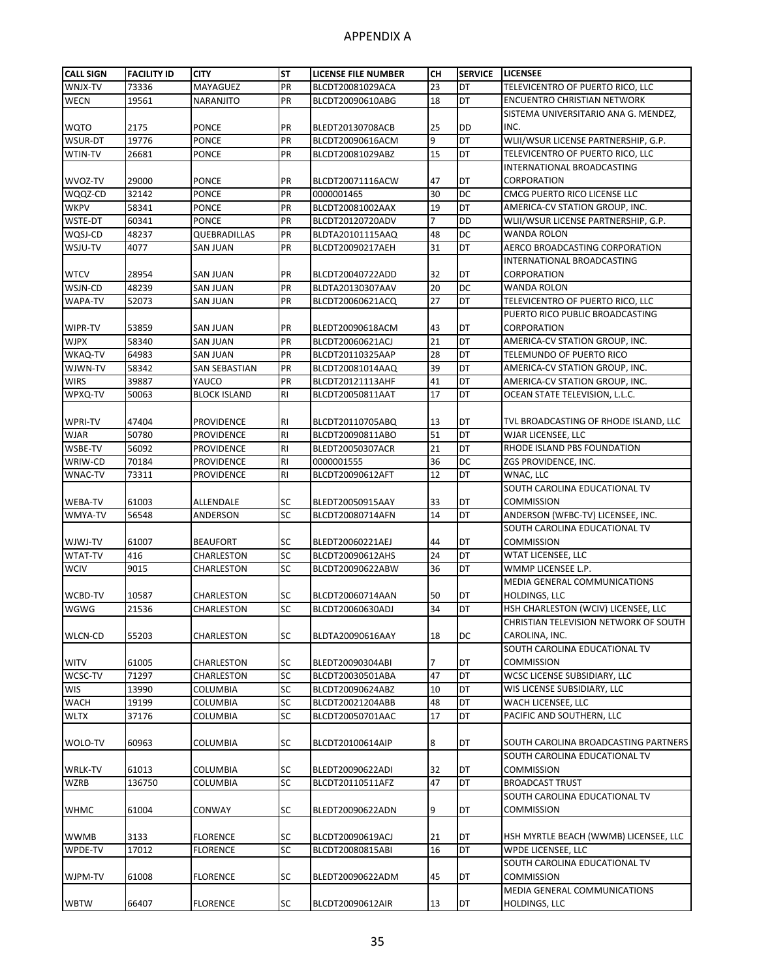| <b>CALL SIGN</b> | <b>FACILITY ID</b> | <b>CITY</b>         | <b>ST</b>      | <b>LICENSE FILE NUMBER</b> | CН | <b>SERVICE</b>  | <b>LICENSEE</b>                       |
|------------------|--------------------|---------------------|----------------|----------------------------|----|-----------------|---------------------------------------|
| WNJX-TV          | 73336              | MAYAGUEZ            | PR             | BLCDT20081029ACA           | 23 | DT              | TELEVICENTRO OF PUERTO RICO, LLC      |
| <b>WECN</b>      | 19561              | NARANJITO           | PR             | BLCDT20090610ABG           | 18 | DT              | <b>ENCUENTRO CHRISTIAN NETWORK</b>    |
|                  |                    |                     |                |                            |    |                 | SISTEMA UNIVERSITARIO ANA G. MENDEZ,  |
| <b>WQTO</b>      | 2175               | <b>PONCE</b>        | PR             | BLEDT20130708ACB           | 25 | DD              | INC.                                  |
| WSUR-DT          | 19776              | PONCE               | PR             | BLCDT20090616ACM           | 9  | DT              | WLII/WSUR LICENSE PARTNERSHIP, G.P.   |
| WTIN-TV          | 26681              | PONCE               | PR             | BLCDT20081029ABZ           | 15 | DT              | TELEVICENTRO OF PUERTO RICO, LLC      |
|                  |                    |                     |                |                            |    |                 | INTERNATIONAL BROADCASTING            |
| WVOZ-TV          | 29000              | <b>PONCE</b>        | PR             | BLCDT20071116ACW           | 47 | DT              | CORPORATION                           |
| WQQZ-CD          | 32142              | <b>PONCE</b>        | PR             | 0000001465                 | 30 | DC              | CMCG PUERTO RICO LICENSE LLC          |
| <b>WKPV</b>      | 58341              | <b>PONCE</b>        | PR             | BLCDT20081002AAX           | 19 | DT              | AMERICA-CV STATION GROUP, INC.        |
| WSTE-DT          | 60341              | PONCE               | PR             | BLCDT20120720ADV           | 7  | DD              | WLII/WSUR LICENSE PARTNERSHIP, G.P.   |
| WQSJ-CD          | 48237              | QUEBRADILLAS        | PR             | BLDTA20101115AAQ           | 48 | DC              | <b>WANDA ROLON</b>                    |
| WSJU-TV          | 4077               | <b>SAN JUAN</b>     | PR             | BLCDT20090217AEH           | 31 | DT              | AERCO BROADCASTING CORPORATION        |
|                  |                    |                     |                |                            |    |                 | INTERNATIONAL BROADCASTING            |
| <b>WTCV</b>      | 28954              | SAN JUAN            | PR             | BLCDT20040722ADD           | 32 | DT              | CORPORATION                           |
| WSJN-CD          | 48239              | SAN JUAN            | PR             | BLDTA20130307AAV           | 20 | DC              | WANDA ROLON                           |
| WAPA-TV          | 52073              | SAN JUAN            | PR             | BLCDT20060621ACQ           | 27 | DT              | TELEVICENTRO OF PUERTO RICO, LLC      |
|                  |                    |                     |                |                            |    |                 | PUERTO RICO PUBLIC BROADCASTING       |
| WIPR-TV          | 53859              | SAN JUAN            | PR             | BLEDT20090618ACM           | 43 | DT              | CORPORATION                           |
| <b>WJPX</b>      | 58340              | SAN JUAN            | PR             | BLCDT20060621ACJ           | 21 | DT              | AMERICA-CV STATION GROUP, INC.        |
| WKAQ-TV          | 64983              | SAN JUAN            | PR             | BLCDT20110325AAP           | 28 | DT              | TELEMUNDO OF PUERTO RICO              |
| WJWN-TV          | 58342              | SAN SEBASTIAN       | PR             | BLCDT20081014AAQ           | 39 | DT              | AMERICA-CV STATION GROUP, INC.        |
| <b>WIRS</b>      | 39887              | YAUCO               | PR             | BLCDT20121113AHF           | 41 | DT              | AMERICA-CV STATION GROUP, INC.        |
| WPXQ-TV          | 50063              | <b>BLOCK ISLAND</b> | R <sub>l</sub> | BLCDT20050811AAT           | 17 | DT              | OCEAN STATE TELEVISION, L.L.C.        |
|                  |                    |                     |                |                            |    |                 |                                       |
| WPRI-TV          | 47404              | PROVIDENCE          | R <sub>1</sub> | BLCDT20110705ABQ           | 13 | DT              | TVL BROADCASTING OF RHODE ISLAND, LLC |
| <b>WJAR</b>      | 50780              | PROVIDENCE          | <b>RI</b>      | BLCDT20090811ABO           | 51 | DT              | WJAR LICENSEE, LLC                    |
| WSBE-TV          | 56092              | PROVIDENCE          | R <sub>l</sub> | BLEDT20050307ACR           | 21 | DT              | RHODE ISLAND PBS FOUNDATION           |
| WRIW-CD          | 70184              | PROVIDENCE          | <b>RI</b>      | 0000001555                 | 36 | DC              | ZGS PROVIDENCE, INC.                  |
| WNAC-TV          | 73311              | PROVIDENCE          | <b>RI</b>      | BLCDT20090612AFT           | 12 | DT              | WNAC, LLC                             |
|                  |                    |                     |                |                            |    |                 | SOUTH CAROLINA EDUCATIONAL TV         |
| <b>WEBA-TV</b>   | 61003              | ALLENDALE           | SC             | BLEDT20050915AAY           | 33 | DT              | <b>COMMISSION</b>                     |
| WMYA-TV          | 56548              | ANDERSON            | <b>SC</b>      | BLCDT20080714AFN           | 14 | $\overline{DT}$ | ANDERSON (WFBC-TV) LICENSEE, INC.     |
|                  |                    |                     |                |                            |    |                 | SOUTH CAROLINA EDUCATIONAL TV         |
| WJWJ-TV          | 61007              | <b>BEAUFORT</b>     | SC             | BLEDT20060221AEJ           | 44 | DT              | <b>COMMISSION</b>                     |
| <b>WTAT-TV</b>   | 416                | CHARLESTON          | SC             | BLCDT20090612AHS           | 24 | DT              | WTAT LICENSEE, LLC                    |
| <b>WCIV</b>      | 9015               | CHARLESTON          | SC             | BLCDT20090622ABW           | 36 | DT              | WMMP LICENSEE L.P.                    |
|                  |                    |                     |                |                            |    |                 | <b>MEDIA GENERAL COMMUNICATIONS</b>   |
| WCBD-TV          | 10587              | CHARLESTON          | SC             | BLCDT20060714AAN           | 50 | DT              | HOLDINGS, LLC                         |
| WGWG             | 21536              | CHARLESTON          | SC             | BLCDT20060630ADJ           | 34 | DT              | HSH CHARLESTON (WCIV) LICENSEE, LLC   |
|                  |                    |                     |                |                            |    |                 | CHRISTIAN TELEVISION NETWORK OF SOUTH |
| <b>WLCN-CD</b>   | 55203              | CHARLESTON          | SC             | BLDTA20090616AAY           | 18 | DC              | CAROLINA, INC.                        |
|                  |                    |                     |                |                            |    |                 | SOUTH CAROLINA EDUCATIONAL TV         |
| <b>WITV</b>      | 61005              | CHARLESTON          | SC             | BLEDT20090304ABI           | 7  | DT              | <b>COMMISSION</b>                     |
| WCSC-TV          | 71297              | CHARLESTON          | <b>SC</b>      | BLCDT20030501ABA           | 47 | DT              | WCSC LICENSE SUBSIDIARY, LLC          |
| <b>WIS</b>       | 13990              | COLUMBIA            | SC             | BLCDT20090624ABZ           | 10 | DT              | WIS LICENSE SUBSIDIARY, LLC           |
| <b>WACH</b>      | 19199              | COLUMBIA            | SC             | BLCDT20021204ABB           | 48 | DT              | WACH LICENSEE, LLC                    |
| <b>WLTX</b>      | 37176              | COLUMBIA            | SC             | BLCDT20050701AAC           | 17 | DT              | PACIFIC AND SOUTHERN, LLC             |
|                  |                    |                     |                |                            |    |                 |                                       |
| WOLO-TV          | 60963              | COLUMBIA            | SC             | BLCDT20100614AIP           | 8  | DT              | SOUTH CAROLINA BROADCASTING PARTNERS  |
|                  |                    |                     |                |                            |    |                 | SOUTH CAROLINA EDUCATIONAL TV         |
| <b>WRLK-TV</b>   | 61013              | COLUMBIA            | SC             | BLEDT20090622ADI           | 32 | DT              | <b>COMMISSION</b>                     |
| <b>WZRB</b>      | 136750             | COLUMBIA            | SC             | BLCDT20110511AFZ           | 47 | DT              | <b>BROADCAST TRUST</b>                |
|                  |                    |                     |                |                            |    |                 | SOUTH CAROLINA EDUCATIONAL TV         |
| <b>WHMC</b>      | 61004              | CONWAY              | SC             | BLEDT20090622ADN           | 9  | DT              | <b>COMMISSION</b>                     |
|                  |                    |                     |                |                            |    |                 |                                       |
| <b>WWMB</b>      | 3133               | <b>FLORENCE</b>     | SC             | BLCDT20090619ACJ           | 21 | DT              | HSH MYRTLE BEACH (WWMB) LICENSEE, LLC |
| WPDE-TV          | 17012              | FLORENCE            | SC             | BLCDT20080815ABI           | 16 | DT              | WPDE LICENSEE, LLC                    |
|                  |                    |                     |                |                            |    |                 | SOUTH CAROLINA EDUCATIONAL TV         |
| WJPM-TV          | 61008              | <b>FLORENCE</b>     | SC             | BLEDT20090622ADM           | 45 | DT              | <b>COMMISSION</b>                     |
|                  |                    |                     |                |                            |    |                 | MEDIA GENERAL COMMUNICATIONS          |
| <b>WBTW</b>      | 66407              | <b>FLORENCE</b>     | SC             | BLCDT20090612AIR           | 13 | DT              | HOLDINGS, LLC                         |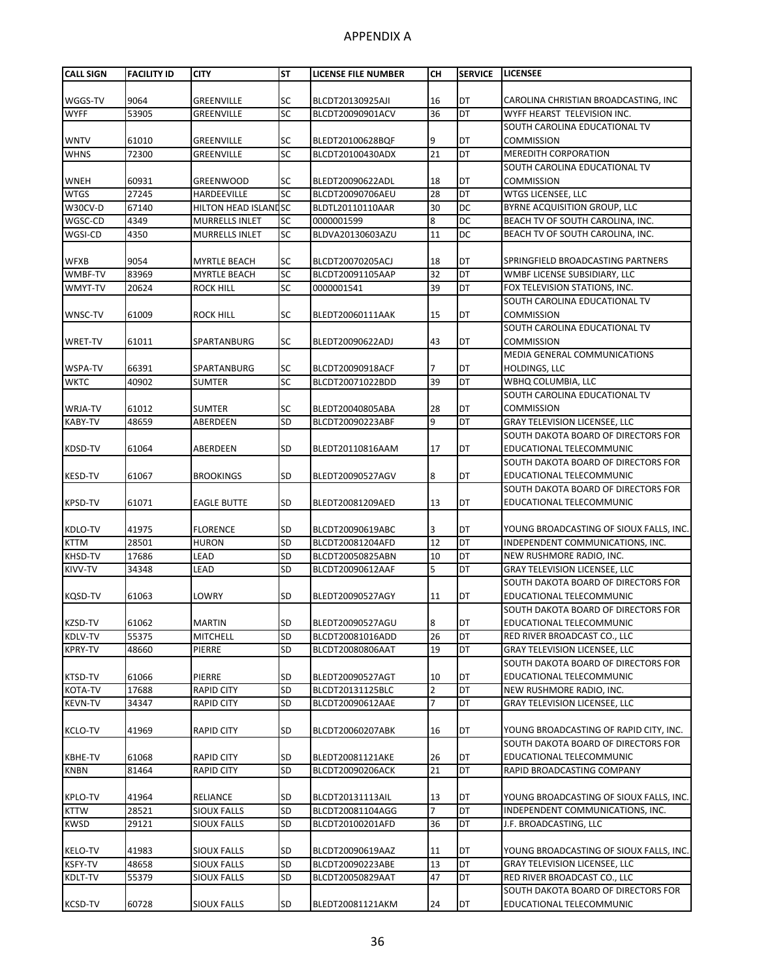| <b>CALL SIGN</b>                 | <b>FACILITY ID</b> | <b>CITY</b>                       | <b>ST</b> | LICENSE FILE NUMBER                  | <b>CH</b>            | <b>SERVICE</b>  | <b>LICENSEE</b>                                    |
|----------------------------------|--------------------|-----------------------------------|-----------|--------------------------------------|----------------------|-----------------|----------------------------------------------------|
|                                  |                    |                                   |           |                                      |                      |                 |                                                    |
| WGGS-TV                          | 9064               | <b>GREENVILLE</b>                 | <b>SC</b> | BLCDT20130925AJI                     | 16                   | DT              | CAROLINA CHRISTIAN BROADCASTING, INC               |
| <b>WYFF</b>                      | 53905              | <b>GREENVILLE</b>                 | <b>SC</b> | BLCDT20090901ACV                     | 36                   | $\overline{DT}$ | WYFF HEARST TELEVISION INC.                        |
|                                  |                    |                                   |           |                                      |                      |                 | SOUTH CAROLINA EDUCATIONAL TV                      |
| <b>WNTV</b>                      | 61010              | <b>GREENVILLE</b>                 | <b>SC</b> | BLEDT20100628BQF                     | 9                    | DT              | <b>COMMISSION</b>                                  |
| <b>WHNS</b>                      | 72300              | GREENVILLE                        | SC        | BLCDT20100430ADX                     | 21                   | DT              | <b>MEREDITH CORPORATION</b>                        |
|                                  |                    |                                   |           |                                      |                      |                 | SOUTH CAROLINA EDUCATIONAL TV                      |
| <b>WNEH</b>                      | 60931              | <b>GREENWOOD</b>                  | <b>SC</b> | BLEDT20090622ADL                     | 18                   | DT              | <b>COMMISSION</b>                                  |
| <b>WTGS</b>                      | 27245              | <b>HARDEEVILLE</b>                | <b>SC</b> | BLCDT20090706AEU                     | 28                   | <b>DT</b>       | <b>WTGS LICENSEE, LLC</b>                          |
| W30CV-D                          | 67140              | HILTON HEAD ISLAND SC             |           | BLDTL20110110AAR                     | 30                   | <b>DC</b>       | BYRNE ACQUISITION GROUP, LLC                       |
| WGSC-CD                          | 4349               | <b>MURRELLS INLET</b>             | <b>SC</b> | 0000001599                           | 8                    | DC              | BEACH TV OF SOUTH CAROLINA, INC.                   |
| WGSI-CD                          | 4350               | <b>MURRELLS INLET</b>             | SC        | BLDVA20130603AZU                     | 11                   | DC              | BEACH TV OF SOUTH CAROLINA, INC.                   |
|                                  |                    |                                   |           |                                      |                      |                 |                                                    |
| <b>WFXB</b>                      | 9054               | <b>MYRTLE BEACH</b>               | <b>SC</b> | BLCDT20070205ACJ                     | 18                   | DT              | SPRINGFIELD BROADCASTING PARTNERS                  |
| WMBF-TV                          | 83969              | <b>MYRTLE BEACH</b>               | <b>SC</b> | BLCDT20091105AAP                     | 32                   | DT              | WMBF LICENSE SUBSIDIARY, LLC                       |
| WMYT-TV                          | 20624              | ROCK HILL                         | SC        | 0000001541                           | 39                   | DT              | FOX TELEVISION STATIONS, INC.                      |
|                                  |                    |                                   |           |                                      |                      |                 | SOUTH CAROLINA EDUCATIONAL TV<br><b>COMMISSION</b> |
| WNSC-TV                          | 61009              | ROCK HILL                         | <b>SC</b> | BLEDT20060111AAK                     | 15                   | DT              | SOUTH CAROLINA EDUCATIONAL TV                      |
|                                  | 61011              |                                   | <b>SC</b> | BLEDT20090622ADJ                     | 43                   | DT              | <b>COMMISSION</b>                                  |
| <b>WRET-TV</b>                   |                    | SPARTANBURG                       |           |                                      |                      |                 | <b>MEDIA GENERAL COMMUNICATIONS</b>                |
| WSPA-TV                          | 66391              | SPARTANBURG                       | SC        | BLCDT20090918ACF                     |                      | DT              | <b>HOLDINGS, LLC</b>                               |
| <b>WKTC</b>                      | 40902              | <b>SUMTER</b>                     | <b>SC</b> | BLCDT20071022BDD                     | 39                   | DT              | WBHQ COLUMBIA, LLC                                 |
|                                  |                    |                                   |           |                                      |                      |                 | SOUTH CAROLINA EDUCATIONAL TV                      |
| WRJA-TV                          | 61012              | <b>SUMTER</b>                     | <b>SC</b> | BLEDT20040805ABA                     | 28                   | DT              | <b>COMMISSION</b>                                  |
| <b>KABY-TV</b>                   | 48659              | ABERDEEN                          | SD        | BLCDT20090223ABF                     | 9                    | $\overline{DT}$ | <b>GRAY TELEVISION LICENSEE, LLC</b>               |
|                                  |                    |                                   |           |                                      |                      |                 | SOUTH DAKOTA BOARD OF DIRECTORS FOR                |
| KDSD-TV                          | 61064              | ABERDEEN                          | <b>SD</b> | BLEDT20110816AAM                     | 17                   | DT              | EDUCATIONAL TELECOMMUNIC                           |
|                                  |                    |                                   |           |                                      |                      |                 | SOUTH DAKOTA BOARD OF DIRECTORS FOR                |
| <b>KESD-TV</b>                   | 61067              | <b>BROOKINGS</b>                  | <b>SD</b> | BLEDT20090527AGV                     | 8                    | DT              | EDUCATIONAL TELECOMMUNIC                           |
|                                  |                    |                                   |           |                                      |                      |                 | SOUTH DAKOTA BOARD OF DIRECTORS FOR                |
| <b>KPSD-TV</b>                   | 61071              | <b>EAGLE BUTTE</b>                | <b>SD</b> | BLEDT20081209AED                     | 13                   | DT              | EDUCATIONAL TELECOMMUNIC                           |
|                                  |                    |                                   |           |                                      |                      |                 |                                                    |
| KDLO-TV                          | 41975              | <b>FLORENCE</b>                   | <b>SD</b> | BLCDT20090619ABC                     | 3                    | DT              | YOUNG BROADCASTING OF SIOUX FALLS, INC.            |
| <b>KTTM</b>                      | 28501              | <b>HURON</b>                      | SD        | BLCDT20081204AFD                     | 12                   | <b>DT</b>       | INDEPENDENT COMMUNICATIONS, INC.                   |
| KHSD-TV                          | 17686              | LEAD                              | SD        | BLCDT20050825ABN                     | 10                   | DT              | NEW RUSHMORE RADIO, INC.                           |
| KIVV-TV                          | 34348              | LEAD                              | SD        | BLCDT20090612AAF                     | 5                    | DT              | GRAY TELEVISION LICENSEE, LLC                      |
|                                  |                    |                                   |           |                                      |                      |                 | SOUTH DAKOTA BOARD OF DIRECTORS FOR                |
| <b>KQSD-TV</b>                   | 61063              | LOWRY                             | <b>SD</b> | BLEDT20090527AGY                     | 11                   | DT              | EDUCATIONAL TELECOMMUNIC                           |
|                                  |                    |                                   |           |                                      |                      |                 | SOUTH DAKOTA BOARD OF DIRECTORS FOR                |
| KZSD-TV                          | 61062              | <b>MARTIN</b>                     | <b>SD</b> | BLEDT20090527AGU                     | 8                    | DT              | EDUCATIONAL TELECOMMUNIC                           |
| KDLV-TV                          | 55375              | MITCHELL                          | SD        | BLCDT20081016ADD                     | 26                   | DT              | RED RIVER BROADCAST CO., LLC                       |
| <b>KPRY-TV</b>                   | 48660              | PIERRE                            | SD        | BLCDT20080806AAT                     | 19                   | DT              | <b>GRAY TELEVISION LICENSEE, LLC</b>               |
|                                  |                    |                                   |           |                                      |                      |                 | SOUTH DAKOTA BOARD OF DIRECTORS FOR                |
| KTSD-TV                          | 61066              | PIERRE                            | <b>SD</b> | BLEDT20090527AGT                     | 10                   | DT              | EDUCATIONAL TELECOMMUNIC                           |
| KOTA-TV                          | 17688              | <b>RAPID CITY</b>                 | SD        | BLCDT20131125BLC                     | $\overline{2}$       | DT              | NEW RUSHMORE RADIO, INC.                           |
| <b>KEVN-TV</b>                   | 34347              | RAPID CITY                        | SD        | BLCDT20090612AAE                     | 7                    | DT              | GRAY TELEVISION LICENSEE, LLC                      |
|                                  |                    |                                   |           |                                      |                      |                 |                                                    |
| <b>KCLO-TV</b>                   | 41969              | <b>RAPID CITY</b>                 | <b>SD</b> | BLCDT20060207ABK                     | 16                   | DT              | YOUNG BROADCASTING OF RAPID CITY, INC.             |
|                                  |                    |                                   |           |                                      |                      |                 | SOUTH DAKOTA BOARD OF DIRECTORS FOR                |
| <b>KBHE-TV</b>                   | 61068              | <b>RAPID CITY</b>                 | <b>SD</b> | BLEDT20081121AKE                     | 26                   | DT              | EDUCATIONAL TELECOMMUNIC                           |
| <b>KNBN</b>                      | 81464              | <b>RAPID CITY</b>                 | SD        | BLCDT20090206ACK                     | 21                   | DT              | RAPID BROADCASTING COMPANY                         |
|                                  |                    |                                   |           |                                      |                      |                 |                                                    |
| KPLO-TV                          | 41964              | RELIANCE                          | <b>SD</b> | BLCDT20131113AIL                     | 13<br>$\overline{7}$ | DT<br>DT        | YOUNG BROADCASTING OF SIOUX FALLS, INC.            |
| <b>KTTW</b>                      | 28521              | <b>SIOUX FALLS</b>                | SD        | BLCDT20081104AGG                     |                      |                 | INDEPENDENT COMMUNICATIONS, INC.                   |
| <b>KWSD</b>                      | 29121              | <b>SIOUX FALLS</b>                | <b>SD</b> | BLCDT20100201AFD                     | 36                   | DT              | J.F. BROADCASTING, LLC                             |
|                                  | 41983              |                                   | <b>SD</b> |                                      |                      | DT              | YOUNG BROADCASTING OF SIOUX FALLS, INC.            |
| <b>KELO-TV</b><br><b>KSFY-TV</b> | 48658              | SIOUX FALLS<br><b>SIOUX FALLS</b> | SD        | BLCDT20090619AAZ<br>BLCDT20090223ABE | 11<br>13             | DT              | GRAY TELEVISION LICENSEE, LLC                      |
| KDLT-TV                          | 55379              | <b>SIOUX FALLS</b>                | SD        | BLCDT20050829AAT                     | 47                   | DT              | RED RIVER BROADCAST CO., LLC                       |
|                                  |                    |                                   |           |                                      |                      |                 | SOUTH DAKOTA BOARD OF DIRECTORS FOR                |
| <b>KCSD-TV</b>                   | 60728              | SIOUX FALLS                       | <b>SD</b> | BLEDT20081121AKM                     | 24                   | DT              | EDUCATIONAL TELECOMMUNIC                           |
|                                  |                    |                                   |           |                                      |                      |                 |                                                    |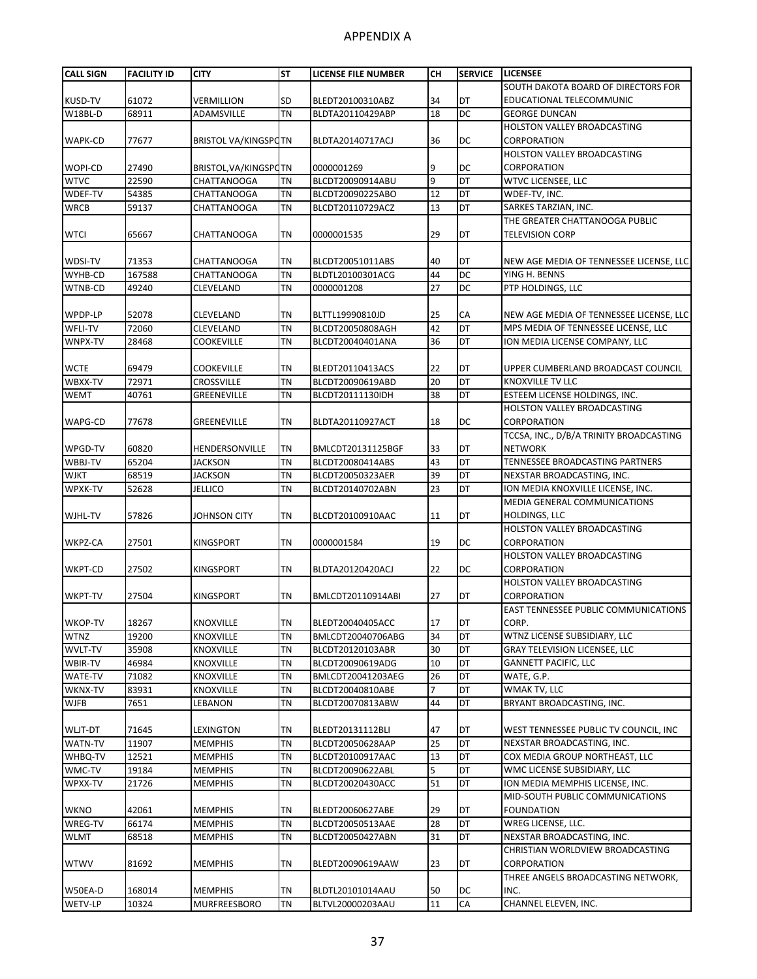| <b>CALL SIGN</b> | <b>FACILITY ID</b> | <b>CITY</b>                 | <b>ST</b>              | LICENSE FILE NUMBER | CН                   | <b>SERVICE</b> | <b>LICENSEE</b>                             |
|------------------|--------------------|-----------------------------|------------------------|---------------------|----------------------|----------------|---------------------------------------------|
|                  |                    |                             |                        |                     |                      |                | SOUTH DAKOTA BOARD OF DIRECTORS FOR         |
| <b>KUSD-TV</b>   | 61072              | VERMILLION                  | <b>SD</b>              | BLEDT20100310ABZ    | 34                   | DT             | EDUCATIONAL TELECOMMUNIC                    |
| W18BL-D          | 68911              | ADAMSVILLE                  | <b>TN</b>              | BLDTA20110429ABP    | 18                   | DC             | <b>GEORGE DUNCAN</b>                        |
|                  |                    |                             |                        |                     |                      |                | <b>HOLSTON VALLEY BROADCASTING</b>          |
| WAPK-CD          | 77677              | <b>BRISTOL VA/KINGSPOTN</b> |                        | BLDTA20140717ACJ    | 36                   | DC             | CORPORATION                                 |
|                  |                    |                             |                        |                     |                      |                | <b>HOLSTON VALLEY BROADCASTING</b>          |
| <b>WOPI-CD</b>   | 27490              | BRISTOL, VA/KINGSPOTN       |                        | 0000001269          | 9                    | DC             | CORPORATION                                 |
| <b>WTVC</b>      | 22590              | CHATTANOOGA                 | <b>TN</b>              | BLCDT20090914ABU    | 9                    | DT             | WTVC LICENSEE, LLC                          |
| WDEF-TV          | 54385              | <b>CHATTANOOGA</b>          | <b>TN</b>              | BLCDT20090225ABO    | 12                   | DT             | WDEF-TV, INC.                               |
| <b>WRCB</b>      | 59137              | <b>CHATTANOOGA</b>          | <b>TN</b>              | BLCDT20110729ACZ    | 13                   | DT             | SARKES TARZIAN, INC.                        |
|                  |                    |                             |                        |                     |                      |                | THE GREATER CHATTANOOGA PUBLIC              |
| <b>WTCI</b>      | 65667              | CHATTANOOGA                 | <b>TN</b>              | 0000001535          | 29                   | DT             | TELEVISION CORP                             |
|                  |                    |                             |                        |                     |                      |                |                                             |
| WDSI-TV          | 71353              | <b>CHATTANOOGA</b>          | <b>TN</b>              | BLCDT20051011ABS    | 40                   | DT             | NEW AGE MEDIA OF TENNESSEE LICENSE, LLC     |
| WYHB-CD          | 167588             | <b>CHATTANOOGA</b>          | <b>TN</b>              | BLDTL20100301ACG    | 44                   | DC             | YING H. BENNS                               |
| WTNB-CD          | 49240              | CLEVELAND                   | <b>TN</b>              | 0000001208          | 27                   | DC             | PTP HOLDINGS, LLC                           |
|                  |                    |                             |                        |                     |                      |                |                                             |
| WPDP-LP          | 52078              | CLEVELAND                   | <b>TN</b>              | BLTTL19990810JD     | 25                   | СA             | NEW AGE MEDIA OF TENNESSEE LICENSE, LLC     |
| WFLI-TV          | 72060              | CLEVELAND                   | <b>TN</b>              | BLCDT20050808AGH    | 42                   | DT             | MPS MEDIA OF TENNESSEE LICENSE, LLC         |
| WNPX-TV          | 28468              | <b>COOKEVILLE</b>           | <b>TN</b>              | BLCDT20040401ANA    | 36                   | <b>DT</b>      | ION MEDIA LICENSE COMPANY, LLC              |
|                  |                    |                             |                        |                     |                      |                |                                             |
| <b>WCTE</b>      | 69479              | <b>COOKEVILLE</b>           | <b>TN</b>              | BLEDT20110413ACS    | 22                   | DT             | UPPER CUMBERLAND BROADCAST COUNCIL          |
| WBXX-TV          | 72971              | <b>CROSSVILLE</b>           | <b>TN</b>              | BLCDT20090619ABD    | 20                   | DT             | <b>KNOXVILLE TV LLC</b>                     |
| <b>WEMT</b>      | 40761              | <b>GREENEVILLE</b>          | <b>TN</b>              | BLCDT20111130IDH    | 38                   | DT             | ESTEEM LICENSE HOLDINGS, INC.               |
|                  |                    |                             |                        |                     |                      |                | <b>HOLSTON VALLEY BROADCASTING</b>          |
| WAPG-CD          | 77678              | GREENEVILLE                 | <b>TN</b>              | BLDTA20110927ACT    | 18                   | DC             | CORPORATION                                 |
|                  |                    |                             |                        |                     |                      |                | TCCSA, INC., D/B/A TRINITY BROADCASTING     |
| WPGD-TV          | 60820              | HENDERSONVILLE              | <b>TN</b>              | BMLCDT20131125BGF   | 33                   | DT             | <b>NETWORK</b>                              |
| WBBJ-TV          | 65204              | <b>JACKSON</b>              | <b>TN</b>              | BLCDT20080414ABS    | 43                   | DT             | TENNESSEE BROADCASTING PARTNERS             |
| <b>WJKT</b>      | 68519              | <b>JACKSON</b>              | <b>TN</b>              | BLCDT20050323AER    | 39                   | DT             | NEXSTAR BROADCASTING, INC.                  |
| WPXK-TV          | 52628              | <b>JELLICO</b>              | <b>TN</b>              | BLCDT20140702ABN    | 23                   | DT             | ION MEDIA KNOXVILLE LICENSE, INC.           |
|                  |                    |                             |                        |                     |                      |                | MEDIA GENERAL COMMUNICATIONS                |
|                  | 57826              |                             | <b>TN</b>              |                     | 11                   | DT             | <b>HOLDINGS, LLC</b>                        |
| WJHL-TV          |                    | JOHNSON CITY                |                        | BLCDT20100910AAC    |                      |                | HOLSTON VALLEY BROADCASTING                 |
| WKPZ-CA          | 27501              | <b>KINGSPORT</b>            | <b>TN</b>              | 0000001584          | 19                   | DC             | <b>CORPORATION</b>                          |
|                  |                    |                             |                        |                     |                      |                | <b>HOLSTON VALLEY BROADCASTING</b>          |
|                  | 27502              | <b>KINGSPORT</b>            | <b>TN</b>              |                     | 22                   | DC             | CORPORATION                                 |
| WKPT-CD          |                    |                             |                        | BLDTA20120420ACJ    |                      |                |                                             |
|                  |                    |                             |                        |                     |                      |                | HOLSTON VALLEY BROADCASTING                 |
| WKPT-TV          | 27504              | KINGSPORT                   | <b>TN</b>              | BMLCDT20110914ABI   | 27                   | DT             | CORPORATION                                 |
|                  |                    |                             |                        |                     |                      |                | <b>EAST TENNESSEE PUBLIC COMMUNICATIONS</b> |
| WKOP-TV          | 18267              | <b>KNOXVILLE</b>            | <b>TN</b><br><b>TN</b> | BLEDT20040405ACC    | 17                   | DT<br>DT       | CORP.<br>WTNZ LICENSE SUBSIDIARY, LLC       |
| <b>WTNZ</b>      | 19200              | KNOXVILLE                   |                        | BMLCDT20040706ABG   | 34                   |                |                                             |
| WVLT-TV          | 35908              | KNOXVILLE                   | TN                     | BLCDT20120103ABR    | 30                   | DT             | <b>GRAY TELEVISION LICENSEE, LLC</b>        |
| WBIR-TV          | 46984              | KNOXVILLE                   | <b>TN</b>              | BLCDT20090619ADG    | 10                   | DT             | <b>GANNETT PACIFIC, LLC</b>                 |
| WATE-TV          | 71082              | <b>KNOXVILLE</b>            | <b>TN</b>              | BMLCDT20041203AEG   | 26<br>$\overline{7}$ | DT<br>DT       | WATE, G.P.                                  |
| WKNX-TV          | 83931              | KNOXVILLE                   | <b>TN</b>              | BLCDT20040810ABE    |                      |                | WMAK TV, LLC                                |
| <b>WJFB</b>      | 7651               | LEBANON                     | TN                     | BLCDT20070813ABW    | 44                   | DT             | BRYANT BROADCASTING, INC.                   |
|                  |                    |                             |                        |                     |                      |                |                                             |
| WLJT-DT          | 71645              | LEXINGTON                   | TN                     | BLEDT20131112BLI    | 47                   | DT             | WEST TENNESSEE PUBLIC TV COUNCIL, INC       |
| <b>WATN-TV</b>   | 11907              | <b>MEMPHIS</b>              | <b>TN</b>              | BLCDT20050628AAP    | 25                   | DT             | NEXSTAR BROADCASTING, INC.                  |
| WHBQ-TV          | 12521              | <b>MEMPHIS</b>              | <b>TN</b>              | BLCDT20100917AAC    | 13                   | DT             | COX MEDIA GROUP NORTHEAST, LLC              |
| WMC-TV           | 19184              | <b>MEMPHIS</b>              | TN                     | BLCDT20090622ABL    | 5                    | DT             | WMC LICENSE SUBSIDIARY, LLC                 |
| WPXX-TV          | 21726              | <b>MEMPHIS</b>              | TN                     | BLCDT20020430ACC    | 51                   | DT             | ION MEDIA MEMPHIS LICENSE, INC.             |
|                  |                    |                             |                        |                     |                      |                | MID-SOUTH PUBLIC COMMUNICATIONS             |
| <b>WKNO</b>      | 42061              | <b>MEMPHIS</b>              | <b>TN</b>              | BLEDT20060627ABE    | 29                   | DT             | <b>FOUNDATION</b>                           |
| WREG-TV          | 66174              | <b>MEMPHIS</b>              | <b>TN</b>              | BLCDT20050513AAE    | 28                   | DT             | WREG LICENSE, LLC.                          |
| <b>WLMT</b>      | 68518              | <b>MEMPHIS</b>              | TN                     | BLCDT20050427ABN    | 31                   | DT             | NEXSTAR BROADCASTING, INC.                  |
|                  |                    |                             |                        |                     |                      |                | CHRISTIAN WORLDVIEW BROADCASTING            |
| <b>WTWV</b>      | 81692              | <b>MEMPHIS</b>              | <b>TN</b>              | BLEDT20090619AAW    | 23                   | DT             | CORPORATION                                 |
|                  |                    |                             |                        |                     |                      |                | THREE ANGELS BROADCASTING NETWORK,          |
| W50EA-D          | 168014             | <b>MEMPHIS</b>              | <b>TN</b>              | BLDTL20101014AAU    | 50                   | DC             | INC.                                        |
| WETV-LP          | 10324              | MURFREESBORO                | <b>TN</b>              | BLTVL20000203AAU    | 11                   | CA             | CHANNEL ELEVEN, INC.                        |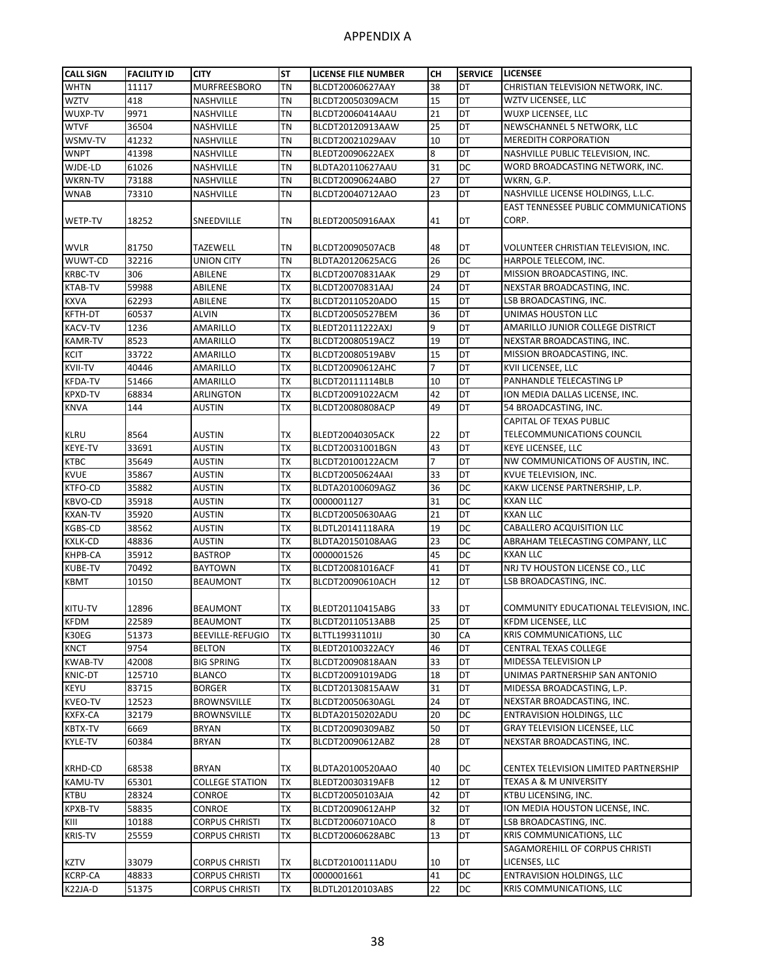| <b>CALL SIGN</b>                 | <b>FACILITY ID</b> | <b>CITY</b>                         | <b>ST</b>       | LICENSE FILE NUMBER                  | <b>CH</b> | <b>SERVICE</b>  | <b>LICENSEE</b>                                              |
|----------------------------------|--------------------|-------------------------------------|-----------------|--------------------------------------|-----------|-----------------|--------------------------------------------------------------|
| <b>WHTN</b>                      | 11117              | <b>MURFREESBORO</b>                 | <b>TN</b>       | BLCDT20060627AAY                     | 38        | DT              | CHRISTIAN TELEVISION NETWORK, INC.                           |
| <b>WZTV</b>                      | 418                | NASHVILLE                           | <b>TN</b>       | BLCDT20050309ACM                     | 15        | DT              | WZTV LICENSEE, LLC                                           |
| WUXP-TV                          | 9971               | NASHVILLE                           | <b>TN</b>       | BLCDT20060414AAU                     | 21        | DT              | WUXP LICENSEE, LLC                                           |
| <b>WTVF</b>                      | 36504              | NASHVILLE                           | <b>TN</b>       | BLCDT20120913AAW                     | 25        | DT              | NEWSCHANNEL 5 NETWORK, LLC                                   |
| WSMV-TV                          | 41232              | <b>NASHVILLE</b>                    | <b>TN</b>       | BLCDT20021029AAV                     | 10        | DT              | <b>MEREDITH CORPORATION</b>                                  |
| <b>WNPT</b>                      | 41398              | NASHVILLE                           | <b>TN</b>       | BLEDT20090622AEX                     | 8         | DT              | NASHVILLE PUBLIC TELEVISION, INC.                            |
| WJDE-LD                          | 61026              | NASHVILLE                           | <b>TN</b>       | BLDTA20110627AAU                     | 31        | DC              | WORD BROADCASTING NETWORK, INC.                              |
| WKRN-TV                          | 73188              | NASHVILLE                           | <b>TN</b>       | BLCDT20090624ABO                     | 27        | DT              | WKRN, G.P.                                                   |
| <b>WNAB</b>                      | 73310              | NASHVILLE                           | <b>TN</b>       | BLCDT20040712AAO                     | 23        | DT              | NASHVILLE LICENSE HOLDINGS, L.L.C.                           |
|                                  |                    |                                     |                 |                                      |           |                 | EAST TENNESSEE PUBLIC COMMUNICATIONS                         |
| <b>WETP-TV</b>                   | 18252              | SNEEDVILLE                          | <b>TN</b>       | BLEDT20050916AAX                     | 41        | DT              | CORP.                                                        |
|                                  |                    |                                     |                 |                                      |           |                 |                                                              |
| <b>WVLR</b>                      | 81750              | <b>TAZEWELL</b>                     | <b>TN</b>       | BLCDT20090507ACB                     | 48        | DT              | VOLUNTEER CHRISTIAN TELEVISION, INC.                         |
| WUWT-CD                          | 32216              | UNION CITY                          | <b>TN</b>       | BLDTA20120625ACG                     | 26        | DC              | HARPOLE TELECOM, INC.                                        |
| <b>KRBC-TV</b>                   | 306                | ABILENE                             | <b>TX</b>       | BLCDT20070831AAK                     | 29        | DT              | MISSION BROADCASTING, INC.                                   |
| <b>KTAB-TV</b>                   | 59988              | ABILENE                             | <b>TX</b>       | BLCDT20070831AAJ                     | 24        | DT              | NEXSTAR BROADCASTING, INC.                                   |
| <b>KXVA</b>                      | 62293              | ABILENE                             | <b>TX</b>       | BLCDT20110520ADO                     | 15        | DT              | LSB BROADCASTING, INC.                                       |
| <b>KFTH-DT</b>                   | 60537              | <b>ALVIN</b>                        | <b>TX</b>       | BLCDT20050527BEM                     | 36        | DT              | UNIMAS HOUSTON LLC                                           |
| <b>KACV-TV</b>                   | 1236               | <b>AMARILLO</b>                     | <b>TX</b>       | BLEDT20111222AXJ                     | 9         | DT              | AMARILLO JUNIOR COLLEGE DISTRICT                             |
| <b>KAMR-TV</b>                   | 8523               | <b>AMARILLO</b>                     | <b>TX</b>       | BLCDT20080519ACZ                     | 19        | DT              | NEXSTAR BROADCASTING, INC.                                   |
| <b>KCIT</b>                      | 33722              | AMARILLO                            | <b>TX</b>       | BLCDT20080519ABV                     | 15        | DT              | MISSION BROADCASTING, INC.                                   |
| <b>KVII-TV</b>                   | 40446              | AMARILLO                            | <b>TX</b>       | BLCDT20090612AHC                     | 7         | DT              | KVII LICENSEE, LLC                                           |
| <b>KFDA-TV</b>                   | 51466              | AMARILLO                            | <b>TX</b>       | BLCDT20111114BLB                     | 10        | DT              | PANHANDLE TELECASTING LP                                     |
| <b>KPXD-TV</b>                   | 68834              | <b>ARLINGTON</b>                    | <b>TX</b>       | BLCDT20091022ACM                     | 42        | DT              | ION MEDIA DALLAS LICENSE, INC.                               |
| <b>KNVA</b>                      | 144                | AUSTIN                              | <b>TX</b>       | BLCDT20080808ACP                     | 49        | DT              | 54 BROADCASTING, INC.                                        |
|                                  |                    |                                     |                 |                                      |           |                 | <b>CAPITAL OF TEXAS PUBLIC</b>                               |
| <b>KLRU</b>                      | 8564               | AUSTIN                              | TX              | BLEDT20040305ACK                     | 22        | DT              | TELECOMMUNICATIONS COUNCIL                                   |
| <b>KEYE-TV</b>                   | 33691              | <b>AUSTIN</b>                       | <b>TX</b>       | BLCDT20031001BGN                     | 43        | $\overline{DT}$ | KEYE LICENSEE, LLC                                           |
| <b>KTBC</b>                      | 35649              | <b>AUSTIN</b>                       | TX              | BLCDT20100122ACM                     | 7         | DT              | NW COMMUNICATIONS OF AUSTIN, INC.                            |
| <b>KVUE</b>                      | 35867              | AUSTIN                              | <b>TX</b>       | BLCDT20050624AAI                     | 33        | DT              | KVUE TELEVISION, INC.                                        |
| KTFO-CD                          | 35882              | AUSTIN                              | <b>TX</b>       | BLDTA20100609AGZ                     | 36        | DC              | KAKW LICENSE PARTNERSHIP, L.P.                               |
| KBVO-CD                          | 35918              | AUSTIN                              | <b>TX</b>       | 0000001127                           | 31        | DC              | <b>KXAN LLC</b>                                              |
| <b>KXAN-TV</b>                   | 35920              | <b>AUSTIN</b>                       | <b>TX</b>       | BLCDT20050630AAG                     | 21        | DT              | <b>KXAN LLC</b>                                              |
| <b>KGBS-CD</b>                   | 38562              | <b>AUSTIN</b>                       | <b>TX</b>       | BLDTL20141118ARA                     | 19        | DC              | CABALLERO ACQUISITION LLC                                    |
| KXLK-CD                          | 48836              | AUSTIN                              | <b>TX</b>       | BLDTA20150108AAG                     | 23        | DC              | ABRAHAM TELECASTING COMPANY, LLC                             |
| KHPB-CA                          | 35912              | <b>BASTROP</b>                      | <b>TX</b>       | 0000001526                           | 45        | DC              | <b>KXAN LLC</b>                                              |
| <b>KUBE-TV</b>                   | 70492              |                                     | <b>TX</b>       | BLCDT20081016ACF                     | 41        | DT              | NRJ TV HOUSTON LICENSE CO., LLC                              |
| <b>KBMT</b>                      | 10150              | <b>BAYTOWN</b><br><b>BEAUMONT</b>   | <b>TX</b>       | BLCDT20090610ACH                     | 12        | DT              | LSB BROADCASTING, INC.                                       |
|                                  |                    |                                     |                 |                                      |           |                 |                                                              |
| KITU-TV                          | 12896              | <b>BEAUMONT</b>                     | <b>TX</b>       | BLEDT20110415ABG                     | 33        | DT              | COMMUNITY EDUCATIONAL TELEVISION, INC.                       |
|                                  | 22589              |                                     |                 |                                      |           |                 |                                                              |
| KFDM<br>K30EG                    | 51373              | <b>BEAUMONT</b><br>BEEVILLE-REFUGIO | TX<br><b>TX</b> | BLCDT20110513ABB<br>BLTTL19931101IJ  | 25<br>30  | DT<br>CA        | <b>KFDM LICENSEE, LLC</b><br>KRIS COMMUNICATIONS, LLC        |
| <b>KNCT</b>                      | 9754               | <b>BELTON</b>                       | <b>TX</b>       | BLEDT20100322ACY                     | 46        | DT              | CENTRAL TEXAS COLLEGE                                        |
| <b>KWAB-TV</b>                   | 42008              |                                     | <b>TX</b>       | BLCDT20090818AAN                     | 33        | DT              | MIDESSA TELEVISION LP                                        |
| KNIC-DT                          | 125710             | <b>BIG SPRING</b>                   | <b>TX</b>       |                                      |           | DT              |                                                              |
| <b>KEYU</b>                      | 83715              | <b>BLANCO</b><br><b>BORGER</b>      | ТX              | BLCDT20091019ADG<br>BLCDT20130815AAW | 18<br>31  | DT              | UNIMAS PARTNERSHIP SAN ANTONIO<br>MIDESSA BROADCASTING, L.P. |
|                                  |                    |                                     | <b>TX</b>       |                                      | 24        | DT              | NEXSTAR BROADCASTING, INC.                                   |
| <b>KVEO-TV</b><br><b>KXFX-CA</b> | 12523              | <b>BROWNSVILLE</b>                  | TX              | BLCDT20050630AGL                     |           | DC              | <b>ENTRAVISION HOLDINGS, LLC</b>                             |
|                                  | 32179              | <b>BROWNSVILLE</b>                  |                 | BLDTA20150202ADU                     | 20        | DT              | <b>GRAY TELEVISION LICENSEE, LLC</b>                         |
| <b>KBTX-TV</b>                   | 6669               | <b>BRYAN</b>                        | <b>TX</b>       | BLCDT20090309ABZ                     | 50        |                 |                                                              |
| KYLE-TV                          | 60384              | <b>BRYAN</b>                        | TX              | BLCDT20090612ABZ                     | 28        | DT              | NEXSTAR BROADCASTING, INC.                                   |
|                                  |                    |                                     |                 |                                      |           |                 |                                                              |
| <b>KRHD-CD</b>                   | 68538              | BRYAN                               | <b>TX</b>       | BLDTA20100520AAO                     | 40        | DC              | CENTEX TELEVISION LIMITED PARTNERSHIP                        |
| <b>KAMU-TV</b>                   | 65301              | <b>COLLEGE STATION</b>              | <b>TX</b>       | BLEDT20030319AFB                     | 12        | DT              | TEXAS A & M UNIVERSITY                                       |
| <b>KTBU</b>                      | 28324              | CONROE                              | <b>TX</b>       | BLCDT20050103AJA                     | 42        | DT              | KTBU LICENSING, INC.                                         |
| <b>KPXB-TV</b>                   | 58835              | CONROE                              | <b>TX</b>       | BLCDT20090612AHP                     | 32        | DT              | ION MEDIA HOUSTON LICENSE, INC.                              |
| KIII                             | 10188              | CORPUS CHRISTI                      | TX              | BLCDT20060710ACO                     | 8         | DT              | LSB BROADCASTING, INC.                                       |
| <b>KRIS-TV</b>                   | 25559              | CORPUS CHRISTI                      | <b>TX</b>       | BLCDT20060628ABC                     | 13        | DT              | KRIS COMMUNICATIONS, LLC                                     |
|                                  |                    |                                     |                 |                                      |           |                 | SAGAMOREHILL OF CORPUS CHRISTI                               |
| <b>KZTV</b>                      | 33079              | <b>CORPUS CHRISTI</b>               | <b>TX</b>       | BLCDT20100111ADU                     | 10        | DT              | LICENSES, LLC                                                |
| <b>KCRP-CA</b>                   | 48833              | <b>CORPUS CHRISTI</b>               | <b>TX</b>       | 0000001661                           | 41        | DC              | <b>ENTRAVISION HOLDINGS, LLC</b>                             |
| K22JA-D                          | 51375              | CORPUS CHRISTI                      | <b>TX</b>       | BLDTL20120103ABS                     | 22        | DC              | KRIS COMMUNICATIONS, LLC                                     |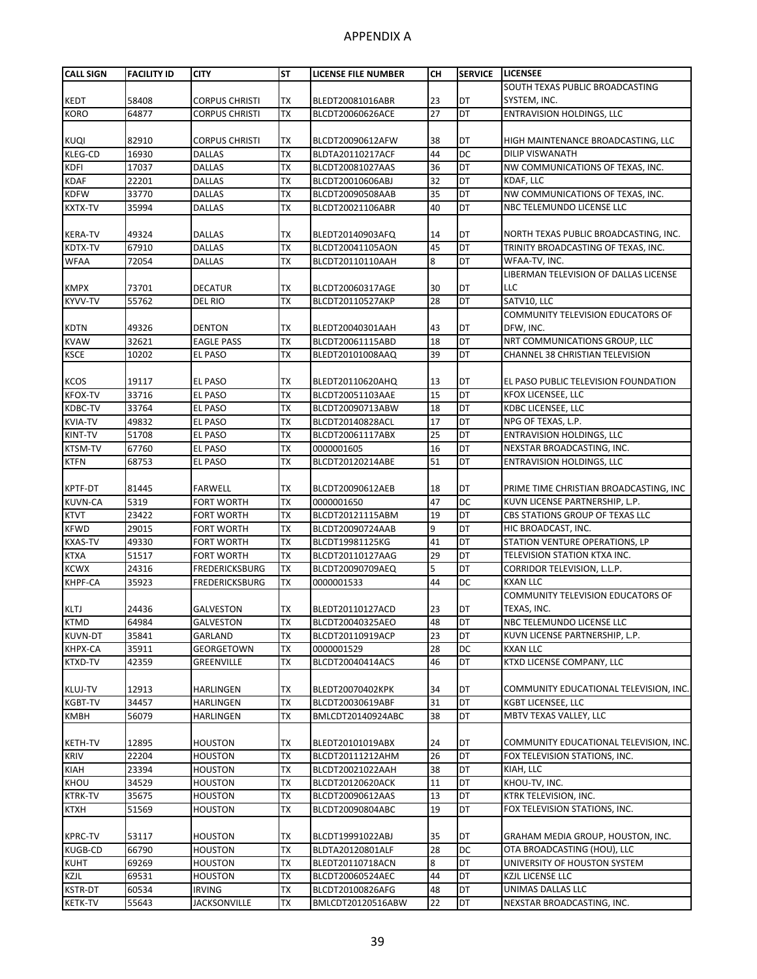| <b>CALL SIGN</b> | <b>FACILITY ID</b> | <b>CITY</b>           | <b>ST</b> | LICENSE FILE NUMBER                  | CН | <b>SERVICE</b> | <b>LICENSEE</b>                        |
|------------------|--------------------|-----------------------|-----------|--------------------------------------|----|----------------|----------------------------------------|
|                  |                    |                       |           |                                      |    |                | SOUTH TEXAS PUBLIC BROADCASTING        |
| <b>KEDT</b>      | 58408              | <b>CORPUS CHRISTI</b> | TX        | BLEDT20081016ABR                     | 23 | DT             | SYSTEM, INC.                           |
| <b>KORO</b>      | 64877              | <b>CORPUS CHRISTI</b> | <b>TX</b> | BLCDT20060626ACE                     | 27 | DT             | <b>ENTRAVISION HOLDINGS, LLC</b>       |
|                  |                    |                       |           |                                      |    |                |                                        |
| <b>KUQI</b>      | 82910              | <b>CORPUS CHRISTI</b> | TX        | BLCDT20090612AFW                     | 38 | DT             | HIGH MAINTENANCE BROADCASTING, LLC     |
| <b>KLEG-CD</b>   | 16930              | <b>DALLAS</b>         | <b>TX</b> | BLDTA20110217ACF                     | 44 | DC             | <b>DILIP VISWANATH</b>                 |
| <b>KDFI</b>      | 17037              | <b>DALLAS</b>         | <b>TX</b> | BLCDT20081027AAS                     | 36 | DT             | NW COMMUNICATIONS OF TEXAS, INC.       |
| <b>KDAF</b>      | 22201              | <b>DALLAS</b>         | <b>TX</b> | BLCDT20010606ABJ                     | 32 | DT             | KDAF, LLC                              |
| <b>KDFW</b>      | 33770              | <b>DALLAS</b>         | <b>TX</b> | BLCDT20090508AAB                     | 35 | DT             | NW COMMUNICATIONS OF TEXAS, INC.       |
| <b>KXTX-TV</b>   | 35994              | <b>DALLAS</b>         | <b>TX</b> | BLCDT20021106ABR                     | 40 | DT             | NBC TELEMUNDO LICENSE LLC              |
|                  |                    |                       |           |                                      |    |                |                                        |
| <b>KERA-TV</b>   | 49324              | DALLAS                | TX        |                                      | 14 | DT             | NORTH TEXAS PUBLIC BROADCASTING, INC.  |
| KDTX-TV          | 67910              | <b>DALLAS</b>         | <b>TX</b> | BLEDT20140903AFQ<br>BLCDT20041105AON | 45 | DT             | TRINITY BROADCASTING OF TEXAS, INC.    |
|                  |                    |                       | <b>TX</b> |                                      | 8  | DT             | WFAA-TV, INC.                          |
| <b>WFAA</b>      | 72054              | <b>DALLAS</b>         |           | BLCDT20110110AAH                     |    |                |                                        |
|                  |                    |                       |           |                                      |    |                | LIBERMAN TELEVISION OF DALLAS LICENSE  |
| <b>KMPX</b>      | 73701              | <b>DECATUR</b>        | TX        | BLCDT20060317AGE                     | 30 | DT             | LLC                                    |
| KYVV-TV          | 55762              | DEL RIO               | <b>TX</b> | BLCDT20110527AKP                     | 28 | DT             | SATV10, LLC                            |
|                  |                    |                       |           |                                      |    |                | COMMUNITY TELEVISION EDUCATORS OF      |
| <b>KDTN</b>      | 49326              | <b>DENTON</b>         | TX        | BLEDT20040301AAH                     | 43 | DT             | DFW, INC.                              |
| <b>KVAW</b>      | 32621              | <b>EAGLE PASS</b>     | <b>TX</b> | BLCDT20061115ABD                     | 18 | DT             | NRT COMMUNICATIONS GROUP, LLC          |
| <b>KSCE</b>      | 10202              | <b>EL PASO</b>        | <b>TX</b> | BLEDT20101008AAQ                     | 39 | DT             | CHANNEL 38 CHRISTIAN TELEVISION        |
|                  |                    |                       |           |                                      |    |                |                                        |
| <b>KCOS</b>      | 19117              | EL PASO               | TX        | BLEDT20110620AHQ                     | 13 | DT             | EL PASO PUBLIC TELEVISION FOUNDATION   |
| <b>KFOX-TV</b>   | 33716              | <b>EL PASO</b>        | <b>TX</b> | BLCDT20051103AAE                     | 15 | DT             | <b>KFOX LICENSEE, LLC</b>              |
| <b>KDBC-TV</b>   | 33764              | <b>EL PASO</b>        | <b>TX</b> | BLCDT20090713ABW                     | 18 | DT             | KDBC LICENSEE, LLC                     |
| <b>KVIA-TV</b>   | 49832              | <b>EL PASO</b>        | <b>TX</b> | BLCDT20140828ACL                     | 17 | DT             | NPG OF TEXAS, L.P.                     |
| KINT-TV          | 51708              | EL PASO               | <b>TX</b> | BLCDT20061117ABX                     | 25 | DT             | <b>ENTRAVISION HOLDINGS, LLC</b>       |
| <b>KTSM-TV</b>   | 67760              | EL PASO               | <b>TX</b> | 0000001605                           | 16 | DT             | NEXSTAR BROADCASTING, INC.             |
| <b>KTFN</b>      | 68753              | <b>EL PASO</b>        | <b>TX</b> | BLCDT20120214ABE                     | 51 | DT             | <b>ENTRAVISION HOLDINGS, LLC</b>       |
|                  |                    |                       |           |                                      |    |                |                                        |
| <b>KPTF-DT</b>   | 81445              | <b>FARWELL</b>        | TX        | BLCDT20090612AEB                     | 18 | DT             | PRIME TIME CHRISTIAN BROADCASTING, INC |
| <b>KUVN-CA</b>   | 5319               | <b>FORT WORTH</b>     | <b>TX</b> | 0000001650                           | 47 | DC             | KUVN LICENSE PARTNERSHIP, L.P.         |
| <b>KTVT</b>      | 23422              | <b>FORT WORTH</b>     | <b>TX</b> | BLCDT20121115ABM                     | 19 | DT             | CBS STATIONS GROUP OF TEXAS LLC        |
| <b>KFWD</b>      | 29015              | <b>FORT WORTH</b>     | <b>TX</b> | BLCDT20090724AAB                     | 9  | DT             | HIC BROADCAST, INC.                    |
| <b>KXAS-TV</b>   | 49330              | <b>FORT WORTH</b>     | <b>TX</b> | BLCDT19981125KG                      | 41 | DT             | STATION VENTURE OPERATIONS, LP         |
| <b>KTXA</b>      | 51517              | <b>FORT WORTH</b>     | <b>TX</b> | BLCDT20110127AAG                     | 29 | DT             | TELEVISION STATION KTXA INC.           |
| <b>KCWX</b>      | 24316              | FREDERICKSBURG        | <b>TX</b> | BLCDT20090709AEQ                     | 5  | DT             | CORRIDOR TELEVISION, L.L.P.            |
| <b>KHPF-CA</b>   | 35923              | FREDERICKSBURG        | <b>TX</b> | 0000001533                           | 44 | DC             | <b>KXAN LLC</b>                        |
|                  |                    |                       |           |                                      |    |                | COMMUNITY TELEVISION EDUCATORS OF      |
| <b>KLTJ</b>      | 24436              | <b>GALVESTON</b>      | TX        | BLEDT20110127ACD                     | 23 | DT             | TEXAS, INC.                            |
| <b>KTMD</b>      | 64984              | GALVESTON             | TX        | BLCDT20040325AEO                     | 48 | DT             | NBC TELEMUNDO LICENSE LLC              |
| <b>KUVN-DT</b>   | 35841              | GARLAND               | <b>TX</b> | BLCDT20110919ACP                     | 23 | DT             | KUVN LICENSE PARTNERSHIP, L.P.         |
| KHPX-CA          | 35911              | GEORGETOWN            | <b>TX</b> | 0000001529                           | 28 | DC             | <b>KXAN LLC</b>                        |
| KTXD-TV          | 42359              | GREENVILLE            | <b>TX</b> | BLCDT20040414ACS                     | 46 | DT             | KTXD LICENSE COMPANY, LLC              |
|                  |                    |                       |           |                                      |    |                |                                        |
| <b>KLUJ-TV</b>   | 12913              | <b>HARLINGEN</b>      | TX        | BLEDT20070402KPK                     | 34 | DT             | COMMUNITY EDUCATIONAL TELEVISION, INC. |
| <b>KGBT-TV</b>   | 34457              | HARLINGEN             | <b>TX</b> | BLCDT20030619ABF                     | 31 | DT             | KGBT LICENSEE, LLC                     |
| <b>KMBH</b>      | 56079              | HARLINGEN             | TX        | BMLCDT20140924ABC                    | 38 | DT             | MBTV TEXAS VALLEY, LLC                 |
|                  |                    |                       |           |                                      |    |                |                                        |
| <b>KETH-TV</b>   | 12895              | <b>HOUSTON</b>        | TX        | BLEDT20101019ABX                     | 24 | DT             | COMMUNITY EDUCATIONAL TELEVISION, INC. |
| <b>KRIV</b>      | 22204              | <b>HOUSTON</b>        | <b>TX</b> | BLCDT20111212AHM                     | 26 | DT             | FOX TELEVISION STATIONS, INC.          |
| <b>KIAH</b>      | 23394              | <b>HOUSTON</b>        | TX        | BLCDT20021022AAH                     | 38 | DT             | KIAH, LLC                              |
| KHOU             | 34529              | <b>HOUSTON</b>        | <b>TX</b> | BLCDT20120620ACK                     | 11 | DT             | KHOU-TV, INC.                          |
| <b>KTRK-TV</b>   | 35675              | <b>HOUSTON</b>        | <b>TX</b> | BLCDT20090612AAS                     | 13 | DT             | KTRK TELEVISION, INC.                  |
| <b>KTXH</b>      | 51569              | <b>HOUSTON</b>        | <b>TX</b> | BLCDT20090804ABC                     | 19 | DT             | FOX TELEVISION STATIONS, INC.          |
|                  |                    |                       |           |                                      |    |                |                                        |
| <b>KPRC-TV</b>   | 53117              | <b>HOUSTON</b>        | TX        | BLCDT19991022ABJ                     | 35 | DT             | GRAHAM MEDIA GROUP, HOUSTON, INC.      |
| <b>KUGB-CD</b>   | 66790              | <b>HOUSTON</b>        | <b>TX</b> | BLDTA20120801ALF                     | 28 | DC             | OTA BROADCASTING (HOU), LLC            |
| <b>KUHT</b>      | 69269              | <b>HOUSTON</b>        | <b>TX</b> | BLEDT20110718ACN                     | 8  | <b>DT</b>      | UNIVERSITY OF HOUSTON SYSTEM           |
| KZJL             | 69531              | <b>HOUSTON</b>        | <b>TX</b> | BLCDT20060524AEC                     | 44 | DT             | KZJL LICENSE LLC                       |
| <b>KSTR-DT</b>   | 60534              | <b>IRVING</b>         | <b>TX</b> | BLCDT20100826AFG                     | 48 | DT             | UNIMAS DALLAS LLC                      |
| <b>KETK-TV</b>   | 55643              | <b>JACKSONVILLE</b>   | <b>TX</b> | BMLCDT20120516ABW                    | 22 | DT             | NEXSTAR BROADCASTING, INC.             |
|                  |                    |                       |           |                                      |    |                |                                        |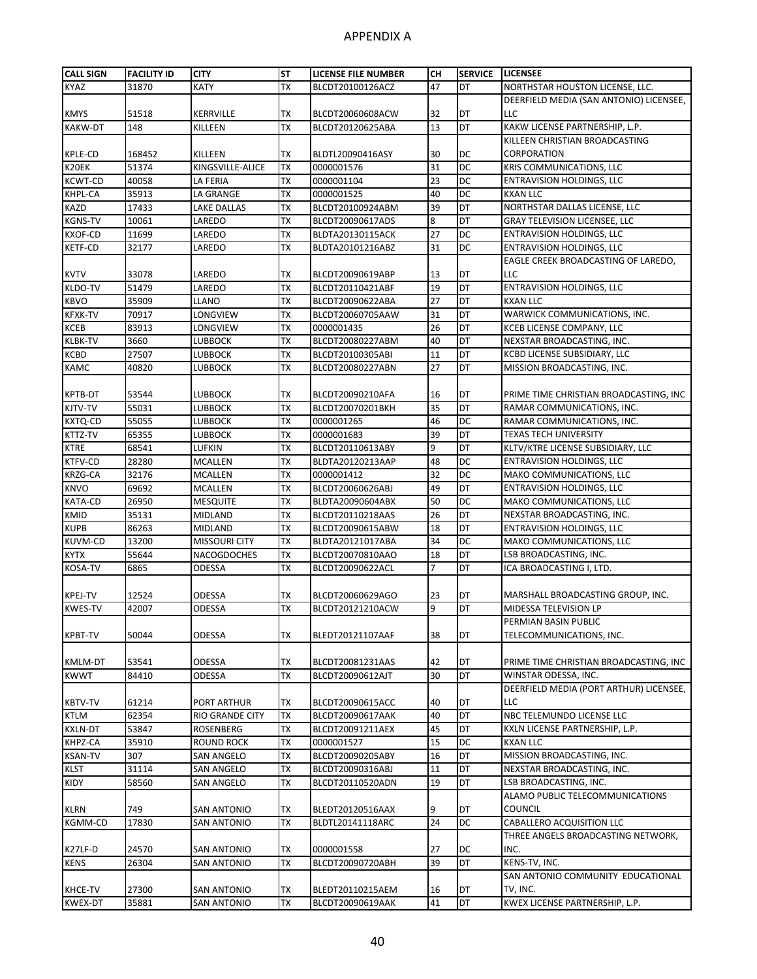| <b>CALL SIGN</b> | <b>FACILITY ID</b> | <b>CITY</b>          | <b>ST</b> | <b>LICENSE FILE NUMBER</b> | CН | <b>SERVICE</b>  | <b>LICENSEE</b>                         |
|------------------|--------------------|----------------------|-----------|----------------------------|----|-----------------|-----------------------------------------|
| KYAZ             | 31870              | KATY                 | <b>TX</b> | BLCDT20100126ACZ           | 47 | DT              | NORTHSTAR HOUSTON LICENSE, LLC.         |
|                  |                    |                      |           |                            |    |                 | DEERFIELD MEDIA (SAN ANTONIO) LICENSEE, |
| <b>KMYS</b>      | 51518              | <b>KERRVILLE</b>     | <b>TX</b> | BLCDT20060608ACW           | 32 | DT              | LLC                                     |
| <b>KAKW-DT</b>   | 148                | KILLEEN              | <b>TX</b> | BLCDT20120625ABA           | 13 | DT              | KAKW LICENSE PARTNERSHIP, L.P.          |
|                  |                    |                      |           |                            |    |                 | KILLEEN CHRISTIAN BROADCASTING          |
| KPLE-CD          | 168452             | KILLEEN              | TX        | BLDTL20090416ASY           | 30 | DC              | CORPORATION                             |
| K20EK            | 51374              | KINGSVILLE-ALICE     | <b>TX</b> | 0000001576                 | 31 | $\overline{DC}$ | KRIS COMMUNICATIONS, LLC                |
| <b>KCWT-CD</b>   | 40058              | LA FERIA             | <b>TX</b> | 0000001104                 | 23 | DC              | <b>ENTRAVISION HOLDINGS, LLC</b>        |
| KHPL-CA          | 35913              | LA GRANGE            | <b>TX</b> | 0000001525                 | 40 | DC              | <b>KXAN LLC</b>                         |
| KAZD             | 17433              | LAKE DALLAS          | TX        | BLCDT20100924ABM           | 39 | DT              | NORTHSTAR DALLAS LICENSE, LLC           |
| <b>KGNS-TV</b>   | 10061              | LAREDO               | <b>TX</b> | BLCDT20090617ADS           | 8  | DT              | GRAY TELEVISION LICENSEE, LLC           |
| <b>KXOF-CD</b>   | 11699              | LAREDO               | <b>TX</b> | BLDTA20130115ACK           | 27 | DC              | <b>ENTRAVISION HOLDINGS, LLC</b>        |
| <b>KETF-CD</b>   | 32177              | LAREDO               | <b>TX</b> | BLDTA20101216ABZ           | 31 | DC              | <b>ENTRAVISION HOLDINGS, LLC</b>        |
|                  |                    |                      |           |                            |    |                 | EAGLE CREEK BROADCASTING OF LAREDO,     |
| <b>KVTV</b>      | 33078              | LAREDO               | <b>TX</b> | BLCDT20090619ABP           | 13 | DT              | LLC                                     |
| KLDO-TV          | 51479              | LAREDO               | <b>TX</b> | BLCDT20110421ABF           | 19 | DT              | <b>ENTRAVISION HOLDINGS, LLC</b>        |
| <b>KBVO</b>      | 35909              | LLANO                | <b>TX</b> | BLCDT20090622ABA           | 27 | DT              | <b>KXAN LLC</b>                         |
| <b>KFXK-TV</b>   | 70917              | LONGVIEW             | <b>TX</b> | BLCDT20060705AAW           | 31 | DT              | WARWICK COMMUNICATIONS, INC.            |
| <b>KCEB</b>      | 83913              | LONGVIEW             | <b>TX</b> | 0000001435                 | 26 | DT              | KCEB LICENSE COMPANY, LLC               |
| KLBK-TV          | 3660               | LUBBOCK              | <b>TX</b> | BLCDT20080227ABM           | 40 | DT              | NEXSTAR BROADCASTING, INC.              |
| KCBD             | 27507              | <b>LUBBOCK</b>       | <b>TX</b> | BLCDT20100305ABI           | 11 | DT              | KCBD LICENSE SUBSIDIARY, LLC            |
| KAMC             | 40820              | LUBBOCK              | <b>TX</b> | BLCDT20080227ABN           | 27 | DT              | MISSION BROADCASTING, INC.              |
|                  |                    |                      |           |                            |    |                 |                                         |
| KPTB-DT          | 53544              | LUBBOCK              | <b>TX</b> | BLCDT20090210AFA           | 16 | DT              | PRIME TIME CHRISTIAN BROADCASTING, INC  |
| KJTV-TV          | 55031              | LUBBOCK              | <b>TX</b> | BLCDT20070201BKH           | 35 | DT              | RAMAR COMMUNICATIONS, INC.              |
| KXTQ-CD          | 55055              | LUBBOCK              | <b>TX</b> | 0000001265                 | 46 | DC              | RAMAR COMMUNICATIONS, INC.              |
| KTTZ-TV          | 65355              | LUBBOCK              | <b>TX</b> | 0000001683                 | 39 | DT              | <b>TEXAS TECH UNIVERSITY</b>            |
| <b>KTRE</b>      | 68541              | LUFKIN               | <b>TX</b> | BLCDT20110613ABY           | 9  | DT              | KLTV/KTRE LICENSE SUBSIDIARY, LLC       |
| KTFV-CD          | 28280              | <b>MCALLEN</b>       | <b>TX</b> | BLDTA20120213AAP           | 48 | DC              | <b>ENTRAVISION HOLDINGS, LLC</b>        |
| KRZG-CA          | 32176              | <b>MCALLEN</b>       | <b>TX</b> | 0000001412                 | 32 | DC              | MAKO COMMUNICATIONS, LLC                |
| <b>KNVO</b>      | 69692              | MCALLEN              | <b>TX</b> | BLCDT20060626ABJ           | 49 | DT              | <b>ENTRAVISION HOLDINGS, LLC</b>        |
| KATA-CD          | 26950              | MESQUITE             | <b>TX</b> | BLDTA20090604ABX           | 50 | DC              | MAKO COMMUNICATIONS, LLC                |
| <b>KMID</b>      | 35131              | <b>MIDLAND</b>       | <b>TX</b> | BLCDT20110218AAS           | 26 | DT              | NEXSTAR BROADCASTING, INC.              |
| <b>KUPB</b>      | 86263              | <b>MIDLAND</b>       | <b>TX</b> | BLCDT20090615ABW           | 18 | DT              | <b>ENTRAVISION HOLDINGS, LLC</b>        |
| KUVM-CD          | 13200              | <b>MISSOURI CITY</b> | TX        | BLDTA20121017ABA           | 34 | DC              | MAKO COMMUNICATIONS, LLC                |
| <b>KYTX</b>      | 55644              | NACOGDOCHES          | TX        | BLCDT20070810AAO           | 18 | DT              | LSB BROADCASTING, INC.                  |
| KOSA-TV          | 6865               | ODESSA               | <b>TX</b> | BLCDT20090622ACL           | 7  | DT              | ICA BROADCASTING I, LTD.                |
|                  |                    |                      |           |                            |    |                 |                                         |
| <b>KPEJ-TV</b>   | 12524              | ODESSA               | TX        | BLCDT20060629AGO           | 23 | DT              | MARSHALL BROADCASTING GROUP, INC.       |
| <b>KWES-TV</b>   | 42007              | <b>ODESSA</b>        | <b>TX</b> | BLCDT20121210ACW           | 9  | DT              | MIDESSA TELEVISION LP                   |
|                  |                    |                      |           |                            |    |                 | PERMIAN BASIN PUBLIC                    |
| <b>KPBT-TV</b>   | 50044              | ODESSA               | TX        | BLEDT20121107AAF           | 38 | DT              | TELECOMMUNICATIONS, INC.                |
|                  |                    |                      |           |                            |    |                 |                                         |
| KMLM-DT          | 53541              | <b>ODESSA</b>        | <b>TX</b> | BLCDT20081231AAS           | 42 | DT              | PRIME TIME CHRISTIAN BROADCASTING, INC  |
| <b>KWWT</b>      | 84410              | <b>ODESSA</b>        | <b>TX</b> | BLCDT20090612AJT           | 30 | DT              | WINSTAR ODESSA, INC.                    |
|                  |                    |                      |           |                            |    |                 | DEERFIELD MEDIA (PORT ARTHUR) LICENSEE, |
| KBTV-TV          | 61214              | PORT ARTHUR          | TX        | BLCDT20090615ACC           | 40 | DT              | LLC                                     |
| <b>KTLM</b>      | 62354              | RIO GRANDE CITY      | <b>TX</b> | BLCDT20090617AAK           | 40 | DT              | NBC TELEMUNDO LICENSE LLC               |
| <b>KXLN-DT</b>   | 53847              | ROSENBERG            | <b>TX</b> | BLCDT20091211AEX           | 45 | DT              | KXLN LICENSE PARTNERSHIP, L.P.          |
| KHPZ-CA          | 35910              | ROUND ROCK           | <b>TX</b> | 0000001527                 | 15 | DC              | <b>KXAN LLC</b>                         |
| <b>KSAN-TV</b>   | 307                | SAN ANGELO           | TX        | BLCDT20090205ABY           | 16 | DT              | MISSION BROADCASTING, INC.              |
| KLST             | 31114              | SAN ANGELO           | <b>TX</b> | BLCDT20090316ABJ           | 11 | DT              | NEXSTAR BROADCASTING, INC.              |
| KIDY             | 58560              | <b>SAN ANGELO</b>    | TX        | BLCDT20110520ADN           | 19 | DT              | LSB BROADCASTING, INC.                  |
|                  |                    |                      |           |                            |    |                 | ALAMO PUBLIC TELECOMMUNICATIONS         |
| KLRN             | 749                | SAN ANTONIO          | TX        | BLEDT20120516AAX           | 9  | DT              | <b>COUNCIL</b>                          |
| KGMM-CD          | 17830              | SAN ANTONIO          | TX        | BLDTL20141118ARC           | 24 | DC              | <b>CABALLERO ACQUISITION LLC</b>        |
|                  |                    |                      |           |                            |    |                 | THREE ANGELS BROADCASTING NETWORK,      |
| K27LF-D          | 24570              | SAN ANTONIO          | TX        | 0000001558                 | 27 | DC              | INC.                                    |
| <b>KENS</b>      | 26304              | SAN ANTONIO          | <b>TX</b> | BLCDT20090720ABH           | 39 | DT              | KENS-TV, INC.                           |
|                  |                    |                      |           |                            |    |                 | SAN ANTONIO COMMUNITY EDUCATIONAL       |
| KHCE-TV          | 27300              | <b>SAN ANTONIO</b>   | TX        | BLEDT20110215AEM           | 16 | DT              | TV, INC.                                |
| <b>KWEX-DT</b>   | 35881              | <b>SAN ANTONIO</b>   | <b>TX</b> | BLCDT20090619AAK           | 41 | DT              | KWEX LICENSE PARTNERSHIP, L.P.          |
|                  |                    |                      |           |                            |    |                 |                                         |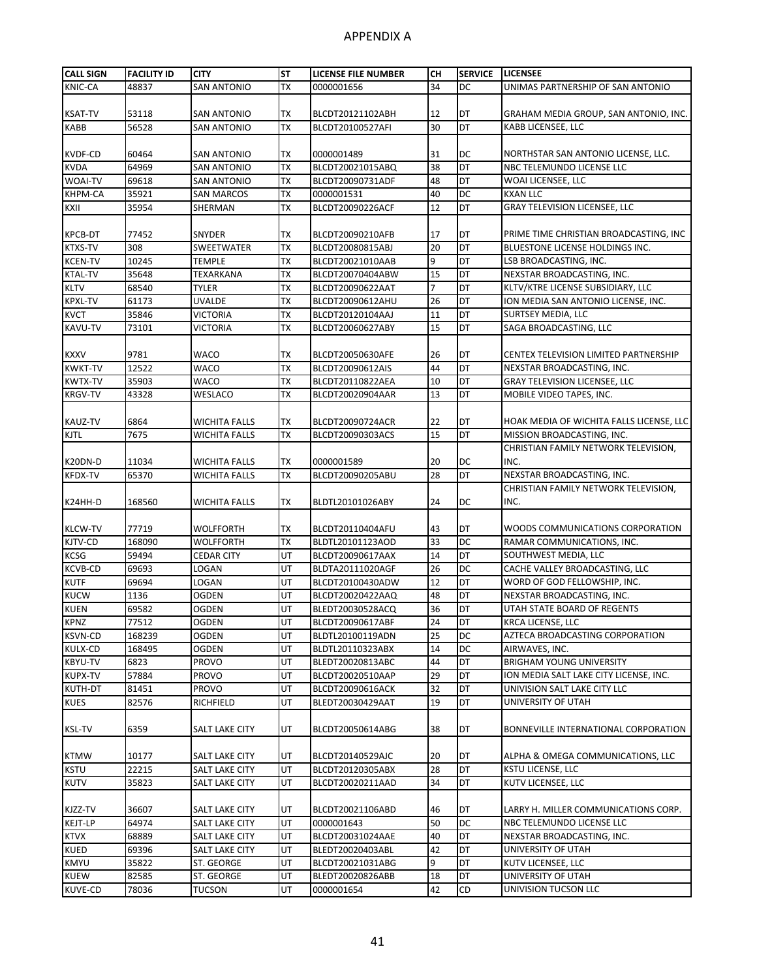| <b>CALL SIGN</b> | <b>FACILITY ID</b> | CITY                 | <b>ST</b> | <b>LICENSE FILE NUMBER</b> | CН             | <b>SERVICE</b> | <b>LICENSEE</b>                          |
|------------------|--------------------|----------------------|-----------|----------------------------|----------------|----------------|------------------------------------------|
| KNIC-CA          | 48837              | <b>SAN ANTONIO</b>   | TX        | 0000001656                 | 34             | DC             | UNIMAS PARTNERSHIP OF SAN ANTONIO        |
|                  |                    |                      |           |                            |                |                |                                          |
| <b>KSAT-TV</b>   | 53118              | <b>SAN ANTONIO</b>   | TX        | BLCDT20121102ABH           | 12             | DT             | GRAHAM MEDIA GROUP, SAN ANTONIO, INC.    |
| <b>KABB</b>      | 56528              | <b>SAN ANTONIO</b>   | <b>TX</b> | BLCDT20100527AFI           | 30             | DT             | KABB LICENSEE, LLC                       |
|                  |                    |                      |           |                            |                |                |                                          |
| <b>KVDF-CD</b>   | 60464              | <b>SAN ANTONIO</b>   | ТX        | 0000001489                 | 31             | DC             | NORTHSTAR SAN ANTONIO LICENSE, LLC.      |
| <b>KVDA</b>      | 64969              | <b>SAN ANTONIO</b>   | <b>TX</b> | BLCDT20021015ABQ           | 38             | DT             | NBC TELEMUNDO LICENSE LLC                |
| WOAI-TV          | 69618              | SAN ANTONIO          | <b>TX</b> | BLCDT20090731ADF           | 48             | DT             | WOAI LICENSEE, LLC                       |
| <b>KHPM-CA</b>   | 35921              | <b>SAN MARCOS</b>    | <b>TX</b> | 0000001531                 | 40             | DC             | <b>KXAN LLC</b>                          |
| KXII             | 35954              | SHERMAN              | TX        | BLCDT20090226ACF           | 12             | DT             | <b>GRAY TELEVISION LICENSEE, LLC</b>     |
| <b>KPCB-DT</b>   | 77452              | SNYDER               | <b>TX</b> | BLCDT20090210AFB           | 17             | DT             | PRIME TIME CHRISTIAN BROADCASTING, INC   |
| <b>KTXS-TV</b>   | 308                | SWEETWATER           | <b>TX</b> | BLCDT20080815ABJ           | 20             | DT             | BLUESTONE LICENSE HOLDINGS INC.          |
| <b>KCEN-TV</b>   | 10245              | <b>TEMPLE</b>        | <b>TX</b> | BLCDT20021010AAB           | 9              | DT             | LSB BROADCASTING, INC.                   |
| <b>KTAL-TV</b>   | 35648              | TEXARKANA            | <b>TX</b> | BLCDT20070404ABW           | 15             | DT             | NEXSTAR BROADCASTING, INC.               |
| <b>KLTV</b>      | 68540              | TYLER                | <b>TX</b> | BLCDT20090622AAT           | $\overline{7}$ | DT             | KLTV/KTRE LICENSE SUBSIDIARY, LLC        |
| <b>KPXL-TV</b>   | 61173              | <b>UVALDE</b>        | <b>TX</b> | BLCDT20090612AHU           | 26             | DT             | ION MEDIA SAN ANTONIO LICENSE, INC.      |
| <b>KVCT</b>      | 35846              | VICTORIA             | <b>TX</b> | BLCDT20120104AAJ           | 11             | DT             | <b>SURTSEY MEDIA, LLC</b>                |
| KAVU-TV          | 73101              | VICTORIA             | <b>TX</b> | BLCDT20060627ABY           | 15             | DT             | SAGA BROADCASTING, LLC                   |
|                  |                    |                      |           |                            |                |                |                                          |
| <b>KXXV</b>      | 9781               | WACO                 | ТX        | BLCDT20050630AFE           | 26             | DT             | CENTEX TELEVISION LIMITED PARTNERSHIP    |
| <b>KWKT-TV</b>   | 12522              | WACO                 | <b>TX</b> | BLCDT20090612AIS           | 44             | DT             | NEXSTAR BROADCASTING, INC.               |
| <b>KWTX-TV</b>   | 35903              | WACO                 | <b>TX</b> | BLCDT20110822AEA           | 10             | DT             | <b>GRAY TELEVISION LICENSEE, LLC</b>     |
| <b>KRGV-TV</b>   | 43328              | <b>WESLACO</b>       | <b>TX</b> | BLCDT20020904AAR           | 13             | DT             | MOBILE VIDEO TAPES, INC.                 |
|                  |                    |                      |           |                            |                |                |                                          |
| <b>KAUZ-TV</b>   | 6864               | WICHITA FALLS        | ТX        | BLCDT20090724ACR           | 22             | DT             | HOAK MEDIA OF WICHITA FALLS LICENSE, LLC |
| <b>KJTL</b>      | 7675               | WICHITA FALLS        | <b>TX</b> | BLCDT20090303ACS           | 15             | DT             | MISSION BROADCASTING, INC.               |
|                  |                    |                      |           |                            |                |                | CHRISTIAN FAMILY NETWORK TELEVISION,     |
| K20DN-D          | 11034              | <b>WICHITA FALLS</b> | TX        | 0000001589                 | 20             | DC             | INC.                                     |
| KFDX-TV          | 65370              | <b>WICHITA FALLS</b> | <b>TX</b> | BLCDT20090205ABU           | 28             | DT             | NEXSTAR BROADCASTING, INC.               |
|                  |                    |                      |           |                            |                |                | CHRISTIAN FAMILY NETWORK TELEVISION,     |
| K24HH-D          | 168560             | WICHITA FALLS        | ТX        | BLDTL20101026ABY           | 24             | DC             | INC.                                     |
|                  |                    |                      |           |                            |                |                |                                          |
| <b>KLCW-TV</b>   | 77719              | WOLFFORTH            | TX        | BLCDT20110404AFU           | 43             | DT             | WOODS COMMUNICATIONS CORPORATION         |
| KJTV-CD          | 168090             | WOLFFORTH            | <b>TX</b> | BLDTL20101123AOD           | 33             | DC             | RAMAR COMMUNICATIONS, INC.               |
| <b>KCSG</b>      | 59494              | CEDAR CITY           | UT        | BLCDT20090617AAX           | 14             | DT             | SOUTHWEST MEDIA, LLC                     |
| <b>KCVB-CD</b>   | 69693              | LOGAN                | UT        | BLDTA20111020AGF           | 26             | DC             | CACHE VALLEY BROADCASTING, LLC           |
| <b>KUTF</b>      | 69694              | LOGAN                | UT        | BLCDT20100430ADW           | 12             | DT             | WORD OF GOD FELLOWSHIP, INC.             |
| <b>KUCW</b>      | 1136               | <b>OGDEN</b>         | UT        | BLCDT20020422AAQ           | 48             | DT             | NEXSTAR BROADCASTING, INC.               |
| <b>KUEN</b>      | 69582              | <b>OGDEN</b>         | UT        | BLEDT20030528ACQ           | 36             | DT             | UTAH STATE BOARD OF REGENTS              |
| KPNZ             | 77512              | OGDEN                | UT        | BLCDT20090617ABF           | 24             | DT             | <b>KRCA LICENSE, LLC</b>                 |
| <b>KSVN-CD</b>   | 168239             | OGDEN                | UT        | BLDTL20100119ADN           | 25             | DC             | AZTECA BROADCASTING CORPORATION          |
| KULX-CD          | 168495             | OGDEN                | UT        | BLDTL20110323ABX           | 14             | DC             | AIRWAVES, INC.                           |
| KBYU-TV          | 6823               | PROVO                | UT        | BLEDT20020813ABC           | 44             | DT             | <b>BRIGHAM YOUNG UNIVERSITY</b>          |
| <b>KUPX-TV</b>   | 57884              | PROVO                | UT        | BLCDT20020510AAP           | 29             | DT             | ION MEDIA SALT LAKE CITY LICENSE, INC.   |
| KUTH-DT          | 81451              | PROVO                | UT        | BLCDT20090616ACK           | 32             | DT             | UNIVISION SALT LAKE CITY LLC             |
| <b>KUES</b>      | 82576              | RICHFIELD            | UT        | BLEDT20030429AAT           | 19             | DT             | UNIVERSITY OF UTAH                       |
|                  |                    |                      |           |                            |                |                |                                          |
| <b>KSL-TV</b>    | 6359               | SALT LAKE CITY       | UT        | BLCDT20050614ABG           | 38             | DT             | BONNEVILLE INTERNATIONAL CORPORATION     |
|                  |                    |                      |           |                            |                |                |                                          |
| <b>KTMW</b>      | 10177              | SALT LAKE CITY       | UT        | BLCDT20140529AJC           | 20             | DT             | ALPHA & OMEGA COMMUNICATIONS, LLC        |
| <b>KSTU</b>      | 22215              | SALT LAKE CITY       | UT        | BLCDT20120305ABX           | 28             | DT             | KSTU LICENSE, LLC                        |
| <b>KUTV</b>      | 35823              | SALT LAKE CITY       | UT        | BLCDT20020211AAD           | 34             | DT             | KUTV LICENSEE, LLC                       |
|                  |                    |                      |           |                            |                |                |                                          |
| KJZZ-TV          | 36607              | SALT LAKE CITY       | UT        | BLCDT20021106ABD           | 46             | DT             | LARRY H. MILLER COMMUNICATIONS CORP.     |
| KEJT-LP          | 64974              | SALT LAKE CITY       | UT        | 0000001643                 | 50             | DC             | NBC TELEMUNDO LICENSE LLC                |
| <b>KTVX</b>      | 68889              | SALT LAKE CITY       | UT        | BLCDT20031024AAE           | 40             | DT             | NEXSTAR BROADCASTING, INC.               |
| <b>KUED</b>      | 69396              | SALT LAKE CITY       | UT        | BLEDT20020403ABL           | 42             | DT             | UNIVERSITY OF UTAH                       |
| KMYU             | 35822              | ST. GEORGE           | UT        | BLCDT20021031ABG           | 9              | DT             | KUTV LICENSEE, LLC                       |
| <b>KUEW</b>      | 82585              | ST. GEORGE           | UT        | BLEDT20020826ABB           | 18             | DT             | UNIVERSITY OF UTAH                       |
| KUVE-CD          | 78036              | TUCSON               | UT        | 0000001654                 | 42             | CD             | UNIVISION TUCSON LLC                     |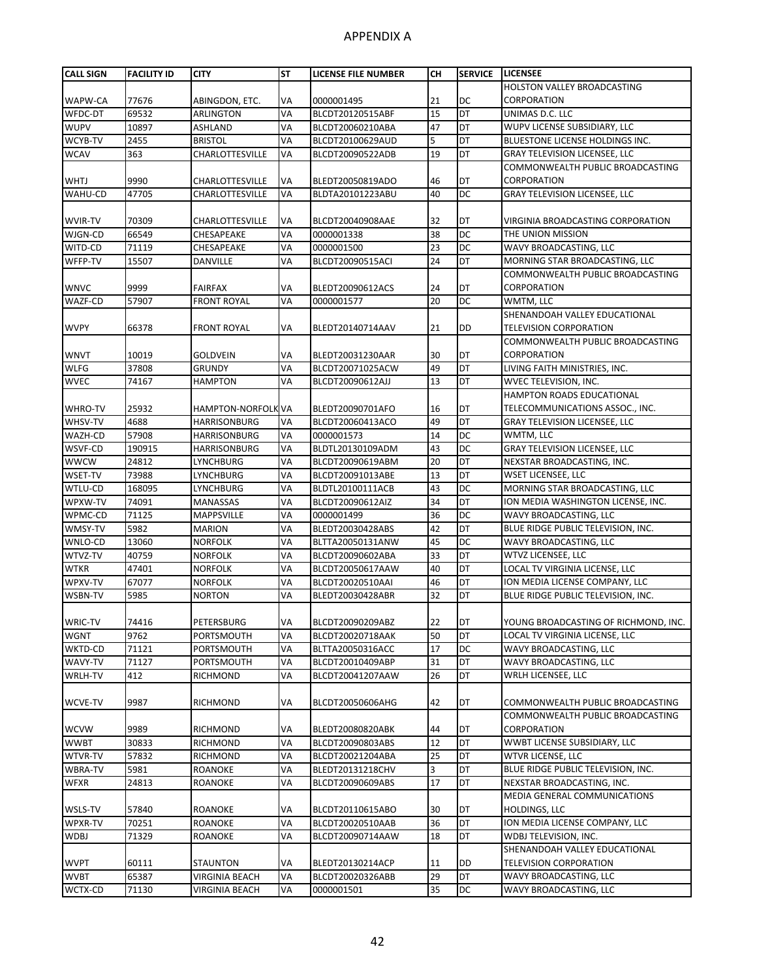| <b>CALL SIGN</b> | <b>FACILITY ID</b> | <b>CITY</b>            | <b>ST</b> | LICENSE FILE NUMBER | CН | <b>SERVICE</b> | <b>LICENSEE</b>                      |
|------------------|--------------------|------------------------|-----------|---------------------|----|----------------|--------------------------------------|
|                  |                    |                        |           |                     |    |                | <b>HOLSTON VALLEY BROADCASTING</b>   |
| WAPW-CA          | 77676              | ABINGDON, ETC.         | VA        | 0000001495          | 21 | <b>DC</b>      | CORPORATION                          |
| WFDC-DT          | 69532              | <b>ARLINGTON</b>       | VA        | BLCDT20120515ABF    | 15 | <b>DT</b>      | UNIMAS D.C. LLC                      |
| <b>WUPV</b>      | 10897              | ASHLAND                | VA        | BLCDT20060210ABA    | 47 | DT             | WUPV LICENSE SUBSIDIARY, LLC         |
| WCYB-TV          | 2455               | <b>BRISTOL</b>         | VA        | BLCDT20100629AUD    | 5  | <b>DT</b>      | BLUESTONE LICENSE HOLDINGS INC.      |
| <b>WCAV</b>      | 363                | CHARLOTTESVILLE        | VA        | BLCDT20090522ADB    | 19 | DT             | GRAY TELEVISION LICENSEE, LLC        |
|                  |                    |                        |           |                     |    |                | COMMONWEALTH PUBLIC BROADCASTING     |
| <b>WHTJ</b>      | 9990               | CHARLOTTESVILLE        | VA        | BLEDT20050819ADO    | 46 | DT             | CORPORATION                          |
| WAHU-CD          | 47705              | <b>CHARLOTTESVILLE</b> | VA        | BLDTA20101223ABU    | 40 | DС             | <b>GRAY TELEVISION LICENSEE, LLC</b> |
|                  |                    |                        |           |                     |    |                |                                      |
| <b>WVIR-TV</b>   | 70309              | CHARLOTTESVILLE        | VA        | BLCDT20040908AAE    | 32 | DT             | VIRGINIA BROADCASTING CORPORATION    |
| WJGN-CD          | 66549              | CHESAPEAKE             | VA        | 0000001338          | 38 | DC             | THE UNION MISSION                    |
| WITD-CD          | 71119              | CHESAPEAKE             | VA        | 0000001500          | 23 | DC             | WAVY BROADCASTING, LLC               |
| WFFP-TV          | 15507              | DANVILLE               | VA        | BLCDT20090515ACI    | 24 | <b>DT</b>      | MORNING STAR BROADCASTING, LLC       |
|                  |                    |                        |           |                     |    |                | COMMONWEALTH PUBLIC BROADCASTING     |
| <b>WNVC</b>      | 9999               | <b>FAIRFAX</b>         | VA        | BLEDT20090612ACS    | 24 | DT             | CORPORATION                          |
| WAZF-CD          | 57907              | <b>FRONT ROYAL</b>     | VA        |                     | 20 | DC             | WMTM, LLC                            |
|                  |                    |                        |           | 0000001577          |    |                | SHENANDOAH VALLEY EDUCATIONAL        |
|                  |                    |                        |           |                     |    |                | <b>TELEVISION CORPORATION</b>        |
| <b>WVPY</b>      | 66378              | <b>FRONT ROYAL</b>     | VA        | BLEDT20140714AAV    | 21 | <b>DD</b>      |                                      |
|                  |                    |                        |           |                     |    |                | COMMONWEALTH PUBLIC BROADCASTING     |
| <b>WNVT</b>      | 10019              | <b>GOLDVEIN</b>        | VA        | BLEDT20031230AAR    | 30 | DT             | CORPORATION                          |
| <b>WLFG</b>      | 37808              | <b>GRUNDY</b>          | VA        | BLCDT20071025ACW    | 49 | DT             | LIVING FAITH MINISTRIES, INC.        |
| <b>WVEC</b>      | 74167              | <b>HAMPTON</b>         | VA        | BLCDT20090612AJJ    | 13 | DT             | WVEC TELEVISION, INC.                |
|                  |                    |                        |           |                     |    |                | HAMPTON ROADS EDUCATIONAL            |
| WHRO-TV          | 25932              | HAMPTON-NORFOLK VA     |           | BLEDT20090701AFO    | 16 | DT             | TELECOMMUNICATIONS ASSOC., INC.      |
| WHSV-TV          | 4688               | HARRISONBURG           | VA        | BLCDT20060413ACO    | 49 | DT             | <b>GRAY TELEVISION LICENSEE, LLC</b> |
| WAZH-CD          | 57908              | HARRISONBURG           | VA        | 0000001573          | 14 | DC             | WMTM, LLC                            |
| WSVF-CD          | 190915             | <b>HARRISONBURG</b>    | VA        | BLDTL20130109ADM    | 43 | DC             | GRAY TELEVISION LICENSEE, LLC        |
| <b>WWCW</b>      | 24812              | LYNCHBURG              | VA        | BLCDT20090619ABM    | 20 | DT             | NEXSTAR BROADCASTING, INC.           |
| WSET-TV          | 73988              | LYNCHBURG              | VA        | BLCDT20091013ABE    | 13 | DT             | WSET LICENSEE, LLC                   |
| WTLU-CD          | 168095             | LYNCHBURG              | VA        | BLDTL20100111ACB    | 43 | DC             | MORNING STAR BROADCASTING, LLC       |
| WPXW-TV          | 74091              | <b>MANASSAS</b>        | VA        | BLCDT20090612AIZ    | 34 | DT             | ION MEDIA WASHINGTON LICENSE, INC.   |
| WPMC-CD          | 71125              | MAPPSVILLE             | VA        | 0000001499          | 36 | DC             | WAVY BROADCASTING, LLC               |
| WMSY-TV          | 5982               | <b>MARION</b>          | VA        | BLEDT20030428ABS    | 42 | DT             | BLUE RIDGE PUBLIC TELEVISION, INC.   |
| WNLO-CD          | 13060              | <b>NORFOLK</b>         | VA        | BLTTA20050131ANW    | 45 | <b>DC</b>      | WAVY BROADCASTING, LLC               |
| WTVZ-TV          | 40759              | <b>NORFOLK</b>         | VA        | BLCDT20090602ABA    | 33 | DT             | WTVZ LICENSEE, LLC                   |
| <b>WTKR</b>      | 47401              | <b>NORFOLK</b>         | VA        | BLCDT20050617AAW    | 40 | DT             | LOCAL TV VIRGINIA LICENSE, LLC       |
| WPXV-TV          | 67077              | <b>NORFOLK</b>         | VA        | BLCDT20020510AAI    | 46 | DT             | ION MEDIA LICENSE COMPANY, LLC       |
| WSBN-TV          | 5985               | <b>NORTON</b>          | VA        | BLEDT20030428ABR    | 32 | DT             | BLUE RIDGE PUBLIC TELEVISION, INC.   |
|                  |                    |                        |           |                     |    |                |                                      |
| WRIC-TV          | 74416              | PETERSBURG             | VA        | BLCDT20090209ABZ    | 22 | DT             | YOUNG BROADCASTING OF RICHMOND, INC. |
| <b>WGNT</b>      | 9762               | PORTSMOUTH             | VA        | BLCDT20020718AAK    | 50 | DT             | LOCAL TV VIRGINIA LICENSE, LLC       |
| WKTD-CD          | 71121              | PORTSMOUTH             | VA        | BLTTA20050316ACC    | 17 | DC             | WAVY BROADCASTING, LLC               |
| WAVY-TV          | 71127              | PORTSMOUTH             | VA        | BLCDT20010409ABP    | 31 | DT             | WAVY BROADCASTING, LLC               |
| WRLH-TV          | 412                | RICHMOND               | VA        | BLCDT20041207AAW    | 26 | DT             | WRLH LICENSEE, LLC                   |
|                  |                    |                        |           |                     |    |                |                                      |
| WCVE-TV          | 9987               | RICHMOND               | VA        | BLCDT20050606AHG    | 42 | DT             | COMMONWEALTH PUBLIC BROADCASTING     |
|                  |                    |                        |           |                     |    |                | COMMONWEALTH PUBLIC BROADCASTING     |
| <b>WCVW</b>      | 9989               | <b>RICHMOND</b>        | VA        | BLEDT20080820ABK    | 44 | DT             | CORPORATION                          |
| <b>WWBT</b>      | 30833              | <b>RICHMOND</b>        | VA        | BLCDT20090803ABS    | 12 | DT             | WWBT LICENSE SUBSIDIARY, LLC         |
| WTVR-TV          | 57832              | RICHMOND               | VA        | BLCDT20021204ABA    | 25 | DT             | WTVR LICENSE, LLC                    |
| WBRA-TV          | 5981               | ROANOKE                | VA        | BLEDT20131218CHV    | 3  | DT             | BLUE RIDGE PUBLIC TELEVISION, INC.   |
| <b>WFXR</b>      | 24813              | ROANOKE                | VA        | BLCDT20090609ABS    | 17 | DT             | NEXSTAR BROADCASTING, INC.           |
|                  |                    |                        |           |                     |    |                | MEDIA GENERAL COMMUNICATIONS         |
| WSLS-TV          | 57840              | ROANOKE                | VA        | BLCDT20110615ABO    | 30 | DT             | HOLDINGS, LLC                        |
| WPXR-TV          |                    |                        | VA        |                     |    | DT             | ION MEDIA LICENSE COMPANY, LLC       |
|                  | 70251<br>71329     | ROANOKE                | VA        | BLCDT20020510AAB    | 36 | DT             |                                      |
| <b>WDBJ</b>      |                    | ROANOKE                |           | BLCDT20090714AAW    | 18 |                | WDBJ TELEVISION, INC.                |
|                  |                    |                        |           |                     |    |                | SHENANDOAH VALLEY EDUCATIONAL        |
| <b>WVPT</b>      | 60111              | <b>STAUNTON</b>        | VA        | BLEDT20130214ACP    | 11 | DD             | TELEVISION CORPORATION               |
| <b>WVBT</b>      | 65387              | <b>VIRGINIA BEACH</b>  | VA        | BLCDT20020326ABB    | 29 | DT             | WAVY BROADCASTING, LLC               |
| WCTX-CD          | 71130              | VIRGINIA BEACH         | VA        | 0000001501          | 35 | DC             | WAVY BROADCASTING, LLC               |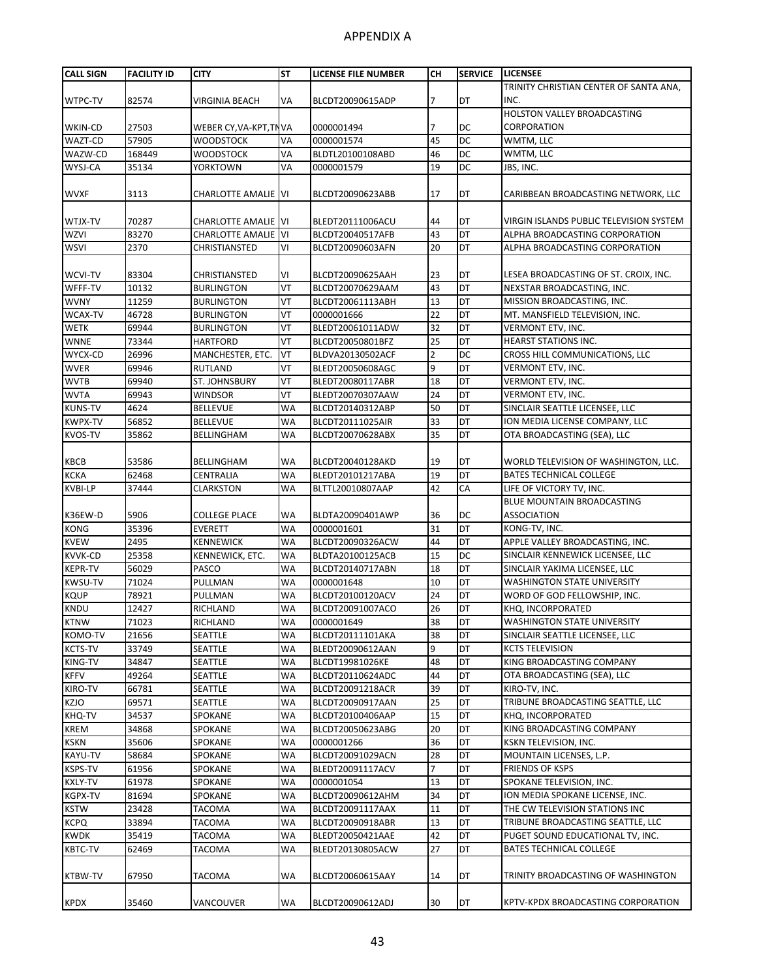| <b>CALL SIGN</b> | <b>FACILITY ID</b> | <b>CITY</b>                | <b>ST</b> | <b>LICENSE FILE NUMBER</b> | CН | <b>SERVICE</b> | <b>LICENSEE</b>                         |
|------------------|--------------------|----------------------------|-----------|----------------------------|----|----------------|-----------------------------------------|
|                  |                    |                            |           |                            |    |                | TRINITY CHRISTIAN CENTER OF SANTA ANA,  |
| WTPC-TV          | 82574              | <b>VIRGINIA BEACH</b>      | VA        | BLCDT20090615ADP           | 7  | DT             | INC.                                    |
|                  |                    |                            |           |                            |    |                | HOLSTON VALLEY BROADCASTING             |
| WKIN-CD          | 27503              | WEBER CY, VA-KPT, TN VA    |           | 0000001494                 | 7  | DC             | CORPORATION                             |
| WAZT-CD          | 57905              | <b>WOODSTOCK</b>           | VA        | 0000001574                 | 45 | <b>DC</b>      | WMTM, LLC                               |
| WAZW-CD          | 168449             | <b>WOODSTOCK</b>           | VA        | BLDTL20100108ABD           | 46 | DC             | WMTM, LLC                               |
|                  |                    |                            |           |                            |    | DC             |                                         |
| WYSJ-CA          | 35134              | <b>YORKTOWN</b>            | VA        | 0000001579                 | 19 |                | JBS, INC.                               |
|                  |                    |                            |           |                            |    |                |                                         |
| <b>WVXF</b>      | 3113               | <b>CHARLOTTE AMALIE</b> VI |           | BLCDT20090623ABB           | 17 | DT             | CARIBBEAN BROADCASTING NETWORK, LLC     |
|                  |                    |                            |           |                            |    |                |                                         |
| WTJX-TV          | 70287              | <b>CHARLOTTE AMALIE</b> VI |           | BLEDT20111006ACU           | 44 | DT             | VIRGIN ISLANDS PUBLIC TELEVISION SYSTEM |
| <b>WZVI</b>      | 83270              | <b>CHARLOTTE AMALIE</b> VI |           | BLCDT20040517AFB           | 43 | DT             | ALPHA BROADCASTING CORPORATION          |
| <b>WSVI</b>      | 2370               | CHRISTIANSTED              | VI        | BLCDT20090603AFN           | 20 | DT             | ALPHA BROADCASTING CORPORATION          |
|                  |                    |                            |           |                            |    |                |                                         |
| WCVI-TV          | 83304              | CHRISTIANSTED              | ٧I        | BLCDT20090625AAH           | 23 | DT             | LESEA BROADCASTING OF ST. CROIX, INC.   |
| WFFF-TV          | 10132              | <b>BURLINGTON</b>          | VT        | BLCDT20070629AAM           | 43 | DT             | NEXSTAR BROADCASTING, INC.              |
| <b>WVNY</b>      | 11259              | <b>BURLINGTON</b>          | VT        | BLCDT20061113ABH           | 13 | DT             | MISSION BROADCASTING, INC.              |
| WCAX-TV          | 46728              | <b>BURLINGTON</b>          | VT        | 0000001666                 | 22 | DT             | MT. MANSFIELD TELEVISION, INC.          |
| <b>WETK</b>      | 69944              | <b>BURLINGTON</b>          | VT        | BLEDT20061011ADW           | 32 | DT             | VERMONT ETV, INC.                       |
| <b>WNNE</b>      | 73344              | <b>HARTFORD</b>            | VT        | BLCDT20050801BFZ           | 25 | DT             | <b>HEARST STATIONS INC.</b>             |
| WYCX-CD          | 26996              | MANCHESTER, ETC.           | VT        | BLDVA20130502ACF           | 2  | <b>DC</b>      | CROSS HILL COMMUNICATIONS, LLC          |
| <b>WVER</b>      | 69946              | <b>RUTLAND</b>             | VT        | BLEDT20050608AGC           | 9  | DT             | <b>VERMONT ETV, INC.</b>                |
|                  |                    |                            |           |                            |    |                |                                         |
| <b>WVTB</b>      | 69940              | ST. JOHNSBURY              | VT        | BLEDT20080117ABR           | 18 | DT             | VERMONT ETV, INC.                       |
| <b>WVTA</b>      | 69943              | <b>WINDSOR</b>             | VT        | BLEDT20070307AAW           | 24 | DT             | VERMONT ETV, INC.                       |
| <b>KUNS-TV</b>   | 4624               | <b>BELLEVUE</b>            | <b>WA</b> | BLCDT20140312ABP           | 50 | DT             | SINCLAIR SEATTLE LICENSEE, LLC          |
| <b>KWPX-TV</b>   | 56852              | <b>BELLEVUE</b>            | <b>WA</b> | BLCDT20111025AIR           | 33 | DT             | ION MEDIA LICENSE COMPANY, LLC          |
| <b>KVOS-TV</b>   | 35862              | BELLINGHAM                 | <b>WA</b> | BLCDT20070628ABX           | 35 | DT             | OTA BROADCASTING (SEA), LLC             |
|                  |                    |                            |           |                            |    |                |                                         |
| <b>KBCB</b>      | 53586              | BELLINGHAM                 | WA        | BLCDT20040128AKD           | 19 | DT             | WORLD TELEVISION OF WASHINGTON, LLC.    |
| <b>KCKA</b>      | 62468              | <b>CENTRALIA</b>           | <b>WA</b> | BLEDT20101217ABA           | 19 | DT             | <b>BATES TECHNICAL COLLEGE</b>          |
| <b>KVBI-LP</b>   | 37444              | CLARKSTON                  | <b>WA</b> | BLTTL20010807AAP           | 42 | CA             | LIFE OF VICTORY TV, INC.                |
|                  |                    |                            |           |                            |    |                | BLUE MOUNTAIN BROADCASTING              |
| K36EW-D          | 5906               | <b>COLLEGE PLACE</b>       | WA        | BLDTA20090401AWP           | 36 | DC             | <b>ASSOCIATION</b>                      |
| <b>KONG</b>      | 35396              | <b>EVERETT</b>             | WA        | 0000001601                 | 31 | DT             | KONG-TV, INC.                           |
| <b>KVEW</b>      | 2495               | <b>KENNEWICK</b>           | <b>WA</b> | BLCDT20090326ACW           | 44 | DT             | APPLE VALLEY BROADCASTING, INC.         |
| <b>KVVK-CD</b>   | 25358              | KENNEWICK, ETC.            | WA        | BLDTA20100125ACB           | 15 | <b>DC</b>      | SINCLAIR KENNEWICK LICENSEE, LLC        |
| <b>KEPR-TV</b>   | 56029              | PASCO                      | WA        | BLCDT20140717ABN           | 18 | DT             | SINCLAIR YAKIMA LICENSEE, LLC           |
| <b>KWSU-TV</b>   | 71024              | PULLMAN                    | <b>WA</b> | 0000001648                 | 10 | DT             | <b>WASHINGTON STATE UNIVERSITY</b>      |
|                  | 78921              |                            |           |                            |    | DT             |                                         |
| <b>KQUP</b>      |                    | PULLMAN                    | WA        | BLCDT20100120ACV           | 24 |                | WORD OF GOD FELLOWSHIP, INC.            |
| <b>KNDU</b>      | 12427              | RICHLAND                   | <b>WA</b> | BLCDT20091007ACO           | 26 | DT             | KHQ, INCORPORATED                       |
| <b>KTNW</b>      | 71023              | RICHLAND                   | WA        | 0000001649                 | 38 | DT             | <b>WASHINGTON STATE UNIVERSITY</b>      |
| KOMO-TV          | 21656              | SEATTLE                    | WA        | BLCDT20111101AKA           | 38 | DT             | SINCLAIR SEATTLE LICENSEE, LLC          |
| <b>KCTS-TV</b>   | 33749              | SEATTLE                    | WA        | BLEDT20090612AAN           | 9  | DT             | <b>KCTS TELEVISION</b>                  |
| KING-TV          | 34847              | SEATTLE                    | WA        | BLCDT19981026KE            | 48 | DT             | KING BROADCASTING COMPANY               |
| <b>KFFV</b>      | 49264              | <b>SEATTLE</b>             | WA        | BLCDT20110624ADC           | 44 | DT             | OTA BROADCASTING (SEA), LLC             |
| KIRO-TV          | 66781              | SEATTLE                    | WA        | BLCDT20091218ACR           | 39 | DT             | KIRO-TV, INC.                           |
| <b>KZJO</b>      | 69571              | SEATTLE                    | WA        | BLCDT20090917AAN           | 25 | DT             | TRIBUNE BROADCASTING SEATTLE, LLC       |
| KHQ-TV           | 34537              | SPOKANE                    | WA        | BLCDT20100406AAP           | 15 | DT             | KHQ, INCORPORATED                       |
| <b>KREM</b>      | 34868              | SPOKANE                    | WA        | BLCDT20050623ABG           | 20 | DT             | KING BROADCASTING COMPANY               |
| <b>KSKN</b>      | 35606              | SPOKANE                    | WA        | 0000001266                 | 36 | DT             | <b>KSKN TELEVISION, INC.</b>            |
| KAYU-TV          | 58684              | SPOKANE                    | WA        | BLCDT20091029ACN           | 28 | DT             | MOUNTAIN LICENSES, L.P.                 |
| KSPS-TV          | 61956              | SPOKANE                    | WA        | BLEDT20091117ACV           | 7  | DT             | <b>FRIENDS OF KSPS</b>                  |
| <b>KXLY-TV</b>   | 61978              | SPOKANE                    | WA        | 0000001054                 | 13 | DT             | SPOKANE TELEVISION, INC.                |
| <b>KGPX-TV</b>   | 81694              | SPOKANE                    | WA        | BLCDT20090612AHM           | 34 | DT             | ION MEDIA SPOKANE LICENSE, INC.         |
|                  |                    |                            |           |                            |    |                |                                         |
| <b>KSTW</b>      | 23428              | <b>TACOMA</b>              | WA        | BLCDT20091117AAX           | 11 | DT             | THE CW TELEVISION STATIONS INC          |
| <b>KCPQ</b>      | 33894              | TACOMA                     | WA        | BLCDT20090918ABR           | 13 | DT             | TRIBUNE BROADCASTING SEATTLE, LLC       |
| <b>KWDK</b>      | 35419              | TACOMA                     | WA        | BLEDT20050421AAE           | 42 | DT             | PUGET SOUND EDUCATIONAL TV, INC.        |
| <b>KBTC-TV</b>   | 62469              | TACOMA                     | WA        | BLEDT20130805ACW           | 27 | DT             | <b>BATES TECHNICAL COLLEGE</b>          |
|                  |                    |                            |           |                            |    |                |                                         |
| <b>KTBW-TV</b>   | 67950              | TACOMA                     | WA        | BLCDT20060615AAY           | 14 | DT             | TRINITY BROADCASTING OF WASHINGTON      |
|                  |                    |                            |           |                            |    |                |                                         |
| <b>KPDX</b>      | 35460              | VANCOUVER                  | WA        | BLCDT20090612ADJ           | 30 | DT             | KPTV-KPDX BROADCASTING CORPORATION      |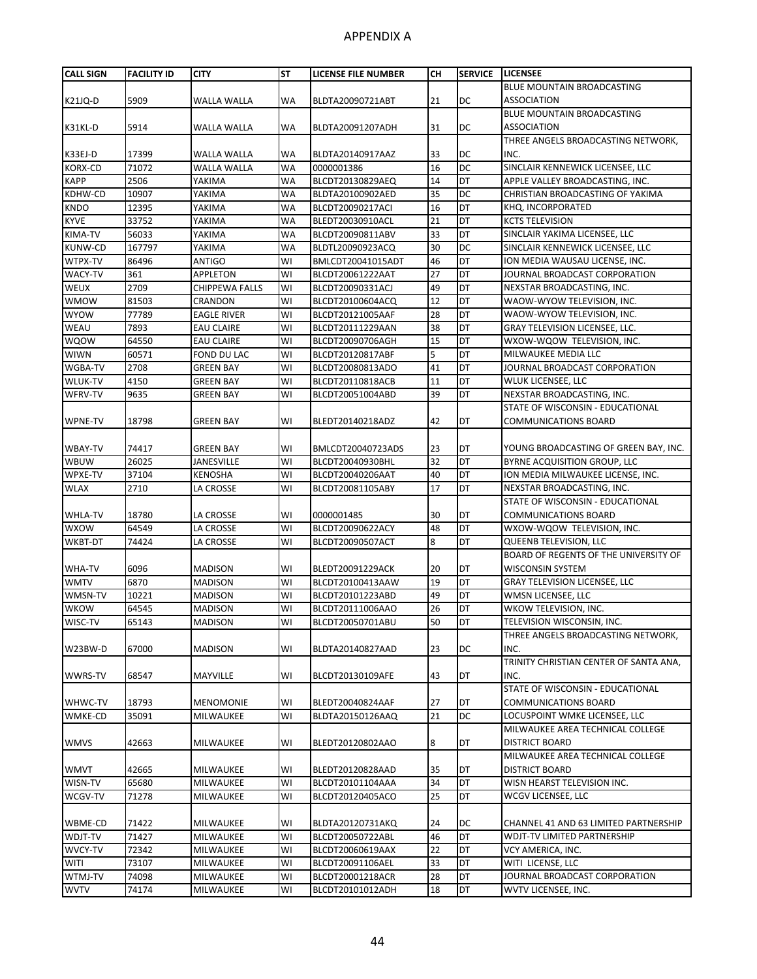| <b>CALL SIGN</b>       | <b>FACILITY ID</b> | <b>CITY</b>                      | <b>ST</b> | <b>LICENSE FILE NUMBER</b>           | <b>CH</b> | <b>SERVICE</b> | <b>LICENSEE</b>                                                 |
|------------------------|--------------------|----------------------------------|-----------|--------------------------------------|-----------|----------------|-----------------------------------------------------------------|
|                        |                    |                                  |           |                                      |           |                | BLUE MOUNTAIN BROADCASTING                                      |
| <b>K21JQ-D</b>         | 5909               | WALLA WALLA                      | <b>WA</b> | BLDTA20090721ABT                     | 21        | DC             | <b>ASSOCIATION</b>                                              |
|                        |                    |                                  |           |                                      |           |                | BLUE MOUNTAIN BROADCASTING                                      |
| K31KL-D                | 5914               | WALLA WALLA                      | <b>WA</b> | BLDTA20091207ADH                     | 31        | DC             | <b>ASSOCIATION</b>                                              |
|                        |                    |                                  |           |                                      |           |                | THREE ANGELS BROADCASTING NETWORK,                              |
| K33EJ-D                | 17399              | WALLA WALLA                      | <b>WA</b> | BLDTA20140917AAZ                     | 33        | DC             | INC.                                                            |
| <b>KORX-CD</b>         | 71072              | <b>WALLA WALLA</b>               | <b>WA</b> | 0000001386                           | 16        | DC             | SINCLAIR KENNEWICK LICENSEE, LLC                                |
| <b>KAPP</b>            | 2506               | YAKIMA                           | <b>WA</b> | BLCDT20130829AEQ                     | 14        | DT             | APPLE VALLEY BROADCASTING, INC.                                 |
| KDHW-CD                | 10907              | YAKIMA                           | <b>WA</b> | BLDTA20100902AED                     | 35        | DC             | CHRISTIAN BROADCASTING OF YAKIMA                                |
| <b>KNDO</b>            | 12395              | YAKIMA                           | <b>WA</b> | BLCDT20090217ACI                     | 16        | DT             | KHQ, INCORPORATED                                               |
| <b>KYVE</b>            | 33752              | YAKIMA                           | <b>WA</b> | BLEDT20030910ACL                     | 21        | DT             | <b>KCTS TELEVISION</b>                                          |
| KIMA-TV                | 56033              | YAKIMA                           | <b>WA</b> | BLCDT20090811ABV                     | 33        | DT             | SINCLAIR YAKIMA LICENSEE, LLC                                   |
| <b>KUNW-CD</b>         | 167797             | YAKIMA                           | WA        | BLDTL20090923ACQ                     | 30        | DC             | SINCLAIR KENNEWICK LICENSEE, LLC                                |
| WTPX-TV                | 86496              | <b>ANTIGO</b>                    | WI        | BMLCDT20041015ADT                    | 46        | DT             | ION MEDIA WAUSAU LICENSE, INC.                                  |
| WACY-TV                | 361                | <b>APPLETON</b>                  | WI        | BLCDT20061222AAT                     | 27        | DT             | JOURNAL BROADCAST CORPORATION                                   |
| <b>WEUX</b>            | 2709               | <b>CHIPPEWA FALLS</b>            | WI        | BLCDT20090331ACJ                     | 49        | DT             | NEXSTAR BROADCASTING, INC.                                      |
| <b>WMOW</b>            | 81503              | CRANDON                          | WI        | BLCDT20100604ACQ                     | 12        | DT             | WAOW-WYOW TELEVISION, INC.                                      |
| <b>WYOW</b>            | 77789              | <b>EAGLE RIVER</b>               | WI        | BLCDT20121005AAF                     | 28        | DT             | WAOW-WYOW TELEVISION, INC.                                      |
| WEAU                   | 7893               | <b>EAU CLAIRE</b>                | WI        | BLCDT20111229AAN                     | 38        | DT             | GRAY TELEVISION LICENSEE, LLC.                                  |
| <b>WQOW</b>            | 64550              | <b>EAU CLAIRE</b>                | WI        | BLCDT20090706AGH                     | 15        | DT             | WXOW-WQOW TELEVISION, INC.                                      |
| <b>WIWN</b>            | 60571              | FOND DU LAC                      | WI        | BLCDT20120817ABF                     | 5         | DT             | MILWAUKEE MEDIA LLC                                             |
| WGBA-TV                | 2708               | <b>GREEN BAY</b>                 | WI        | BLCDT20080813ADO                     | 41        | DT             | JOURNAL BROADCAST CORPORATION                                   |
| WLUK-TV                | 4150               | <b>GREEN BAY</b>                 | WI        | BLCDT20110818ACB                     | 11        | <b>DT</b>      | WLUK LICENSEE, LLC                                              |
| WFRV-TV                | 9635               | <b>GREEN BAY</b>                 | WI        | BLCDT20051004ABD                     | 39        | DT             | NEXSTAR BROADCASTING, INC.                                      |
|                        |                    |                                  |           |                                      |           |                | STATE OF WISCONSIN - EDUCATIONAL                                |
| WPNE-TV                | 18798              | <b>GREEN BAY</b>                 | WI        | BLEDT20140218ADZ                     | 42        | DT             | <b>COMMUNICATIONS BOARD</b>                                     |
|                        |                    |                                  |           |                                      |           |                |                                                                 |
| WBAY-TV                | 74417              | <b>GREEN BAY</b>                 | WI        | BMLCDT20040723ADS                    | 23        | DT             | YOUNG BROADCASTING OF GREEN BAY, INC.                           |
| <b>WBUW</b>            | 26025              | JANESVILLE                       | WI        | BLCDT20040930BHL                     | 32        | DT             | BYRNE ACQUISITION GROUP, LLC                                    |
| <b>WPXE-TV</b>         | 37104              | <b>KENOSHA</b>                   | WI        | BLCDT20040206AAT                     | 40        | DT             | ION MEDIA MILWAUKEE LICENSE, INC.                               |
| <b>WLAX</b>            | 2710               | LA CROSSE                        | WI        | BLCDT20081105ABY                     | 17        | DT             | NEXSTAR BROADCASTING, INC.                                      |
|                        |                    |                                  |           |                                      |           |                | STATE OF WISCONSIN - EDUCATIONAL                                |
| <b>WHLA-TV</b>         | 18780              | LA CROSSE                        | WI        | 0000001485                           | 30        | DT             | COMMUNICATIONS BOARD                                            |
| <b>WXOW</b>            | 64549              | LA CROSSE                        | WI        | BLCDT20090622ACY                     | 48        | DT             | WXOW-WQOW TELEVISION, INC.                                      |
| <b>WKBT-DT</b>         | 74424              | LA CROSSE                        | WI        | BLCDT20090507ACT                     | 8         | DT             | QUEENB TELEVISION, LLC<br>BOARD OF REGENTS OF THE UNIVERSITY OF |
|                        |                    |                                  |           |                                      |           |                | WISCONSIN SYSTEM                                                |
| WHA-TV                 | 6096<br>6870       | <b>MADISON</b>                   | WI<br>WI  | BLEDT20091229ACK                     | 20<br>19  | DT<br>DT       | <b>GRAY TELEVISION LICENSEE, LLC</b>                            |
| <b>WMTV</b><br>WMSN-TV | 10221              | <b>MADISON</b><br><b>MADISON</b> | WI        | BLCDT20100413AAW<br>BLCDT20101223ABD | 49        | DT             | WMSN LICENSEE, LLC                                              |
| <b>WKOW</b>            | 64545              | <b>MADISON</b>                   | WI        | BLCDT20111006AAO                     | 26        | DT             | WKOW TELEVISION, INC.                                           |
| WISC-TV                | 65143              | <b>MADISON</b>                   | WI        | BLCDT20050701ABU                     | 50        | DT             | TELEVISION WISCONSIN, INC.                                      |
|                        |                    |                                  |           |                                      |           |                | THREE ANGELS BROADCASTING NETWORK,                              |
| W23BW-D                | 67000              | <b>MADISON</b>                   | WI        | BLDTA20140827AAD                     | 23        | DC             | INC.                                                            |
|                        |                    |                                  |           |                                      |           |                | TRINITY CHRISTIAN CENTER OF SANTA ANA,                          |
| <b>WWRS-TV</b>         | 68547              | MAYVILLE                         | WI        | BLCDT20130109AFE                     | 43        | DT             | INC.                                                            |
|                        |                    |                                  |           |                                      |           |                | STATE OF WISCONSIN - EDUCATIONAL                                |
| WHWC-TV                | 18793              | <b>MENOMONIE</b>                 | WI        | BLEDT20040824AAF                     | 27        | DT             | COMMUNICATIONS BOARD                                            |
| WMKE-CD                | 35091              | MILWAUKEE                        | WI        | BLDTA20150126AAQ                     | 21        | DC             | LOCUSPOINT WMKE LICENSEE, LLC                                   |
|                        |                    |                                  |           |                                      |           |                | MILWAUKEE AREA TECHNICAL COLLEGE                                |
| <b>WMVS</b>            | 42663              | MILWAUKEE                        | WI        | BLEDT20120802AAO                     | 8         | DT             | <b>DISTRICT BOARD</b>                                           |
|                        |                    |                                  |           |                                      |           |                | MILWAUKEE AREA TECHNICAL COLLEGE                                |
| <b>WMVT</b>            | 42665              | MILWAUKEE                        | WI        | BLEDT20120828AAD                     | 35        | DT             | <b>DISTRICT BOARD</b>                                           |
| WISN-TV                | 65680              | MILWAUKEE                        | WI        | BLCDT20101104AAA                     | 34        | DT             | WISN HEARST TELEVISION INC.                                     |
| WCGV-TV                | 71278              | MILWAUKEE                        | WI        | BLCDT20120405ACO                     | 25        | DT             | WCGV LICENSEE, LLC                                              |
|                        |                    |                                  |           |                                      |           |                |                                                                 |
| WBME-CD                | 71422              | MILWAUKEE                        | WI        | BLDTA20120731AKQ                     | 24        | DC             | CHANNEL 41 AND 63 LIMITED PARTNERSHIP                           |
| WDJT-TV                | 71427              | MILWAUKEE                        | WI        | BLCDT20050722ABL                     | 46        | DT             | <b>WDJT-TV LIMITED PARTNERSHIP</b>                              |
| WVCY-TV                | 72342              | MILWAUKEE                        | WI        | BLCDT20060619AAX                     | 22        | DT             | VCY AMERICA, INC.                                               |
| WITI                   | 73107              | MILWAUKEE                        | WI        | BLCDT20091106AEL                     | 33        | DT             | WITI LICENSE, LLC                                               |
| WTMJ-TV                | 74098              | MILWAUKEE                        | WI        | BLCDT20001218ACR                     | 28        | DT             | JOURNAL BROADCAST CORPORATION                                   |
| <b>WVTV</b>            | 74174              | MILWAUKEE                        | WI        | BLCDT20101012ADH                     | 18        | DT             | WVTV LICENSEE, INC.                                             |
|                        |                    |                                  |           |                                      |           |                |                                                                 |